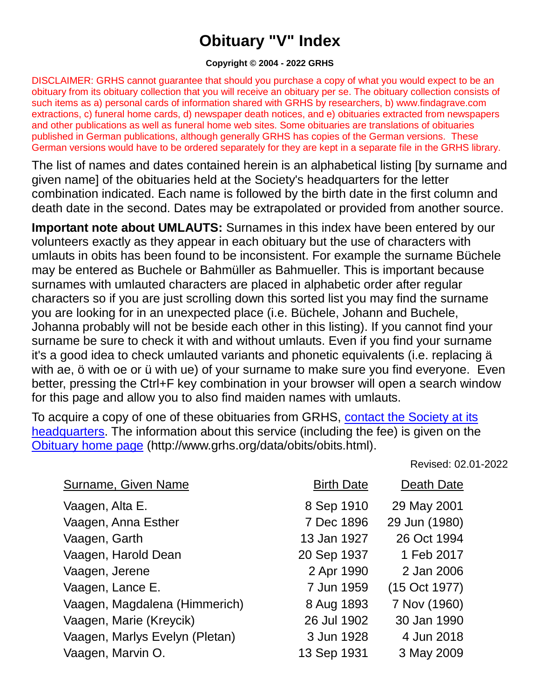## **Obituary "V" Index**

## **Copyright © 2004 - 2022 GRHS**

DISCLAIMER: GRHS cannot guarantee that should you purchase a copy of what you would expect to be an obituary from its obituary collection that you will receive an obituary per se. The obituary collection consists of such items as a) personal cards of information shared with GRHS by researchers, b) www.findagrave.com extractions, c) funeral home cards, d) newspaper death notices, and e) obituaries extracted from newspapers and other publications as well as funeral home web sites. Some obituaries are translations of obituaries published in German publications, although generally GRHS has copies of the German versions. These German versions would have to be ordered separately for they are kept in a separate file in the GRHS library.

The list of names and dates contained herein is an alphabetical listing [by surname and given name] of the obituaries held at the Society's headquarters for the letter combination indicated. Each name is followed by the birth date in the first column and death date in the second. Dates may be extrapolated or provided from another source.

**Important note about UMLAUTS:** Surnames in this index have been entered by our volunteers exactly as they appear in each obituary but the use of characters with umlauts in obits has been found to be inconsistent. For example the surname Büchele may be entered as Buchele or Bahmüller as Bahmueller. This is important because surnames with umlauted characters are placed in alphabetic order after regular characters so if you are just scrolling down this sorted list you may find the surname you are looking for in an unexpected place (i.e. Büchele, Johann and Buchele, Johanna probably will not be beside each other in this listing). If you cannot find your surname be sure to check it with and without umlauts. Even if you find your surname it's a good idea to check umlauted variants and phonetic equivalents (i.e. replacing ä with ae, ö with oe or ü with ue) of your surname to make sure you find everyone. Even better, pressing the Ctrl+F key combination in your browser will open a search window for this page and allow you to also find maiden names with umlauts.

To acquire a copy of one of these obituaries from GRHS, [contact the Society at its](https://www.grhs.org/pages/contact)  [headquarters.](https://www.grhs.org/pages/contact) The information about this service (including the fee) is given on the [Obituary home page](https://www.grhs.org/pages/obits) (http://www.grhs.org/data/obits/obits.html).

Revised: 02.01-2022

| <b>Surname, Given Name</b>     | <b>Birth Date</b> | Death Date    |
|--------------------------------|-------------------|---------------|
| Vaagen, Alta E.                | 8 Sep 1910        | 29 May 2001   |
| Vaagen, Anna Esther            | 7 Dec 1896        | 29 Jun (1980) |
| Vaagen, Garth                  | 13 Jan 1927       | 26 Oct 1994   |
| Vaagen, Harold Dean            | 20 Sep 1937       | 1 Feb 2017    |
| Vaagen, Jerene                 | 2 Apr 1990        | 2 Jan 2006    |
| Vaagen, Lance E.               | 7 Jun 1959        | (15 Oct 1977) |
| Vaagen, Magdalena (Himmerich)  | 8 Aug 1893        | 7 Nov (1960)  |
| Vaagen, Marie (Kreycik)        | 26 Jul 1902       | 30 Jan 1990   |
| Vaagen, Marlys Evelyn (Pletan) | 3 Jun 1928        | 4 Jun 2018    |
| Vaagen, Marvin O.              | 13 Sep 1931       | 3 May 2009    |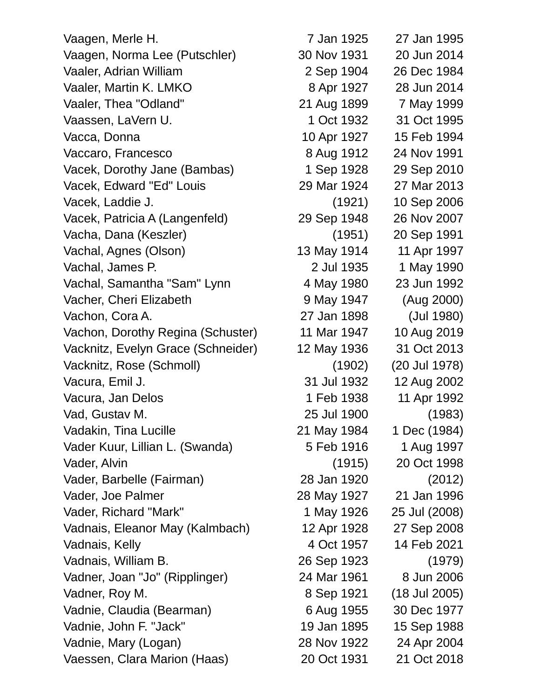Vaagen, Merle H. 7 Jan 1925 27 Jan 1995 Vaagen, Norma Lee (Putschler) 30 Nov 1931 20 Jun 2014 Vaaler, Adrian William 2 Sep 1904 26 Dec 1984 Vaaler, Martin K. LMKO 8 Apr 1927 28 Jun 2014 Vaaler, Thea "Odland" 21 Aug 1899 7 May 1999 Vaassen, LaVern U. 1 Oct 1932 31 Oct 1995 Vacca, Donna 10 Apr 1927 15 Feb 1994 Vaccaro, Francesco 8 Aug 1912 24 Nov 1991 Vacek, Dorothy Jane (Bambas) 1 Sep 1928 29 Sep 2010 Vacek, Edward "Ed" Louis 29 Mar 1924 27 Mar 2013 Vacek, Laddie J. (1921) 10 Sep 2006 Vacek, Patricia A (Langenfeld) 29 Sep 1948 26 Nov 2007 Vacha, Dana (Keszler) (1951) 20 Sep 1991 Vachal, Agnes (Olson) 13 May 1914 11 Apr 1997 Vachal, James P. 2 Jul 1935 1 May 1990 Vachal, Samantha "Sam" Lynn 4 May 1980 23 Jun 1992 Vacher, Cheri Elizabeth 9 May 1947 (Aug 2000) Vachon, Cora A. 27 Jan 1898 (Jul 1980) Vachon, Dorothy Regina (Schuster) 11 Mar 1947 10 Aug 2019 Vacknitz, Evelyn Grace (Schneider) 12 May 1936 31 Oct 2013 Vacknitz, Rose (Schmoll) (1902) (20 Jul 1978) Vacura, Emil J. 31 Jul 1932 12 Aug 2002 Vacura, Jan Delos 1 - 1 - 1 Feb 1938 11 Apr 1992 Vad, Gustav M. 25 Jul 1900 (1983) Vadakin, Tina Lucille 21 May 1984 1 Dec (1984) Vader Kuur, Lillian L. (Swanda) 5 Feb 1916 1 Aug 1997 Vader, Alvin (1915) 20 Oct 1998 Vader, Barbelle (Fairman) 28 Jan 1920 (2012) Vader, Joe Palmer 28 May 1927 21 Jan 1996 Vader, Richard "Mark" 1 May 1926 25 Jul (2008) Vadnais, Eleanor May (Kalmbach) 12 Apr 1928 27 Sep 2008 Vadnais, Kelly 14 Oct 1957 14 Feb 2021 Vadnais, William B. 26 Sep 1923 (1979) Vadner, Joan "Jo" (Ripplinger) 24 Mar 1961 8 Jun 2006 Vadner, Roy M. 68 Sep 1921 (18 Jul 2005) Vadnie, Claudia (Bearman) 6 Aug 1955 30 Dec 1977 Vadnie, John F. "Jack" 19 Jan 1895 15 Sep 1988 Vadnie, Mary (Logan) 28 Nov 1922 24 Apr 2004 Vaessen, Clara Marion (Haas) 20 Oct 1931 21 Oct 2018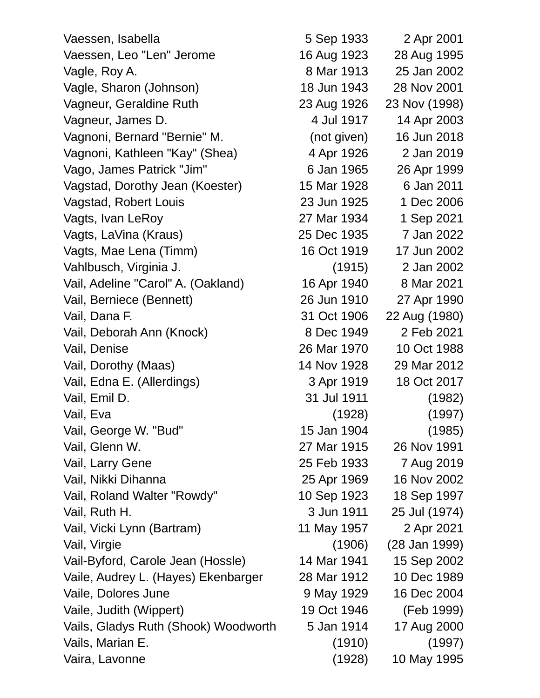Vaessen, Isabella 5 Sep 1933 2 Apr 2001 Vaessen, Leo "Len" Jerome 16 Aug 1923 28 Aug 1995 Vagle, Roy A. 68 Mar 1913 25 Jan 2002 Vagle, Sharon (Johnson) 18 Jun 1943 28 Nov 2001 Vagneur, Geraldine Ruth 23 Aug 1926 23 Nov (1998) Vagneur, James D. 4 Jul 1917 14 Apr 2003 Vagnoni, Bernard "Bernie" M. (not given) 16 Jun 2018 Vagnoni, Kathleen "Kay" (Shea) 4 Apr 1926 2 Jan 2019 Vago, James Patrick "Jim" 6 Jan 1965 26 Apr 1999 Vagstad, Dorothy Jean (Koester) 15 Mar 1928 6 Jan 2011 Vagstad, Robert Louis 23 Jun 1925 1 Dec 2006 Vagts, Ivan LeRoy 27 Mar 1934 1 Sep 2021 Vagts, LaVina (Kraus) 25 Dec 1935 7 Jan 2022 Vagts, Mae Lena (Timm) 16 Oct 1919 17 Jun 2002 Vahlbusch, Virginia J. (1915) 2 Jan 2002 Vail, Adeline "Carol" A. (Oakland) 16 Apr 1940 8 Mar 2021 Vail, Berniece (Bennett) 26 Jun 1910 27 Apr 1990 Vail, Dana F. 31 Oct 1906 22 Aug (1980) Vail, Deborah Ann (Knock) 8 Dec 1949 2 Feb 2021 Vail, Denise 26 Mar 1970 10 Oct 1988 Vail, Dorothy (Maas) 14 Nov 1928 29 Mar 2012 Vail, Edna E. (Allerdings) 3 Apr 1919 18 Oct 2017 Vail, Emil D. 31 Jul 1911 (1982) Vail, Eva (1997) (1928) (1997) Vail, George W. "Bud" 15 Jan 1904 (1985) Vail, Glenn W. 27 Mar 1915 26 Nov 1991 Vail, Larry Gene 25 Feb 1933 7 Aug 2019 Vail, Nikki Dihanna 25 Apr 1969 16 Nov 2002 Vail, Roland Walter "Rowdy" 10 Sep 1923 18 Sep 1997 Vail, Ruth H. 3 Jun 1911 25 Jul (1974) Vail, Vicki Lynn (Bartram) 11 May 1957 2 Apr 2021 Vail, Virgie (1906) (28 Jan 1999) Vail-Byford, Carole Jean (Hossle) 14 Mar 1941 15 Sep 2002 Vaile, Audrey L. (Hayes) Ekenbarger 28 Mar 1912 10 Dec 1989 Vaile, Dolores June 1980 1929 16 Dec 2004 Vaile, Judith (Wippert) 19 Oct 1946 (Feb 1999) Vails, Gladys Ruth (Shook) Woodworth 5 Jan 1914 17 Aug 2000 Vails, Marian E. (1910) (1997)

Vaira, Lavonne (1928) 10 May 1995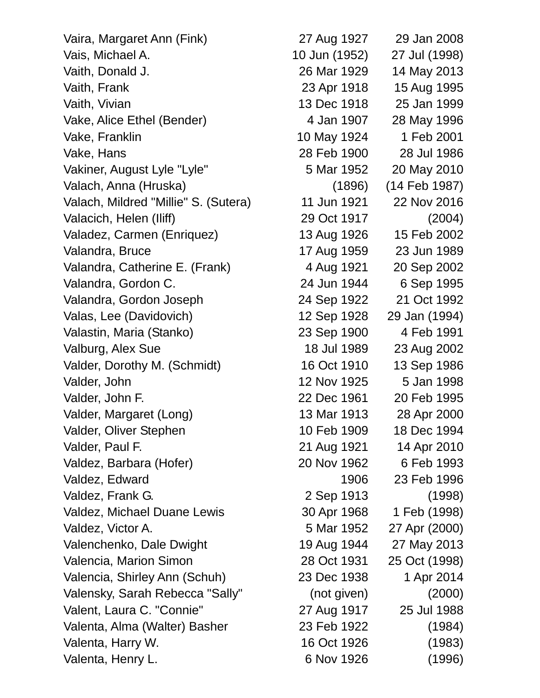Vaira, Margaret Ann (Fink) 27 Aug 1927 29 Jan 2008 Vais, Michael A. 10 Jun (1952) 27 Jul (1998) Vaith, Donald J. 26 Mar 1929 14 May 2013 Vaith, Frank 1995 Vaith, Vivian 13 Dec 1918 25 Jan 1999 Vake, Alice Ethel (Bender) 4 Jan 1907 28 May 1996 Vake, Franklin 10 May 1924 1 Feb 2001 Vake, Hans 28 Feb 1900 28 Jul 1986 Vakiner, August Lyle "Lyle" 6 Mar 1952 20 May 2010 Valach, Anna (Hruska) (1896) (14 Feb 1987) Valach, Mildred "Millie" S. (Sutera) 11 Jun 1921 22 Nov 2016 Valacich, Helen (Iliff) 29 Oct 1917 (2004) Valadez, Carmen (Enriquez) 13 Aug 1926 15 Feb 2002 Valandra, Bruce 17 Aug 1959 23 Jun 1989 Valandra, Catherine E. (Frank) 4 Aug 1921 20 Sep 2002 Valandra, Gordon C. 24 Jun 1944 6 Sep 1995 Valandra, Gordon Joseph 24 Sep 1922 21 Oct 1992 Valas, Lee (Davidovich) 12 Sep 1928 29 Jan (1994) Valastin, Maria (Stanko) 23 Sep 1900 4 Feb 1991 Valburg, Alex Sue 18 Jul 1989 23 Aug 2002 Valder, Dorothy M. (Schmidt) 16 Oct 1910 13 Sep 1986 Valder, John 12 Nov 1925 5 Jan 1998 Valder, John F. 22 Dec 1961 20 Feb 1995 Valder, Margaret (Long) 13 Mar 1913 28 Apr 2000 Valder, Oliver Stephen 10 Feb 1909 18 Dec 1994 Valder, Paul F. 21 Aug 1921 14 Apr 2010 Valdez, Barbara (Hofer) 20 Nov 1962 6 Feb 1993 Valdez, Edward 1906 23 Feb 1996 Valdez, Frank G. 2 Sep 1913 (1998) Valdez, Michael Duane Lewis 30 Apr 1968 1 Feb (1998) Valdez, Victor A. 5 Mar 1952 27 Apr (2000) Valenchenko, Dale Dwight 19 Aug 1944 27 May 2013 Valencia, Marion Simon 28 Oct 1931 25 Oct (1998) Valencia, Shirley Ann (Schuh) 23 Dec 1938 1 Apr 2014 Valensky, Sarah Rebecca "Sally" (not given) (2000) Valent, Laura C. "Connie" 27 Aug 1917 25 Jul 1988 Valenta, Alma (Walter) Basher 23 Feb 1922 (1984) Valenta, Harry W. 16 Oct 1926 (1983)

Valenta, Henry L. 6 Nov 1926 (1996)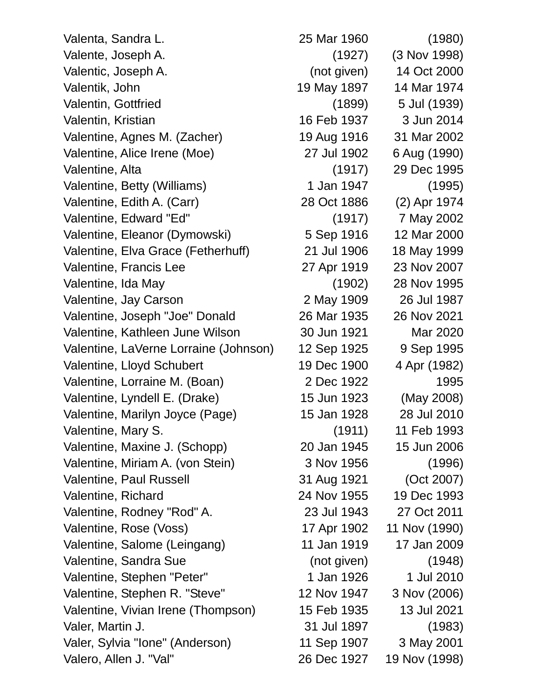Valenta, Sandra L. 25 Mar 1960 (1980) Valente, Joseph A. (1927) (3 Nov 1998) Valentic, Joseph A. (not given) 14 Oct 2000 Valentik, John 19 May 1897 14 Mar 1974 Valentin, Gottfried (1899) 5 Jul (1939) Valentin, Kristian 16 Feb 1937 3 Jun 2014 Valentine, Agnes M. (Zacher) 19 Aug 1916 31 Mar 2002 Valentine, Alice Irene (Moe) 27 Jul 1902 6 Aug (1990) Valentine, Alta (1917) 29 Dec 1995 Valentine, Betty (Williams) 1 Jan 1947 (1995) Valentine, Edith A. (Carr) 28 Oct 1886 (2) Apr 1974 Valentine, Edward "Ed" (1917) 7 May 2002 Valentine, Eleanor (Dymowski) 5 Sep 1916 12 Mar 2000 Valentine, Elva Grace (Fetherhuff) 21 Jul 1906 18 May 1999 Valentine, Francis Lee 27 Apr 1919 23 Nov 2007 Valentine, Ida May (1902) 28 Nov 1995 Valentine, Jay Carson 2 May 1909 26 Jul 1987 Valentine, Joseph "Joe" Donald 26 Mar 1935 26 Nov 2021 Valentine, Kathleen June Wilson 30 Jun 1921 Mar 2020 Valentine, LaVerne Lorraine (Johnson) 12 Sep 1925 9 Sep 1995 Valentine, Lloyd Schubert 19 Dec 1900 4 Apr (1982) Valentine, Lorraine M. (Boan) 2 Dec 1922 1995 Valentine, Lyndell E. (Drake) 15 Jun 1923 (May 2008) Valentine, Marilyn Joyce (Page) 15 Jan 1928 28 Jul 2010 Valentine, Mary S. (1911) 11 Feb 1993 Valentine, Maxine J. (Schopp) 20 Jan 1945 15 Jun 2006 Valentine, Miriam A. (von Stein) 3 Nov 1956 (1996) Valentine, Paul Russell 31 Aug 1921 (Oct 2007) Valentine, Richard 24 Nov 1955 19 Dec 1993 Valentine, Rodney "Rod" A. 23 Jul 1943 27 Oct 2011 Valentine, Rose (Voss) 17 Apr 1902 11 Nov (1990) Valentine, Salome (Leingang) 11 Jan 1919 17 Jan 2009 Valentine, Sandra Sue (not given) (1948) Valentine, Stephen "Peter" 1 Jan 1926 1 Jul 2010 Valentine, Stephen R. "Steve" 12 Nov 1947 3 Nov (2006) Valentine, Vivian Irene (Thompson) 15 Feb 1935 13 Jul 2021 Valer, Martin J. 31 Jul 1897 (1983) Valer, Sylvia "Ione" (Anderson) 11 Sep 1907 3 May 2001 Valero, Allen J. "Val" 26 Dec 1927 19 Nov (1998)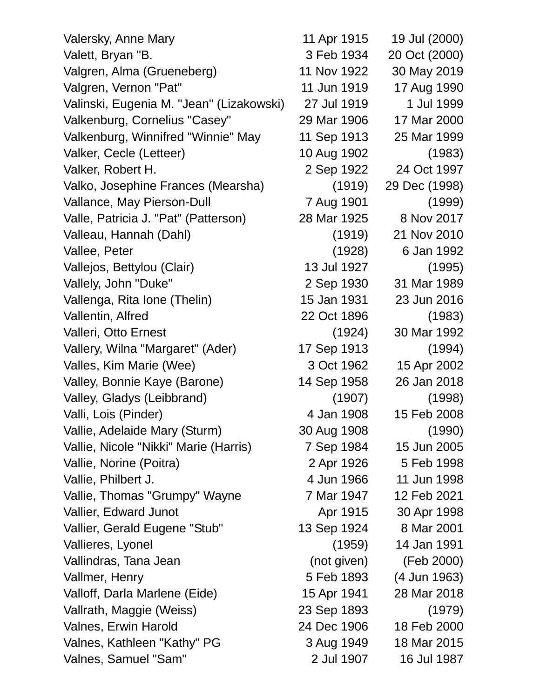| Valersky, Anne Mary                      | 11 Apr 1915 | 19 Jul (2000) |
|------------------------------------------|-------------|---------------|
| Valett, Bryan "B.                        | 3 Feb 1934  | 20 Oct (2000) |
| Valgren, Alma (Grueneberg)               | 11 Nov 1922 | 30 May 2019   |
| Valgren, Vernon "Pat"                    | 11 Jun 1919 | 17 Aug 1990   |
| Valinski, Eugenia M. "Jean" (Lizakowski) | 27 Jul 1919 | 1 Jul 1999    |
| Valkenburg, Cornelius "Casey"            | 29 Mar 1906 | 17 Mar 2000   |
| Valkenburg, Winnifred "Winnie" May       | 11 Sep 1913 | 25 Mar 1999   |
| Valker, Cecle (Letteer)                  | 10 Aug 1902 | (1983)        |
| Valker, Robert H.                        | 2 Sep 1922  | 24 Oct 1997   |
| Valko, Josephine Frances (Mearsha)       | (1919)      | 29 Dec (1998) |
| Vallance, May Pierson-Dull               | 7 Aug 1901  | (1999)        |
| Valle, Patricia J. "Pat" (Patterson)     | 28 Mar 1925 | 8 Nov 2017    |
| Valleau, Hannah (Dahl)                   | (1919)      | 21 Nov 2010   |
| Vallee, Peter                            | (1928)      | 6 Jan 1992    |
| Vallejos, Bettylou (Clair)               | 13 Jul 1927 | (1995)        |
| Vallely, John "Duke"                     | 2 Sep 1930  | 31 Mar 1989   |
| Vallenga, Rita Ione (Thelin)             | 15 Jan 1931 | 23 Jun 2016   |
| Vallentin, Alfred                        | 22 Oct 1896 | (1983)        |
| Valleri, Otto Ernest                     | (1924)      | 30 Mar 1992   |
| Vallery, Wilna "Margaret" (Ader)         | 17 Sep 1913 | (1994)        |
| Valles, Kim Marie (Wee)                  | 3 Oct 1962  | 15 Apr 2002   |
| Valley, Bonnie Kaye (Barone)             | 14 Sep 1958 | 26 Jan 2018   |
| Valley, Gladys (Leibbrand)               | (1907)      | (1998)        |
| Valli, Lois (Pinder)                     | 4 Jan 1908  | 15 Feb 2008   |
| Vallie, Adelaide Mary (Sturm)            | 30 Aug 1908 | (1990)        |
| Vallie, Nicole "Nikki" Marie (Harris)    | 7 Sep 1984  | 15 Jun 2005   |
| Vallie, Norine (Poitra)                  | 2 Apr 1926  | 5 Feb 1998    |
| Vallie, Philbert J.                      | 4 Jun 1966  | 11 Jun 1998   |
| Vallie, Thomas "Grumpy" Wayne            | 7 Mar 1947  | 12 Feb 2021   |
| Vallier, Edward Junot                    | Apr 1915    | 30 Apr 1998   |
| Vallier, Gerald Eugene "Stub"            | 13 Sep 1924 | 8 Mar 2001    |
| Vallieres, Lyonel                        | (1959)      | 14 Jan 1991   |
| Vallindras, Tana Jean                    | (not given) | (Feb 2000)    |
| Vallmer, Henry                           | 5 Feb 1893  | (4 Jun 1963)  |
| Valloff, Darla Marlene (Eide)            | 15 Apr 1941 | 28 Mar 2018   |
| Vallrath, Maggie (Weiss)                 | 23 Sep 1893 | (1979)        |
| Valnes, Erwin Harold                     | 24 Dec 1906 | 18 Feb 2000   |
| Valnes, Kathleen "Kathy" PG              | 3 Aug 1949  | 18 Mar 2015   |
| Valnes, Samuel "Sam"                     | 2 Jul 1907  | 16 Jul 1987   |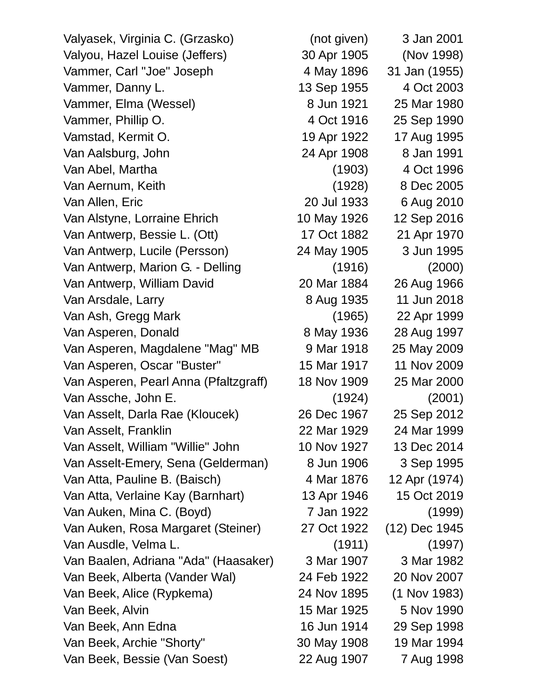Valyasek, Virginia C. (Grzasko) (not given) 3 Jan 2001 Valyou, Hazel Louise (Jeffers) 30 Apr 1905 (Nov 1998) Vammer, Carl "Joe" Joseph 4 May 1896 31 Jan (1955) Vammer, Danny L. 13 Sep 1955 4 Oct 2003 Vammer, Elma (Wessel) 8 Jun 1921 25 Mar 1980 Vammer, Phillip O. 4 Oct 1916 25 Sep 1990 Vamstad, Kermit O. 19 Apr 1922 17 Aug 1995 Van Aalsburg, John 24 Apr 1908 8 Jan 1991 Van Abel, Martha (1903) 4 Oct 1996 Van Aernum, Keith (1928) 8 Dec 2005 Van Allen, Eric 20 Jul 1933 6 Aug 2010 Van Alstyne, Lorraine Ehrich 10 May 1926 12 Sep 2016 Van Antwerp, Bessie L. (Ott) 17 Oct 1882 21 Apr 1970 Van Antwerp, Lucile (Persson) 24 May 1905 3 Jun 1995 Van Antwerp, Marion G. - Delling (1916) (2000) Van Antwerp, William David 20 Mar 1884 26 Aug 1966 Van Arsdale, Larry 8 Aug 1935 11 Jun 2018 Van Ash, Gregg Mark (1965) 22 Apr 1999 Van Asperen, Donald 8 May 1936 28 Aug 1997 Van Asperen, Magdalene "Mag" MB 9 Mar 1918 25 May 2009 Van Asperen, Oscar "Buster" 15 Mar 1917 11 Nov 2009 Van Asperen, Pearl Anna (Pfaltzgraff) 18 Nov 1909 25 Mar 2000 Van Assche, John E. (1924) (2001) Van Asselt, Darla Rae (Kloucek) 26 Dec 1967 25 Sep 2012 Van Asselt, Franklin 22 Mar 1929 24 Mar 1999 Van Asselt, William "Willie" John 10 Nov 1927 13 Dec 2014 Van Asselt-Emery, Sena (Gelderman) 8 Jun 1906 3 Sep 1995 Van Atta, Pauline B. (Baisch) 4 Mar 1876 12 Apr (1974) Van Atta, Verlaine Kay (Barnhart) 13 Apr 1946 15 Oct 2019 Van Auken, Mina C. (Boyd) 7 Jan 1922 (1999) Van Auken, Rosa Margaret (Steiner) 27 Oct 1922 (12) Dec 1945 Van Ausdle, Velma L. (1911) (1997) Van Baalen, Adriana "Ada" (Haasaker) 3 Mar 1907 3 Mar 1982 Van Beek, Alberta (Vander Wal) 24 Feb 1922 20 Nov 2007 Van Beek, Alice (Rypkema) 24 Nov 1895 (1 Nov 1983) Van Beek, Alvin 15 Mar 1925 5 Nov 1990 Van Beek, Ann Edna 16 Jun 1914 29 Sep 1998 Van Beek, Archie "Shorty" 30 May 1908 19 Mar 1994 Van Beek, Bessie (Van Soest) 22 Aug 1907 7 Aug 1998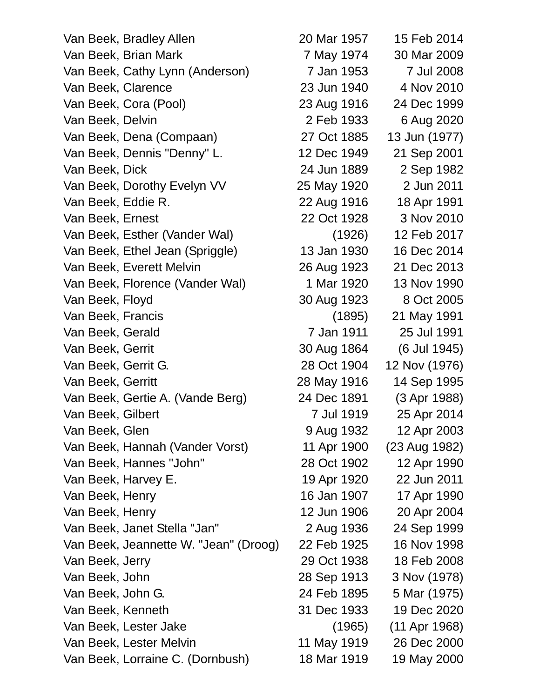Van Beek, Bradley Allen 20 Mar 1957 15 Feb 2014 Van Beek, Brian Mark 7 May 1974 30 Mar 2009 Van Beek, Cathy Lynn (Anderson) 7 Jan 1953 7 Jul 2008 Van Beek, Clarence 23 Jun 1940 4 Nov 2010 Van Beek, Cora (Pool) 23 Aug 1916 24 Dec 1999 Van Beek, Delvin 2 Feb 1933 6 Aug 2020 Van Beek, Dena (Compaan) 27 Oct 1885 13 Jun (1977) Van Beek, Dennis "Denny" L. 12 Dec 1949 21 Sep 2001 Van Beek, Dick 24 Jun 1889 2 Sep 1982 Van Beek, Dorothy Evelyn VV 25 May 1920 2 Jun 2011 Van Beek, Eddie R. 22 Aug 1916 18 Apr 1991 Van Beek, Ernest 22 Oct 1928 3 Nov 2010 Van Beek, Esther (Vander Wal) (1926) 12 Feb 2017 Van Beek, Ethel Jean (Spriggle) 13 Jan 1930 16 Dec 2014 Van Beek, Everett Melvin 26 Aug 1923 21 Dec 2013 Van Beek, Florence (Vander Wal) 1 Mar 1920 13 Nov 1990 Van Beek, Floyd 30 Aug 1923 8 Oct 2005 Van Beek, Francis (1895) 21 May 1991 Van Beek, Gerald 7 Jan 1911 25 Jul 1991 Van Beek, Gerrit 30 Aug 1864 (6 Jul 1945) Van Beek, Gerrit G. 28 Oct 1904 12 Nov (1976) Van Beek, Gerritt 28 May 1916 14 Sep 1995 Van Beek, Gertie A. (Vande Berg) 24 Dec 1891 (3 Apr 1988) Van Beek, Gilbert 7 Jul 1919 25 Apr 2014 Van Beek, Glen 9 Aug 1932 12 Apr 2003 Van Beek, Hannah (Vander Vorst) 11 Apr 1900 (23 Aug 1982) Van Beek, Hannes "John" 28 Oct 1902 12 Apr 1990 Van Beek, Harvey E. 19 Apr 1920 22 Jun 2011 Van Beek, Henry 16 Jan 1907 17 Apr 1990 Van Beek, Henry 12 Jun 1906 20 Apr 2004 Van Beek, Janet Stella "Jan" 2 Aug 1936 24 Sep 1999 Van Beek, Jeannette W. "Jean" (Droog) 22 Feb 1925 16 Nov 1998 Van Beek, Jerry 29 Oct 1938 18 Feb 2008 Van Beek, John 28 Sep 1913 3 Nov (1978) Van Beek, John G. 24 Feb 1895 5 Mar (1975) Van Beek, Kenneth 31 Dec 1933 19 Dec 2020 Van Beek, Lester Jake (1965) (11 Apr 1968) Van Beek, Lester Melvin 11 May 1919 26 Dec 2000

Van Beek, Lorraine C. (Dornbush) 18 Mar 1919 19 May 2000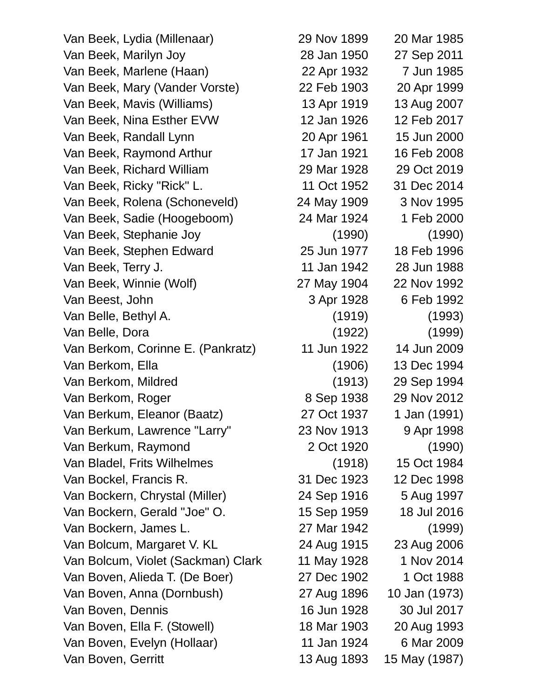Van Beek, Lydia (Millenaar) 29 Nov 1899 20 Mar 1985 Van Beek, Marilyn Joy 28 Jan 1950 27 Sep 2011 Van Beek, Marlene (Haan) 22 Apr 1932 7 Jun 1985 Van Beek, Mary (Vander Vorste) 22 Feb 1903 20 Apr 1999 Van Beek, Mavis (Williams) 13 Apr 1919 13 Aug 2007 Van Beek, Nina Esther EVW 12 Jan 1926 12 Feb 2017 Van Beek, Randall Lynn 20 Apr 1961 15 Jun 2000 Van Beek, Raymond Arthur 17 Jan 1921 16 Feb 2008 Van Beek, Richard William 29 Mar 1928 29 Oct 2019 Van Beek, Ricky "Rick" L. 11 Oct 1952 31 Dec 2014 Van Beek, Rolena (Schoneveld) 24 May 1909 3 Nov 1995 Van Beek, Sadie (Hoogeboom) 24 Mar 1924 1 Feb 2000 Van Beek, Stephanie Joy (1990) (1990) Van Beek, Stephen Edward 25 Jun 1977 18 Feb 1996 Van Beek, Terry J. 11 Jan 1942 28 Jun 1988 Van Beek, Winnie (Wolf) 27 May 1904 22 Nov 1992 Van Beest, John 3 Apr 1928 6 Feb 1992 Van Belle, Bethyl A. (1919) (1993) Van Belle, Dora (1922) (1999) Van Berkom, Corinne E. (Pankratz) 11 Jun 1922 14 Jun 2009 Van Berkom, Ella (1906) 13 Dec 1994 Van Berkom, Mildred (1913) 29 Sep 1994 Van Berkom, Roger 8 Sep 1938 29 Nov 2012 Van Berkum, Eleanor (Baatz) 27 Oct 1937 1 Jan (1991) Van Berkum, Lawrence "Larry" 23 Nov 1913 9 Apr 1998 Van Berkum, Raymond 2 Oct 1920 (1990) Van Bladel, Frits Wilhelmes (1918) 15 Oct 1984 Van Bockel, Francis R. 31 Dec 1923 12 Dec 1998 Van Bockern, Chrystal (Miller) 24 Sep 1916 5 Aug 1997 Van Bockern, Gerald "Joe" O. 15 Sep 1959 18 Jul 2016 Van Bockern, James L. 27 Mar 1942 (1999) Van Bolcum, Margaret V. KL 24 Aug 1915 23 Aug 2006 Van Bolcum, Violet (Sackman) Clark 11 May 1928 1 Nov 2014 Van Boven, Alieda T. (De Boer) 27 Dec 1902 1 Oct 1988 Van Boven, Anna (Dornbush) 27 Aug 1896 10 Jan (1973) Van Boven, Dennis 16 Jun 1928 30 Jul 2017 Van Boven, Ella F. (Stowell) 18 Mar 1903 20 Aug 1993 Van Boven, Evelyn (Hollaar) 11 Jan 1924 6 Mar 2009 Van Boven, Gerritt 13 Aug 1893 15 May (1987)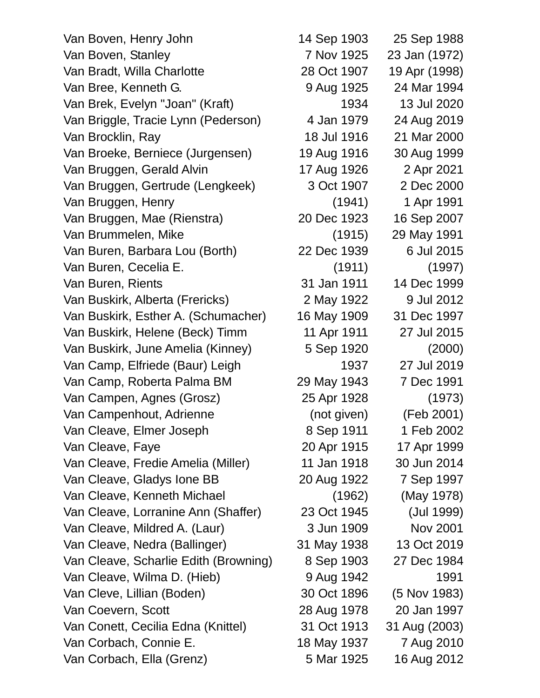| Van Boven, Henry John                 | 14 Sep 1903 | 25 Sep 1988     |
|---------------------------------------|-------------|-----------------|
| Van Boven, Stanley                    | 7 Nov 1925  | 23 Jan (1972)   |
| Van Bradt, Willa Charlotte            | 28 Oct 1907 | 19 Apr (1998)   |
| Van Bree, Kenneth G.                  | 9 Aug 1925  | 24 Mar 1994     |
| Van Brek, Evelyn "Joan" (Kraft)       | 1934        | 13 Jul 2020     |
| Van Briggle, Tracie Lynn (Pederson)   | 4 Jan 1979  | 24 Aug 2019     |
| Van Brocklin, Ray                     | 18 Jul 1916 | 21 Mar 2000     |
| Van Broeke, Berniece (Jurgensen)      | 19 Aug 1916 | 30 Aug 1999     |
| Van Bruggen, Gerald Alvin             | 17 Aug 1926 | 2 Apr 2021      |
| Van Bruggen, Gertrude (Lengkeek)      | 3 Oct 1907  | 2 Dec 2000      |
| Van Bruggen, Henry                    | (1941)      | 1 Apr 1991      |
| Van Bruggen, Mae (Rienstra)           | 20 Dec 1923 | 16 Sep 2007     |
| Van Brummelen, Mike                   | (1915)      | 29 May 1991     |
| Van Buren, Barbara Lou (Borth)        | 22 Dec 1939 | 6 Jul 2015      |
| Van Buren, Cecelia E.                 | (1911)      | (1997)          |
| Van Buren, Rients                     | 31 Jan 1911 | 14 Dec 1999     |
| Van Buskirk, Alberta (Frericks)       | 2 May 1922  | 9 Jul 2012      |
| Van Buskirk, Esther A. (Schumacher)   | 16 May 1909 | 31 Dec 1997     |
| Van Buskirk, Helene (Beck) Timm       | 11 Apr 1911 | 27 Jul 2015     |
| Van Buskirk, June Amelia (Kinney)     | 5 Sep 1920  | (2000)          |
| Van Camp, Elfriede (Baur) Leigh       | 1937        | 27 Jul 2019     |
| Van Camp, Roberta Palma BM            | 29 May 1943 | 7 Dec 1991      |
| Van Campen, Agnes (Grosz)             | 25 Apr 1928 | (1973)          |
| Van Campenhout, Adrienne              | (not given) | (Feb 2001)      |
| Van Cleave, Elmer Joseph              | 8 Sep 1911  | 1 Feb 2002      |
| Van Cleave, Faye                      | 20 Apr 1915 | 17 Apr 1999     |
| Van Cleave, Fredie Amelia (Miller)    | 11 Jan 1918 | 30 Jun 2014     |
| Van Cleave, Gladys Ione BB            | 20 Aug 1922 | 7 Sep 1997      |
| Van Cleave, Kenneth Michael           | (1962)      | (May 1978)      |
| Van Cleave, Lorranine Ann (Shaffer)   | 23 Oct 1945 | (Jul 1999)      |
| Van Cleave, Mildred A. (Laur)         | 3 Jun 1909  | <b>Nov 2001</b> |
| Van Cleave, Nedra (Ballinger)         | 31 May 1938 | 13 Oct 2019     |
| Van Cleave, Scharlie Edith (Browning) | 8 Sep 1903  | 27 Dec 1984     |
| Van Cleave, Wilma D. (Hieb)           | 9 Aug 1942  | 1991            |
| Van Cleve, Lillian (Boden)            | 30 Oct 1896 | (5 Nov 1983)    |
| Van Coevern, Scott                    | 28 Aug 1978 | 20 Jan 1997     |
| Van Conett, Cecilia Edna (Knittel)    | 31 Oct 1913 | 31 Aug (2003)   |
| Van Corbach, Connie E.                | 18 May 1937 | 7 Aug 2010      |
| Van Corbach, Ella (Grenz)             | 5 Mar 1925  | 16 Aug 2012     |

25 Sep 1988 23 Jan (1972) 19 Apr (1998) 24 Mar 1994 13 Jul 2020 24 Aug 2019 21 Mar 2000 30 Aug 1999 2 Apr 2021 2 Dec 2000 1 Apr 1991 16 Sep 2007 29 May 1991 6 Jul 2015 14 Dec 1999 9 Jul 2012 31 Dec 1997 27 Jul 2015 27 Jul 2019 7 Dec 1991 (Feb 2001) 1 Feb 2002 17 Apr 1999 30 Jun 2014 7 Sep 1997 (May 1978) (Jul 1999) Nov 2001 13 Oct 2019 27 Dec 1984 (5 Nov 1983) 20 Jan 1997 31 Aug (2003) 7 Aug 2010 16 Aug 2012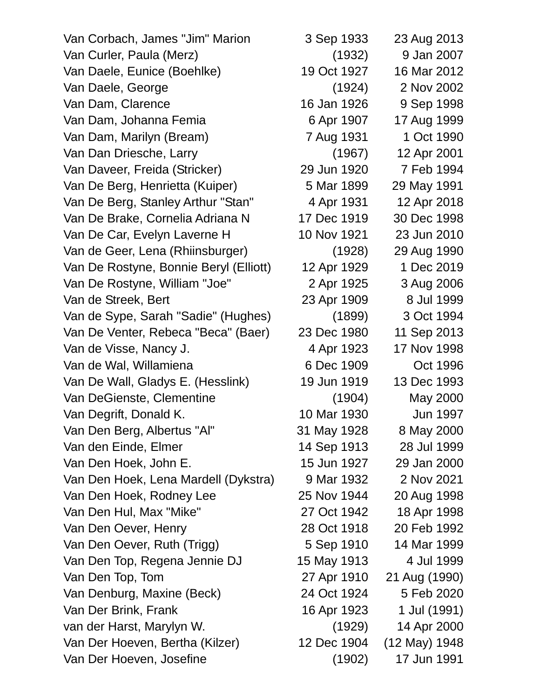Van Corbach, James "Jim" Marion 3 Sep 1933 23 Aug 2013 Van Curler, Paula (Merz) (1932) 9 Jan 2007 Van Daele, Eunice (Boehlke) 19 Oct 1927 16 Mar 2012 Van Daele, George (1924) 2 Nov 2002 Van Dam, Clarence 16 Jan 1926 9 Sep 1998 Van Dam, Johanna Femia 6 Apr 1907 17 Aug 1999 Van Dam, Marilyn (Bream) 7 Aug 1931 1 Oct 1990 Van Dan Driesche, Larry (1967) 12 Apr 2001 Van Daveer, Freida (Stricker) 29 Jun 1920 7 Feb 1994 Van De Berg, Henrietta (Kuiper) 5 Mar 1899 29 May 1991 Van De Berg, Stanley Arthur "Stan" 4 Apr 1931 12 Apr 2018 Van De Brake, Cornelia Adriana N 17 Dec 1919 30 Dec 1998 Van De Car, Evelyn Laverne H 10 Nov 1921 23 Jun 2010 Van de Geer, Lena (Rhiinsburger) (1928) 29 Aug 1990 Van De Rostyne, Bonnie Beryl (Elliott) 12 Apr 1929 1 Dec 2019 Van De Rostyne, William "Joe" 2 Apr 1925 3 Aug 2006 Van de Streek, Bert 1909 and 23 Apr 1909 and 1999 Van de Sype, Sarah "Sadie" (Hughes) (1899) 3 Oct 1994 Van De Venter, Rebeca "Beca" (Baer) 23 Dec 1980 11 Sep 2013 Van de Visse, Nancy J. (2008) 4 Apr 1923 17 Nov 1998 Van de Wal, Willamiena 6 Dec 1909 Oct 1996 Van De Wall, Gladys E. (Hesslink) 19 Jun 1919 13 Dec 1993 Van DeGienste, Clementine (1904) May 2000 Van Degrift, Donald K. 10 Mar 1930 Jun 1997 Van Den Berg, Albertus "Al" 31 May 1928 8 May 2000 Van den Einde, Elmer 14 Sep 1913 28 Jul 1999 Van Den Hoek, John E. 15 Jun 1927 29 Jan 2000 Van Den Hoek, Lena Mardell (Dykstra) 9 Mar 1932 2 Nov 2021 Van Den Hoek, Rodney Lee 25 Nov 1944 20 Aug 1998 Van Den Hul, Max "Mike" 27 Oct 1942 18 Apr 1998 Van Den Oever, Henry 28 Oct 1918 20 Feb 1992 Van Den Oever, Ruth (Trigg) 5 Sep 1910 14 Mar 1999 Van Den Top, Regena Jennie DJ 15 May 1913 4 Jul 1999 Van Den Top, Tom 27 Apr 1910 21 Aug (1990) Van Denburg, Maxine (Beck) 24 Oct 1924 5 Feb 2020 Van Der Brink, Frank 16 Apr 1923 1 Jul (1991) van der Harst, Marylyn W. (1929) 14 Apr 2000 Van Der Hoeven, Bertha (Kilzer) 12 Dec 1904 (12 May) 1948 Van Der Hoeven, Josefine (1902) 17 Jun 1991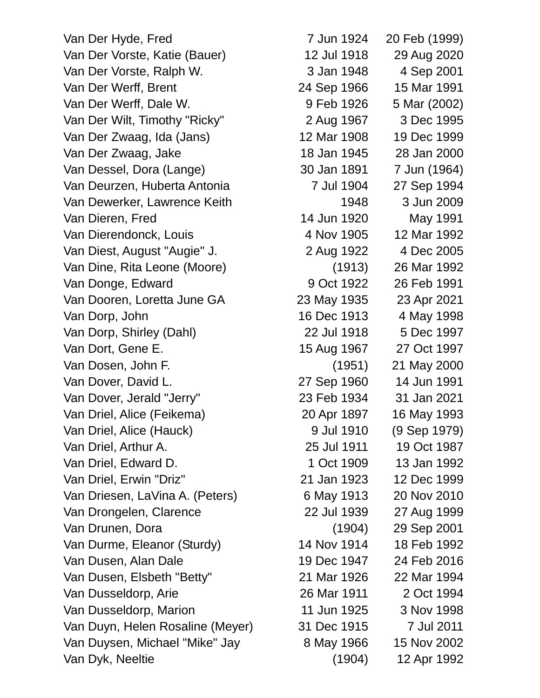Van Der Hyde, Fred Van Der Vorste, Katie (Bauer) Van Der Vorste, Ralph W. Van Der Werff, Brent Van Der Werff, Dale W. Van Der Wilt, Timothy "Ricky" Van Der Zwaag, Ida (Jans) Van Der Zwaag, Jake Van Dessel, Dora (Lange) Van Deurzen, Huberta Antonia Van Dewerker, Lawrence Keith Van Dieren, Fred Van Dierendonck, Louis Van Diest, August "Augie" J. Van Dine, Rita Leone (Moore) Van Donge, Edward Van Dooren, Loretta June GA Van Dorp, John Van Dorp, Shirley (Dahl) Van Dort, Gene E. Van Dosen, John F. Van Dover, David L. Van Dover, Jerald "Jerry" Van Driel, Alice (Feikema) Van Driel, Alice (Hauck) Van Driel, Arthur A. Van Driel, Edward D. Van Driel, Erwin "Driz" Van Driesen, LaVina A. (Peters) Van Drongelen, Clarence Van Drunen, Dora Van Durme, Eleanor (Sturdy) Van Dusen, Alan Dale Van Dusen, Elsbeth "Betty" Van Dusseldorp, Arie Van Dusseldorp, Marion Van Duyn, Helen Rosaline (Meyer) Van Duysen, Michael "Mike" Jay Van Dyk, Neeltie

| 7 Jun 1924  | 20 Feb (1999) |
|-------------|---------------|
| 12 Jul 1918 | 29 Aug 2020   |
| 3 Jan 1948  | 4 Sep 2001    |
| 24 Sep 1966 | 15 Mar 1991   |
| 9 Feb 1926  | 5 Mar (2002)  |
| 2 Aug 1967  | 3 Dec 1995    |
| 12 Mar 1908 | 19 Dec 1999   |
| 18 Jan 1945 | 28 Jan 2000   |
| 30 Jan 1891 | 7 Jun (1964)  |
| 7 Jul 1904  | 27 Sep 1994   |
| 1948        | 3 Jun 2009    |
| 14 Jun 1920 | May 1991      |
| 4 Nov 1905  | 12 Mar 1992   |
| 2 Aug 1922  | 4 Dec 2005    |
| (1913)      | 26 Mar 1992   |
| 9 Oct 1922  | 26 Feb 1991   |
| 23 May 1935 | 23 Apr 2021   |
| 16 Dec 1913 | 4 May 1998    |
| 22 Jul 1918 | 5 Dec 1997    |
| 15 Aug 1967 | 27 Oct 1997   |
| (1951)      | 21 May 2000   |
| 27 Sep 1960 | 14 Jun 1991   |
| 23 Feb 1934 | 31 Jan 2021   |
| 20 Apr 1897 | 16 May 1993   |
| 9 Jul 1910  | (9 Sep 1979)  |
| 25 Jul 1911 | 19 Oct 1987   |
| 1 Oct 1909  | 13 Jan 1992   |
| 21 Jan 1923 | 12 Dec 1999   |
| 6 May 1913  | 20 Nov 2010   |
| 22 Jul 1939 | 27 Aug 1999   |
| (1904)      | 29 Sep 2001   |
| 14 Nov 1914 | 18 Feb 1992   |
| 19 Dec 1947 | 24 Feb 2016   |
| 21 Mar 1926 | 22 Mar 1994   |
| 26 Mar 1911 | 2 Oct 1994    |
| 11 Jun 1925 | 3 Nov 1998    |
| 31 Dec 1915 | 7 Jul 2011    |
| 8 May 1966  | 15 Nov 2002   |
| (1904)      | 12 Apr 1992   |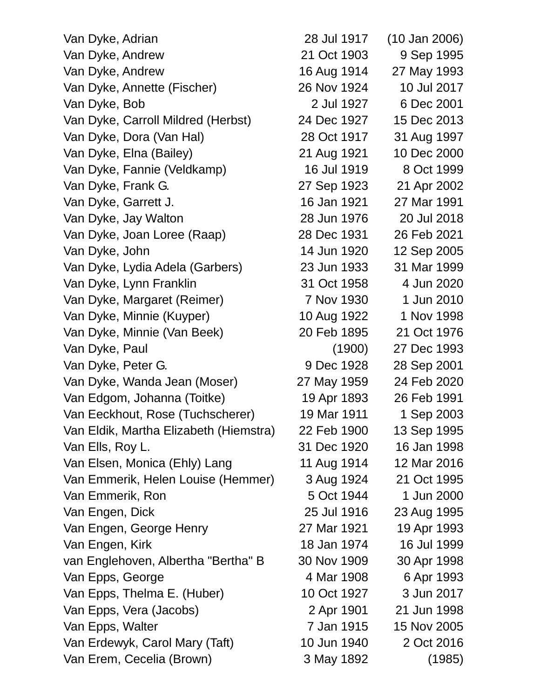| Van Dyke, Adrian                       | 28 Jul 1917 | $(10$ Jan 2006) |
|----------------------------------------|-------------|-----------------|
| Van Dyke, Andrew                       | 21 Oct 1903 | 9 Sep 1995      |
| Van Dyke, Andrew                       | 16 Aug 1914 | 27 May 1993     |
| Van Dyke, Annette (Fischer)            | 26 Nov 1924 | 10 Jul 2017     |
| Van Dyke, Bob                          | 2 Jul 1927  | 6 Dec 2001      |
| Van Dyke, Carroll Mildred (Herbst)     | 24 Dec 1927 | 15 Dec 2013     |
| Van Dyke, Dora (Van Hal)               | 28 Oct 1917 | 31 Aug 1997     |
| Van Dyke, Elna (Bailey)                | 21 Aug 1921 | 10 Dec 2000     |
| Van Dyke, Fannie (Veldkamp)            | 16 Jul 1919 | 8 Oct 1999      |
| Van Dyke, Frank G.                     | 27 Sep 1923 | 21 Apr 2002     |
| Van Dyke, Garrett J.                   | 16 Jan 1921 | 27 Mar 1991     |
| Van Dyke, Jay Walton                   | 28 Jun 1976 | 20 Jul 2018     |
| Van Dyke, Joan Loree (Raap)            | 28 Dec 1931 | 26 Feb 2021     |
| Van Dyke, John                         | 14 Jun 1920 | 12 Sep 2005     |
| Van Dyke, Lydia Adela (Garbers)        | 23 Jun 1933 | 31 Mar 1999     |
| Van Dyke, Lynn Franklin                | 31 Oct 1958 | 4 Jun 2020      |
| Van Dyke, Margaret (Reimer)            | 7 Nov 1930  | 1 Jun 2010      |
| Van Dyke, Minnie (Kuyper)              | 10 Aug 1922 | 1 Nov 1998      |
| Van Dyke, Minnie (Van Beek)            | 20 Feb 1895 | 21 Oct 1976     |
| Van Dyke, Paul                         | (1900)      | 27 Dec 1993     |
| Van Dyke, Peter G.                     | 9 Dec 1928  | 28 Sep 2001     |
| Van Dyke, Wanda Jean (Moser)           | 27 May 1959 | 24 Feb 2020     |
| Van Edgom, Johanna (Toitke)            | 19 Apr 1893 | 26 Feb 1991     |
| Van Eeckhout, Rose (Tuchscherer)       | 19 Mar 1911 | 1 Sep 2003      |
| Van Eldik, Martha Elizabeth (Hiemstra) | 22 Feb 1900 | 13 Sep 1995     |
| Van Ells, Roy L.                       | 31 Dec 1920 | 16 Jan 1998     |
| Van Elsen, Monica (Ehly) Lang          | 11 Aug 1914 | 12 Mar 2016     |
| Van Emmerik, Helen Louise (Hemmer)     | 3 Aug 1924  | 21 Oct 1995     |
| Van Emmerik, Ron                       | 5 Oct 1944  | 1 Jun 2000      |
| Van Engen, Dick                        | 25 Jul 1916 | 23 Aug 1995     |
| Van Engen, George Henry                | 27 Mar 1921 | 19 Apr 1993     |
| Van Engen, Kirk                        | 18 Jan 1974 | 16 Jul 1999     |
| van Englehoven, Albertha "Bertha" B    | 30 Nov 1909 | 30 Apr 1998     |
| Van Epps, George                       | 4 Mar 1908  | 6 Apr 1993      |
| Van Epps, Thelma E. (Huber)            | 10 Oct 1927 | 3 Jun 2017      |
| Van Epps, Vera (Jacobs)                | 2 Apr 1901  | 21 Jun 1998     |
| Van Epps, Walter                       | 7 Jan 1915  | 15 Nov 2005     |
| Van Erdewyk, Carol Mary (Taft)         | 10 Jun 1940 | 2 Oct 2016      |
| Van Erem, Cecelia (Brown)              | 3 May 1892  | (1985)          |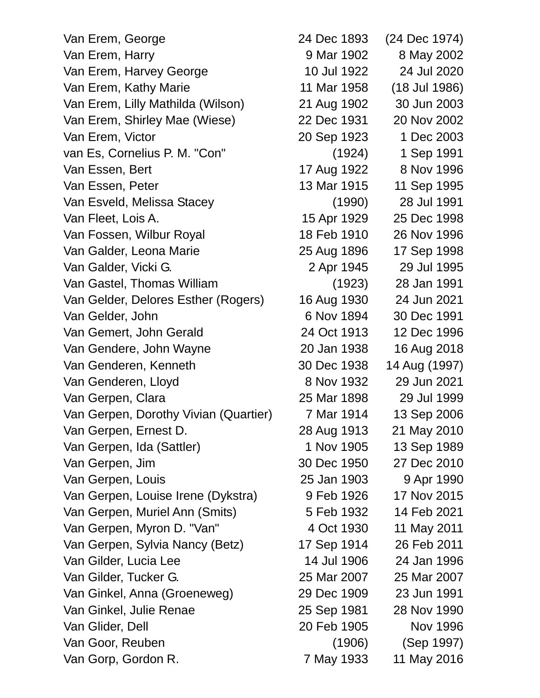| Van Erem, George                      | 24 Dec 1893 | (24 Dec 1974) |
|---------------------------------------|-------------|---------------|
| Van Erem, Harry                       | 9 Mar 1902  | 8 May 2002    |
| Van Erem, Harvey George               | 10 Jul 1922 | 24 Jul 2020   |
| Van Erem, Kathy Marie                 | 11 Mar 1958 | (18 Jul 1986) |
| Van Erem, Lilly Mathilda (Wilson)     | 21 Aug 1902 | 30 Jun 2003   |
| Van Erem, Shirley Mae (Wiese)         | 22 Dec 1931 | 20 Nov 2002   |
| Van Erem, Victor                      | 20 Sep 1923 | 1 Dec 2003    |
| van Es, Cornelius P. M. "Con"         | (1924)      | 1 Sep 1991    |
| Van Essen, Bert                       | 17 Aug 1922 | 8 Nov 1996    |
| Van Essen, Peter                      | 13 Mar 1915 | 11 Sep 1995   |
| Van Esveld, Melissa Stacey            | (1990)      | 28 Jul 1991   |
| Van Fleet, Lois A.                    | 15 Apr 1929 | 25 Dec 1998   |
| Van Fossen, Wilbur Royal              | 18 Feb 1910 | 26 Nov 1996   |
| Van Galder, Leona Marie               | 25 Aug 1896 | 17 Sep 1998   |
| Van Galder, Vicki G.                  | 2 Apr 1945  | 29 Jul 1995   |
| Van Gastel, Thomas William            | (1923)      | 28 Jan 1991   |
| Van Gelder, Delores Esther (Rogers)   | 16 Aug 1930 | 24 Jun 2021   |
| Van Gelder, John                      | 6 Nov 1894  | 30 Dec 1991   |
| Van Gemert, John Gerald               | 24 Oct 1913 | 12 Dec 1996   |
| Van Gendere, John Wayne               | 20 Jan 1938 | 16 Aug 2018   |
| Van Genderen, Kenneth                 | 30 Dec 1938 | 14 Aug (1997) |
| Van Genderen, Lloyd                   | 8 Nov 1932  | 29 Jun 2021   |
| Van Gerpen, Clara                     | 25 Mar 1898 | 29 Jul 1999   |
| Van Gerpen, Dorothy Vivian (Quartier) | 7 Mar 1914  | 13 Sep 2006   |
| Van Gerpen, Ernest D.                 | 28 Aug 1913 | 21 May 2010   |
| Van Gerpen, Ida (Sattler)             | 1 Nov 1905  | 13 Sep 1989   |
| Van Gerpen, Jim                       | 30 Dec 1950 | 27 Dec 2010   |
| Van Gerpen, Louis                     | 25 Jan 1903 | 9 Apr 1990    |
| Van Gerpen, Louise Irene (Dykstra)    | 9 Feb 1926  | 17 Nov 2015   |
| Van Gerpen, Muriel Ann (Smits)        | 5 Feb 1932  | 14 Feb 2021   |
| Van Gerpen, Myron D. "Van"            | 4 Oct 1930  | 11 May 2011   |
| Van Gerpen, Sylvia Nancy (Betz)       | 17 Sep 1914 | 26 Feb 2011   |
| Van Gilder, Lucia Lee                 | 14 Jul 1906 | 24 Jan 1996   |
| Van Gilder, Tucker G.                 | 25 Mar 2007 | 25 Mar 2007   |
| Van Ginkel, Anna (Groeneweg)          | 29 Dec 1909 | 23 Jun 1991   |
| Van Ginkel, Julie Renae               | 25 Sep 1981 | 28 Nov 1990   |
| Van Glider, Dell                      | 20 Feb 1905 | Nov 1996      |
| Van Goor, Reuben                      | (1906)      | (Sep 1997)    |
| Van Gorp, Gordon R.                   | 7 May 1933  | 11 May 2016   |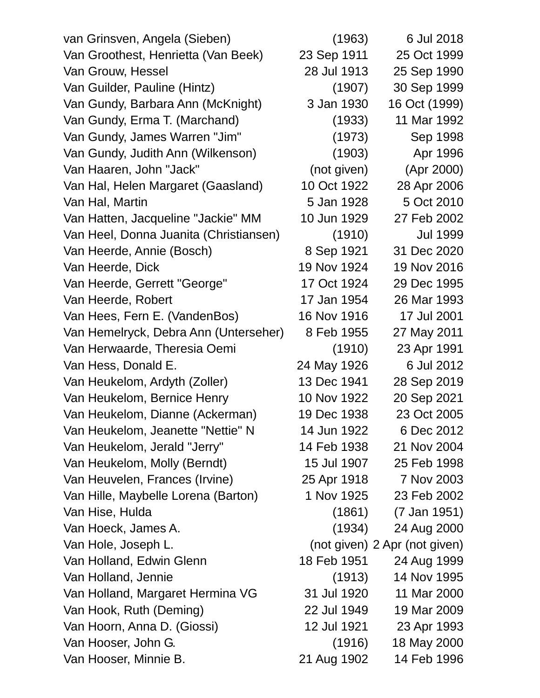| van Grinsven, Angela (Sieben)          | (1963)      | 6 Jul 2018                    |
|----------------------------------------|-------------|-------------------------------|
| Van Groothest, Henrietta (Van Beek)    | 23 Sep 1911 | 25 Oct 1999                   |
| Van Grouw, Hessel                      | 28 Jul 1913 | 25 Sep 1990                   |
| Van Guilder, Pauline (Hintz)           | (1907)      | 30 Sep 1999                   |
| Van Gundy, Barbara Ann (McKnight)      | 3 Jan 1930  | 16 Oct (1999)                 |
| Van Gundy, Erma T. (Marchand)          | (1933)      | 11 Mar 1992                   |
| Van Gundy, James Warren "Jim"          | (1973)      | Sep 1998                      |
| Van Gundy, Judith Ann (Wilkenson)      | (1903)      | Apr 1996                      |
| Van Haaren, John "Jack"                | (not given) | (Apr 2000)                    |
| Van Hal, Helen Margaret (Gaasland)     | 10 Oct 1922 | 28 Apr 2006                   |
| Van Hal, Martin                        | 5 Jan 1928  | 5 Oct 2010                    |
| Van Hatten, Jacqueline "Jackie" MM     | 10 Jun 1929 | 27 Feb 2002                   |
| Van Heel, Donna Juanita (Christiansen) | (1910)      | <b>Jul 1999</b>               |
| Van Heerde, Annie (Bosch)              | 8 Sep 1921  | 31 Dec 2020                   |
| Van Heerde, Dick                       | 19 Nov 1924 | 19 Nov 2016                   |
| Van Heerde, Gerrett "George"           | 17 Oct 1924 | 29 Dec 1995                   |
| Van Heerde, Robert                     | 17 Jan 1954 | 26 Mar 1993                   |
| Van Hees, Fern E. (VandenBos)          | 16 Nov 1916 | 17 Jul 2001                   |
| Van Hemelryck, Debra Ann (Unterseher)  | 8 Feb 1955  | 27 May 2011                   |
| Van Herwaarde, Theresia Oemi           | (1910)      | 23 Apr 1991                   |
| Van Hess, Donald E.                    | 24 May 1926 | 6 Jul 2012                    |
| Van Heukelom, Ardyth (Zoller)          | 13 Dec 1941 | 28 Sep 2019                   |
| Van Heukelom, Bernice Henry            | 10 Nov 1922 | 20 Sep 2021                   |
| Van Heukelom, Dianne (Ackerman)        | 19 Dec 1938 | 23 Oct 2005                   |
| Van Heukelom, Jeanette "Nettie" N      | 14 Jun 1922 | 6 Dec 2012                    |
| Van Heukelom, Jerald "Jerry"           | 14 Feb 1938 | 21 Nov 2004                   |
| Van Heukelom, Molly (Berndt)           | 15 Jul 1907 | 25 Feb 1998                   |
| Van Heuvelen, Frances (Irvine)         | 25 Apr 1918 | 7 Nov 2003                    |
| Van Hille, Maybelle Lorena (Barton)    | 1 Nov 1925  | 23 Feb 2002                   |
| Van Hise, Hulda                        | (1861)      | (7 Jan 1951)                  |
| Van Hoeck, James A.                    | (1934)      | 24 Aug 2000                   |
| Van Hole, Joseph L.                    |             | (not given) 2 Apr (not given) |
| Van Holland, Edwin Glenn               | 18 Feb 1951 | 24 Aug 1999                   |
| Van Holland, Jennie                    | (1913)      | 14 Nov 1995                   |
| Van Holland, Margaret Hermina VG       | 31 Jul 1920 | 11 Mar 2000                   |
| Van Hook, Ruth (Deming)                | 22 Jul 1949 | 19 Mar 2009                   |
| Van Hoorn, Anna D. (Giossi)            | 12 Jul 1921 | 23 Apr 1993                   |
| Van Hooser, John G.                    | (1916)      | 18 May 2000                   |
| Van Hooser, Minnie B.                  | 21 Aug 1902 | 14 Feb 1996                   |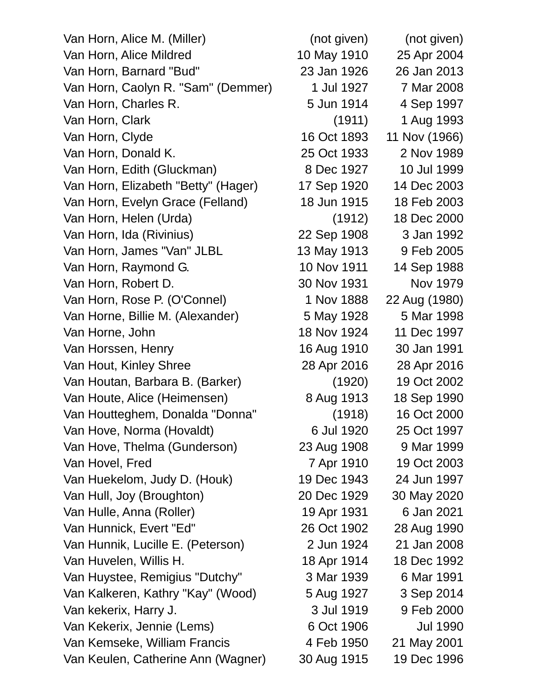| Van Horn, Alice M. (Miller)         | (not given) | (not given)     |
|-------------------------------------|-------------|-----------------|
| Van Horn, Alice Mildred             | 10 May 1910 | 25 Apr 2004     |
| Van Horn, Barnard "Bud"             | 23 Jan 1926 | 26 Jan 2013     |
| Van Horn, Caolyn R. "Sam" (Demmer)  | 1 Jul 1927  | 7 Mar 2008      |
| Van Horn, Charles R.                | 5 Jun 1914  | 4 Sep 1997      |
| Van Horn, Clark                     | (1911)      | 1 Aug 1993      |
| Van Horn, Clyde                     | 16 Oct 1893 | 11 Nov (1966)   |
| Van Horn, Donald K.                 | 25 Oct 1933 | 2 Nov 1989      |
| Van Horn, Edith (Gluckman)          | 8 Dec 1927  | 10 Jul 1999     |
| Van Horn, Elizabeth "Betty" (Hager) | 17 Sep 1920 | 14 Dec 2003     |
| Van Horn, Evelyn Grace (Felland)    | 18 Jun 1915 | 18 Feb 2003     |
| Van Horn, Helen (Urda)              | (1912)      | 18 Dec 2000     |
| Van Horn, Ida (Rivinius)            | 22 Sep 1908 | 3 Jan 1992      |
| Van Horn, James "Van" JLBL          | 13 May 1913 | 9 Feb 2005      |
| Van Horn, Raymond G.                | 10 Nov 1911 | 14 Sep 1988     |
| Van Horn, Robert D.                 | 30 Nov 1931 | Nov 1979        |
| Van Horn, Rose P. (O'Connel)        | 1 Nov 1888  | 22 Aug (1980)   |
| Van Horne, Billie M. (Alexander)    | 5 May 1928  | 5 Mar 1998      |
| Van Horne, John                     | 18 Nov 1924 | 11 Dec 1997     |
| Van Horssen, Henry                  | 16 Aug 1910 | 30 Jan 1991     |
| Van Hout, Kinley Shree              | 28 Apr 2016 | 28 Apr 2016     |
| Van Houtan, Barbara B. (Barker)     | (1920)      | 19 Oct 2002     |
| Van Houte, Alice (Heimensen)        | 8 Aug 1913  | 18 Sep 1990     |
| Van Houtteghem, Donalda "Donna"     | (1918)      | 16 Oct 2000     |
| Van Hove, Norma (Hovaldt)           | 6 Jul 1920  | 25 Oct 1997     |
| Van Hove, Thelma (Gunderson)        | 23 Aug 1908 | 9 Mar 1999      |
| Van Hovel, Fred                     | 7 Apr 1910  | 19 Oct 2003     |
| Van Huekelom, Judy D. (Houk)        | 19 Dec 1943 | 24 Jun 1997     |
| Van Hull, Joy (Broughton)           | 20 Dec 1929 | 30 May 2020     |
| Van Hulle, Anna (Roller)            | 19 Apr 1931 | 6 Jan 2021      |
| Van Hunnick, Evert "Ed"             | 26 Oct 1902 | 28 Aug 1990     |
| Van Hunnik, Lucille E. (Peterson)   | 2 Jun 1924  | 21 Jan 2008     |
| Van Huvelen, Willis H.              | 18 Apr 1914 | 18 Dec 1992     |
| Van Huystee, Remigius "Dutchy"      | 3 Mar 1939  | 6 Mar 1991      |
| Van Kalkeren, Kathry "Kay" (Wood)   | 5 Aug 1927  | 3 Sep 2014      |
| Van kekerix, Harry J.               | 3 Jul 1919  | 9 Feb 2000      |
| Van Kekerix, Jennie (Lems)          | 6 Oct 1906  | <b>Jul 1990</b> |
| Van Kemseke, William Francis        | 4 Feb 1950  | 21 May 2001     |
| Van Keulen, Catherine Ann (Wagner)  | 30 Aug 1915 | 19 Dec 1996     |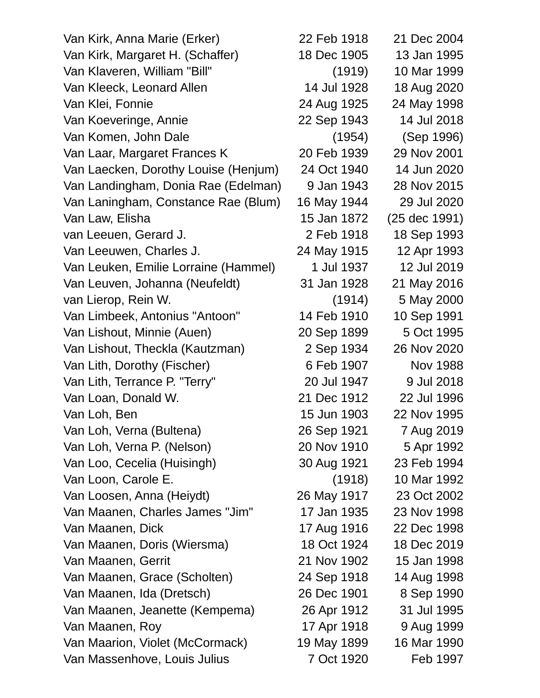Van Kirk, Anna Marie (Erker) 22 Feb 1918 21 Dec 2004 Van Kirk, Margaret H. (Schaffer) 18 Dec 1905 13 Jan 1995 Van Klaveren, William "Bill" (1919) 10 Mar 1999 Van Kleeck, Leonard Allen 14 Jul 1928 18 Aug 2020 Van Klei, Fonnie 24 Aug 1925 24 May 1998 Van Koeveringe, Annie 22 Sep 1943 14 Jul 2018 Van Komen, John Dale (1954) (Sep 1996) Van Laar, Margaret Frances K 20 Feb 1939 29 Nov 2001 Van Laecken, Dorothy Louise (Henjum) 24 Oct 1940 14 Jun 2020 Van Landingham, Donia Rae (Edelman) 9 Jan 1943 28 Nov 2015 Van Laningham, Constance Rae (Blum) 16 May 1944 29 Jul 2020 Van Law, Elisha 15 Jan 1872 (25 dec 1991) van Leeuen, Gerard J. 2 Feb 1918 18 Sep 1993 Van Leeuwen, Charles J. 24 May 1915 12 Apr 1993 Van Leuken, Emilie Lorraine (Hammel) 1 Jul 1937 12 Jul 2019 Van Leuven, Johanna (Neufeldt) 31 Jan 1928 21 May 2016 van Lierop, Rein W. (1914) 5 May 2000 Van Limbeek, Antonius "Antoon" 14 Feb 1910 10 Sep 1991 Van Lishout, Minnie (Auen) 20 Sep 1899 5 Oct 1995 Van Lishout, Theckla (Kautzman) 2 Sep 1934 26 Nov 2020 Van Lith, Dorothy (Fischer) 6 Feb 1907 Nov 1988 Van Lith, Terrance P. "Terry" 20 Jul 1947 9 Jul 2018 Van Loan, Donald W. 21 Dec 1912 22 Jul 1996 Van Loh, Ben 15 Jun 1903 22 Nov 1995 Van Loh, Verna (Bultena) 26 Sep 1921 7 Aug 2019 Van Loh, Verna P. (Nelson) 20 Nov 1910 5 Apr 1992 Van Loo, Cecelia (Huisingh) 30 Aug 1921 23 Feb 1994 Van Loon, Carole E. (1918) 10 Mar 1992 Van Loosen, Anna (Heiydt) 26 May 1917 23 Oct 2002 Van Maanen, Charles James "Jim" 17 Jan 1935 23 Nov 1998 Van Maanen, Dick 17 Aug 1916 22 Dec 1998 Van Maanen, Doris (Wiersma) 18 Oct 1924 18 Dec 2019 Van Maanen, Gerrit 21 Nov 1902 15 Jan 1998 Van Maanen, Grace (Scholten) 24 Sep 1918 14 Aug 1998 Van Maanen, Ida (Dretsch) 26 Dec 1901 8 Sep 1990 Van Maanen, Jeanette (Kempema) 26 Apr 1912 31 Jul 1995 Van Maanen, Roy 17 Apr 1918 9 Aug 1999 Van Maarion, Violet (McCormack) 19 May 1899 16 Mar 1990 Van Massenhove, Louis Julius 7 Oct 1920 Feb 1997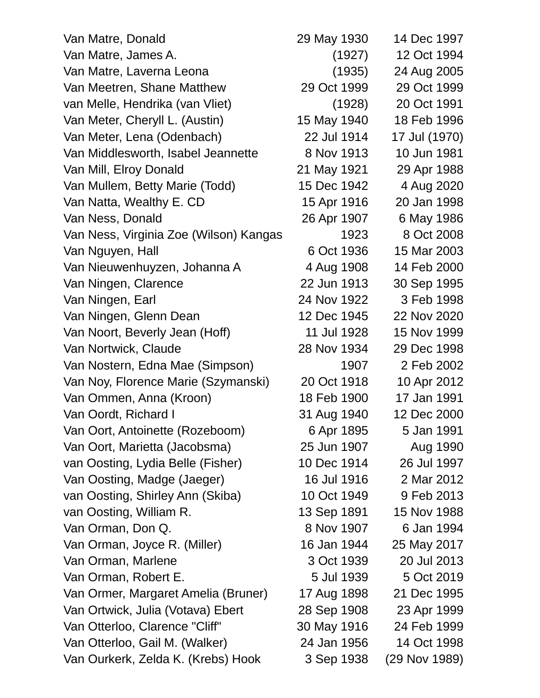| Van Matre, Donald                      | 29 May 1930 | 14 Dec 1997   |
|----------------------------------------|-------------|---------------|
| Van Matre, James A.                    | (1927)      | 12 Oct 1994   |
| Van Matre, Laverna Leona               | (1935)      | 24 Aug 2005   |
| Van Meetren, Shane Matthew             | 29 Oct 1999 | 29 Oct 1999   |
| van Melle, Hendrika (van Vliet)        | (1928)      | 20 Oct 1991   |
| Van Meter, Cheryll L. (Austin)         | 15 May 1940 | 18 Feb 1996   |
| Van Meter, Lena (Odenbach)             | 22 Jul 1914 | 17 Jul (1970) |
| Van Middlesworth, Isabel Jeannette     | 8 Nov 1913  | 10 Jun 1981   |
| Van Mill, Elroy Donald                 | 21 May 1921 | 29 Apr 1988   |
| Van Mullem, Betty Marie (Todd)         | 15 Dec 1942 | 4 Aug 2020    |
| Van Natta, Wealthy E. CD               | 15 Apr 1916 | 20 Jan 1998   |
| Van Ness, Donald                       | 26 Apr 1907 | 6 May 1986    |
| Van Ness, Virginia Zoe (Wilson) Kangas | 1923        | 8 Oct 2008    |
| Van Nguyen, Hall                       | 6 Oct 1936  | 15 Mar 2003   |
| Van Nieuwenhuyzen, Johanna A           | 4 Aug 1908  | 14 Feb 2000   |
| Van Ningen, Clarence                   | 22 Jun 1913 | 30 Sep 1995   |
| Van Ningen, Earl                       | 24 Nov 1922 | 3 Feb 1998    |
| Van Ningen, Glenn Dean                 | 12 Dec 1945 | 22 Nov 2020   |
| Van Noort, Beverly Jean (Hoff)         | 11 Jul 1928 | 15 Nov 1999   |
| Van Nortwick, Claude                   | 28 Nov 1934 | 29 Dec 1998   |
| Van Nostern, Edna Mae (Simpson)        | 1907        | 2 Feb 2002    |
| Van Noy, Florence Marie (Szymanski)    | 20 Oct 1918 | 10 Apr 2012   |
| Van Ommen, Anna (Kroon)                | 18 Feb 1900 | 17 Jan 1991   |
| Van Oordt, Richard I                   | 31 Aug 1940 | 12 Dec 2000   |
| Van Oort, Antoinette (Rozeboom)        | 6 Apr 1895  | 5 Jan 1991    |
| Van Oort, Marietta (Jacobsma)          | 25 Jun 1907 | Aug 1990      |
| van Oosting, Lydia Belle (Fisher)      | 10 Dec 1914 | 26 Jul 1997   |
| Van Oosting, Madge (Jaeger)            | 16 Jul 1916 | 2 Mar 2012    |
| van Oosting, Shirley Ann (Skiba)       | 10 Oct 1949 | 9 Feb 2013    |
| van Oosting, William R.                | 13 Sep 1891 | 15 Nov 1988   |
| Van Orman, Don Q.                      | 8 Nov 1907  | 6 Jan 1994    |
| Van Orman, Joyce R. (Miller)           | 16 Jan 1944 | 25 May 2017   |
| Van Orman, Marlene                     | 3 Oct 1939  | 20 Jul 2013   |
| Van Orman, Robert E.                   | 5 Jul 1939  | 5 Oct 2019    |
| Van Ormer, Margaret Amelia (Bruner)    | 17 Aug 1898 | 21 Dec 1995   |
| Van Ortwick, Julia (Votava) Ebert      | 28 Sep 1908 | 23 Apr 1999   |
| Van Otterloo, Clarence "Cliff"         | 30 May 1916 | 24 Feb 1999   |
| Van Otterloo, Gail M. (Walker)         | 24 Jan 1956 | 14 Oct 1998   |
| Van Ourkerk, Zelda K. (Krebs) Hook     | 3 Sep 1938  | (29 Nov 1989) |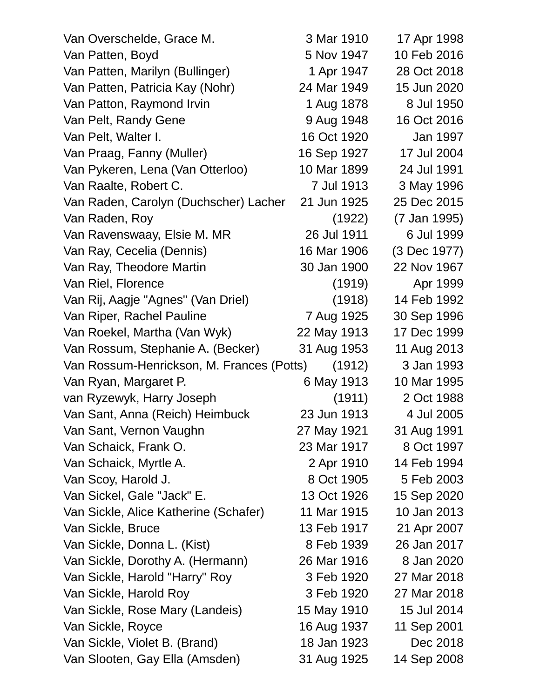| Van Overschelde, Grace M.                 | 3 Mar 1910  | 17 Apr 1998  |
|-------------------------------------------|-------------|--------------|
| Van Patten, Boyd                          | 5 Nov 1947  | 10 Feb 2016  |
| Van Patten, Marilyn (Bullinger)           | 1 Apr 1947  | 28 Oct 2018  |
| Van Patten, Patricia Kay (Nohr)           | 24 Mar 1949 | 15 Jun 2020  |
| Van Patton, Raymond Irvin                 | 1 Aug 1878  | 8 Jul 1950   |
| Van Pelt, Randy Gene                      | 9 Aug 1948  | 16 Oct 2016  |
| Van Pelt, Walter I.                       | 16 Oct 1920 | Jan 1997     |
| Van Praag, Fanny (Muller)                 | 16 Sep 1927 | 17 Jul 2004  |
| Van Pykeren, Lena (Van Otterloo)          | 10 Mar 1899 | 24 Jul 1991  |
| Van Raalte, Robert C.                     | 7 Jul 1913  | 3 May 1996   |
| Van Raden, Carolyn (Duchscher) Lacher     | 21 Jun 1925 | 25 Dec 2015  |
| Van Raden, Roy                            | (1922)      | (7 Jan 1995) |
| Van Ravenswaay, Elsie M. MR               | 26 Jul 1911 | 6 Jul 1999   |
| Van Ray, Cecelia (Dennis)                 | 16 Mar 1906 | (3 Dec 1977) |
| Van Ray, Theodore Martin                  | 30 Jan 1900 | 22 Nov 1967  |
| Van Riel, Florence                        | (1919)      | Apr 1999     |
| Van Rij, Aagje "Agnes" (Van Driel)        | (1918)      | 14 Feb 1992  |
| Van Riper, Rachel Pauline                 | 7 Aug 1925  | 30 Sep 1996  |
| Van Roekel, Martha (Van Wyk)              | 22 May 1913 | 17 Dec 1999  |
| Van Rossum, Stephanie A. (Becker)         | 31 Aug 1953 | 11 Aug 2013  |
| Van Rossum-Henrickson, M. Frances (Potts) | (1912)      | 3 Jan 1993   |
| Van Ryan, Margaret P.                     | 6 May 1913  | 10 Mar 1995  |
| van Ryzewyk, Harry Joseph                 | (1911)      | 2 Oct 1988   |
| Van Sant, Anna (Reich) Heimbuck           | 23 Jun 1913 | 4 Jul 2005   |
| Van Sant, Vernon Vaughn                   | 27 May 1921 | 31 Aug 1991  |
| Van Schaick, Frank O.                     | 23 Mar 1917 | 8 Oct 1997   |
| Van Schaick, Myrtle A.                    | 2 Apr 1910  | 14 Feb 1994  |
| Van Scoy, Harold J.                       | 8 Oct 1905  | 5 Feb 2003   |
| Van Sickel, Gale "Jack" E.                | 13 Oct 1926 | 15 Sep 2020  |
| Van Sickle, Alice Katherine (Schafer)     | 11 Mar 1915 | 10 Jan 2013  |
| Van Sickle, Bruce                         | 13 Feb 1917 | 21 Apr 2007  |
| Van Sickle, Donna L. (Kist)               | 8 Feb 1939  | 26 Jan 2017  |
| Van Sickle, Dorothy A. (Hermann)          | 26 Mar 1916 | 8 Jan 2020   |
| Van Sickle, Harold "Harry" Roy            | 3 Feb 1920  | 27 Mar 2018  |
| Van Sickle, Harold Roy                    | 3 Feb 1920  | 27 Mar 2018  |
| Van Sickle, Rose Mary (Landeis)           | 15 May 1910 | 15 Jul 2014  |
| Van Sickle, Royce                         | 16 Aug 1937 | 11 Sep 2001  |
| Van Sickle, Violet B. (Brand)             | 18 Jan 1923 | Dec 2018     |
| Van Slooten, Gay Ella (Amsden)            | 31 Aug 1925 | 14 Sep 2008  |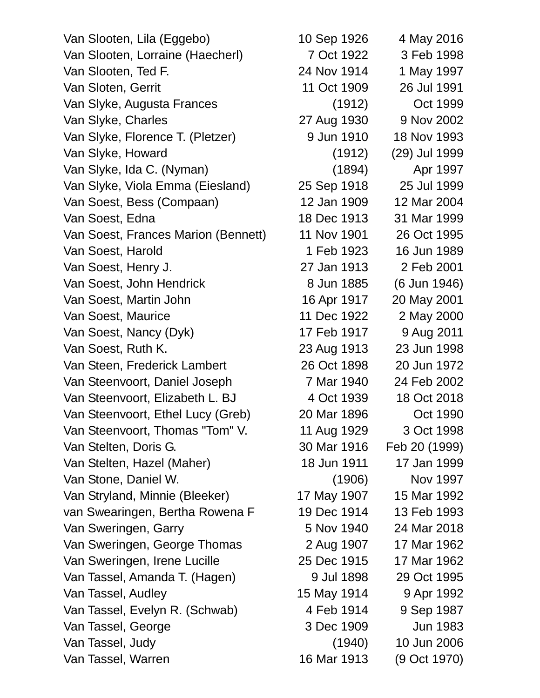Van Slooten, Lila (Eggebo) 10 Sep 1926 4 May 2016 Van Slooten, Lorraine (Haecherl) 7 Oct 1922 3 Feb 1998 Van Slooten, Ted F. 24 Nov 1914 1 May 1997 Van Sloten, Gerrit 11 Oct 1909 26 Jul 1991 Van Slyke, Augusta Frances (1912) Oct 1999 Van Slyke, Charles 27 Aug 1930 9 Nov 2002 Van Slyke, Florence T. (Pletzer) 9 Jun 1910 18 Nov 1993 Van Slyke, Howard (1912) (29) Jul 1999 Van Slyke, Ida C. (Nyman) (1894) Apr 1997 Van Slyke, Viola Emma (Eiesland) 25 Sep 1918 25 Jul 1999 Van Soest, Bess (Compaan) 12 Jan 1909 12 Mar 2004 Van Soest, Edna 18 Dec 1913 31 Mar 1999 Van Soest, Frances Marion (Bennett) 11 Nov 1901 26 Oct 1995 Van Soest, Harold 1 Feb 1923 16 Jun 1989 Van Soest, Henry J. 27 Jan 1913 2 Feb 2001 Van Soest, John Hendrick 8 Jun 1885 (6 Jun 1946) Van Soest, Martin John 16 Apr 1917 20 May 2001 Van Soest, Maurice 11 Dec 1922 2 May 2000 Van Soest, Nancy (Dyk) 17 Feb 1917 9 Aug 2011 Van Soest, Ruth K. 23 Aug 1913 23 Jun 1998 Van Steen, Frederick Lambert 26 Oct 1898 20 Jun 1972 Van Steenvoort, Daniel Joseph 7 Mar 1940 24 Feb 2002 Van Steenvoort, Elizabeth L. BJ 4 Oct 1939 18 Oct 2018 Van Steenvoort, Ethel Lucy (Greb) 20 Mar 1896 Oct 1990 Van Steenvoort, Thomas "Tom" V. 11 Aug 1929 3 Oct 1998 Van Stelten, Doris G. 30 Mar 1916 Feb 20 (1999) Van Stelten, Hazel (Maher) 18 Jun 1911 17 Jan 1999 Van Stone, Daniel W. (1906) Nov 1997 Van Stryland, Minnie (Bleeker) 17 May 1907 15 Mar 1992 van Swearingen, Bertha Rowena F 19 Dec 1914 13 Feb 1993 Van Sweringen, Garry 6 1940 1940 24 Mar 2018 Van Sweringen, George Thomas 2 Aug 1907 17 Mar 1962 Van Sweringen, Irene Lucille 25 Dec 1915 17 Mar 1962 Van Tassel, Amanda T. (Hagen) 9 Jul 1898 29 Oct 1995 Van Tassel, Audley 15 May 1914 9 Apr 1992 Van Tassel, Evelyn R. (Schwab) 4 Feb 1914 9 Sep 1987 Van Tassel, George 3 Dec 1909 Jun 1983 Van Tassel, Judy (1940) 10 Jun 2006 Van Tassel, Warren 16 Mar 1913 (9 Oct 1970)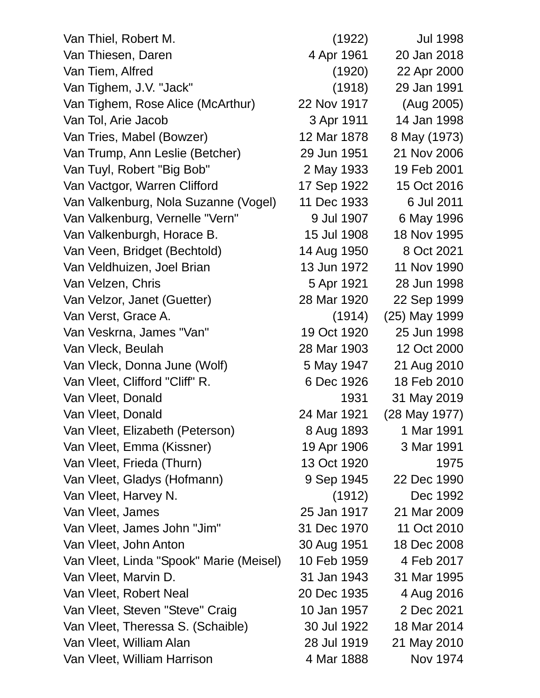| Van Thiel, Robert M.                    | (1922)      | <b>Jul 1998</b> |
|-----------------------------------------|-------------|-----------------|
| Van Thiesen, Daren                      | 4 Apr 1961  | 20 Jan 2018     |
| Van Tiem, Alfred                        | (1920)      | 22 Apr 2000     |
| Van Tighem, J.V. "Jack"                 | (1918)      | 29 Jan 1991     |
| Van Tighem, Rose Alice (McArthur)       | 22 Nov 1917 | (Aug 2005)      |
| Van Tol, Arie Jacob                     | 3 Apr 1911  | 14 Jan 1998     |
| Van Tries, Mabel (Bowzer)               | 12 Mar 1878 | 8 May (1973)    |
| Van Trump, Ann Leslie (Betcher)         | 29 Jun 1951 | 21 Nov 2006     |
| Van Tuyl, Robert "Big Bob"              | 2 May 1933  | 19 Feb 2001     |
| Van Vactgor, Warren Clifford            | 17 Sep 1922 | 15 Oct 2016     |
| Van Valkenburg, Nola Suzanne (Vogel)    | 11 Dec 1933 | 6 Jul 2011      |
| Van Valkenburg, Vernelle "Vern"         | 9 Jul 1907  | 6 May 1996      |
| Van Valkenburgh, Horace B.              | 15 Jul 1908 | 18 Nov 1995     |
| Van Veen, Bridget (Bechtold)            | 14 Aug 1950 | 8 Oct 2021      |
| Van Veldhuizen, Joel Brian              | 13 Jun 1972 | 11 Nov 1990     |
| Van Velzen, Chris                       | 5 Apr 1921  | 28 Jun 1998     |
| Van Velzor, Janet (Guetter)             | 28 Mar 1920 | 22 Sep 1999     |
| Van Verst, Grace A.                     | (1914)      | (25) May 1999   |
| Van Veskrna, James "Van"                | 19 Oct 1920 | 25 Jun 1998     |
| Van Vleck, Beulah                       | 28 Mar 1903 | 12 Oct 2000     |
| Van Vleck, Donna June (Wolf)            | 5 May 1947  | 21 Aug 2010     |
| Van Vleet, Clifford "Cliff" R.          | 6 Dec 1926  | 18 Feb 2010     |
| Van Vleet, Donald                       | 1931        | 31 May 2019     |
| Van Vleet, Donald                       | 24 Mar 1921 | (28 May 1977)   |
| Van Vleet, Elizabeth (Peterson)         | 8 Aug 1893  | 1 Mar 1991      |
| Van Vleet, Emma (Kissner)               | 19 Apr 1906 | 3 Mar 1991      |
| Van Vleet, Frieda (Thurn)               | 13 Oct 1920 | 1975            |
| Van Vleet, Gladys (Hofmann)             | 9 Sep 1945  | 22 Dec 1990     |
| Van Vleet, Harvey N.                    | (1912)      | Dec 1992        |
| Van Vleet, James                        | 25 Jan 1917 | 21 Mar 2009     |
| Van Vleet, James John "Jim"             | 31 Dec 1970 | 11 Oct 2010     |
| Van Vleet, John Anton                   | 30 Aug 1951 | 18 Dec 2008     |
| Van Vleet, Linda "Spook" Marie (Meisel) | 10 Feb 1959 | 4 Feb 2017      |
| Van Vleet, Marvin D.                    | 31 Jan 1943 | 31 Mar 1995     |
| Van Vleet, Robert Neal                  | 20 Dec 1935 | 4 Aug 2016      |
| Van Vleet, Steven "Steve" Craig         | 10 Jan 1957 | 2 Dec 2021      |
| Van Vleet, Theressa S. (Schaible)       | 30 Jul 1922 | 18 Mar 2014     |
| Van Vleet, William Alan                 | 28 Jul 1919 | 21 May 2010     |
| Van Vleet, William Harrison             | 4 Mar 1888  | Nov 1974        |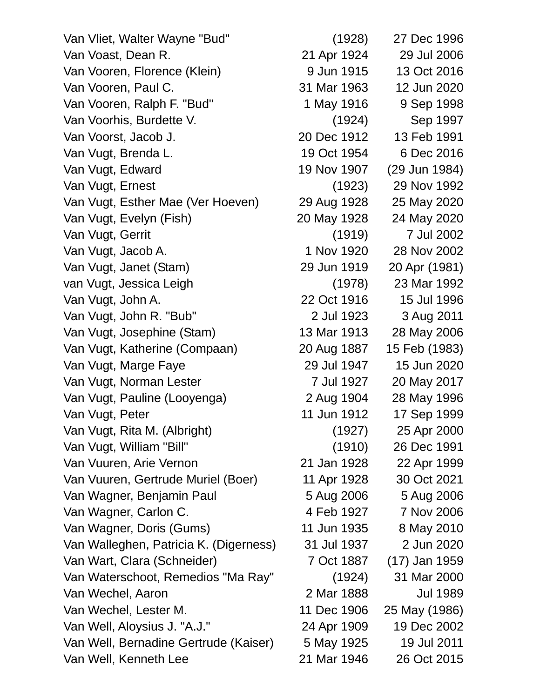Van Vliet, Walter Wayne "Bud" (1928) 27 Dec 1996 Van Voast, Dean R. 21 Apr 1924 29 Jul 2006 Van Vooren, Florence (Klein) 9 Jun 1915 13 Oct 2016 Van Vooren, Paul C. 31 Mar 1963 12 Jun 2020 Van Vooren, Ralph F. "Bud" 1 May 1916 9 Sep 1998 Van Voorhis, Burdette V. (1924) Sep 1997 Van Voorst, Jacob J. 20 Dec 1912 13 Feb 1991 Van Vugt, Brenda L. 19 Oct 1954 6 Dec 2016 Van Vugt, Edward 19 Nov 1907 (29 Jun 1984) Van Vugt, Ernest (1923) 29 Nov 1992 Van Vugt, Esther Mae (Ver Hoeven) 29 Aug 1928 25 May 2020 Van Vugt, Evelyn (Fish) 20 May 1928 24 May 2020 Van Vugt, Gerrit (1919) 7 Jul 2002 Van Vugt, Jacob A. 1 Nov 1920 28 Nov 2002 Van Vugt, Janet (Stam) 29 Jun 1919 20 Apr (1981) van Vugt, Jessica Leigh (1978) 23 Mar 1992 Van Vugt, John A. 22 Oct 1916 15 Jul 1996 Van Vugt, John R. "Bub" 2 Jul 1923 3 Aug 2011 Van Vugt, Josephine (Stam) 13 Mar 1913 28 May 2006 Van Vugt, Katherine (Compaan) 20 Aug 1887 15 Feb (1983) Van Vugt, Marge Faye 29 Jul 1947 15 Jun 2020 Van Vugt, Norman Lester 7 Jul 1927 20 May 2017 Van Vugt, Pauline (Looyenga) 2 Aug 1904 28 May 1996 Van Vugt, Peter 11 Jun 1912 17 Sep 1999 Van Vugt, Rita M. (Albright) (1927) 25 Apr 2000 Van Vugt, William "Bill" (1910) 26 Dec 1991 Van Vuuren, Arie Vernon 21 Jan 1928 22 Apr 1999 Van Vuuren, Gertrude Muriel (Boer) 11 Apr 1928 30 Oct 2021 Van Wagner, Benjamin Paul **5 Aug 2006** 5 Aug 2006 Van Wagner, Carlon C. 4 Feb 1927 7 Nov 2006 Van Wagner, Doris (Gums) 11 Jun 1935 8 May 2010 Van Walleghen, Patricia K. (Digerness) 31 Jul 1937 2 Jun 2020 Van Wart, Clara (Schneider) 7 Oct 1887 (17) Jan 1959 Van Waterschoot, Remedios "Ma Ray" (1924) 31 Mar 2000 Van Wechel, Aaron 2 Mar 1888 Jul 1989 Van Wechel, Lester M. 11 Dec 1906 25 May (1986) Van Well, Aloysius J. "A.J." 24 Apr 1909 19 Dec 2002 Van Well, Bernadine Gertrude (Kaiser) 5 May 1925 19 Jul 2011 Van Well, Kenneth Lee 21 Mar 1946 26 Oct 2015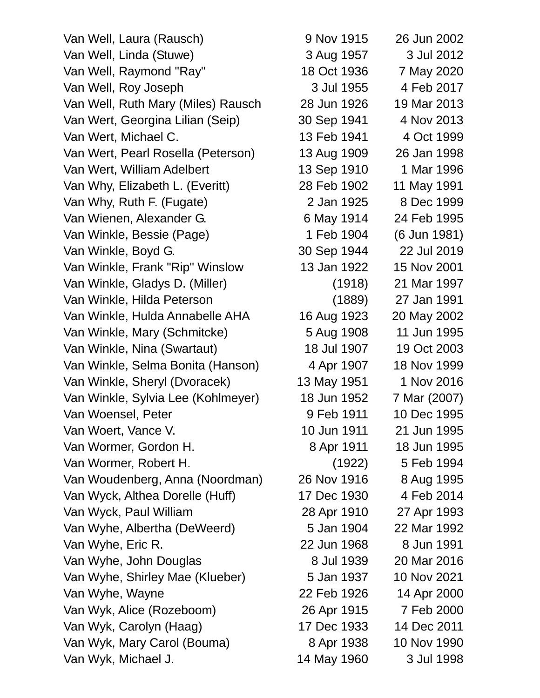Van Well, Laura (Rausch) 9 Nov 1915 26 Jun 2002 Van Well, Linda (Stuwe) 3 Aug 1957 3 Jul 2012 Van Well, Raymond "Ray" 18 Oct 1936 7 May 2020 Van Well, Roy Joseph 3 Jul 1955 4 Feb 2017 Van Well, Ruth Mary (Miles) Rausch 28 Jun 1926 19 Mar 2013 Van Wert, Georgina Lilian (Seip) 30 Sep 1941 4 Nov 2013 Van Wert, Michael C. 13 Feb 1941 4 Oct 1999 Van Wert, Pearl Rosella (Peterson) 13 Aug 1909 26 Jan 1998 Van Wert, William Adelbert 13 Sep 1910 1 Mar 1996 Van Why, Elizabeth L. (Everitt) 28 Feb 1902 11 May 1991 Van Why, Ruth F. (Fugate) 2 Jan 1925 8 Dec 1999 Van Wienen, Alexander G. 6 May 1914 24 Feb 1995 Van Winkle, Bessie (Page) 1 Feb 1904 (6 Jun 1981) Van Winkle, Boyd G. 30 Sep 1944 22 Jul 2019 Van Winkle, Frank "Rip" Winslow 13 Jan 1922 15 Nov 2001 Van Winkle, Gladys D. (Miller) (1918) 21 Mar 1997 Van Winkle, Hilda Peterson (1889) 27 Jan 1991 Van Winkle, Hulda Annabelle AHA 16 Aug 1923 20 May 2002 Van Winkle, Mary (Schmitcke) 5 Aug 1908 11 Jun 1995 Van Winkle, Nina (Swartaut) 18 Jul 1907 19 Oct 2003 Van Winkle, Selma Bonita (Hanson) 4 Apr 1907 18 Nov 1999 Van Winkle, Sheryl (Dvoracek) 13 May 1951 1 Nov 2016 Van Winkle, Sylvia Lee (Kohlmeyer) 18 Jun 1952 7 Mar (2007) Van Woensel, Peter 1995 **9 Feb 1911** 10 Dec 1995 Van Woert, Vance V. 10 Jun 1911 21 Jun 1995 Van Wormer, Gordon H. 68 Apr 1911 18 Jun 1995 Van Wormer, Robert H. (1922) 5 Feb 1994 Van Woudenberg, Anna (Noordman) 26 Nov 1916 8 Aug 1995 Van Wyck, Althea Dorelle (Huff) 17 Dec 1930 4 Feb 2014 Van Wyck, Paul William 28 Apr 1910 27 Apr 1993 Van Wyhe, Albertha (DeWeerd) 5 Jan 1904 22 Mar 1992 Van Wyhe, Eric R. 22 Jun 1968 8 Jun 1991 Van Wyhe, John Douglas 8 Jul 1939 20 Mar 2016 Van Wyhe, Shirley Mae (Klueber) 5 Jan 1937 10 Nov 2021 Van Wyhe, Wayne 22 Feb 1926 14 Apr 2000 Van Wyk, Alice (Rozeboom) 26 Apr 1915 7 Feb 2000 Van Wyk, Carolyn (Haag) 17 Dec 1933 14 Dec 2011 Van Wyk, Mary Carol (Bouma) 8 Apr 1938 10 Nov 1990 Van Wyk, Michael J. 14 May 1960 3 Jul 1998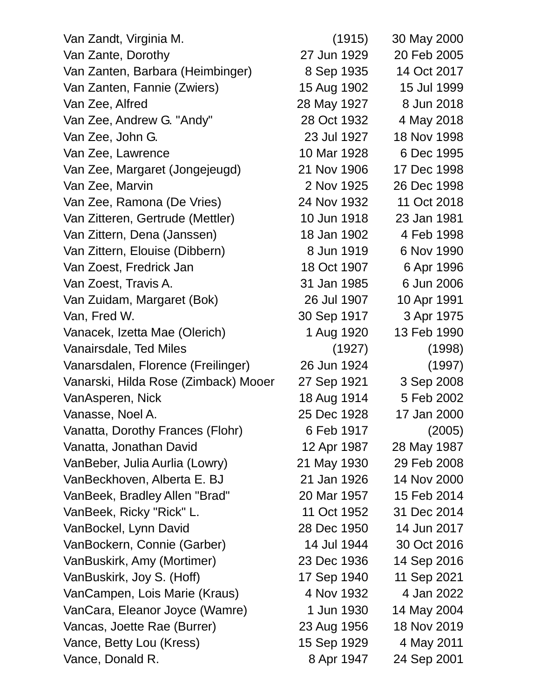| Van Zandt, Virginia M.               | (1915)      | 30 May 2000 |
|--------------------------------------|-------------|-------------|
| Van Zante, Dorothy                   | 27 Jun 1929 | 20 Feb 2005 |
| Van Zanten, Barbara (Heimbinger)     | 8 Sep 1935  | 14 Oct 2017 |
| Van Zanten, Fannie (Zwiers)          | 15 Aug 1902 | 15 Jul 1999 |
| Van Zee, Alfred                      | 28 May 1927 | 8 Jun 2018  |
| Van Zee, Andrew G. "Andy"            | 28 Oct 1932 | 4 May 2018  |
| Van Zee, John G.                     | 23 Jul 1927 | 18 Nov 1998 |
| Van Zee, Lawrence                    | 10 Mar 1928 | 6 Dec 1995  |
| Van Zee, Margaret (Jongejeugd)       | 21 Nov 1906 | 17 Dec 1998 |
| Van Zee, Marvin                      | 2 Nov 1925  | 26 Dec 1998 |
| Van Zee, Ramona (De Vries)           | 24 Nov 1932 | 11 Oct 2018 |
| Van Zitteren, Gertrude (Mettler)     | 10 Jun 1918 | 23 Jan 1981 |
| Van Zittern, Dena (Janssen)          | 18 Jan 1902 | 4 Feb 1998  |
| Van Zittern, Elouise (Dibbern)       | 8 Jun 1919  | 6 Nov 1990  |
| Van Zoest, Fredrick Jan              | 18 Oct 1907 | 6 Apr 1996  |
| Van Zoest, Travis A.                 | 31 Jan 1985 | 6 Jun 2006  |
| Van Zuidam, Margaret (Bok)           | 26 Jul 1907 | 10 Apr 1991 |
| Van, Fred W.                         | 30 Sep 1917 | 3 Apr 1975  |
| Vanacek, Izetta Mae (Olerich)        | 1 Aug 1920  | 13 Feb 1990 |
| Vanairsdale, Ted Miles               | (1927)      | (1998)      |
| Vanarsdalen, Florence (Freilinger)   | 26 Jun 1924 | (1997)      |
| Vanarski, Hilda Rose (Zimback) Mooer | 27 Sep 1921 | 3 Sep 2008  |
| VanAsperen, Nick                     | 18 Aug 1914 | 5 Feb 2002  |
| Vanasse, Noel A.                     | 25 Dec 1928 | 17 Jan 2000 |
| Vanatta, Dorothy Frances (Flohr)     | 6 Feb 1917  | (2005)      |
| Vanatta, Jonathan David              | 12 Apr 1987 | 28 May 1987 |
| VanBeber, Julia Aurlia (Lowry)       | 21 May 1930 | 29 Feb 2008 |
| VanBeckhoven, Alberta E. BJ          | 21 Jan 1926 | 14 Nov 2000 |
| VanBeek, Bradley Allen "Brad"        | 20 Mar 1957 | 15 Feb 2014 |
| VanBeek, Ricky "Rick" L.             | 11 Oct 1952 | 31 Dec 2014 |
| VanBockel, Lynn David                | 28 Dec 1950 | 14 Jun 2017 |
| VanBockern, Connie (Garber)          | 14 Jul 1944 | 30 Oct 2016 |
| VanBuskirk, Amy (Mortimer)           | 23 Dec 1936 | 14 Sep 2016 |
| VanBuskirk, Joy S. (Hoff)            | 17 Sep 1940 | 11 Sep 2021 |
| VanCampen, Lois Marie (Kraus)        | 4 Nov 1932  | 4 Jan 2022  |
| VanCara, Eleanor Joyce (Wamre)       | 1 Jun 1930  | 14 May 2004 |
| Vancas, Joette Rae (Burrer)          | 23 Aug 1956 | 18 Nov 2019 |
| Vance, Betty Lou (Kress)             | 15 Sep 1929 | 4 May 2011  |
| Vance, Donald R.                     | 8 Apr 1947  | 24 Sep 2001 |
|                                      |             |             |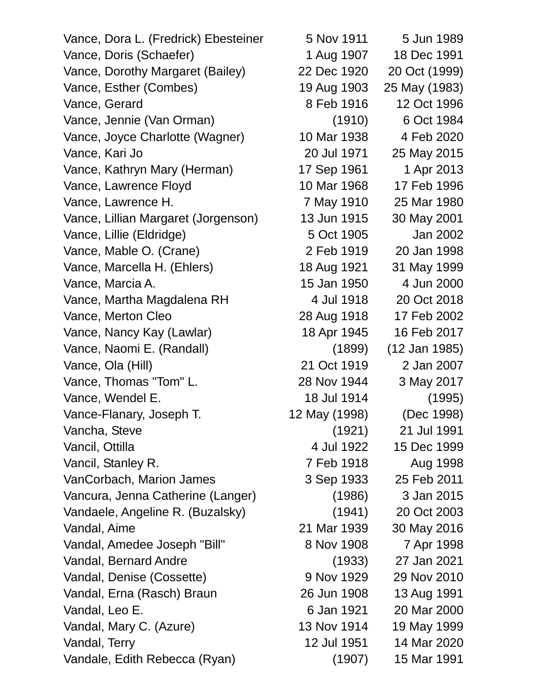Vance, Dora L. (Fredrick) Ebesteiner 5 Nov 1911 5 Jun 1989 Vance, Doris (Schaefer) 1 Aug 1907 18 Dec 1991 Vance, Dorothy Margaret (Bailey) 22 Dec 1920 20 Oct (1999) Vance, Esther (Combes) 19 Aug 1903 25 May (1983) Vance, Gerard 8 Feb 1916 12 Oct 1996 Vance, Jennie (Van Orman) (1910) 6 Oct 1984 Vance, Joyce Charlotte (Wagner) 10 Mar 1938 4 Feb 2020 Vance, Kari Jo 20 Jul 1971 25 May 2015 Vance, Kathryn Mary (Herman) 17 Sep 1961 1 Apr 2013 Vance, Lawrence Floyd 10 Mar 1968 17 Feb 1996 Vance, Lawrence H. 25 May 1910 25 Mar 1980 Vance, Lillian Margaret (Jorgenson) 13 Jun 1915 30 May 2001 Vance, Lillie (Eldridge) 5 Oct 1905 Jan 2002 Vance, Mable O. (Crane) 2 Feb 1919 20 Jan 1998 Vance, Marcella H. (Ehlers) 18 Aug 1921 31 May 1999 Vance, Marcia A. 15 Jan 1950 4 Jun 2000 Vance, Martha Magdalena RH 4 Jul 1918 20 Oct 2018 Vance, Merton Cleo 28 Aug 1918 17 Feb 2002 Vance, Nancy Kay (Lawlar) 18 Apr 1945 16 Feb 2017 Vance, Naomi E. (Randall) (1899) (12 Jan 1985) Vance, Ola (Hill) 21 Oct 1919 2 Jan 2007 Vance, Thomas "Tom" L. 28 Nov 1944 3 May 2017 Vance, Wendel E. 18 Jul 1914 (1995) Vance-Flanary, Joseph T. 12 May (1998) (Dec 1998) Vancha, Steve (1921) 21 Jul 1991 Vancil, Ottilla 4 Jul 1922 15 Dec 1999 Vancil, Stanley R. 2006 7 Feb 1918 Aug 1998 VanCorbach, Marion James 3 Sep 1933 25 Feb 2011 Vancura, Jenna Catherine (Langer) (1986) 3 Jan 2015 Vandaele, Angeline R. (Buzalsky) (1941) 20 Oct 2003 Vandal, Aime 21 Mar 1939 30 May 2016 Vandal, Amedee Joseph "Bill" 8 Nov 1908 7 Apr 1998 Vandal, Bernard Andre (1933) 27 Jan 2021 Vandal, Denise (Cossette) 9 Nov 1929 29 Nov 2010 Vandal, Erna (Rasch) Braun 26 Jun 1908 13 Aug 1991 Vandal, Leo E. 6 Jan 1921 20 Mar 2000 Vandal, Mary C. (Azure) 13 Nov 1914 19 May 1999 Vandal, Terry 12 Jul 1951 14 Mar 2020 Vandale, Edith Rebecca (Ryan) (1907) 15 Mar 1991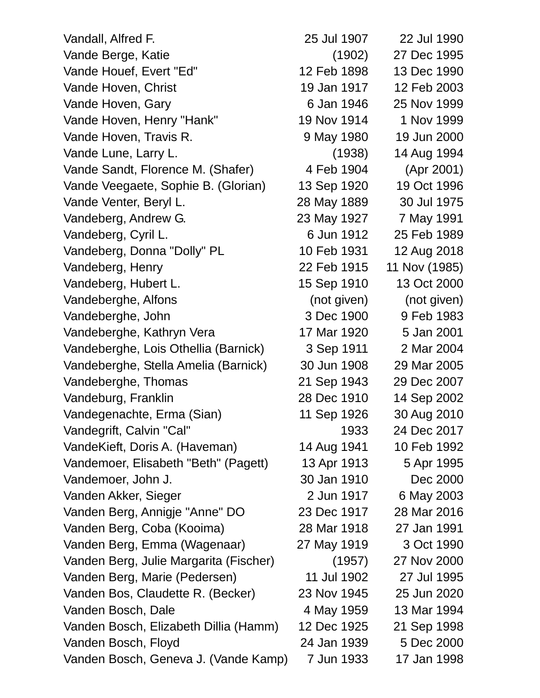Vandall, Alfred F. 25 Jul 1907 22 Jul 1990 Vande Berge, Katie (1902) 27 Dec 1995 Vande Houef, Evert "Ed" 12 Feb 1898 13 Dec 1990 Vande Hoven, Christ 19 Jan 1917 12 Feb 2003 Vande Hoven, Gary 6 Jan 1946 25 Nov 1999 Vande Hoven, Henry "Hank" 19 Nov 1914 1 Nov 1999 Vande Hoven, Travis R. (1990) 9 May 1980 19 Jun 2000 Vande Lune, Larry L. (1938) 14 Aug 1994 Vande Sandt, Florence M. (Shafer) 4 Feb 1904 (Apr 2001) Vande Veegaete, Sophie B. (Glorian) 13 Sep 1920 19 Oct 1996 Vande Venter, Beryl L. 28 May 1889 30 Jul 1975 Vandeberg, Andrew G. 23 May 1927 7 May 1991 Vandeberg, Cyril L. 6 Jun 1912 25 Feb 1989 Vandeberg, Donna "Dolly" PL 10 Feb 1931 12 Aug 2018 Vandeberg, Henry 22 Feb 1915 11 Nov (1985) Vandeberg, Hubert L. 15 Sep 1910 13 Oct 2000 Vandeberghe, Alfons (not given) (not given) Vandeberghe, John 3 Dec 1900 9 Feb 1983 Vandeberghe, Kathryn Vera 17 Mar 1920 5 Jan 2001 Vandeberghe, Lois Othellia (Barnick) 3 Sep 1911 2 Mar 2004 Vandeberghe, Stella Amelia (Barnick) 30 Jun 1908 29 Mar 2005 Vandeberghe, Thomas 21 Sep 1943 29 Dec 2007 Vandeburg, Franklin 28 Dec 1910 14 Sep 2002 Vandegenachte, Erma (Sian) 11 Sep 1926 30 Aug 2010 Vandegrift, Calvin "Cal" 1933 24 Dec 2017 VandeKieft, Doris A. (Haveman) 14 Aug 1941 10 Feb 1992 Vandemoer, Elisabeth "Beth" (Pagett) 13 Apr 1913 5 Apr 1995 Vandemoer, John J. 30 Jan 1910 Dec 2000 Vanden Akker, Sieger 2 Jun 1917 6 May 2003 Vanden Berg, Annigje "Anne" DO 23 Dec 1917 28 Mar 2016 Vanden Berg, Coba (Kooima) 28 Mar 1918 27 Jan 1991 Vanden Berg, Emma (Wagenaar) 27 May 1919 3 Oct 1990 Vanden Berg, Julie Margarita (Fischer) (1957) 27 Nov 2000 Vanden Berg, Marie (Pedersen) 11 Jul 1902 27 Jul 1995 Vanden Bos, Claudette R. (Becker) 23 Nov 1945 25 Jun 2020 Vanden Bosch, Dale 4 May 1959 13 Mar 1994 Vanden Bosch, Elizabeth Dillia (Hamm) 12 Dec 1925 21 Sep 1998 Vanden Bosch, Floyd 24 Jan 1939 5 Dec 2000 Vanden Bosch, Geneva J. (Vande Kamp) 7 Jun 1933 17 Jan 1998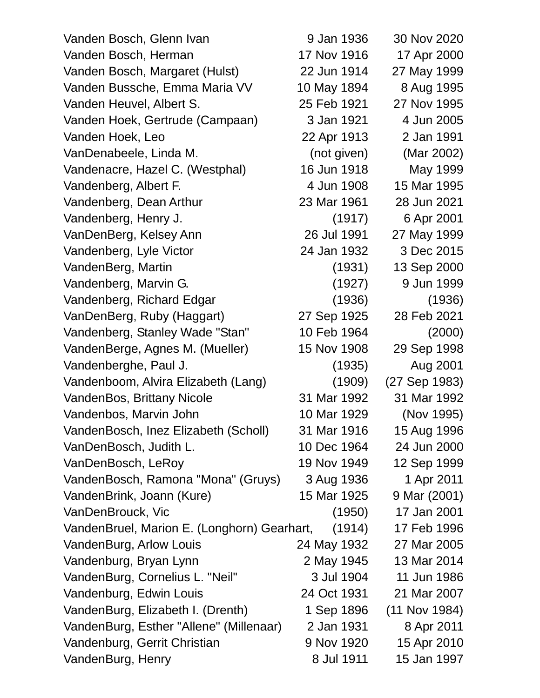| Vanden Bosch, Glenn Ivan                    | 9 Jan 1936  | 30 Nov 2020   |
|---------------------------------------------|-------------|---------------|
| Vanden Bosch, Herman                        | 17 Nov 1916 | 17 Apr 2000   |
| Vanden Bosch, Margaret (Hulst)              | 22 Jun 1914 | 27 May 1999   |
| Vanden Bussche, Emma Maria VV               | 10 May 1894 | 8 Aug 1995    |
| Vanden Heuvel, Albert S.                    | 25 Feb 1921 | 27 Nov 1995   |
| Vanden Hoek, Gertrude (Campaan)             | 3 Jan 1921  | 4 Jun 2005    |
| Vanden Hoek, Leo                            | 22 Apr 1913 | 2 Jan 1991    |
| VanDenabeele, Linda M.                      | (not given) | (Mar 2002)    |
| Vandenacre, Hazel C. (Westphal)             | 16 Jun 1918 | May 1999      |
| Vandenberg, Albert F.                       | 4 Jun 1908  | 15 Mar 1995   |
| Vandenberg, Dean Arthur                     | 23 Mar 1961 | 28 Jun 2021   |
| Vandenberg, Henry J.                        | (1917)      | 6 Apr 2001    |
| VanDenBerg, Kelsey Ann                      | 26 Jul 1991 | 27 May 1999   |
| Vandenberg, Lyle Victor                     | 24 Jan 1932 | 3 Dec 2015    |
| VandenBerg, Martin                          | (1931)      | 13 Sep 2000   |
| Vandenberg, Marvin G.                       | (1927)      | 9 Jun 1999    |
| Vandenberg, Richard Edgar                   | (1936)      | (1936)        |
| VanDenBerg, Ruby (Haggart)                  | 27 Sep 1925 | 28 Feb 2021   |
| Vandenberg, Stanley Wade "Stan"             | 10 Feb 1964 | (2000)        |
| VandenBerge, Agnes M. (Mueller)             | 15 Nov 1908 | 29 Sep 1998   |
| Vandenberghe, Paul J.                       | (1935)      | Aug 2001      |
| Vandenboom, Alvira Elizabeth (Lang)         | (1909)      | (27 Sep 1983) |
| VandenBos, Brittany Nicole                  | 31 Mar 1992 | 31 Mar 1992   |
| Vandenbos, Marvin John                      | 10 Mar 1929 | (Nov 1995)    |
| VandenBosch, Inez Elizabeth (Scholl)        | 31 Mar 1916 | 15 Aug 1996   |
| VanDenBosch, Judith L.                      | 10 Dec 1964 | 24 Jun 2000   |
| VanDenBosch, LeRoy                          | 19 Nov 1949 | 12 Sep 1999   |
| VandenBosch, Ramona "Mona" (Gruys)          | 3 Aug 1936  | 1 Apr 2011    |
| VandenBrink, Joann (Kure)                   | 15 Mar 1925 | 9 Mar (2001)  |
| VanDenBrouck, Vic                           | (1950)      | 17 Jan 2001   |
| VandenBruel, Marion E. (Longhorn) Gearhart, | (1914)      | 17 Feb 1996   |
| VandenBurg, Arlow Louis                     | 24 May 1932 | 27 Mar 2005   |
| Vandenburg, Bryan Lynn                      | 2 May 1945  | 13 Mar 2014   |
| VandenBurg, Cornelius L. "Neil"             | 3 Jul 1904  | 11 Jun 1986   |
| Vandenburg, Edwin Louis                     | 24 Oct 1931 | 21 Mar 2007   |
| VandenBurg, Elizabeth I. (Drenth)           | 1 Sep 1896  | (11 Nov 1984) |
| VandenBurg, Esther "Allene" (Millenaar)     | 2 Jan 1931  | 8 Apr 2011    |
| Vandenburg, Gerrit Christian                | 9 Nov 1920  | 15 Apr 2010   |
| VandenBurg, Henry                           | 8 Jul 1911  | 15 Jan 1997   |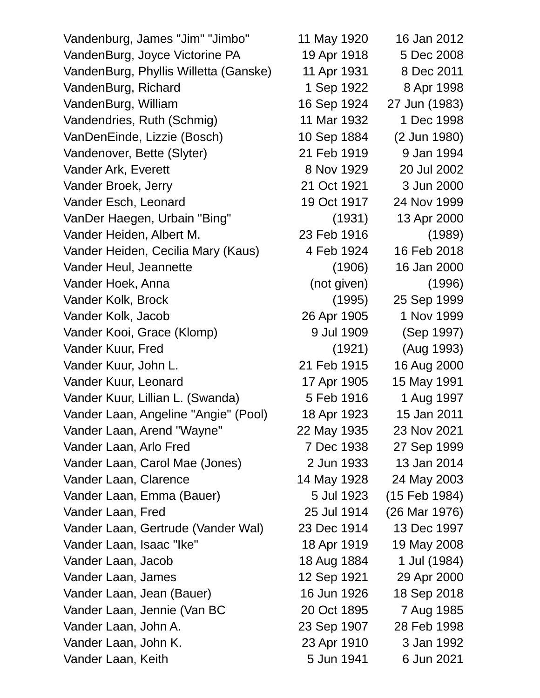Vandenburg, James "Jim" "Jimbo" 11 May 1920 16 Jan 2012 VandenBurg, Joyce Victorine PA 19 Apr 1918 5 Dec 2008 VandenBurg, Phyllis Willetta (Ganske) 11 Apr 1931 8 Dec 2011 VandenBurg, Richard 1 Sep 1922 8 Apr 1998 VandenBurg, William 16 Sep 1924 27 Jun (1983) Vandendries, Ruth (Schmig) 11 Mar 1932 1 Dec 1998 VanDenEinde, Lizzie (Bosch) 10 Sep 1884 (2 Jun 1980) Vandenover, Bette (Slyter) 21 Feb 1919 9 Jan 1994 Vander Ark, Everett 8 Nov 1929 20 Jul 2002 Vander Broek, Jerry 21 Oct 1921 3 Jun 2000 Vander Esch, Leonard 19 Oct 1917 24 Nov 1999 VanDer Haegen, Urbain "Bing" (1931) 13 Apr 2000 Vander Heiden, Albert M. 23 Feb 1916 (1989) Vander Heiden, Cecilia Mary (Kaus) 4 Feb 1924 16 Feb 2018 Vander Heul, Jeannette (1906) 16 Jan 2000 Vander Hoek, Anna (not given) (1996) Vander Kolk, Brock (1995) 25 Sep 1999 Vander Kolk, Jacob 26 Apr 1905 1 Nov 1999 Vander Kooi, Grace (Klomp) 9 Jul 1909 (Sep 1997) Vander Kuur, Fred (1921) (Aug 1993) Vander Kuur, John L. 21 Feb 1915 16 Aug 2000 Vander Kuur, Leonard 17 Apr 1905 15 May 1991 Vander Kuur, Lillian L. (Swanda)  $\overline{5}$  Feb 1916 1 Aug 1997 Vander Laan, Angeline "Angie" (Pool) 18 Apr 1923 15 Jan 2011 Vander Laan, Arend "Wayne" 22 May 1935 23 Nov 2021 Vander Laan, Arlo Fred 7 Dec 1938 27 Sep 1999 Vander Laan, Carol Mae (Jones) 2 Jun 1933 13 Jan 2014 Vander Laan, Clarence 14 May 1928 24 May 2003 Vander Laan, Emma (Bauer) 5 Jul 1923 (15 Feb 1984) Vander Laan, Fred 25 Jul 1914 (26 Mar 1976) Vander Laan, Gertrude (Vander Wal) 23 Dec 1914 13 Dec 1997 Vander Laan, Isaac "Ike" 18 Apr 1919 19 May 2008 Vander Laan, Jacob 18 Aug 1884 1 Jul (1984) Vander Laan, James 12 Sep 1921 29 Apr 2000 Vander Laan, Jean (Bauer) 16 Jun 1926 18 Sep 2018 Vander Laan, Jennie (Van BC 20 Oct 1895 7 Aug 1985 Vander Laan, John A. 23 Sep 1907 28 Feb 1998 Vander Laan, John K. 23 Apr 1910 3 Jan 1992 Vander Laan, Keith 5 Jun 1941 6 Jun 2021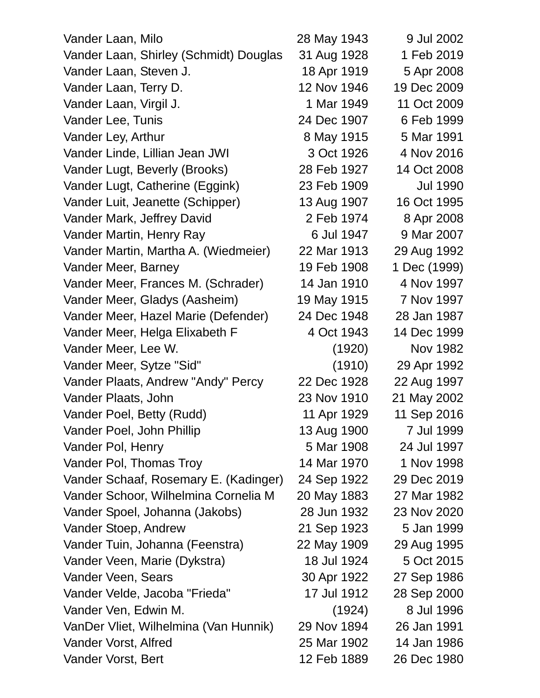| Vander Laan, Milo                      | 28 May 1943 | 9 Jul 2002      |
|----------------------------------------|-------------|-----------------|
| Vander Laan, Shirley (Schmidt) Douglas | 31 Aug 1928 | 1 Feb 2019      |
| Vander Laan, Steven J.                 | 18 Apr 1919 | 5 Apr 2008      |
| Vander Laan, Terry D.                  | 12 Nov 1946 | 19 Dec 2009     |
| Vander Laan, Virgil J.                 | 1 Mar 1949  | 11 Oct 2009     |
| Vander Lee, Tunis                      | 24 Dec 1907 | 6 Feb 1999      |
| Vander Ley, Arthur                     | 8 May 1915  | 5 Mar 1991      |
| Vander Linde, Lillian Jean JWI         | 3 Oct 1926  | 4 Nov 2016      |
| Vander Lugt, Beverly (Brooks)          | 28 Feb 1927 | 14 Oct 2008     |
| Vander Lugt, Catherine (Eggink)        | 23 Feb 1909 | <b>Jul 1990</b> |
| Vander Luit, Jeanette (Schipper)       | 13 Aug 1907 | 16 Oct 1995     |
| Vander Mark, Jeffrey David             | 2 Feb 1974  | 8 Apr 2008      |
| Vander Martin, Henry Ray               | 6 Jul 1947  | 9 Mar 2007      |
| Vander Martin, Martha A. (Wiedmeier)   | 22 Mar 1913 | 29 Aug 1992     |
| Vander Meer, Barney                    | 19 Feb 1908 | 1 Dec (1999)    |
| Vander Meer, Frances M. (Schrader)     | 14 Jan 1910 | 4 Nov 1997      |
| Vander Meer, Gladys (Aasheim)          | 19 May 1915 | 7 Nov 1997      |
| Vander Meer, Hazel Marie (Defender)    | 24 Dec 1948 | 28 Jan 1987     |
| Vander Meer, Helga Elixabeth F         | 4 Oct 1943  | 14 Dec 1999     |
| Vander Meer, Lee W.                    | (1920)      | <b>Nov 1982</b> |
| Vander Meer, Sytze "Sid"               | (1910)      | 29 Apr 1992     |
| Vander Plaats, Andrew "Andy" Percy     | 22 Dec 1928 | 22 Aug 1997     |
| Vander Plaats, John                    | 23 Nov 1910 | 21 May 2002     |
| Vander Poel, Betty (Rudd)              | 11 Apr 1929 | 11 Sep 2016     |
| Vander Poel, John Phillip              | 13 Aug 1900 | 7 Jul 1999      |
| Vander Pol, Henry                      | 5 Mar 1908  | 24 Jul 1997     |
| Vander Pol, Thomas Troy                | 14 Mar 1970 | 1 Nov 1998      |
| Vander Schaaf, Rosemary E. (Kadinger)  | 24 Sep 1922 | 29 Dec 2019     |
| Vander Schoor, Wilhelmina Cornelia M   | 20 May 1883 | 27 Mar 1982     |
| Vander Spoel, Johanna (Jakobs)         | 28 Jun 1932 | 23 Nov 2020     |
| Vander Stoep, Andrew                   | 21 Sep 1923 | 5 Jan 1999      |
| Vander Tuin, Johanna (Feenstra)        | 22 May 1909 | 29 Aug 1995     |
| Vander Veen, Marie (Dykstra)           | 18 Jul 1924 | 5 Oct 2015      |
| Vander Veen, Sears                     | 30 Apr 1922 | 27 Sep 1986     |
| Vander Velde, Jacoba "Frieda"          | 17 Jul 1912 | 28 Sep 2000     |
| Vander Ven, Edwin M.                   | (1924)      | 8 Jul 1996      |
| VanDer Vliet, Wilhelmina (Van Hunnik)  | 29 Nov 1894 | 26 Jan 1991     |
| Vander Vorst, Alfred                   | 25 Mar 1902 | 14 Jan 1986     |
| Vander Vorst, Bert                     | 12 Feb 1889 | 26 Dec 1980     |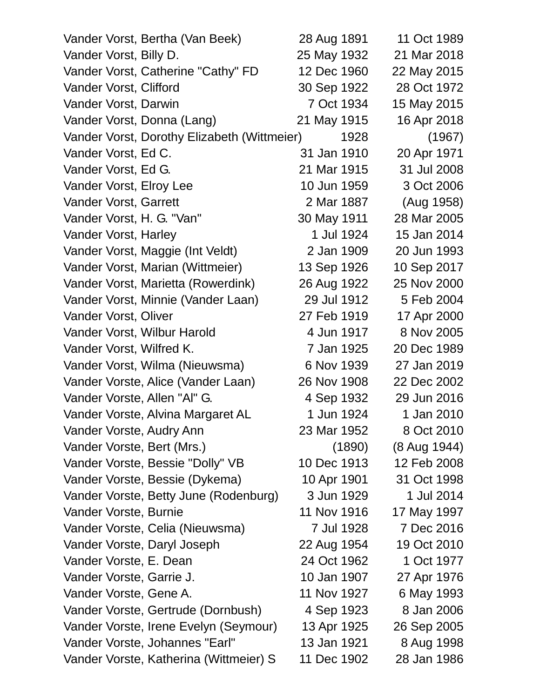| Vander Vorst, Bertha (Van Beek)             | 28 Aug 1891 | 11 Oct 1989  |
|---------------------------------------------|-------------|--------------|
| Vander Vorst, Billy D.                      | 25 May 1932 | 21 Mar 2018  |
| Vander Vorst, Catherine "Cathy" FD          | 12 Dec 1960 | 22 May 2015  |
| Vander Vorst, Clifford                      | 30 Sep 1922 | 28 Oct 1972  |
| Vander Vorst, Darwin                        | 7 Oct 1934  | 15 May 2015  |
| Vander Vorst, Donna (Lang)                  | 21 May 1915 | 16 Apr 2018  |
| Vander Vorst, Dorothy Elizabeth (Wittmeier) | 1928        | (1967)       |
| Vander Vorst, Ed C.                         | 31 Jan 1910 | 20 Apr 1971  |
| Vander Vorst, Ed G.                         | 21 Mar 1915 | 31 Jul 2008  |
| Vander Vorst, Elroy Lee                     | 10 Jun 1959 | 3 Oct 2006   |
| Vander Vorst, Garrett                       | 2 Mar 1887  | (Aug 1958)   |
| Vander Vorst, H. G. "Van"                   | 30 May 1911 | 28 Mar 2005  |
| Vander Vorst, Harley                        | 1 Jul 1924  | 15 Jan 2014  |
| Vander Vorst, Maggie (Int Veldt)            | 2 Jan 1909  | 20 Jun 1993  |
| Vander Vorst, Marian (Wittmeier)            | 13 Sep 1926 | 10 Sep 2017  |
| Vander Vorst, Marietta (Rowerdink)          | 26 Aug 1922 | 25 Nov 2000  |
| Vander Vorst, Minnie (Vander Laan)          | 29 Jul 1912 | 5 Feb 2004   |
| Vander Vorst, Oliver                        | 27 Feb 1919 | 17 Apr 2000  |
| Vander Vorst, Wilbur Harold                 | 4 Jun 1917  | 8 Nov 2005   |
| Vander Vorst, Wilfred K.                    | 7 Jan 1925  | 20 Dec 1989  |
| Vander Vorst, Wilma (Nieuwsma)              | 6 Nov 1939  | 27 Jan 2019  |
| Vander Vorste, Alice (Vander Laan)          | 26 Nov 1908 | 22 Dec 2002  |
| Vander Vorste, Allen "Al" G.                | 4 Sep 1932  | 29 Jun 2016  |
| Vander Vorste, Alvina Margaret AL           | 1 Jun 1924  | 1 Jan 2010   |
| Vander Vorste, Audry Ann                    | 23 Mar 1952 | 8 Oct 2010   |
| Vander Vorste, Bert (Mrs.)                  | (1890)      | (8 Aug 1944) |
| Vander Vorste, Bessie "Dolly" VB            | 10 Dec 1913 | 12 Feb 2008  |
| Vander Vorste, Bessie (Dykema)              | 10 Apr 1901 | 31 Oct 1998  |
| Vander Vorste, Betty June (Rodenburg)       | 3 Jun 1929  | 1 Jul 2014   |
| Vander Vorste, Burnie                       | 11 Nov 1916 | 17 May 1997  |
| Vander Vorste, Celia (Nieuwsma)             | 7 Jul 1928  | 7 Dec 2016   |
| Vander Vorste, Daryl Joseph                 | 22 Aug 1954 | 19 Oct 2010  |
| Vander Vorste, E. Dean                      | 24 Oct 1962 | 1 Oct 1977   |
| Vander Vorste, Garrie J.                    | 10 Jan 1907 | 27 Apr 1976  |
| Vander Vorste, Gene A.                      | 11 Nov 1927 | 6 May 1993   |
| Vander Vorste, Gertrude (Dornbush)          | 4 Sep 1923  | 8 Jan 2006   |
| Vander Vorste, Irene Evelyn (Seymour)       | 13 Apr 1925 | 26 Sep 2005  |
| Vander Vorste, Johannes "Earl"              | 13 Jan 1921 | 8 Aug 1998   |
| Vander Vorste, Katherina (Wittmeier) S      | 11 Dec 1902 | 28 Jan 1986  |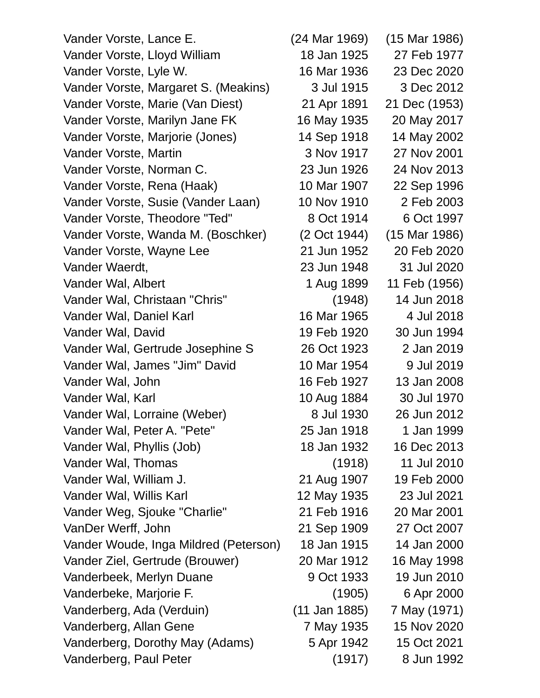Vander Vorste, Lance E. (24 Mar 1969) (15 Mar 1986) Vander Vorste, Lloyd William 18 Jan 1925 27 Feb 1977 Vander Vorste, Lyle W. 16 Mar 1936 23 Dec 2020 Vander Vorste, Margaret S. (Meakins) 3 Jul 1915 3 Dec 2012 Vander Vorste, Marie (Van Diest) 21 Apr 1891 21 Dec (1953) Vander Vorste, Marilyn Jane FK 16 May 1935 20 May 2017 Vander Vorste, Marjorie (Jones) 14 Sep 1918 14 May 2002 Vander Vorste, Martin 3 Nov 1917 27 Nov 2001 Vander Vorste, Norman C. 23 Jun 1926 24 Nov 2013 Vander Vorste, Rena (Haak) 10 Mar 1907 22 Sep 1996 Vander Vorste, Susie (Vander Laan) 10 Nov 1910 2 Feb 2003 Vander Vorste, Theodore "Ted" 8 Oct 1914 6 Oct 1997 Vander Vorste, Wanda M. (Boschker) (2 Oct 1944) (15 Mar 1986) Vander Vorste, Wayne Lee 21 Jun 1952 20 Feb 2020 Vander Waerdt, 23 Jun 1948 31 Jul 2020 Vander Wal, Albert 1 Aug 1899 11 Feb (1956) Vander Wal, Christaan "Chris" (1948) 14 Jun 2018 Vander Wal, Daniel Karl 16 Mar 1965 4 Jul 2018 Vander Wal, David 19 Feb 1920 30 Jun 1994 Vander Wal, Gertrude Josephine S 26 Oct 1923 2 Jan 2019 Vander Wal, James "Jim" David 10 Mar 1954 9 Jul 2019 Vander Wal, John 16 Feb 1927 13 Jan 2008 Vander Wal, Karl 10 Aug 1884 30 Jul 1970 Vander Wal, Lorraine (Weber) 8 Jul 1930 26 Jun 2012 Vander Wal, Peter A. "Pete" 25 Jan 1918 1 Jan 1999 Vander Wal, Phyllis (Job) 18 Jan 1932 16 Dec 2013 Vander Wal, Thomas (1918) 11 Jul 2010 Vander Wal, William J. 21 Aug 1907 19 Feb 2000 Vander Wal, Willis Karl 12 May 1935 23 Jul 2021 Vander Weg, Sjouke "Charlie" 21 Feb 1916 20 Mar 2001 VanDer Werff, John 21 Sep 1909 27 Oct 2007 Vander Woude, Inga Mildred (Peterson) 18 Jan 1915 14 Jan 2000 Vander Ziel, Gertrude (Brouwer) 20 Mar 1912 16 May 1998 Vanderbeek, Merlyn Duane 9 Oct 1933 19 Jun 2010 Vanderbeke, Marjorie F. (1905) 6 Apr 2000 Vanderberg, Ada (Verduin) (11 Jan 1885) 7 May (1971) Vanderberg, Allan Gene 7 May 1935 15 Nov 2020 Vanderberg, Dorothy May (Adams) 5 Apr 1942 15 Oct 2021 Vanderberg, Paul Peter (1917) 8 Jun 1992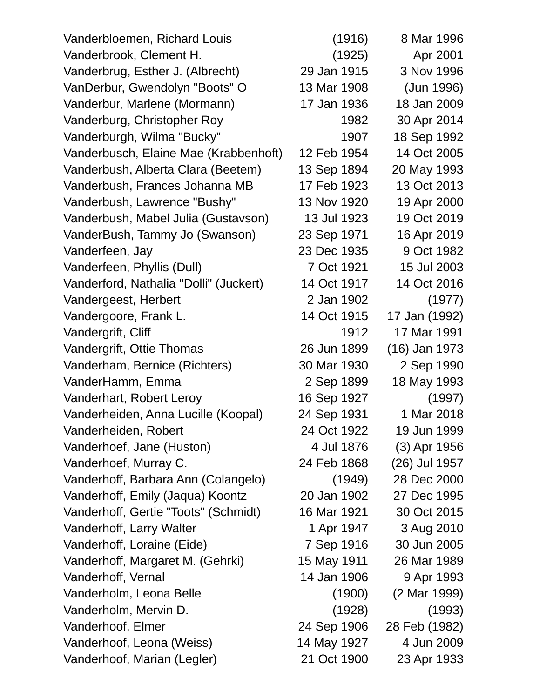| Vanderbloemen, Richard Louis           | (1916)      | 8 Mar 1996    |
|----------------------------------------|-------------|---------------|
| Vanderbrook, Clement H.                | (1925)      | Apr 2001      |
| Vanderbrug, Esther J. (Albrecht)       | 29 Jan 1915 | 3 Nov 1996    |
| VanDerbur, Gwendolyn "Boots" O         | 13 Mar 1908 | (Jun 1996)    |
| Vanderbur, Marlene (Mormann)           | 17 Jan 1936 | 18 Jan 2009   |
| Vanderburg, Christopher Roy            | 1982        | 30 Apr 2014   |
| Vanderburgh, Wilma "Bucky"             | 1907        | 18 Sep 1992   |
| Vanderbusch, Elaine Mae (Krabbenhoft)  | 12 Feb 1954 | 14 Oct 2005   |
| Vanderbush, Alberta Clara (Beetem)     | 13 Sep 1894 | 20 May 1993   |
| Vanderbush, Frances Johanna MB         | 17 Feb 1923 | 13 Oct 2013   |
| Vanderbush, Lawrence "Bushy"           | 13 Nov 1920 | 19 Apr 2000   |
| Vanderbush, Mabel Julia (Gustavson)    | 13 Jul 1923 | 19 Oct 2019   |
| VanderBush, Tammy Jo (Swanson)         | 23 Sep 1971 | 16 Apr 2019   |
| Vanderfeen, Jay                        | 23 Dec 1935 | 9 Oct 1982    |
| Vanderfeen, Phyllis (Dull)             | 7 Oct 1921  | 15 Jul 2003   |
| Vanderford, Nathalia "Dolli" (Juckert) | 14 Oct 1917 | 14 Oct 2016   |
| Vandergeest, Herbert                   | 2 Jan 1902  | (1977)        |
| Vandergoore, Frank L.                  | 14 Oct 1915 | 17 Jan (1992) |
| Vandergrift, Cliff                     | 1912        | 17 Mar 1991   |
| Vandergrift, Ottie Thomas              | 26 Jun 1899 | (16) Jan 1973 |
| Vanderham, Bernice (Richters)          | 30 Mar 1930 | 2 Sep 1990    |
| VanderHamm, Emma                       | 2 Sep 1899  | 18 May 1993   |
| Vanderhart, Robert Leroy               | 16 Sep 1927 | (1997)        |
| Vanderheiden, Anna Lucille (Koopal)    | 24 Sep 1931 | 1 Mar 2018    |
| Vanderheiden, Robert                   | 24 Oct 1922 | 19 Jun 1999   |
| Vanderhoef, Jane (Huston)              | 4 Jul 1876  | (3) Apr 1956  |
| Vanderhoef, Murray C.                  | 24 Feb 1868 | (26) Jul 1957 |
| Vanderhoff, Barbara Ann (Colangelo)    | (1949)      | 28 Dec 2000   |
| Vanderhoff, Emily (Jaqua) Koontz       | 20 Jan 1902 | 27 Dec 1995   |
| Vanderhoff, Gertie "Toots" (Schmidt)   | 16 Mar 1921 | 30 Oct 2015   |
| Vanderhoff, Larry Walter               | 1 Apr 1947  | 3 Aug 2010    |
| Vanderhoff, Loraine (Eide)             | 7 Sep 1916  | 30 Jun 2005   |
| Vanderhoff, Margaret M. (Gehrki)       | 15 May 1911 | 26 Mar 1989   |
| Vanderhoff, Vernal                     | 14 Jan 1906 | 9 Apr 1993    |
| Vanderholm, Leona Belle                | (1900)      | (2 Mar 1999)  |
| Vanderholm, Mervin D.                  | (1928)      | (1993)        |
| Vanderhoof, Elmer                      | 24 Sep 1906 | 28 Feb (1982) |
| Vanderhoof, Leona (Weiss)              | 14 May 1927 | 4 Jun 2009    |
| Vanderhoof, Marian (Legler)            | 21 Oct 1900 | 23 Apr 1933   |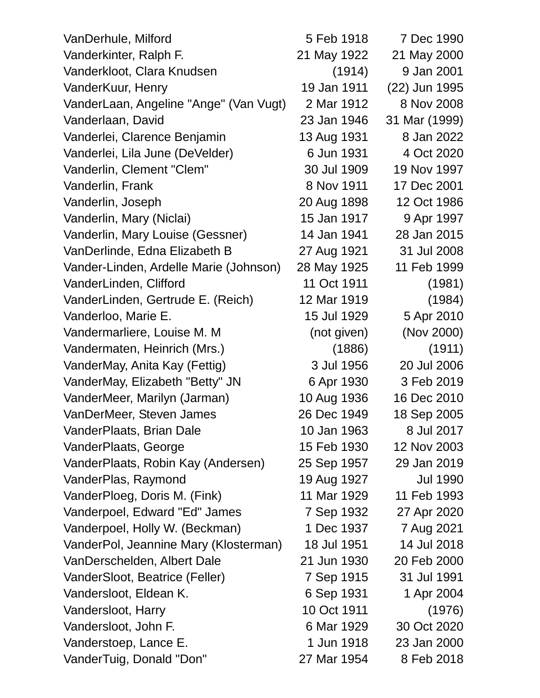| VanDerhule, Milford                    | 5 Feb 1918  | 7 Dec 1990      |
|----------------------------------------|-------------|-----------------|
| Vanderkinter, Ralph F.                 | 21 May 1922 | 21 May 2000     |
| Vanderkloot, Clara Knudsen             | (1914)      | 9 Jan 2001      |
| VanderKuur, Henry                      | 19 Jan 1911 | (22) Jun 1995   |
| VanderLaan, Angeline "Ange" (Van Vugt) | 2 Mar 1912  | 8 Nov 2008      |
| Vanderlaan, David                      | 23 Jan 1946 | 31 Mar (1999)   |
| Vanderlei, Clarence Benjamin           | 13 Aug 1931 | 8 Jan 2022      |
| Vanderlei, Lila June (DeVelder)        | 6 Jun 1931  | 4 Oct 2020      |
| Vanderlin, Clement "Clem"              | 30 Jul 1909 | 19 Nov 1997     |
| Vanderlin, Frank                       | 8 Nov 1911  | 17 Dec 2001     |
| Vanderlin, Joseph                      | 20 Aug 1898 | 12 Oct 1986     |
| Vanderlin, Mary (Niclai)               | 15 Jan 1917 | 9 Apr 1997      |
| Vanderlin, Mary Louise (Gessner)       | 14 Jan 1941 | 28 Jan 2015     |
| VanDerlinde, Edna Elizabeth B          | 27 Aug 1921 | 31 Jul 2008     |
| Vander-Linden, Ardelle Marie (Johnson) | 28 May 1925 | 11 Feb 1999     |
| VanderLinden, Clifford                 | 11 Oct 1911 | (1981)          |
| VanderLinden, Gertrude E. (Reich)      | 12 Mar 1919 | (1984)          |
| Vanderloo, Marie E.                    | 15 Jul 1929 | 5 Apr 2010      |
| Vandermarliere, Louise M. M.           | (not given) | (Nov 2000)      |
| Vandermaten, Heinrich (Mrs.)           | (1886)      | (1911)          |
| VanderMay, Anita Kay (Fettig)          | 3 Jul 1956  | 20 Jul 2006     |
| VanderMay, Elizabeth "Betty" JN        | 6 Apr 1930  | 3 Feb 2019      |
| VanderMeer, Marilyn (Jarman)           | 10 Aug 1936 | 16 Dec 2010     |
| VanDerMeer, Steven James               | 26 Dec 1949 | 18 Sep 2005     |
| VanderPlaats, Brian Dale               | 10 Jan 1963 | 8 Jul 2017      |
| VanderPlaats, George                   | 15 Feb 1930 | 12 Nov 2003     |
| VanderPlaats, Robin Kay (Andersen)     | 25 Sep 1957 | 29 Jan 2019     |
| VanderPlas, Raymond                    | 19 Aug 1927 | <b>Jul 1990</b> |
| VanderPloeg, Doris M. (Fink)           | 11 Mar 1929 | 11 Feb 1993     |
| Vanderpoel, Edward "Ed" James          | 7 Sep 1932  | 27 Apr 2020     |
| Vanderpoel, Holly W. (Beckman)         | 1 Dec 1937  | 7 Aug 2021      |
| VanderPol, Jeannine Mary (Klosterman)  | 18 Jul 1951 | 14 Jul 2018     |
| VanDerschelden, Albert Dale            | 21 Jun 1930 | 20 Feb 2000     |
| VanderSloot, Beatrice (Feller)         | 7 Sep 1915  | 31 Jul 1991     |
| Vandersloot, Eldean K.                 | 6 Sep 1931  | 1 Apr 2004      |
| Vandersloot, Harry                     | 10 Oct 1911 | (1976)          |
| Vandersloot, John F.                   | 6 Mar 1929  | 30 Oct 2020     |
| Vanderstoep, Lance E.                  | 1 Jun 1918  | 23 Jan 2000     |
| VanderTuig, Donald "Don"               | 27 Mar 1954 | 8 Feb 2018      |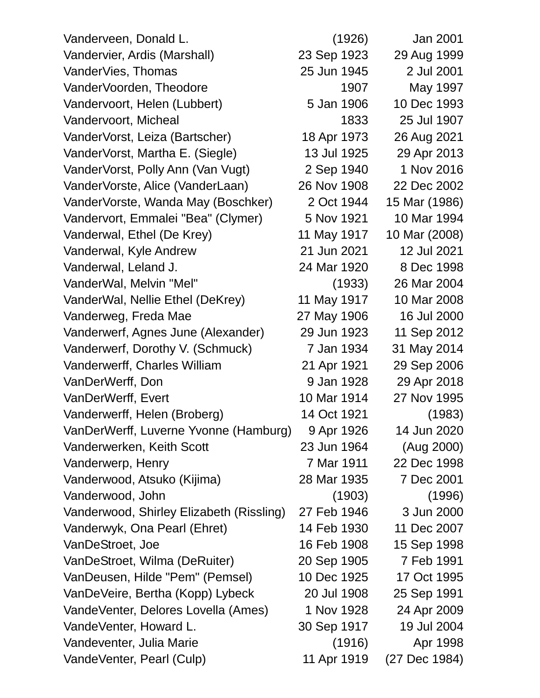| Vanderveen, Donald L.                    | (1926)      | Jan 2001      |
|------------------------------------------|-------------|---------------|
| Vandervier, Ardis (Marshall)             | 23 Sep 1923 | 29 Aug 1999   |
| VanderVies, Thomas                       | 25 Jun 1945 | 2 Jul 2001    |
| VanderVoorden, Theodore                  | 1907        | May 1997      |
| Vandervoort, Helen (Lubbert)             | 5 Jan 1906  | 10 Dec 1993   |
| Vandervoort, Micheal                     | 1833        | 25 Jul 1907   |
| VanderVorst, Leiza (Bartscher)           | 18 Apr 1973 | 26 Aug 2021   |
| VanderVorst, Martha E. (Siegle)          | 13 Jul 1925 | 29 Apr 2013   |
| VanderVorst, Polly Ann (Van Vugt)        | 2 Sep 1940  | 1 Nov 2016    |
| VanderVorste, Alice (VanderLaan)         | 26 Nov 1908 | 22 Dec 2002   |
| VanderVorste, Wanda May (Boschker)       | 2 Oct 1944  | 15 Mar (1986) |
| Vandervort, Emmalei "Bea" (Clymer)       | 5 Nov 1921  | 10 Mar 1994   |
| Vanderwal, Ethel (De Krey)               | 11 May 1917 | 10 Mar (2008) |
| Vanderwal, Kyle Andrew                   | 21 Jun 2021 | 12 Jul 2021   |
| Vanderwal, Leland J.                     | 24 Mar 1920 | 8 Dec 1998    |
| VanderWal, Melvin "Mel"                  | (1933)      | 26 Mar 2004   |
| VanderWal, Nellie Ethel (DeKrey)         | 11 May 1917 | 10 Mar 2008   |
| Vanderweg, Freda Mae                     | 27 May 1906 | 16 Jul 2000   |
| Vanderwerf, Agnes June (Alexander)       | 29 Jun 1923 | 11 Sep 2012   |
| Vanderwerf, Dorothy V. (Schmuck)         | 7 Jan 1934  | 31 May 2014   |
| Vanderwerff, Charles William             | 21 Apr 1921 | 29 Sep 2006   |
| VanDerWerff, Don                         | 9 Jan 1928  | 29 Apr 2018   |
| VanDerWerff, Evert                       | 10 Mar 1914 | 27 Nov 1995   |
| Vanderwerff, Helen (Broberg)             | 14 Oct 1921 | (1983)        |
| VanDerWerff, Luverne Yvonne (Hamburg)    | 9 Apr 1926  | 14 Jun 2020   |
| Vanderwerken, Keith Scott                | 23 Jun 1964 | (Aug 2000)    |
| Vanderwerp, Henry                        | 7 Mar 1911  | 22 Dec 1998   |
| Vanderwood, Atsuko (Kijima)              | 28 Mar 1935 | 7 Dec 2001    |
| Vanderwood, John                         | (1903)      | (1996)        |
| Vanderwood, Shirley Elizabeth (Rissling) | 27 Feb 1946 | 3 Jun 2000    |
| Vanderwyk, Ona Pearl (Ehret)             | 14 Feb 1930 | 11 Dec 2007   |
| VanDeStroet, Joe                         | 16 Feb 1908 | 15 Sep 1998   |
| VanDeStroet, Wilma (DeRuiter)            | 20 Sep 1905 | 7 Feb 1991    |
| VanDeusen, Hilde "Pem" (Pemsel)          | 10 Dec 1925 | 17 Oct 1995   |
| VanDeVeire, Bertha (Kopp) Lybeck         | 20 Jul 1908 | 25 Sep 1991   |
| VandeVenter, Delores Lovella (Ames)      | 1 Nov 1928  | 24 Apr 2009   |
| VandeVenter, Howard L.                   | 30 Sep 1917 | 19 Jul 2004   |
| Vandeventer, Julia Marie                 | (1916)      | Apr 1998      |
| VandeVenter, Pearl (Culp)                | 11 Apr 1919 | (27 Dec 1984) |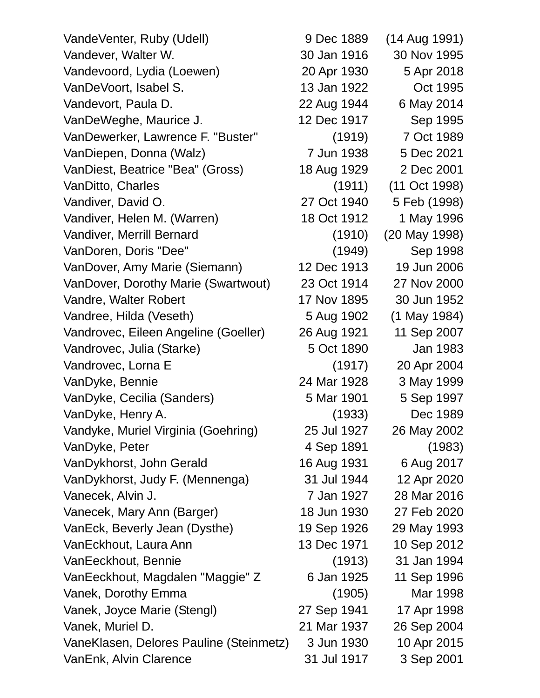VandeVenter, Ruby (Udell) 9 Dec 1889 (14 Aug 1991) Vandever, Walter W. 30 Jan 1916 30 Nov 1995 Vandevoord, Lydia (Loewen) 20 Apr 1930 5 Apr 2018 VanDeVoort, Isabel S. 13 Jan 1922 Oct 1995 Vandevort, Paula D. 22 Aug 1944 6 May 2014 VanDeWeghe, Maurice J. 12 Dec 1917 Sep 1995 VanDewerker, Lawrence F. "Buster" (1919) 7 Oct 1989 VanDiepen, Donna (Walz) 7 Jun 1938 5 Dec 2021 VanDiest, Beatrice "Bea" (Gross) 18 Aug 1929 2 Dec 2001 VanDitto, Charles (1911) (11 Oct 1998) Vandiver, David O. 27 Oct 1940 5 Feb (1998) Vandiver, Helen M. (Warren) 18 Oct 1912 1 May 1996 Vandiver, Merrill Bernard (1910) (20 May 1998) VanDoren, Doris "Dee" (1949) Sep 1998 VanDover, Amy Marie (Siemann) 12 Dec 1913 19 Jun 2006 VanDover, Dorothy Marie (Swartwout) 23 Oct 1914 27 Nov 2000 Vandre, Walter Robert 17 Nov 1895 30 Jun 1952 Vandree, Hilda (Veseth) 5 Aug 1902 (1 May 1984) Vandrovec, Eileen Angeline (Goeller) 26 Aug 1921 11 Sep 2007 Vandrovec, Julia (Starke) 5 Oct 1890 Jan 1983 Vandrovec, Lorna E (1917) 20 Apr 2004 VanDyke, Bennie 24 Mar 1928 3 May 1999 VanDyke, Cecilia (Sanders) 5 Mar 1901 5 Sep 1997 VanDyke, Henry A. (1933) Dec 1989 Vandyke, Muriel Virginia (Goehring) 25 Jul 1927 26 May 2002 VanDyke, Peter 1891 and 1983) VanDykhorst, John Gerald 16 Aug 1931 6 Aug 2017 VanDykhorst, Judy F. (Mennenga) 31 Jul 1944 12 Apr 2020 Vanecek, Alvin J. 7 Jan 1927 28 Mar 2016 Vanecek, Mary Ann (Barger) 18 Jun 1930 27 Feb 2020 VanEck, Beverly Jean (Dysthe) 19 Sep 1926 29 May 1993 VanEckhout, Laura Ann 13 Dec 1971 10 Sep 2012 VanEeckhout, Bennie (1913) 31 Jan 1994 VanEeckhout, Magdalen "Maggie" Z 6 Jan 1925 11 Sep 1996 Vanek, Dorothy Emma (1905) Mar 1998 Vanek, Joyce Marie (Stengl) 27 Sep 1941 17 Apr 1998 Vanek, Muriel D. 21 Mar 1937 26 Sep 2004 VaneKlasen, Delores Pauline (Steinmetz) 3 Jun 1930 10 Apr 2015 VanEnk, Alvin Clarence 31 Jul 1917 3 Sep 2001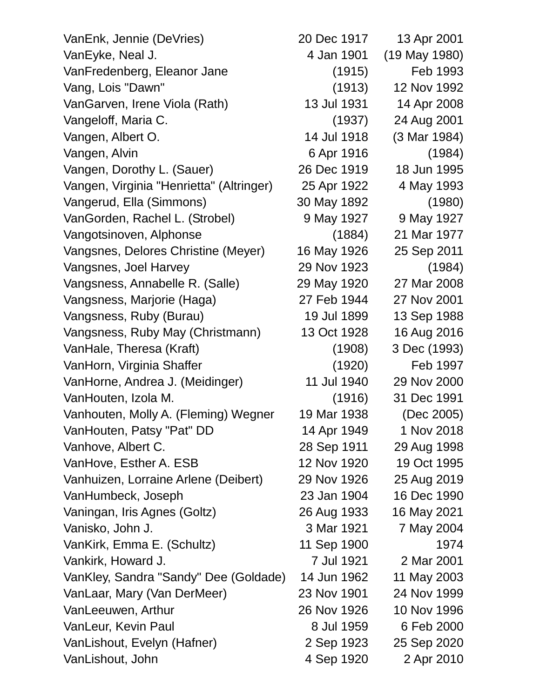| VanEnk, Jennie (DeVries)                 | 20 Dec 1917 | 13 Apr 2001   |
|------------------------------------------|-------------|---------------|
| VanEyke, Neal J.                         | 4 Jan 1901  | (19 May 1980) |
| VanFredenberg, Eleanor Jane              | (1915)      | Feb 1993      |
| Vang, Lois "Dawn"                        | (1913)      | 12 Nov 1992   |
| VanGarven, Irene Viola (Rath)            | 13 Jul 1931 | 14 Apr 2008   |
| Vangeloff, Maria C.                      | (1937)      | 24 Aug 2001   |
| Vangen, Albert O.                        | 14 Jul 1918 | (3 Mar 1984)  |
| Vangen, Alvin                            | 6 Apr 1916  | (1984)        |
| Vangen, Dorothy L. (Sauer)               | 26 Dec 1919 | 18 Jun 1995   |
| Vangen, Virginia "Henrietta" (Altringer) | 25 Apr 1922 | 4 May 1993    |
| Vangerud, Ella (Simmons)                 | 30 May 1892 | (1980)        |
| VanGorden, Rachel L. (Strobel)           | 9 May 1927  | 9 May 1927    |
| Vangotsinoven, Alphonse                  | (1884)      | 21 Mar 1977   |
| Vangsnes, Delores Christine (Meyer)      | 16 May 1926 | 25 Sep 2011   |
| Vangsnes, Joel Harvey                    | 29 Nov 1923 | (1984)        |
| Vangsness, Annabelle R. (Salle)          | 29 May 1920 | 27 Mar 2008   |
| Vangsness, Marjorie (Haga)               | 27 Feb 1944 | 27 Nov 2001   |
| Vangsness, Ruby (Burau)                  | 19 Jul 1899 | 13 Sep 1988   |
| Vangsness, Ruby May (Christmann)         | 13 Oct 1928 | 16 Aug 2016   |
| VanHale, Theresa (Kraft)                 | (1908)      | 3 Dec (1993)  |
| VanHorn, Virginia Shaffer                | (1920)      | Feb 1997      |
| VanHorne, Andrea J. (Meidinger)          | 11 Jul 1940 | 29 Nov 2000   |
| VanHouten, Izola M.                      | (1916)      | 31 Dec 1991   |
| Vanhouten, Molly A. (Fleming) Wegner     | 19 Mar 1938 | (Dec 2005)    |
| VanHouten, Patsy "Pat" DD                | 14 Apr 1949 | 1 Nov 2018    |
| Vanhove, Albert C.                       | 28 Sep 1911 | 29 Aug 1998   |
| VanHove, Esther A. ESB                   | 12 Nov 1920 | 19 Oct 1995   |
| Vanhuizen, Lorraine Arlene (Deibert)     | 29 Nov 1926 | 25 Aug 2019   |
| VanHumbeck, Joseph                       | 23 Jan 1904 | 16 Dec 1990   |
| Vaningan, Iris Agnes (Goltz)             | 26 Aug 1933 | 16 May 2021   |
| Vanisko, John J.                         | 3 Mar 1921  | 7 May 2004    |
| VanKirk, Emma E. (Schultz)               | 11 Sep 1900 | 1974          |
| Vankirk, Howard J.                       | 7 Jul 1921  | 2 Mar 2001    |
| VanKley, Sandra "Sandy" Dee (Goldade)    | 14 Jun 1962 | 11 May 2003   |
| VanLaar, Mary (Van DerMeer)              | 23 Nov 1901 | 24 Nov 1999   |
| VanLeeuwen, Arthur                       | 26 Nov 1926 | 10 Nov 1996   |
| VanLeur, Kevin Paul                      | 8 Jul 1959  | 6 Feb 2000    |
| VanLishout, Evelyn (Hafner)              | 2 Sep 1923  | 25 Sep 2020   |
| VanLishout, John                         | 4 Sep 1920  | 2 Apr 2010    |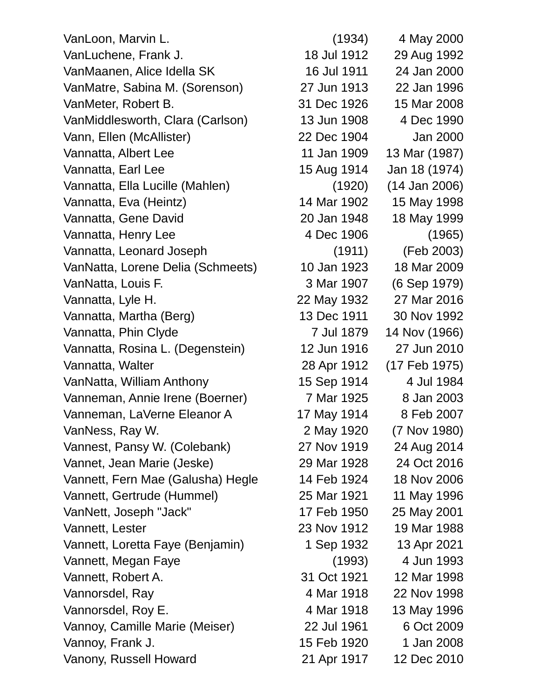VanLoon, Marvin L. (1934) 4 May 2000 VanLuchene, Frank J. 18 Jul 1912 29 Aug 1992 VanMaanen, Alice Idella SK 16 Jul 1911 24 Jan 2000 VanMatre, Sabina M. (Sorenson) 27 Jun 1913 22 Jan 1996 VanMeter, Robert B. 31 Dec 1926 15 Mar 2008 VanMiddlesworth, Clara (Carlson) 13 Jun 1908 4 Dec 1990 Vann, Ellen (McAllister) 22 Dec 1904 Jan 2000 Vannatta, Albert Lee 11 Jan 1909 13 Mar (1987) Vannatta, Earl Lee 15 Aug 1914 Jan 18 (1974) Vannatta, Ella Lucille (Mahlen) (1920) (14 Jan 2006) Vannatta, Eva (Heintz) 14 Mar 1902 15 May 1998 Vannatta, Gene David 20 Jan 1948 18 May 1999 Vannatta, Henry Lee 4 Dec 1906 (1965) Vannatta, Leonard Joseph (1911) (Feb 2003) VanNatta, Lorene Delia (Schmeets) 10 Jan 1923 18 Mar 2009 VanNatta, Louis F. 3 Mar 1907 (6 Sep 1979) Vannatta, Lyle H. 22 May 1932 27 Mar 2016 Vannatta, Martha (Berg) 13 Dec 1911 30 Nov 1992 Vannatta, Phin Clyde 7 Jul 1879 14 Nov (1966) Vannatta, Rosina L. (Degenstein) 12 Jun 1916 27 Jun 2010 Vannatta, Walter 28 Apr 1912 (17 Feb 1975) VanNatta, William Anthony 15 Sep 1914 4 Jul 1984 Vanneman, Annie Irene (Boerner) 7 Mar 1925 8 Jan 2003 Vanneman, LaVerne Eleanor A 17 May 1914 8 Feb 2007 VanNess, Ray W. 2 May 1920 (7 Nov 1980) Vannest, Pansy W. (Colebank) 27 Nov 1919 24 Aug 2014 Vannet, Jean Marie (Jeske) 29 Mar 1928 24 Oct 2016 Vannett, Fern Mae (Galusha) Hegle 14 Feb 1924 18 Nov 2006 Vannett, Gertrude (Hummel) 25 Mar 1921 11 May 1996 VanNett, Joseph "Jack" 17 Feb 1950 25 May 2001 Vannett, Lester 23 Nov 1912 19 Mar 1988 Vannett, Loretta Faye (Benjamin) 1 Sep 1932 13 Apr 2021 Vannett, Megan Faye (1993) 4 Jun 1993 Vannett, Robert A. 31 Oct 1921 12 Mar 1998 Vannorsdel, Ray 4 Mar 1918 22 Nov 1998 Vannorsdel, Roy E. 13 May 1996 Vannoy, Camille Marie (Meiser) 22 Jul 1961 6 Oct 2009 Vannoy, Frank J. 15 Feb 1920 1 Jan 2008 Vanony, Russell Howard 21 Apr 1917 12 Dec 2010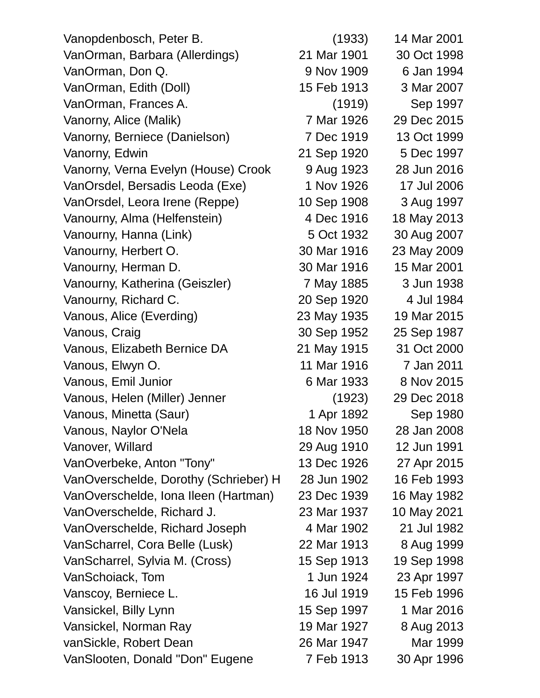| Vanopdenbosch, Peter B.               | (1933)      | 14 Mar 2001 |
|---------------------------------------|-------------|-------------|
| VanOrman, Barbara (Allerdings)        | 21 Mar 1901 | 30 Oct 1998 |
| VanOrman, Don Q.                      | 9 Nov 1909  | 6 Jan 1994  |
| VanOrman, Edith (Doll)                | 15 Feb 1913 | 3 Mar 2007  |
| VanOrman, Frances A.                  | (1919)      | Sep 1997    |
| Vanorny, Alice (Malik)                | 7 Mar 1926  | 29 Dec 2015 |
| Vanorny, Berniece (Danielson)         | 7 Dec 1919  | 13 Oct 1999 |
| Vanorny, Edwin                        | 21 Sep 1920 | 5 Dec 1997  |
| Vanorny, Verna Evelyn (House) Crook   | 9 Aug 1923  | 28 Jun 2016 |
| VanOrsdel, Bersadis Leoda (Exe)       | 1 Nov 1926  | 17 Jul 2006 |
| VanOrsdel, Leora Irene (Reppe)        | 10 Sep 1908 | 3 Aug 1997  |
| Vanourny, Alma (Helfenstein)          | 4 Dec 1916  | 18 May 2013 |
| Vanourny, Hanna (Link)                | 5 Oct 1932  | 30 Aug 2007 |
| Vanourny, Herbert O.                  | 30 Mar 1916 | 23 May 2009 |
| Vanourny, Herman D.                   | 30 Mar 1916 | 15 Mar 2001 |
| Vanourny, Katherina (Geiszler)        | 7 May 1885  | 3 Jun 1938  |
| Vanourny, Richard C.                  | 20 Sep 1920 | 4 Jul 1984  |
| Vanous, Alice (Everding)              | 23 May 1935 | 19 Mar 2015 |
| Vanous, Craig                         | 30 Sep 1952 | 25 Sep 1987 |
| Vanous, Elizabeth Bernice DA          | 21 May 1915 | 31 Oct 2000 |
| Vanous, Elwyn O.                      | 11 Mar 1916 | 7 Jan 2011  |
| Vanous, Emil Junior                   | 6 Mar 1933  | 8 Nov 2015  |
| Vanous, Helen (Miller) Jenner         | (1923)      | 29 Dec 2018 |
| Vanous, Minetta (Saur)                | 1 Apr 1892  | Sep 1980    |
| Vanous, Naylor O'Nela                 | 18 Nov 1950 | 28 Jan 2008 |
| Vanover, Willard                      | 29 Aug 1910 | 12 Jun 1991 |
| VanOverbeke, Anton "Tony"             | 13 Dec 1926 | 27 Apr 2015 |
| VanOverschelde, Dorothy (Schrieber) H | 28 Jun 1902 | 16 Feb 1993 |
| VanOverschelde, Iona Ileen (Hartman)  | 23 Dec 1939 | 16 May 1982 |
| VanOverschelde, Richard J.            | 23 Mar 1937 | 10 May 2021 |
| VanOverschelde, Richard Joseph        | 4 Mar 1902  | 21 Jul 1982 |
| VanScharrel, Cora Belle (Lusk)        | 22 Mar 1913 | 8 Aug 1999  |
| VanScharrel, Sylvia M. (Cross)        | 15 Sep 1913 | 19 Sep 1998 |
| VanSchoiack, Tom                      | 1 Jun 1924  | 23 Apr 1997 |
| Vanscoy, Berniece L.                  | 16 Jul 1919 | 15 Feb 1996 |
| Vansickel, Billy Lynn                 | 15 Sep 1997 | 1 Mar 2016  |
| Vansickel, Norman Ray                 | 19 Mar 1927 | 8 Aug 2013  |
| vanSickle, Robert Dean                | 26 Mar 1947 | Mar 1999    |
| VanSlooten, Donald "Don" Eugene       | 7 Feb 1913  | 30 Apr 1996 |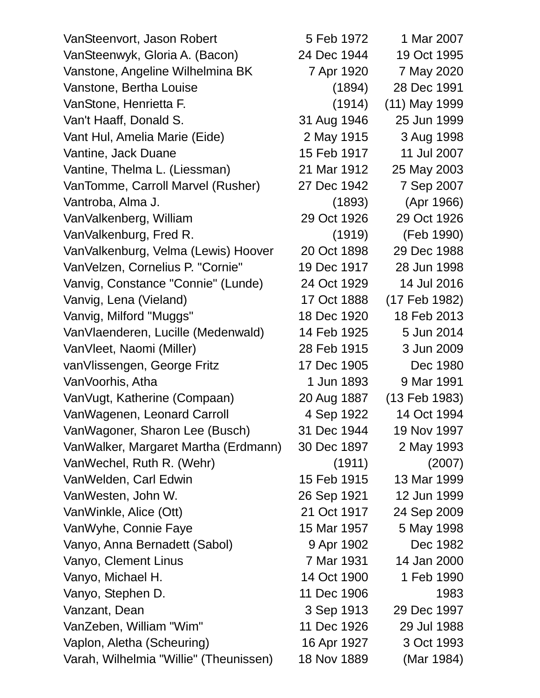VanSteenvort, Jason Robert 5 Feb 1972 1 Mar 2007 VanSteenwyk, Gloria A. (Bacon) 24 Dec 1944 19 Oct 1995 Vanstone, Angeline Wilhelmina BK 7 Apr 1920 7 May 2020 Vanstone, Bertha Louise (1894) 28 Dec 1991 VanStone, Henrietta F. (1914) (11) May 1999 Van't Haaff, Donald S. 31 Aug 1946 25 Jun 1999 Vant Hul, Amelia Marie (Eide) 2 May 1915 3 Aug 1998 Vantine, Jack Duane 15 Feb 1917 11 Jul 2007 Vantine, Thelma L. (Liessman) 21 Mar 1912 25 May 2003 VanTomme, Carroll Marvel (Rusher) 27 Dec 1942 7 Sep 2007 Vantroba, Alma J. (1893) (Apr 1966) VanValkenberg, William 29 Oct 1926 29 Oct 1926 VanValkenburg, Fred R. (1919) (Feb 1990) VanValkenburg, Velma (Lewis) Hoover 20 Oct 1898 29 Dec 1988 VanVelzen, Cornelius P. "Cornie" 19 Dec 1917 28 Jun 1998 Vanvig, Constance "Connie" (Lunde) 24 Oct 1929 14 Jul 2016 Vanvig, Lena (Vieland) 17 Oct 1888 (17 Feb 1982) Vanvig, Milford "Muggs" 18 Dec 1920 18 Feb 2013 VanVlaenderen, Lucille (Medenwald) 14 Feb 1925 5 Jun 2014 VanVleet, Naomi (Miller) 28 Feb 1915 3 Jun 2009 vanVlissengen, George Fritz 17 Dec 1905 Dec 1980 VanVoorhis, Atha 1 1 Jun 1893 9 Mar 1991 VanVugt, Katherine (Compaan) 20 Aug 1887 (13 Feb 1983) VanWagenen, Leonard Carroll 4 Sep 1922 14 Oct 1994 VanWagoner, Sharon Lee (Busch) 31 Dec 1944 19 Nov 1997 VanWalker, Margaret Martha (Erdmann) 30 Dec 1897 2 May 1993 VanWechel, Ruth R. (Wehr) (1911) (2007) VanWelden, Carl Edwin 15 Feb 1915 13 Mar 1999 VanWesten, John W. 26 Sep 1921 12 Jun 1999 VanWinkle, Alice (Ott) 21 Oct 1917 24 Sep 2009 VanWyhe, Connie Faye 15 Mar 1957 5 May 1998 Vanyo, Anna Bernadett (Sabol) 9 Apr 1902 Dec 1982 Vanyo, Clement Linus 7 Mar 1931 14 Jan 2000 Vanyo, Michael H. 14 Oct 1900 1 Feb 1990 Vanyo, Stephen D. 11 Dec 1906 1983 Vanzant, Dean 3 Sep 1913 29 Dec 1997 VanZeben, William "Wim" 11 Dec 1926 29 Jul 1988 Vaplon, Aletha (Scheuring) 16 Apr 1927 3 Oct 1993 Varah, Wilhelmia "Willie" (Theunissen) 18 Nov 1889 (Mar 1984)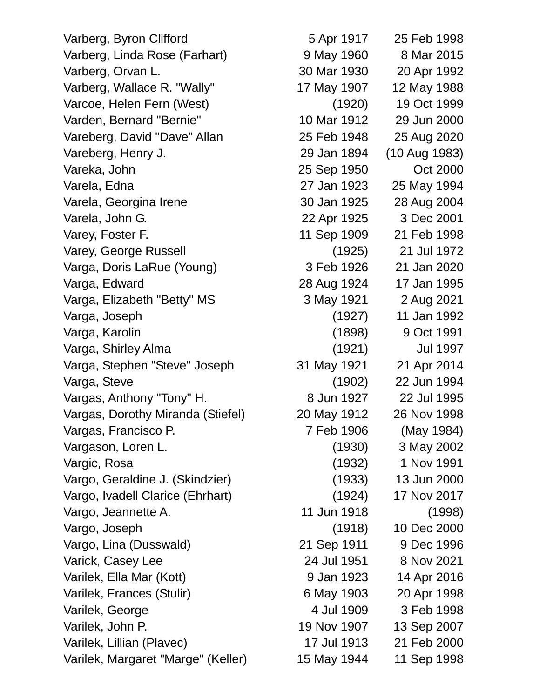Varberg, Byron Clifford 5 Apr 1917 25 Feb 1998 Varberg, Linda Rose (Farhart) 9 May 1960 8 Mar 2015 Varberg, Orvan L. 30 Mar 1930 20 Apr 1992 Varberg, Wallace R. "Wally" 17 May 1907 12 May 1988 Varcoe, Helen Fern (West) (1920) 19 Oct 1999 Varden, Bernard "Bernie" 10 Mar 1912 29 Jun 2000 Vareberg, David "Dave" Allan 25 Feb 1948 25 Aug 2020 Vareberg, Henry J. 29 Jan 1894 (10 Aug 1983) Vareka, John 25 Sep 1950 Oct 2000 Varela, Edna 27 Jan 1923 25 May 1994 Varela, Georgina Irene 30 Jan 1925 28 Aug 2004 Varela, John G. 22 Apr 1925 3 Dec 2001 Varey, Foster F. 11 Sep 1909 21 Feb 1998 Varey, George Russell (1925) 21 Jul 1972 Varga, Doris LaRue (Young) 3 Feb 1926 21 Jan 2020 Varga, Edward 28 Aug 1924 17 Jan 1995 Varga, Elizabeth "Betty" MS 3 May 1921 2 Aug 2021 Varga, Joseph (1927) 11 Jan 1992 Varga, Karolin (1898) 9 Oct 1991 Varga, Shirley Alma (1921) Jul 1997 Varga, Stephen "Steve" Joseph 31 May 1921 21 Apr 2014 Varga, Steve (1902) 22 Jun 1994 Vargas, Anthony "Tony" H. 68 Jun 1927 22 Jul 1995 Vargas, Dorothy Miranda (Stiefel) 20 May 1912 26 Nov 1998 Vargas, Francisco P. 68 and 7 Feb 1906 (May 1984) Vargason, Loren L. (1930) 3 May 2002 Vargic, Rosa (1932) 1 Nov 1991 Vargo, Geraldine J. (Skindzier) (1933) 13 Jun 2000 Vargo, Ivadell Clarice (Ehrhart) (1924) 17 Nov 2017 Vargo, Jeannette A. 11 Jun 1918 (1998) Vargo, Joseph (1918) 10 Dec 2000 Vargo, Lina (Dusswald) 21 Sep 1911 9 Dec 1996 Varick, Casey Lee 24 Jul 1951 8 Nov 2021 Varilek, Ella Mar (Kott) 9 Jan 1923 14 Apr 2016 Varilek, Frances (Stulir) 6 May 1903 20 Apr 1998 Varilek, George 1998 **4 Jul 1909** 3 Feb 1998 Varilek, John P. 19 Nov 1907 13 Sep 2007 Varilek, Lillian (Plavec) 17 Jul 1913 21 Feb 2000 Varilek, Margaret "Marge" (Keller) 15 May 1944 11 Sep 1998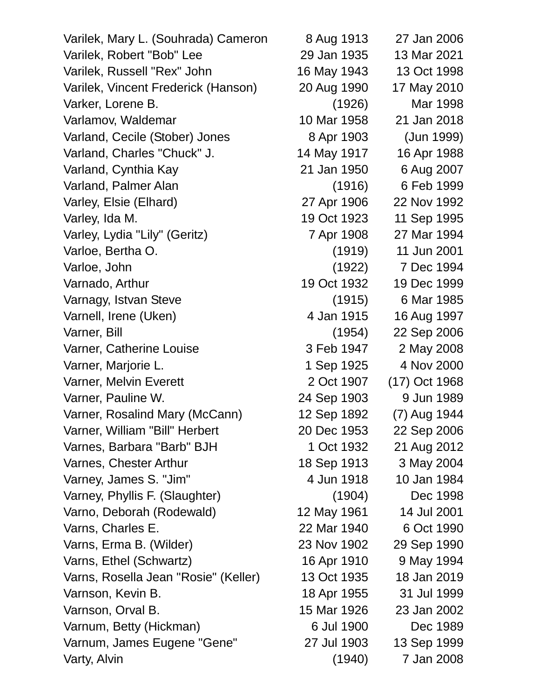| Varilek, Mary L. (Souhrada) Cameron  | 8 Aug 1913  | 27 Jan 2006   |
|--------------------------------------|-------------|---------------|
| Varilek, Robert "Bob" Lee            | 29 Jan 1935 | 13 Mar 2021   |
| Varilek, Russell "Rex" John          | 16 May 1943 | 13 Oct 1998   |
| Varilek, Vincent Frederick (Hanson)  | 20 Aug 1990 | 17 May 2010   |
| Varker, Lorene B.                    | (1926)      | Mar 1998      |
| Varlamov, Waldemar                   | 10 Mar 1958 | 21 Jan 2018   |
| Varland, Cecile (Stober) Jones       | 8 Apr 1903  | (Jun 1999)    |
| Varland, Charles "Chuck" J.          | 14 May 1917 | 16 Apr 1988   |
| Varland, Cynthia Kay                 | 21 Jan 1950 | 6 Aug 2007    |
| Varland, Palmer Alan                 | (1916)      | 6 Feb 1999    |
| Varley, Elsie (Elhard)               | 27 Apr 1906 | 22 Nov 1992   |
| Varley, Ida M.                       | 19 Oct 1923 | 11 Sep 1995   |
| Varley, Lydia "Lily" (Geritz)        | 7 Apr 1908  | 27 Mar 1994   |
| Varloe, Bertha O.                    | (1919)      | 11 Jun 2001   |
| Varloe, John                         | (1922)      | 7 Dec 1994    |
| Varnado, Arthur                      | 19 Oct 1932 | 19 Dec 1999   |
| Varnagy, Istvan Steve                | (1915)      | 6 Mar 1985    |
| Varnell, Irene (Uken)                | 4 Jan 1915  | 16 Aug 1997   |
| Varner, Bill                         | (1954)      | 22 Sep 2006   |
| Varner, Catherine Louise             | 3 Feb 1947  | 2 May 2008    |
| Varner, Marjorie L.                  | 1 Sep 1925  | 4 Nov 2000    |
| Varner, Melvin Everett               | 2 Oct 1907  | (17) Oct 1968 |
| Varner, Pauline W.                   | 24 Sep 1903 | 9 Jun 1989    |
| Varner, Rosalind Mary (McCann)       | 12 Sep 1892 | (7) Aug 1944  |
| Varner, William "Bill" Herbert       | 20 Dec 1953 | 22 Sep 2006   |
| Varnes, Barbara "Barb" BJH           | 1 Oct 1932  | 21 Aug 2012   |
| Varnes, Chester Arthur               | 18 Sep 1913 | 3 May 2004    |
| Varney, James S. "Jim"               | 4 Jun 1918  | 10 Jan 1984   |
| Varney, Phyllis F. (Slaughter)       | (1904)      | Dec 1998      |
| Varno, Deborah (Rodewald)            | 12 May 1961 | 14 Jul 2001   |
| Varns, Charles E.                    | 22 Mar 1940 | 6 Oct 1990    |
| Varns, Erma B. (Wilder)              | 23 Nov 1902 | 29 Sep 1990   |
| Varns, Ethel (Schwartz)              | 16 Apr 1910 | 9 May 1994    |
| Varns, Rosella Jean "Rosie" (Keller) | 13 Oct 1935 | 18 Jan 2019   |
| Varnson, Kevin B.                    | 18 Apr 1955 | 31 Jul 1999   |
| Varnson, Orval B.                    | 15 Mar 1926 | 23 Jan 2002   |
| Varnum, Betty (Hickman)              | 6 Jul 1900  | Dec 1989      |
| Varnum, James Eugene "Gene"          | 27 Jul 1903 | 13 Sep 1999   |
| Varty, Alvin                         | (1940)      | 7 Jan 2008    |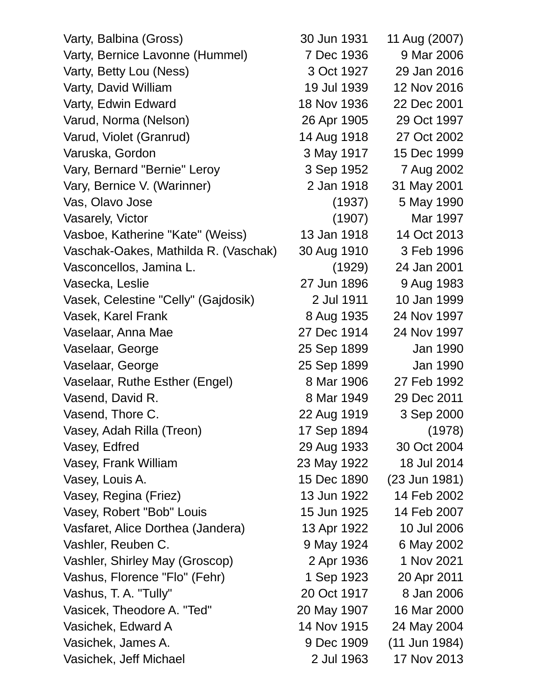Varty, Balbina (Gross) 30 Jun 1931 11 Aug (2007) Varty, Bernice Lavonne (Hummel) 7 Dec 1936 9 Mar 2006 Varty, Betty Lou (Ness) 3 Oct 1927 29 Jan 2016 Varty, David William 19 Jul 1939 12 Nov 2016 Varty, Edwin Edward 18 Nov 1936 22 Dec 2001 Varud, Norma (Nelson) 26 Apr 1905 29 Oct 1997 Varud, Violet (Granrud) 14 Aug 1918 27 Oct 2002 Varuska, Gordon 3 May 1917 15 Dec 1999 Vary, Bernard "Bernie" Leroy 3 Sep 1952 7 Aug 2002 Vary, Bernice V. (Warinner) 2 Jan 1918 31 May 2001 Vas, Olavo Jose (1937) 5 May 1990 Vasarely, Victor (1907) Mar 1997 Vasboe, Katherine "Kate" (Weiss) 13 Jan 1918 14 Oct 2013 Vaschak-Oakes, Mathilda R. (Vaschak) 30 Aug 1910 3 Feb 1996 Vasconcellos, Jamina L. (1929) 24 Jan 2001 Vasecka, Leslie 27 Jun 1896 9 Aug 1983 Vasek, Celestine "Celly" (Gajdosik) 2 Jul 1911 10 Jan 1999 Vasek, Karel Frank 8 Aug 1935 24 Nov 1997 Vaselaar, Anna Mae 27 Dec 1914 24 Nov 1997 Vaselaar, George 25 Sep 1899 Jan 1990 Vaselaar, George 25 Sep 1899 Jan 1990 Vaselaar, Ruthe Esther (Engel) 8 Mar 1906 27 Feb 1992 Vasend, David R. 8 Mar 1949 29 Dec 2011 Vasend, Thore C. 22 Aug 1919 3 Sep 2000 Vasey, Adah Rilla (Treon) 17 Sep 1894 (1978) Vasey, Edfred 29 Aug 1933 30 Oct 2004 Vasey, Frank William 23 May 1922 18 Jul 2014 Vasey, Louis A. 15 Dec 1890 (23 Jun 1981) Vasey, Regina (Friez) 13 Jun 1922 14 Feb 2002 Vasey, Robert "Bob" Louis 15 Jun 1925 14 Feb 2007 Vasfaret, Alice Dorthea (Jandera) 13 Apr 1922 10 Jul 2006 Vashler, Reuben C. 9 May 1924 6 May 2002 Vashler, Shirley May (Groscop) 2 Apr 1936 1 Nov 2021 Vashus, Florence "Flo" (Fehr) 1 Sep 1923 20 Apr 2011 Vashus, T. A. "Tully" 20 Oct 1917 8 Jan 2006 Vasicek, Theodore A. "Ted" 20 May 1907 16 Mar 2000 Vasichek, Edward A 14 Nov 1915 24 May 2004 Vasichek, James A. 9 Dec 1909 (11 Jun 1984) Vasichek, Jeff Michael 2 Jul 1963 17 Nov 2013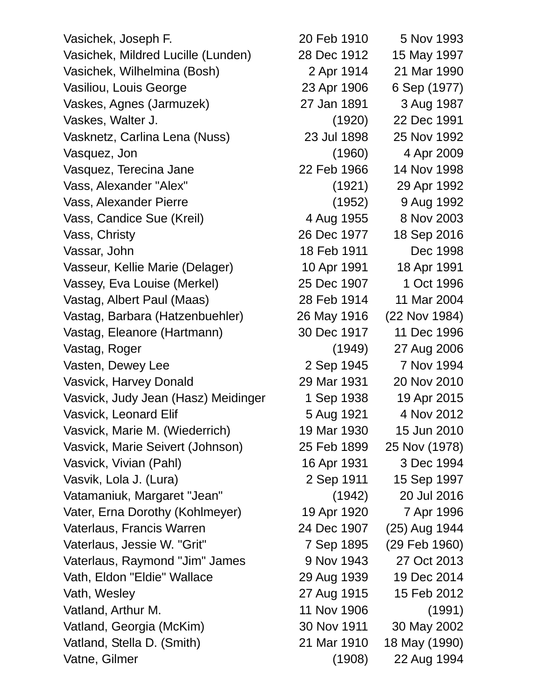Vasichek, Joseph F. 20 Feb 1910 5 Nov 1993 Vasichek, Mildred Lucille (Lunden) 28 Dec 1912 15 May 1997 Vasichek, Wilhelmina (Bosh) 2 Apr 1914 21 Mar 1990 Vasiliou, Louis George 23 Apr 1906 6 Sep (1977) Vaskes, Agnes (Jarmuzek) 27 Jan 1891 3 Aug 1987 Vaskes, Walter J. (1920) 22 Dec 1991 Vasknetz, Carlina Lena (Nuss) 23 Jul 1898 25 Nov 1992 Vasquez, Jon (1960) 4 Apr 2009 Vasquez, Terecina Jane 22 Feb 1966 14 Nov 1998 Vass, Alexander "Alex" (1921) 29 Apr 1992 Vass, Alexander Pierre (1952) 9 Aug 1992 Vass, Candice Sue (Kreil) 4 Aug 1955 8 Nov 2003 Vass, Christy 26 Dec 1977 18 Sep 2016 Vassar, John 18 Feb 1911 Dec 1998 Vasseur, Kellie Marie (Delager) 10 Apr 1991 18 Apr 1991 Vassey, Eva Louise (Merkel) 25 Dec 1907 1 Oct 1996 Vastag, Albert Paul (Maas) 28 Feb 1914 11 Mar 2004 Vastag, Barbara (Hatzenbuehler) 26 May 1916 (22 Nov 1984) Vastag, Eleanore (Hartmann) 30 Dec 1917 11 Dec 1996 Vastag, Roger (1949) 27 Aug 2006 Vasten, Dewey Lee 2 Sep 1945 7 Nov 1994 Vasvick, Harvey Donald 29 Mar 1931 20 Nov 2010 Vasvick, Judy Jean (Hasz) Meidinger 1 Sep 1938 19 Apr 2015 Vasvick, Leonard Elif 6 and 1921 4 Nov 2012 Vasvick, Marie M. (Wiederrich) 19 Mar 1930 15 Jun 2010 Vasvick, Marie Seivert (Johnson) 25 Feb 1899 25 Nov (1978) Vasvick, Vivian (Pahl) 16 Apr 1931 3 Dec 1994 Vasvik, Lola J. (Lura) 2 Sep 1911 15 Sep 1997 Vatamaniuk, Margaret "Jean" (1942) 20 Jul 2016 Vater, Erna Dorothy (Kohlmeyer) 19 Apr 1920 7 Apr 1996 Vaterlaus, Francis Warren 24 Dec 1907 (25) Aug 1944 Vaterlaus, Jessie W. "Grit" 7 Sep 1895 (29 Feb 1960) Vaterlaus, Raymond "Jim" James 9 Nov 1943 27 Oct 2013 Vath, Eldon "Eldie" Wallace 29 Aug 1939 19 Dec 2014 Vath, Wesley 27 Aug 1915 15 Feb 2012 Vatland, Arthur M. 11 Nov 1906 (1991) Vatland, Georgia (McKim) 30 Nov 1911 30 May 2002 Vatland, Stella D. (Smith) 21 Mar 1910 18 May (1990) Vatne, Gilmer (1908) 22 Aug 1994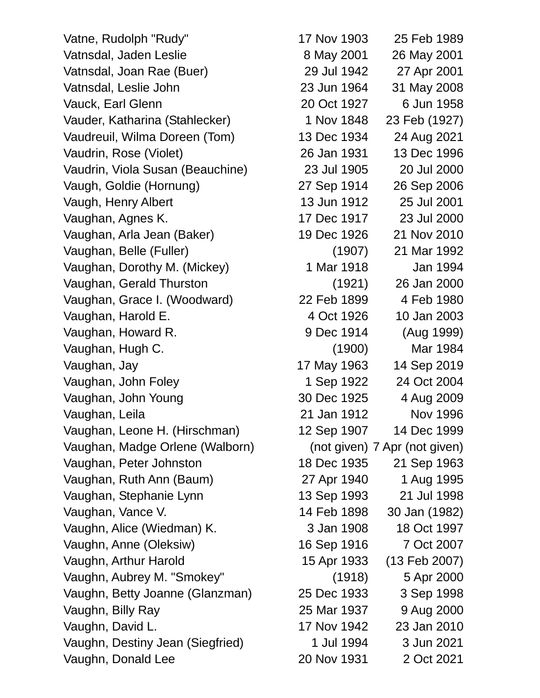Vatne, Rudolph "Rudy" 17 Nov 1903 25 Feb 1989 Vatnsdal, Jaden Leslie 8 May 2001 26 May 2001 Vatnsdal, Joan Rae (Buer) 29 Jul 1942 27 Apr 2001 Vatnsdal, Leslie John 23 Jun 1964 31 May 2008 Vauck, Earl Glenn 20 Oct 1927 6 Jun 1958 Vauder, Katharina (Stahlecker) 1 Nov 1848 23 Feb (1927) Vaudreuil, Wilma Doreen (Tom) 13 Dec 1934 24 Aug 2021 Vaudrin, Rose (Violet) 26 Jan 1931 13 Dec 1996 Vaudrin, Viola Susan (Beauchine) 23 Jul 1905 20 Jul 2000 Vaugh, Goldie (Hornung) 27 Sep 1914 26 Sep 2006 Vaugh, Henry Albert 13 Jun 1912 25 Jul 2001 Vaughan, Agnes K. 17 Dec 1917 23 Jul 2000 Vaughan, Arla Jean (Baker) 19 Dec 1926 21 Nov 2010 Vaughan, Belle (Fuller) (1907) 21 Mar 1992 Vaughan, Dorothy M. (Mickey) 1 Mar 1918 Jan 1994 Vaughan, Gerald Thurston (1921) 26 Jan 2000 Vaughan, Grace I. (Woodward) 22 Feb 1899 4 Feb 1980 Vaughan, Harold E. 4 Oct 1926 10 Jan 2003 Vaughan, Howard R. 1999) 9 Dec 1914 (Aug 1999) Vaughan, Hugh C. (1900) Mar 1984 Vaughan, Jay 17 May 1963 14 Sep 2019 Vaughan, John Foley 1 Sep 1922 24 Oct 2004 Vaughan, John Young 30 Dec 1925 4 Aug 2009 Vaughan, Leila 21 Jan 1912 Nov 1996 Vaughan, Leone H. (Hirschman) 12 Sep 1907 14 Dec 1999 Vaughan, Madge Orlene (Walborn) (not given) 7 Apr (not given) Vaughan, Peter Johnston 18 Dec 1935 21 Sep 1963 Vaughan, Ruth Ann (Baum) 27 Apr 1940 1 Aug 1995 Vaughan, Stephanie Lynn 13 Sep 1993 21 Jul 1998 Vaughan, Vance V. 14 Feb 1898 30 Jan (1982) Vaughn, Alice (Wiedman) K. 3 Jan 1908 18 Oct 1997 Vaughn, Anne (Oleksiw) 16 Sep 1916 7 Oct 2007 Vaughn, Arthur Harold 15 Apr 1933 (13 Feb 2007) Vaughn, Aubrey M. "Smokey" (1918) 5 Apr 2000 Vaughn, Betty Joanne (Glanzman) 25 Dec 1933 3 Sep 1998 Vaughn, Billy Ray 25 Mar 1937 9 Aug 2000 Vaughn, David L. 17 Nov 1942 23 Jan 2010 Vaughn, Destiny Jean (Siegfried) 1 Jul 1994 3 Jun 2021 Vaughn, Donald Lee 20 Nov 1931 2 Oct 2021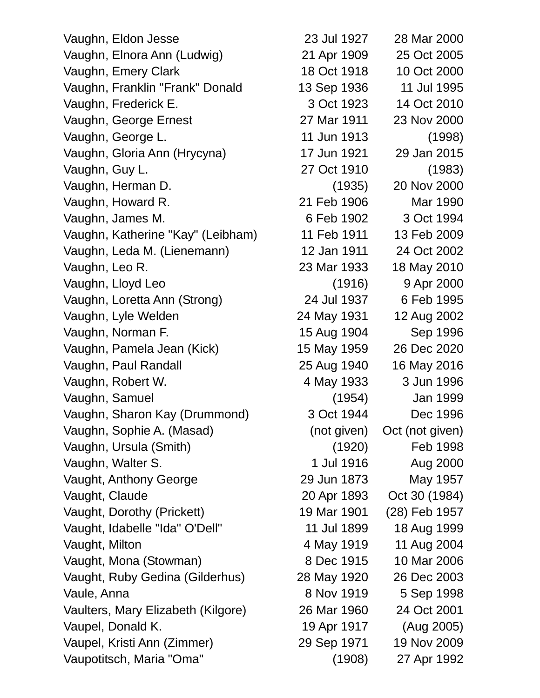Vaughn, Eldon Jesse 23 Jul 1927 28 Mar 2000 Vaughn, Elnora Ann (Ludwig) 21 Apr 1909 25 Oct 2005 Vaughn, Emery Clark 18 Oct 1918 10 Oct 2000 Vaughn, Franklin "Frank" Donald 13 Sep 1936 11 Jul 1995 Vaughn, Frederick E. 3 Oct 1923 14 Oct 2010 Vaughn, George Ernest 27 Mar 1911 23 Nov 2000 Vaughn, George L. 11 Jun 1913 (1998) Vaughn, Gloria Ann (Hrycyna) 17 Jun 1921 29 Jan 2015 Vaughn, Guy L. 27 Oct 1910 (1983) Vaughn, Herman D. (1935) 20 Nov 2000 Vaughn, Howard R. 21 Feb 1906 Mar 1990 Vaughn, James M. 6 Feb 1902 3 Oct 1994 Vaughn, Katherine "Kay" (Leibham) 11 Feb 1911 13 Feb 2009 Vaughn, Leda M. (Lienemann) 12 Jan 1911 24 Oct 2002 Vaughn, Leo R. 23 Mar 1933 18 May 2010 Vaughn, Lloyd Leo (1916) 9 Apr 2000 Vaughn, Loretta Ann (Strong) 24 Jul 1937 6 Feb 1995 Vaughn, Lyle Welden 24 May 1931 12 Aug 2002 Vaughn, Norman F. 15 Aug 1904 Sep 1996 Vaughn, Pamela Jean (Kick) 15 May 1959 26 Dec 2020 Vaughn, Paul Randall 25 Aug 1940 16 May 2016 Vaughn, Robert W. 4 May 1933 3 Jun 1996 Vaughn, Samuel (1954) Jan 1999 Vaughn, Sharon Kay (Drummond) 3 Oct 1944 Dec 1996 Vaughn, Sophie A. (Masad) (not given) Oct (not given) Vaughn, Ursula (Smith) (1920) Feb 1998 Vaughn, Walter S. 1 Jul 1916 Aug 2000 Vaught, Anthony George 29 Jun 1873 May 1957 Vaught, Claude 20 Apr 1893 Oct 30 (1984) Vaught, Dorothy (Prickett) 19 Mar 1901 (28) Feb 1957 Vaught, Idabelle "Ida" O'Dell" 11 Jul 1899 18 Aug 1999 Vaught, Milton 11 Aug 2004 Vaught, Mona (Stowman) 8 Dec 1915 10 Mar 2006 Vaught, Ruby Gedina (Gilderhus) 28 May 1920 26 Dec 2003 Vaule, Anna 8 Nov 1919 5 Sep 1998 Vaulters, Mary Elizabeth (Kilgore) 26 Mar 1960 24 Oct 2001 Vaupel, Donald K. 19 Apr 1917 (Aug 2005) Vaupel, Kristi Ann (Zimmer) 29 Sep 1971 19 Nov 2009 Vaupotitsch, Maria "Oma" (1908) 27 Apr 1992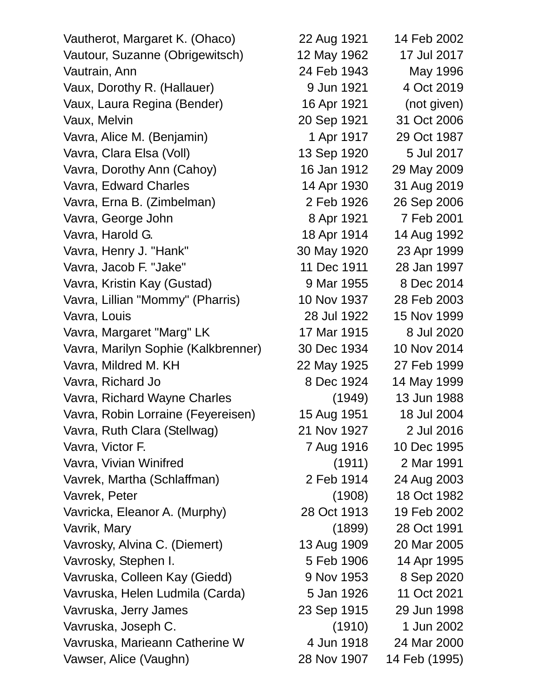Vautherot, Margaret K. (Ohaco) 22 Aug 1921 14 Feb 2002 Vautour, Suzanne (Obrigewitsch) 12 May 1962 17 Jul 2017 Vautrain, Ann 24 Feb 1943 May 1996 Vaux, Dorothy R. (Hallauer) 9 Jun 1921 4 Oct 2019 Vaux, Laura Regina (Bender) 16 Apr 1921 (not given) Vaux, Melvin 20 Sep 1921 31 Oct 2006 Vavra, Alice M. (Benjamin) 1 Apr 1917 29 Oct 1987 Vavra, Clara Elsa (Voll) 13 Sep 1920 5 Jul 2017 Vavra, Dorothy Ann (Cahoy) 16 Jan 1912 29 May 2009 Vavra, Edward Charles 14 Apr 1930 31 Aug 2019 Vavra, Erna B. (Zimbelman) 2 Feb 1926 26 Sep 2006 Vavra, George John 8 Apr 1921 7 Feb 2001 Vavra, Harold G. 18 Apr 1914 14 Aug 1992 Vavra, Henry J. "Hank" 30 May 1920 23 Apr 1999 Vavra, Jacob F. "Jake" 11 Dec 1911 28 Jan 1997 Vavra, Kristin Kay (Gustad) 9 Mar 1955 8 Dec 2014 Vavra, Lillian "Mommy" (Pharris) 10 Nov 1937 28 Feb 2003 Vavra, Louis 28 Jul 1922 15 Nov 1999 Vavra, Margaret "Marg" LK 17 Mar 1915 8 Jul 2020 Vavra, Marilyn Sophie (Kalkbrenner) 30 Dec 1934 10 Nov 2014 Vavra, Mildred M. KH 22 May 1925 27 Feb 1999 Vavra, Richard Jo 8 Dec 1924 14 May 1999 Vavra, Richard Wayne Charles (1949) 13 Jun 1988 Vavra, Robin Lorraine (Feyereisen) 15 Aug 1951 18 Jul 2004 Vavra, Ruth Clara (Stellwag) 21 Nov 1927 2 Jul 2016 Vavra, Victor F. 2002 1916 10 Dec 1995 Vavra, Vivian Winifred (1911) 2 Mar 1991 Vavrek, Martha (Schlaffman) 2 Feb 1914 24 Aug 2003 Vavrek, Peter (1908) 18 Oct 1982 Vavricka, Eleanor A. (Murphy) 28 Oct 1913 19 Feb 2002 Vavrik, Mary (1899) 28 Oct 1991 Vavrosky, Alvina C. (Diemert) 13 Aug 1909 20 Mar 2005 Vavrosky, Stephen I. 1995 **1906** 14 Apr 1995 Vavruska, Colleen Kay (Giedd) 9 Nov 1953 8 Sep 2020 Vavruska, Helen Ludmila (Carda) 5 Jan 1926 11 Oct 2021 Vavruska, Jerry James 23 Sep 1915 29 Jun 1998 Vavruska, Joseph C. (1910) 1 Jun 2002 Vavruska, Marieann Catherine W 4 Jun 1918 24 Mar 2000 Vawser, Alice (Vaughn) 28 Nov 1907 14 Feb (1995)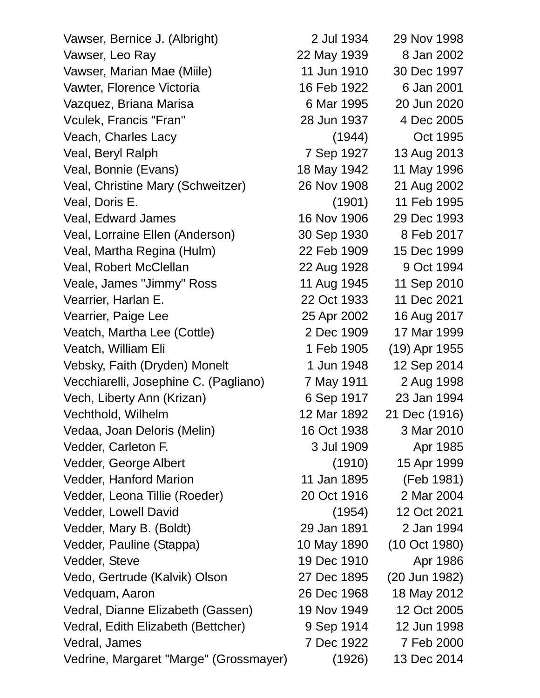| Vawser, Bernice J. (Albright)          | 2 Jul 1934  | 29 Nov 1998   |
|----------------------------------------|-------------|---------------|
| Vawser, Leo Ray                        | 22 May 1939 | 8 Jan 2002    |
| Vawser, Marian Mae (Miile)             | 11 Jun 1910 | 30 Dec 1997   |
| Vawter, Florence Victoria              | 16 Feb 1922 | 6 Jan 2001    |
| Vazquez, Briana Marisa                 | 6 Mar 1995  | 20 Jun 2020   |
| Vculek, Francis "Fran"                 | 28 Jun 1937 | 4 Dec 2005    |
| Veach, Charles Lacy                    | (1944)      | Oct 1995      |
| Veal, Beryl Ralph                      | 7 Sep 1927  | 13 Aug 2013   |
| Veal, Bonnie (Evans)                   | 18 May 1942 | 11 May 1996   |
| Veal, Christine Mary (Schweitzer)      | 26 Nov 1908 | 21 Aug 2002   |
| Veal, Doris E.                         | (1901)      | 11 Feb 1995   |
| Veal, Edward James                     | 16 Nov 1906 | 29 Dec 1993   |
| Veal, Lorraine Ellen (Anderson)        | 30 Sep 1930 | 8 Feb 2017    |
| Veal, Martha Regina (Hulm)             | 22 Feb 1909 | 15 Dec 1999   |
| Veal, Robert McClellan                 | 22 Aug 1928 | 9 Oct 1994    |
| Veale, James "Jimmy" Ross              | 11 Aug 1945 | 11 Sep 2010   |
| Vearrier, Harlan E.                    | 22 Oct 1933 | 11 Dec 2021   |
| Vearrier, Paige Lee                    | 25 Apr 2002 | 16 Aug 2017   |
| Veatch, Martha Lee (Cottle)            | 2 Dec 1909  | 17 Mar 1999   |
| Veatch, William Eli                    | 1 Feb 1905  | (19) Apr 1955 |
| Vebsky, Faith (Dryden) Monelt          | 1 Jun 1948  | 12 Sep 2014   |
| Vecchiarelli, Josephine C. (Pagliano)  | 7 May 1911  | 2 Aug 1998    |
| Vech, Liberty Ann (Krizan)             | 6 Sep 1917  | 23 Jan 1994   |
| Vechthold, Wilhelm                     | 12 Mar 1892 | 21 Dec (1916) |
| Vedaa, Joan Deloris (Melin)            | 16 Oct 1938 | 3 Mar 2010    |
| Vedder, Carleton F.                    | 3 Jul 1909  | Apr 1985      |
| Vedder, George Albert                  | (1910)      | 15 Apr 1999   |
| Vedder, Hanford Marion                 | 11 Jan 1895 | (Feb 1981)    |
| Vedder, Leona Tillie (Roeder)          | 20 Oct 1916 | 2 Mar 2004    |
| Vedder, Lowell David                   | (1954)      | 12 Oct 2021   |
| Vedder, Mary B. (Boldt)                | 29 Jan 1891 | 2 Jan 1994    |
| Vedder, Pauline (Stappa)               | 10 May 1890 | (10 Oct 1980) |
| Vedder, Steve                          | 19 Dec 1910 | Apr 1986      |
| Vedo, Gertrude (Kalvik) Olson          | 27 Dec 1895 | (20 Jun 1982) |
| Vedquam, Aaron                         | 26 Dec 1968 | 18 May 2012   |
| Vedral, Dianne Elizabeth (Gassen)      | 19 Nov 1949 | 12 Oct 2005   |
| Vedral, Edith Elizabeth (Bettcher)     | 9 Sep 1914  | 12 Jun 1998   |
| Vedral, James                          | 7 Dec 1922  | 7 Feb 2000    |
| Vedrine, Margaret "Marge" (Grossmayer) | (1926)      | 13 Dec 2014   |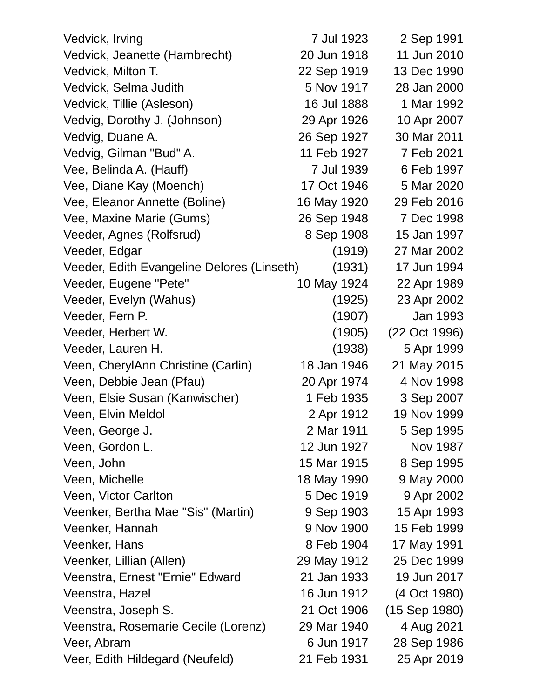| Vedvick, Irving                            | 7 Jul 1923  | 2 Sep 1991      |
|--------------------------------------------|-------------|-----------------|
| Vedvick, Jeanette (Hambrecht)              | 20 Jun 1918 | 11 Jun 2010     |
| Vedvick, Milton T.                         | 22 Sep 1919 | 13 Dec 1990     |
| Vedvick, Selma Judith                      | 5 Nov 1917  | 28 Jan 2000     |
| Vedvick, Tillie (Asleson)                  | 16 Jul 1888 | 1 Mar 1992      |
| Vedvig, Dorothy J. (Johnson)               | 29 Apr 1926 | 10 Apr 2007     |
| Vedvig, Duane A.                           | 26 Sep 1927 | 30 Mar 2011     |
| Vedvig, Gilman "Bud" A.                    | 11 Feb 1927 | 7 Feb 2021      |
| Vee, Belinda A. (Hauff)                    | 7 Jul 1939  | 6 Feb 1997      |
| Vee, Diane Kay (Moench)                    | 17 Oct 1946 | 5 Mar 2020      |
| Vee, Eleanor Annette (Boline)              | 16 May 1920 | 29 Feb 2016     |
| Vee, Maxine Marie (Gums)                   | 26 Sep 1948 | 7 Dec 1998      |
| Veeder, Agnes (Rolfsrud)                   | 8 Sep 1908  | 15 Jan 1997     |
| Veeder, Edgar                              | (1919)      | 27 Mar 2002     |
| Veeder, Edith Evangeline Delores (Linseth) | (1931)      | 17 Jun 1994     |
| Veeder, Eugene "Pete"                      | 10 May 1924 | 22 Apr 1989     |
| Veeder, Evelyn (Wahus)                     | (1925)      | 23 Apr 2002     |
| Veeder, Fern P.                            | (1907)      | Jan 1993        |
| Veeder, Herbert W.                         | (1905)      | (22 Oct 1996)   |
| Veeder, Lauren H.                          | (1938)      | 5 Apr 1999      |
| Veen, CherylAnn Christine (Carlin)         | 18 Jan 1946 | 21 May 2015     |
| Veen, Debbie Jean (Pfau)                   | 20 Apr 1974 | 4 Nov 1998      |
| Veen, Elsie Susan (Kanwischer)             | 1 Feb 1935  | 3 Sep 2007      |
| Veen, Elvin Meldol                         | 2 Apr 1912  | 19 Nov 1999     |
| Veen, George J.                            | 2 Mar 1911  | 5 Sep 1995      |
| Veen, Gordon L.                            | 12 Jun 1927 | Nov 1987        |
| Veen, John                                 | 15 Mar 1915 | 8 Sep 1995      |
| Veen, Michelle                             | 18 May 1990 | 9 May 2000      |
| Veen, Victor Carlton                       | 5 Dec 1919  | 9 Apr 2002      |
| Veenker, Bertha Mae "Sis" (Martin)         | 9 Sep 1903  | 15 Apr 1993     |
| Veenker, Hannah                            | 9 Nov 1900  | 15 Feb 1999     |
| Veenker, Hans                              | 8 Feb 1904  | 17 May 1991     |
| Veenker, Lillian (Allen)                   | 29 May 1912 | 25 Dec 1999     |
| Veenstra, Ernest "Ernie" Edward            | 21 Jan 1933 | 19 Jun 2017     |
| Veenstra, Hazel                            | 16 Jun 1912 | (4 Oct 1980)    |
| Veenstra, Joseph S.                        | 21 Oct 1906 | $(15$ Sep 1980) |
| Veenstra, Rosemarie Cecile (Lorenz)        | 29 Mar 1940 | 4 Aug 2021      |
| Veer, Abram                                | 6 Jun 1917  | 28 Sep 1986     |
| Veer, Edith Hildegard (Neufeld)            | 21 Feb 1931 | 25 Apr 2019     |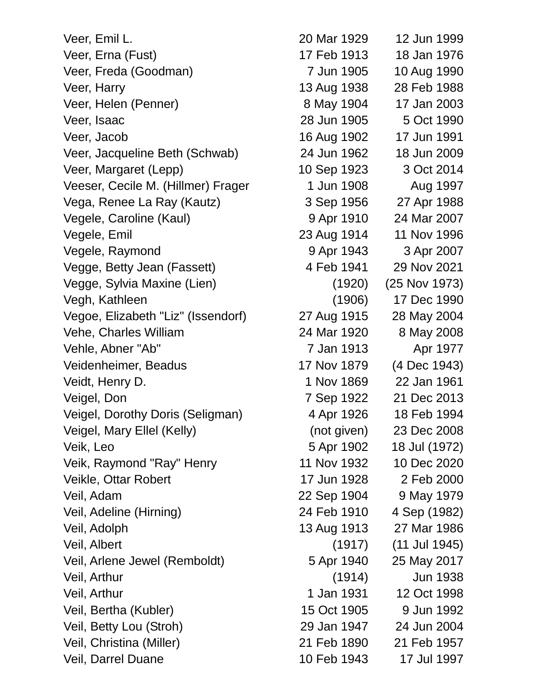Veer, Emil L. 20 Mar 1929 12 Jun 1999 Veer, Erna (Fust) 17 Feb 1913 18 Jan 1976 Veer, Freda (Goodman) 7 Jun 1905 10 Aug 1990 Veer, Harry 13 Aug 1938 28 Feb 1988 Veer, Helen (Penner) 8 May 1904 17 Jan 2003 Veer, Isaac 28 Jun 1905 5 Oct 1990 Veer, Jacob 16 Aug 1902 17 Jun 1991 Veer, Jacqueline Beth (Schwab) 24 Jun 1962 18 Jun 2009 Veer, Margaret (Lepp) 10 Sep 1923 3 Oct 2014 Veeser, Cecile M. (Hillmer) Frager 1 Jun 1908 Aug 1997 Vega, Renee La Ray (Kautz) 3 Sep 1956 27 Apr 1988 Vegele, Caroline (Kaul) 9 Apr 1910 24 Mar 2007 Vegele, Emil 23 Aug 1914 11 Nov 1996 Vegele, Raymond 8 Apr 1943 3 Apr 2007 Vegge, Betty Jean (Fassett) 4 Feb 1941 29 Nov 2021 Vegge, Sylvia Maxine (Lien) (1920) (25 Nov 1973) Vegh, Kathleen (1906) 17 Dec 1990 Vegoe, Elizabeth "Liz" (Issendorf) 27 Aug 1915 28 May 2004 Vehe, Charles William 24 Mar 1920 8 May 2008 Vehle, Abner "Ab" 7 Jan 1913 Apr 1977 Veidenheimer, Beadus 17 Nov 1879 (4 Dec 1943) Veidt, Henry D. 1 Nov 1869 22 Jan 1961 Veigel, Don 7 Sep 1922 21 Dec 2013 Veigel, Dorothy Doris (Seligman) 4 Apr 1926 18 Feb 1994 Veigel, Mary Ellel (Kelly) (not given) 23 Dec 2008 Veik, Leo 5 Apr 1902 18 Jul (1972) Veik, Raymond "Ray" Henry 11 Nov 1932 10 Dec 2020 Veikle, Ottar Robert 17 Jun 1928 2 Feb 2000 Veil, Adam 22 Sep 1904 9 May 1979 Veil, Adeline (Hirning) 24 Feb 1910 4 Sep (1982) Veil, Adolph 13 Aug 1913 27 Mar 1986 Veil, Albert (1917) (11 Jul 1945) Veil, Arlene Jewel (Remboldt) 5 Apr 1940 25 May 2017 Veil, Arthur (1914) Jun 1938 Veil, Arthur 1 Jan 1931 12 Oct 1998 Veil, Bertha (Kubler) 15 Oct 1905 9 Jun 1992 Veil, Betty Lou (Stroh) 29 Jan 1947 24 Jun 2004 Veil, Christina (Miller) 21 Feb 1890 21 Feb 1957 Veil, Darrel Duane 10 Feb 1943 17 Jul 1997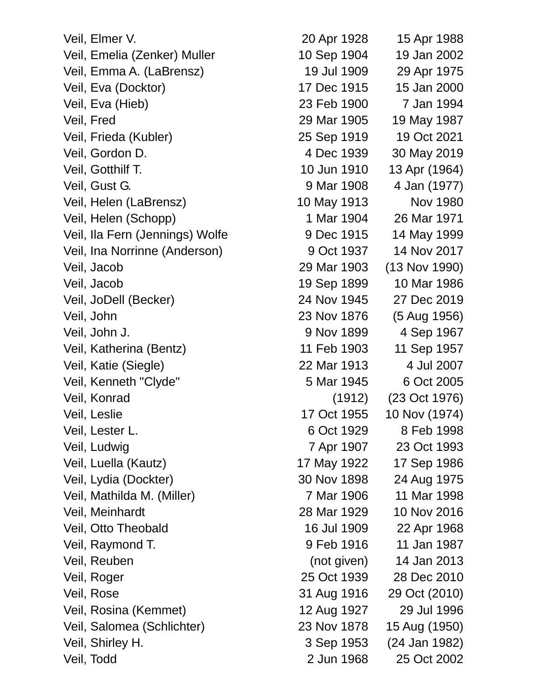Veil, Elmer V. 20 Apr 1928 15 Apr 1988 Veil, Emelia (Zenker) Muller 10 Sep 1904 19 Jan 2002 Veil, Emma A. (LaBrensz) 19 Jul 1909 29 Apr 1975 Veil, Eva (Docktor) 17 Dec 1915 15 Jan 2000 Veil, Eva (Hieb) 23 Feb 1900 7 Jan 1994 Veil, Fred 29 Mar 1905 19 May 1987 Veil, Frieda (Kubler) 25 Sep 1919 19 Oct 2021 Veil, Gordon D. 4 Dec 1939 30 May 2019 Veil, Gotthilf T. 10 Jun 1910 13 Apr (1964) Veil, Gust G. 9 Mar 1908 4 Jan (1977) Veil, Helen (LaBrensz) 10 May 1913 Nov 1980 Veil, Helen (Schopp) 1 Mar 1904 26 Mar 1971 Veil, Ila Fern (Jennings) Wolfe 9 Dec 1915 14 May 1999 Veil, Ina Norrinne (Anderson) 9 Oct 1937 14 Nov 2017 Veil, Jacob 29 Mar 1903 (13 Nov 1990) Veil, Jacob 19 Sep 1899 10 Mar 1986 Veil, JoDell (Becker) 24 Nov 1945 27 Dec 2019 Veil, John 23 Nov 1876 (5 Aug 1956) Veil, John J. 9 Nov 1899 4 Sep 1967 Veil, Katherina (Bentz) 11 Feb 1903 11 Sep 1957 Veil, Katie (Siegle) 22 Mar 1913 4 Jul 2007 Veil, Kenneth "Clyde" 5 Mar 1945 6 Oct 2005 Veil, Konrad (1912) (23 Oct 1976) Veil, Leslie 17 Oct 1955 10 Nov (1974) Veil, Lester L. 6 Oct 1929 8 Feb 1998 Veil, Ludwig 7 Apr 1907 23 Oct 1993 Veil, Luella (Kautz) 17 May 1922 17 Sep 1986 Veil, Lydia (Dockter) 30 Nov 1898 24 Aug 1975 Veil, Mathilda M. (Miller) 7 Mar 1906 11 Mar 1998 Veil, Meinhardt 28 Mar 1929 10 Nov 2016 Veil, Otto Theobald 16 Jul 1909 22 Apr 1968 Veil, Raymond T. 9 Feb 1916 11 Jan 1987 Veil, Reuben (not given) 14 Jan 2013 Veil, Roger 25 Oct 1939 28 Dec 2010 Veil, Rose 31 Aug 1916 29 Oct (2010) Veil, Rosina (Kemmet) 12 Aug 1927 29 Jul 1996 Veil, Salomea (Schlichter) 23 Nov 1878 15 Aug (1950) Veil, Shirley H. 3 Sep 1953 (24 Jan 1982) Veil, Todd 2 Jun 1968 25 Oct 2002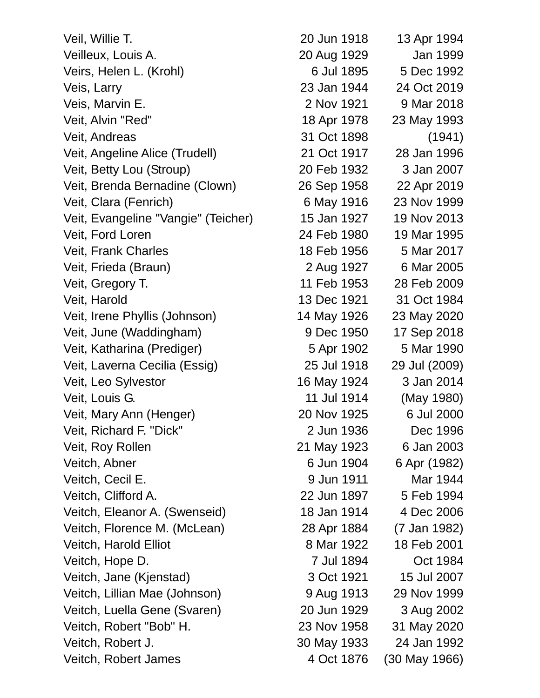| Veil, Willie T.                     | 20 Jun 1918 | 13 Apr 1994   |
|-------------------------------------|-------------|---------------|
| Veilleux, Louis A.                  | 20 Aug 1929 | Jan 1999      |
| Veirs, Helen L. (Krohl)             | 6 Jul 1895  | 5 Dec 1992    |
| Veis, Larry                         | 23 Jan 1944 | 24 Oct 2019   |
| Veis, Marvin E.                     | 2 Nov 1921  | 9 Mar 2018    |
| Veit, Alvin "Red"                   | 18 Apr 1978 | 23 May 1993   |
| Veit, Andreas                       | 31 Oct 1898 | (1941)        |
| Veit, Angeline Alice (Trudell)      | 21 Oct 1917 | 28 Jan 1996   |
| Veit, Betty Lou (Stroup)            | 20 Feb 1932 | 3 Jan 2007    |
| Veit, Brenda Bernadine (Clown)      | 26 Sep 1958 | 22 Apr 2019   |
| Veit, Clara (Fenrich)               | 6 May 1916  | 23 Nov 1999   |
| Veit, Evangeline "Vangie" (Teicher) | 15 Jan 1927 | 19 Nov 2013   |
| Veit, Ford Loren                    | 24 Feb 1980 | 19 Mar 1995   |
| Veit, Frank Charles                 | 18 Feb 1956 | 5 Mar 2017    |
| Veit, Frieda (Braun)                | 2 Aug 1927  | 6 Mar 2005    |
| Veit, Gregory T.                    | 11 Feb 1953 | 28 Feb 2009   |
| Veit, Harold                        | 13 Dec 1921 | 31 Oct 1984   |
| Veit, Irene Phyllis (Johnson)       | 14 May 1926 | 23 May 2020   |
| Veit, June (Waddingham)             | 9 Dec 1950  | 17 Sep 2018   |
| Veit, Katharina (Prediger)          | 5 Apr 1902  | 5 Mar 1990    |
| Veit, Laverna Cecilia (Essig)       | 25 Jul 1918 | 29 Jul (2009) |
| Veit, Leo Sylvestor                 | 16 May 1924 | 3 Jan 2014    |
| Veit, Louis G.                      | 11 Jul 1914 | (May 1980)    |
| Veit, Mary Ann (Henger)             | 20 Nov 1925 | 6 Jul 2000    |
| Veit, Richard F. "Dick"             | 2 Jun 1936  | Dec 1996      |
| Veit, Roy Rollen                    | 21 May 1923 | 6 Jan 2003    |
| Veitch, Abner                       | 6 Jun 1904  | 6 Apr (1982)  |
| Veitch, Cecil E.                    | 9 Jun 1911  | Mar 1944      |
| Veitch, Clifford A.                 | 22 Jun 1897 | 5 Feb 1994    |
| Veitch, Eleanor A. (Swenseid)       | 18 Jan 1914 | 4 Dec 2006    |
| Veitch, Florence M. (McLean)        | 28 Apr 1884 | (7 Jan 1982)  |
| Veitch, Harold Elliot               | 8 Mar 1922  | 18 Feb 2001   |
| Veitch, Hope D.                     | 7 Jul 1894  | Oct 1984      |
| Veitch, Jane (Kjenstad)             | 3 Oct 1921  | 15 Jul 2007   |
| Veitch, Lillian Mae (Johnson)       | 9 Aug 1913  | 29 Nov 1999   |
| Veitch, Luella Gene (Svaren)        | 20 Jun 1929 | 3 Aug 2002    |
| Veitch, Robert "Bob" H.             | 23 Nov 1958 | 31 May 2020   |
| Veitch, Robert J.                   | 30 May 1933 | 24 Jan 1992   |
| Veitch, Robert James                | 4 Oct 1876  | (30 May 1966) |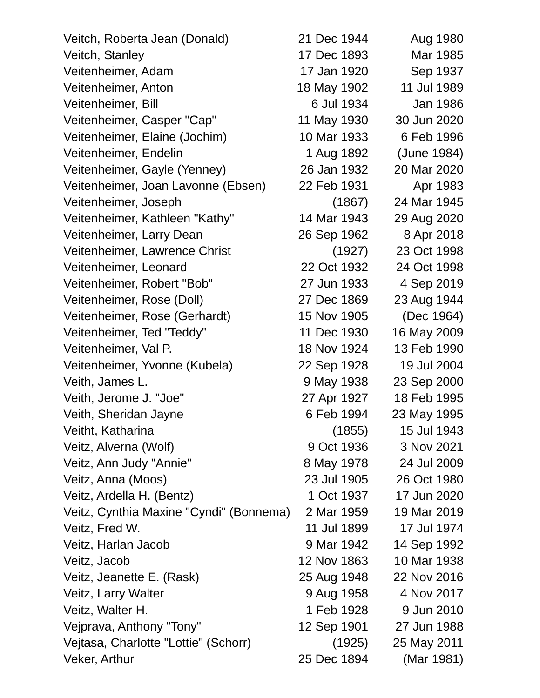| Veitch, Roberta Jean (Donald)           | 21 Dec 1944 | Aug 1980    |
|-----------------------------------------|-------------|-------------|
| Veitch, Stanley                         | 17 Dec 1893 | Mar 1985    |
| Veitenheimer, Adam                      | 17 Jan 1920 | Sep 1937    |
| Veitenheimer, Anton                     | 18 May 1902 | 11 Jul 1989 |
| Veitenheimer, Bill                      | 6 Jul 1934  | Jan 1986    |
| Veitenheimer, Casper "Cap"              | 11 May 1930 | 30 Jun 2020 |
| Veitenheimer, Elaine (Jochim)           | 10 Mar 1933 | 6 Feb 1996  |
| Veitenheimer, Endelin                   | 1 Aug 1892  | (June 1984) |
| Veitenheimer, Gayle (Yenney)            | 26 Jan 1932 | 20 Mar 2020 |
| Veitenheimer, Joan Lavonne (Ebsen)      | 22 Feb 1931 | Apr 1983    |
| Veitenheimer, Joseph                    | (1867)      | 24 Mar 1945 |
| Veitenheimer, Kathleen "Kathy"          | 14 Mar 1943 | 29 Aug 2020 |
| Veitenheimer, Larry Dean                | 26 Sep 1962 | 8 Apr 2018  |
| Veitenheimer, Lawrence Christ           | (1927)      | 23 Oct 1998 |
| Veitenheimer, Leonard                   | 22 Oct 1932 | 24 Oct 1998 |
| Veitenheimer, Robert "Bob"              | 27 Jun 1933 | 4 Sep 2019  |
| Veitenheimer, Rose (Doll)               | 27 Dec 1869 | 23 Aug 1944 |
| Veitenheimer, Rose (Gerhardt)           | 15 Nov 1905 | (Dec 1964)  |
| Veitenheimer, Ted "Teddy"               | 11 Dec 1930 | 16 May 2009 |
| Veitenheimer, Val P.                    | 18 Nov 1924 | 13 Feb 1990 |
| Veitenheimer, Yvonne (Kubela)           | 22 Sep 1928 | 19 Jul 2004 |
| Veith, James L.                         | 9 May 1938  | 23 Sep 2000 |
| Veith, Jerome J. "Joe"                  | 27 Apr 1927 | 18 Feb 1995 |
| Veith, Sheridan Jayne                   | 6 Feb 1994  | 23 May 1995 |
| Veitht, Katharina                       | (1855)      | 15 Jul 1943 |
| Veitz, Alverna (Wolf)                   | 9 Oct 1936  | 3 Nov 2021  |
| Veitz, Ann Judy "Annie"                 | 8 May 1978  | 24 Jul 2009 |
| Veitz, Anna (Moos)                      | 23 Jul 1905 | 26 Oct 1980 |
| Veitz, Ardella H. (Bentz)               | 1 Oct 1937  | 17 Jun 2020 |
| Veitz, Cynthia Maxine "Cyndi" (Bonnema) | 2 Mar 1959  | 19 Mar 2019 |
| Veitz, Fred W.                          | 11 Jul 1899 | 17 Jul 1974 |
| Veitz, Harlan Jacob                     | 9 Mar 1942  | 14 Sep 1992 |
| Veitz, Jacob                            | 12 Nov 1863 | 10 Mar 1938 |
| Veitz, Jeanette E. (Rask)               | 25 Aug 1948 | 22 Nov 2016 |
| Veitz, Larry Walter                     | 9 Aug 1958  | 4 Nov 2017  |
| Veitz, Walter H.                        | 1 Feb 1928  | 9 Jun 2010  |
| Vejprava, Anthony "Tony"                | 12 Sep 1901 | 27 Jun 1988 |
| Vejtasa, Charlotte "Lottie" (Schorr)    | (1925)      | 25 May 2011 |
| Veker, Arthur                           | 25 Dec 1894 | (Mar 1981)  |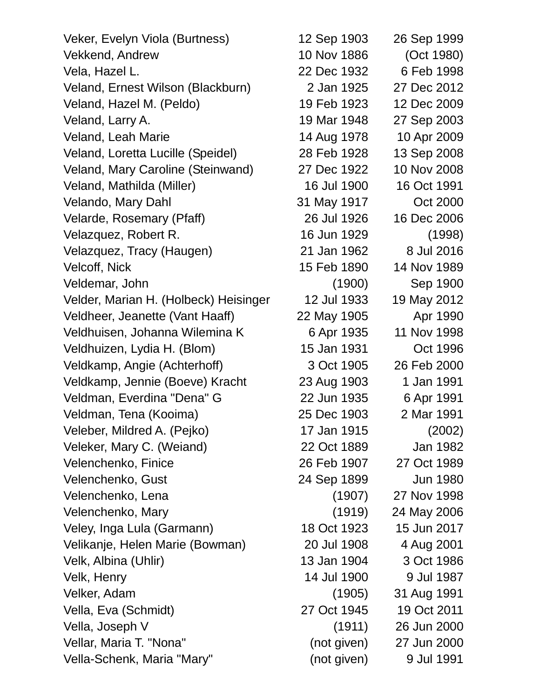Veker, Evelyn Viola (Burtness) 12 Sep 1903 26 Sep 1999 Vekkend, Andrew 10 Nov 1886 (Oct 1980) Vela, Hazel L. 22 Dec 1932 6 Feb 1998 Veland, Ernest Wilson (Blackburn) 2 Jan 1925 27 Dec 2012 Veland, Hazel M. (Peldo) 19 Feb 1923 12 Dec 2009 Veland, Larry A. 19 Mar 1948 27 Sep 2003 Veland, Leah Marie 14 Aug 1978 10 Apr 2009 Veland, Loretta Lucille (Speidel) 28 Feb 1928 13 Sep 2008 Veland, Mary Caroline (Steinwand) 27 Dec 1922 10 Nov 2008 Veland, Mathilda (Miller) 16 Jul 1900 16 Oct 1991 Velando, Mary Dahl 31 May 1917 Oct 2000 Velarde, Rosemary (Pfaff) 26 Jul 1926 16 Dec 2006 Velazquez, Robert R. 16 Jun 1929 (1998) Velazquez, Tracy (Haugen) 21 Jan 1962 8 Jul 2016 Velcoff, Nick 15 Feb 1890 14 Nov 1989 Veldemar, John (1900) Sep 1900 Velder, Marian H. (Holbeck) Heisinger 12 Jul 1933 19 May 2012 Veldheer, Jeanette (Vant Haaff) 22 May 1905 Apr 1990 Veldhuisen, Johanna Wilemina K 6 Apr 1935 11 Nov 1998 Veldhuizen, Lydia H. (Blom) 15 Jan 1931 Oct 1996 Veldkamp, Angie (Achterhoff) 3 Oct 1905 26 Feb 2000 Veldkamp, Jennie (Boeve) Kracht 23 Aug 1903 1 Jan 1991 Veldman, Everdina "Dena" G 22 Jun 1935 6 Apr 1991 Veldman, Tena (Kooima) 25 Dec 1903 2 Mar 1991 Veleber, Mildred A. (Pejko) 17 Jan 1915 (2002) Veleker, Mary C. (Weiand) 22 Oct 1889 Jan 1982 Velenchenko, Finice 26 Feb 1907 27 Oct 1989 Velenchenko, Gust 24 Sep 1899 Jun 1980 Velenchenko, Lena (1907) 27 Nov 1998 Velenchenko, Mary (1919) 24 May 2006 Veley, Inga Lula (Garmann) 18 Oct 1923 15 Jun 2017 Velikanje, Helen Marie (Bowman) 20 Jul 1908 4 Aug 2001 Velk, Albina (Uhlir) 13 Jan 1904 3 Oct 1986 Velk, Henry 14 Jul 1900 9 Jul 1987 Velker, Adam (1905) 31 Aug 1991 Vella, Eva (Schmidt) 27 Oct 1945 19 Oct 2011 Vella, Joseph V (1911) 26 Jun 2000 Vellar, Maria T. "Nona" (not given) 27 Jun 2000 Vella-Schenk, Maria "Mary" (not given) 9 Jul 1991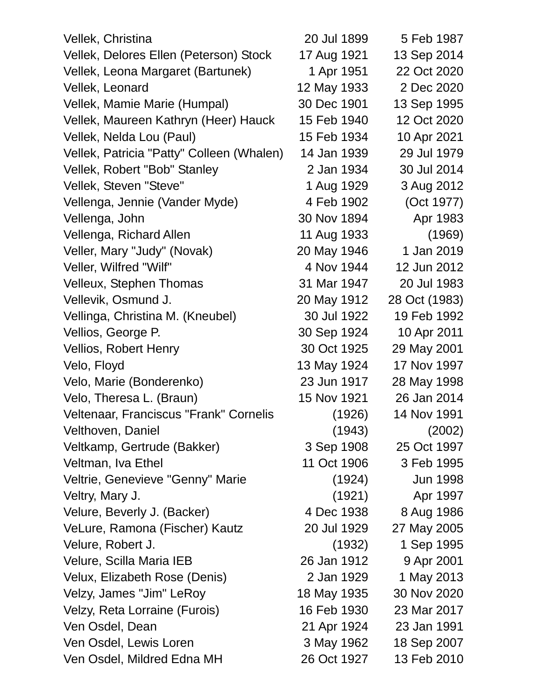| Vellek, Christina                         | 20 Jul 1899 | 5 Feb 1987    |
|-------------------------------------------|-------------|---------------|
| Vellek, Delores Ellen (Peterson) Stock    | 17 Aug 1921 | 13 Sep 2014   |
| Vellek, Leona Margaret (Bartunek)         | 1 Apr 1951  | 22 Oct 2020   |
| Vellek, Leonard                           | 12 May 1933 | 2 Dec 2020    |
| Vellek, Mamie Marie (Humpal)              | 30 Dec 1901 | 13 Sep 1995   |
| Vellek, Maureen Kathryn (Heer) Hauck      | 15 Feb 1940 | 12 Oct 2020   |
| Vellek, Nelda Lou (Paul)                  | 15 Feb 1934 | 10 Apr 2021   |
| Vellek, Patricia "Patty" Colleen (Whalen) | 14 Jan 1939 | 29 Jul 1979   |
| Vellek, Robert "Bob" Stanley              | 2 Jan 1934  | 30 Jul 2014   |
| Vellek, Steven "Steve"                    | 1 Aug 1929  | 3 Aug 2012    |
| Vellenga, Jennie (Vander Myde)            | 4 Feb 1902  | (Oct 1977)    |
| Vellenga, John                            | 30 Nov 1894 | Apr 1983      |
| Vellenga, Richard Allen                   | 11 Aug 1933 | (1969)        |
| Veller, Mary "Judy" (Novak)               | 20 May 1946 | 1 Jan 2019    |
| Veller, Wilfred "Wilf"                    | 4 Nov 1944  | 12 Jun 2012   |
| Velleux, Stephen Thomas                   | 31 Mar 1947 | 20 Jul 1983   |
| Vellevik, Osmund J.                       | 20 May 1912 | 28 Oct (1983) |
| Vellinga, Christina M. (Kneubel)          | 30 Jul 1922 | 19 Feb 1992   |
| Vellios, George P.                        | 30 Sep 1924 | 10 Apr 2011   |
| <b>Vellios, Robert Henry</b>              | 30 Oct 1925 | 29 May 2001   |
| Velo, Floyd                               | 13 May 1924 | 17 Nov 1997   |
| Velo, Marie (Bonderenko)                  | 23 Jun 1917 | 28 May 1998   |
| Velo, Theresa L. (Braun)                  | 15 Nov 1921 | 26 Jan 2014   |
| Veltenaar, Franciscus "Frank" Cornelis    | (1926)      | 14 Nov 1991   |
| Velthoven, Daniel                         | (1943)      | (2002)        |
| Veltkamp, Gertrude (Bakker)               | 3 Sep 1908  | 25 Oct 1997   |
| Veltman, Iva Ethel                        | 11 Oct 1906 | 3 Feb 1995    |
| Veltrie, Genevieve "Genny" Marie          | (1924)      | Jun 1998      |
| Veltry, Mary J.                           | (1921)      | Apr 1997      |
| Velure, Beverly J. (Backer)               | 4 Dec 1938  | 8 Aug 1986    |
| VeLure, Ramona (Fischer) Kautz            | 20 Jul 1929 | 27 May 2005   |
| Velure, Robert J.                         | (1932)      | 1 Sep 1995    |
| Velure, Scilla Maria IEB                  | 26 Jan 1912 | 9 Apr 2001    |
| Velux, Elizabeth Rose (Denis)             | 2 Jan 1929  | 1 May 2013    |
| Velzy, James "Jim" LeRoy                  | 18 May 1935 | 30 Nov 2020   |
| Velzy, Reta Lorraine (Furois)             | 16 Feb 1930 | 23 Mar 2017   |
| Ven Osdel, Dean                           | 21 Apr 1924 | 23 Jan 1991   |
| Ven Osdel, Lewis Loren                    | 3 May 1962  | 18 Sep 2007   |
| Ven Osdel, Mildred Edna MH                | 26 Oct 1927 | 13 Feb 2010   |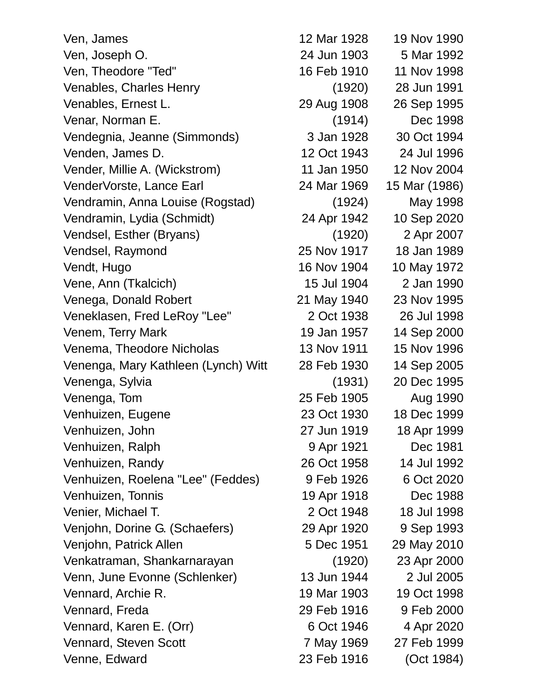| Ven, James                          | 12 Mar 1928 | 19 Nov 1990   |
|-------------------------------------|-------------|---------------|
| Ven, Joseph O.                      | 24 Jun 1903 | 5 Mar 1992    |
| Ven, Theodore "Ted"                 | 16 Feb 1910 | 11 Nov 1998   |
| Venables, Charles Henry             | (1920)      | 28 Jun 1991   |
| Venables, Ernest L.                 | 29 Aug 1908 | 26 Sep 1995   |
| Venar, Norman E.                    | (1914)      | Dec 1998      |
| Vendegnia, Jeanne (Simmonds)        | 3 Jan 1928  | 30 Oct 1994   |
| Venden, James D.                    | 12 Oct 1943 | 24 Jul 1996   |
| Vender, Millie A. (Wickstrom)       | 11 Jan 1950 | 12 Nov 2004   |
| VenderVorste, Lance Earl            | 24 Mar 1969 | 15 Mar (1986) |
| Vendramin, Anna Louise (Rogstad)    | (1924)      | May 1998      |
| Vendramin, Lydia (Schmidt)          | 24 Apr 1942 | 10 Sep 2020   |
| Vendsel, Esther (Bryans)            | (1920)      | 2 Apr 2007    |
| Vendsel, Raymond                    | 25 Nov 1917 | 18 Jan 1989   |
| Vendt, Hugo                         | 16 Nov 1904 | 10 May 1972   |
| Vene, Ann (Tkalcich)                | 15 Jul 1904 | 2 Jan 1990    |
| Venega, Donald Robert               | 21 May 1940 | 23 Nov 1995   |
| Veneklasen, Fred LeRoy "Lee"        | 2 Oct 1938  | 26 Jul 1998   |
| Venem, Terry Mark                   | 19 Jan 1957 | 14 Sep 2000   |
| Venema, Theodore Nicholas           | 13 Nov 1911 | 15 Nov 1996   |
| Venenga, Mary Kathleen (Lynch) Witt | 28 Feb 1930 | 14 Sep 2005   |
| Venenga, Sylvia                     | (1931)      | 20 Dec 1995   |
| Venenga, Tom                        | 25 Feb 1905 | Aug 1990      |
| Venhuizen, Eugene                   | 23 Oct 1930 | 18 Dec 1999   |
| Venhuizen, John                     | 27 Jun 1919 | 18 Apr 1999   |
| Venhuizen, Ralph                    | 9 Apr 1921  | Dec 1981      |
| Venhuizen, Randy                    | 26 Oct 1958 | 14 Jul 1992   |
| Venhuizen, Roelena "Lee" (Feddes)   | 9 Feb 1926  | 6 Oct 2020    |
| Venhuizen, Tonnis                   | 19 Apr 1918 | Dec 1988      |
| Venier, Michael T.                  | 2 Oct 1948  | 18 Jul 1998   |
| Venjohn, Dorine G. (Schaefers)      | 29 Apr 1920 | 9 Sep 1993    |
| Venjohn, Patrick Allen              | 5 Dec 1951  | 29 May 2010   |
| Venkatraman, Shankarnarayan         | (1920)      | 23 Apr 2000   |
| Venn, June Evonne (Schlenker)       | 13 Jun 1944 | 2 Jul 2005    |
| Vennard, Archie R.                  | 19 Mar 1903 | 19 Oct 1998   |
| Vennard, Freda                      | 29 Feb 1916 | 9 Feb 2000    |
| Vennard, Karen E. (Orr)             | 6 Oct 1946  | 4 Apr 2020    |
| Vennard, Steven Scott               | 7 May 1969  | 27 Feb 1999   |
| Venne, Edward                       | 23 Feb 1916 | (Oct 1984)    |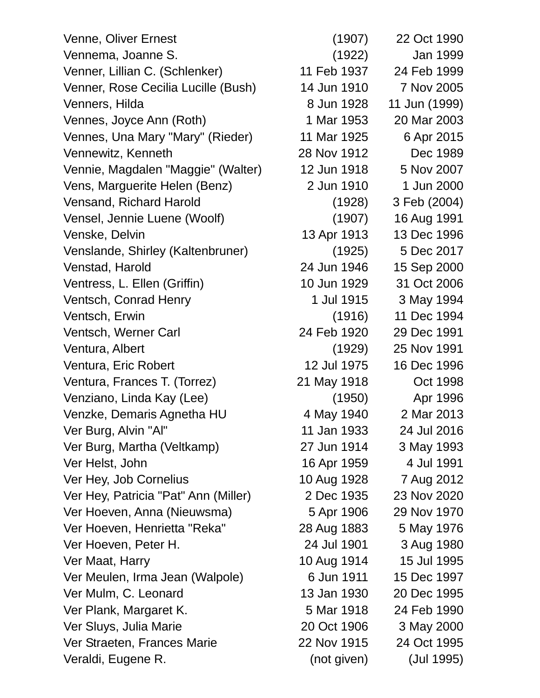Venne, Oliver Ernest (1907) 22 Oct 1990 Vennema, Joanne S. (1922) Jan 1999 Venner, Lillian C. (Schlenker) 11 Feb 1937 24 Feb 1999 Venner, Rose Cecilia Lucille (Bush) 14 Jun 1910 7 Nov 2005 Venners, Hilda 8 Jun 1928 11 Jun (1999) Vennes, Joyce Ann (Roth) 1 Mar 1953 20 Mar 2003 Vennes, Una Mary "Mary" (Rieder) 11 Mar 1925 6 Apr 2015 Vennewitz, Kenneth 28 Nov 1912 Dec 1989 Vennie, Magdalen "Maggie" (Walter) 12 Jun 1918 5 Nov 2007 Vens, Marguerite Helen (Benz) 2 Jun 1910 1 Jun 2000 Vensand, Richard Harold (1928) 3 Feb (2004) Vensel, Jennie Luene (Woolf) (1907) 16 Aug 1991 Venske, Delvin 13 Apr 1913 13 Dec 1996 Venslande, Shirley (Kaltenbruner) (1925) 5 Dec 2017 Venstad, Harold 24 Jun 1946 15 Sep 2000 Ventress, L. Ellen (Griffin) 10 Jun 1929 31 Oct 2006 Ventsch, Conrad Henry 1 Jul 1915 3 May 1994 Ventsch, Erwin (1916) 11 Dec 1994 Ventsch, Werner Carl 24 Feb 1920 29 Dec 1991 Ventura, Albert (1929) 25 Nov 1991 Ventura, Eric Robert 12 Jul 1975 16 Dec 1996 Ventura, Frances T. (Torrez) 21 May 1918 Oct 1998 Venziano, Linda Kay (Lee) (1950) Apr 1996 Venzke, Demaris Agnetha HU 4 May 1940 2 Mar 2013 Ver Burg, Alvin "Al" 11 Jan 1933 24 Jul 2016 Ver Burg, Martha (Veltkamp) 27 Jun 1914 3 May 1993 Ver Helst, John 16 Apr 1959 4 Jul 1991 Ver Hey, Job Cornelius 10 Aug 1928 7 Aug 2012 Ver Hey, Patricia "Pat" Ann (Miller) 2 Dec 1935 23 Nov 2020 Ver Hoeven, Anna (Nieuwsma) 5 Apr 1906 29 Nov 1970 Ver Hoeven, Henrietta "Reka" 28 Aug 1883 5 May 1976 Ver Hoeven, Peter H. 24 Jul 1901 3 Aug 1980 Ver Maat, Harry 10 Aug 1914 15 Jul 1995 Ver Meulen, Irma Jean (Walpole) 6 Jun 1911 15 Dec 1997 Ver Mulm, C. Leonard 13 Jan 1930 20 Dec 1995 Ver Plank, Margaret K. 5 Mar 1918 24 Feb 1990 Ver Sluys, Julia Marie 20 Oct 1906 3 May 2000 Ver Straeten, Frances Marie 22 Nov 1915 24 Oct 1995 Veraldi, Eugene R. (not given) (Jul 1995)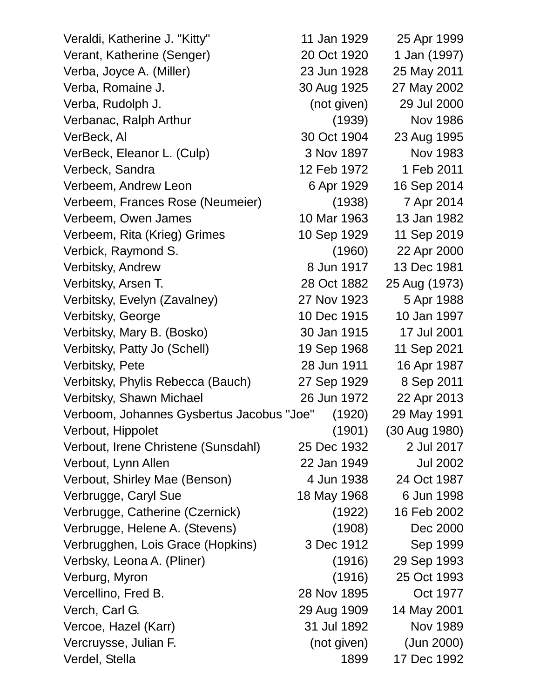| Veraldi, Katherine J. "Kitty"             | 11 Jan 1929 | 25 Apr 1999     |
|-------------------------------------------|-------------|-----------------|
| Verant, Katherine (Senger)                | 20 Oct 1920 | 1 Jan (1997)    |
| Verba, Joyce A. (Miller)                  | 23 Jun 1928 | 25 May 2011     |
| Verba, Romaine J.                         | 30 Aug 1925 | 27 May 2002     |
| Verba, Rudolph J.                         | (not given) | 29 Jul 2000     |
| Verbanac, Ralph Arthur                    | (1939)      | <b>Nov 1986</b> |
| VerBeck, Al                               | 30 Oct 1904 | 23 Aug 1995     |
| VerBeck, Eleanor L. (Culp)                | 3 Nov 1897  | Nov 1983        |
| Verbeck, Sandra                           | 12 Feb 1972 | 1 Feb 2011      |
| Verbeem, Andrew Leon                      | 6 Apr 1929  | 16 Sep 2014     |
| Verbeem, Frances Rose (Neumeier)          | (1938)      | 7 Apr 2014      |
| Verbeem, Owen James                       | 10 Mar 1963 | 13 Jan 1982     |
| Verbeem, Rita (Krieg) Grimes              | 10 Sep 1929 | 11 Sep 2019     |
| Verbick, Raymond S.                       | (1960)      | 22 Apr 2000     |
| Verbitsky, Andrew                         | 8 Jun 1917  | 13 Dec 1981     |
| Verbitsky, Arsen T.                       | 28 Oct 1882 | 25 Aug (1973)   |
| Verbitsky, Evelyn (Zavalney)              | 27 Nov 1923 | 5 Apr 1988      |
| Verbitsky, George                         | 10 Dec 1915 | 10 Jan 1997     |
| Verbitsky, Mary B. (Bosko)                | 30 Jan 1915 | 17 Jul 2001     |
| Verbitsky, Patty Jo (Schell)              | 19 Sep 1968 | 11 Sep 2021     |
| Verbitsky, Pete                           | 28 Jun 1911 | 16 Apr 1987     |
| Verbitsky, Phylis Rebecca (Bauch)         | 27 Sep 1929 | 8 Sep 2011      |
| Verbitsky, Shawn Michael                  | 26 Jun 1972 | 22 Apr 2013     |
| Verboom, Johannes Gysbertus Jacobus "Joe" | (1920)      | 29 May 1991     |
| Verbout, Hippolet                         | (1901)      | (30 Aug 1980)   |
| Verbout, Irene Christene (Sunsdahl)       | 25 Dec 1932 | 2 Jul 2017      |
| Verbout, Lynn Allen                       | 22 Jan 1949 | <b>Jul 2002</b> |
| Verbout, Shirley Mae (Benson)             | 4 Jun 1938  | 24 Oct 1987     |
| Verbrugge, Caryl Sue                      | 18 May 1968 | 6 Jun 1998      |
| Verbrugge, Catherine (Czernick)           | (1922)      | 16 Feb 2002     |
| Verbrugge, Helene A. (Stevens)            | (1908)      | Dec 2000        |
| Verbrugghen, Lois Grace (Hopkins)         | 3 Dec 1912  | Sep 1999        |
| Verbsky, Leona A. (Pliner)                | (1916)      | 29 Sep 1993     |
| Verburg, Myron                            | (1916)      | 25 Oct 1993     |
| Vercellino, Fred B.                       | 28 Nov 1895 | Oct 1977        |
| Verch, Carl G.                            | 29 Aug 1909 | 14 May 2001     |
| Vercoe, Hazel (Karr)                      | 31 Jul 1892 | Nov 1989        |
| Vercruysse, Julian F.                     | (not given) | (Jun 2000)      |
| Verdel, Stella                            | 1899        | 17 Dec 1992     |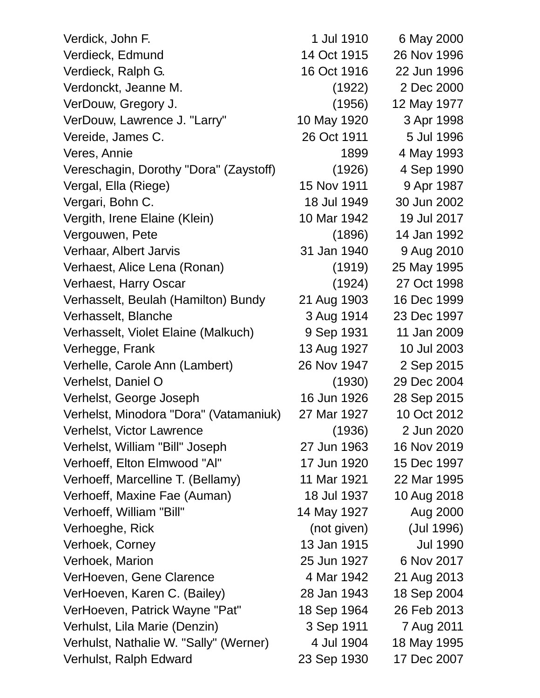| Verdick, John F.                       | 1 Jul 1910  | 6 May 2000      |
|----------------------------------------|-------------|-----------------|
| Verdieck, Edmund                       | 14 Oct 1915 | 26 Nov 1996     |
| Verdieck, Ralph G.                     | 16 Oct 1916 | 22 Jun 1996     |
| Verdonckt, Jeanne M.                   | (1922)      | 2 Dec 2000      |
| VerDouw, Gregory J.                    | (1956)      | 12 May 1977     |
| VerDouw, Lawrence J. "Larry"           | 10 May 1920 | 3 Apr 1998      |
| Vereide, James C.                      | 26 Oct 1911 | 5 Jul 1996      |
| Veres, Annie                           | 1899        | 4 May 1993      |
| Vereschagin, Dorothy "Dora" (Zaystoff) | (1926)      | 4 Sep 1990      |
| Vergal, Ella (Riege)                   | 15 Nov 1911 | 9 Apr 1987      |
| Vergari, Bohn C.                       | 18 Jul 1949 | 30 Jun 2002     |
| Vergith, Irene Elaine (Klein)          | 10 Mar 1942 | 19 Jul 2017     |
| Vergouwen, Pete                        | (1896)      | 14 Jan 1992     |
| Verhaar, Albert Jarvis                 | 31 Jan 1940 | 9 Aug 2010      |
| Verhaest, Alice Lena (Ronan)           | (1919)      | 25 May 1995     |
| Verhaest, Harry Oscar                  | (1924)      | 27 Oct 1998     |
| Verhasselt, Beulah (Hamilton) Bundy    | 21 Aug 1903 | 16 Dec 1999     |
| Verhasselt, Blanche                    | 3 Aug 1914  | 23 Dec 1997     |
| Verhasselt, Violet Elaine (Malkuch)    | 9 Sep 1931  | 11 Jan 2009     |
| Verhegge, Frank                        | 13 Aug 1927 | 10 Jul 2003     |
| Verhelle, Carole Ann (Lambert)         | 26 Nov 1947 | 2 Sep 2015      |
| Verhelst, Daniel O                     | (1930)      | 29 Dec 2004     |
| Verhelst, George Joseph                | 16 Jun 1926 | 28 Sep 2015     |
| Verhelst, Minodora "Dora" (Vatamaniuk) | 27 Mar 1927 | 10 Oct 2012     |
| Verhelst, Victor Lawrence              | (1936)      | 2 Jun 2020      |
| Verhelst, William "Bill" Joseph        | 27 Jun 1963 | 16 Nov 2019     |
| Verhoeff, Elton Elmwood "Al"           | 17 Jun 1920 | 15 Dec 1997     |
| Verhoeff, Marcelline T. (Bellamy)      | 11 Mar 1921 | 22 Mar 1995     |
| Verhoeff, Maxine Fae (Auman)           | 18 Jul 1937 | 10 Aug 2018     |
| Verhoeff, William "Bill"               | 14 May 1927 | Aug 2000        |
| Verhoeghe, Rick                        | (not given) | (Jul 1996)      |
| Verhoek, Corney                        | 13 Jan 1915 | <b>Jul 1990</b> |
| Verhoek, Marion                        | 25 Jun 1927 | 6 Nov 2017      |
| VerHoeven, Gene Clarence               | 4 Mar 1942  | 21 Aug 2013     |
| VerHoeven, Karen C. (Bailey)           | 28 Jan 1943 | 18 Sep 2004     |
| VerHoeven, Patrick Wayne "Pat"         | 18 Sep 1964 | 26 Feb 2013     |
| Verhulst, Lila Marie (Denzin)          | 3 Sep 1911  | 7 Aug 2011      |
| Verhulst, Nathalie W. "Sally" (Werner) | 4 Jul 1904  | 18 May 1995     |
| Verhulst, Ralph Edward                 | 23 Sep 1930 | 17 Dec 2007     |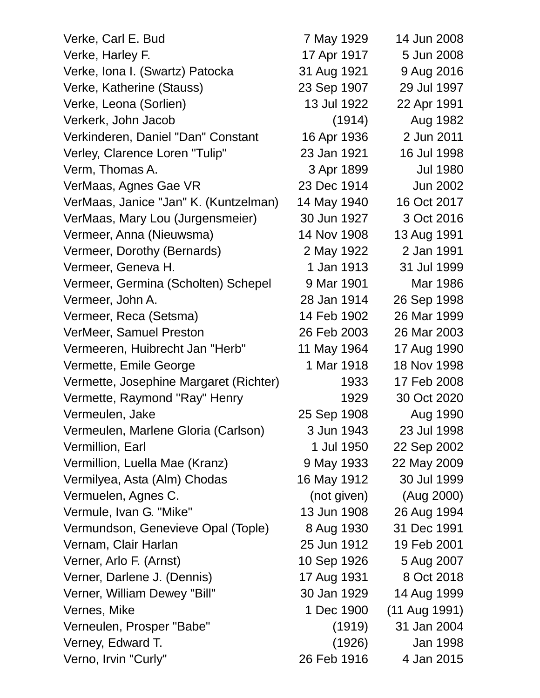| Verke, Carl E. Bud                     | 7 May 1929  | 14 Jun 2008     |
|----------------------------------------|-------------|-----------------|
| Verke, Harley F.                       | 17 Apr 1917 | 5 Jun 2008      |
| Verke, Iona I. (Swartz) Patocka        | 31 Aug 1921 | 9 Aug 2016      |
| Verke, Katherine (Stauss)              | 23 Sep 1907 | 29 Jul 1997     |
| Verke, Leona (Sorlien)                 | 13 Jul 1922 | 22 Apr 1991     |
| Verkerk, John Jacob                    | (1914)      | Aug 1982        |
| Verkinderen, Daniel "Dan" Constant     | 16 Apr 1936 | 2 Jun 2011      |
| Verley, Clarence Loren "Tulip"         | 23 Jan 1921 | 16 Jul 1998     |
| Verm, Thomas A.                        | 3 Apr 1899  | <b>Jul 1980</b> |
| VerMaas, Agnes Gae VR                  | 23 Dec 1914 | <b>Jun 2002</b> |
| VerMaas, Janice "Jan" K. (Kuntzelman)  | 14 May 1940 | 16 Oct 2017     |
| VerMaas, Mary Lou (Jurgensmeier)       | 30 Jun 1927 | 3 Oct 2016      |
| Vermeer, Anna (Nieuwsma)               | 14 Nov 1908 | 13 Aug 1991     |
| Vermeer, Dorothy (Bernards)            | 2 May 1922  | 2 Jan 1991      |
| Vermeer, Geneva H.                     | 1 Jan 1913  | 31 Jul 1999     |
| Vermeer, Germina (Scholten) Schepel    | 9 Mar 1901  | Mar 1986        |
| Vermeer, John A.                       | 28 Jan 1914 | 26 Sep 1998     |
| Vermeer, Reca (Setsma)                 | 14 Feb 1902 | 26 Mar 1999     |
| VerMeer, Samuel Preston                | 26 Feb 2003 | 26 Mar 2003     |
| Vermeeren, Huibrecht Jan "Herb"        | 11 May 1964 | 17 Aug 1990     |
| Vermette, Emile George                 | 1 Mar 1918  | 18 Nov 1998     |
| Vermette, Josephine Margaret (Richter) | 1933        | 17 Feb 2008     |
| Vermette, Raymond "Ray" Henry          | 1929        | 30 Oct 2020     |
| Vermeulen, Jake                        | 25 Sep 1908 | Aug 1990        |
| Vermeulen, Marlene Gloria (Carlson)    | 3 Jun 1943  | 23 Jul 1998     |
| Vermillion, Earl                       | 1 Jul 1950  | 22 Sep 2002     |
| Vermillion, Luella Mae (Kranz)         | 9 May 1933  | 22 May 2009     |
| Vermilyea, Asta (Alm) Chodas           | 16 May 1912 | 30 Jul 1999     |
| Vermuelen, Agnes C.                    | (not given) | (Aug 2000)      |
| Vermule, Ivan G. "Mike"                | 13 Jun 1908 | 26 Aug 1994     |
| Vermundson, Genevieve Opal (Tople)     | 8 Aug 1930  | 31 Dec 1991     |
| Vernam, Clair Harlan                   | 25 Jun 1912 | 19 Feb 2001     |
| Verner, Arlo F. (Arnst)                | 10 Sep 1926 | 5 Aug 2007      |
| Verner, Darlene J. (Dennis)            | 17 Aug 1931 | 8 Oct 2018      |
| Verner, William Dewey "Bill"           | 30 Jan 1929 | 14 Aug 1999     |
| Vernes, Mike                           | 1 Dec 1900  | (11 Aug 1991)   |
| Verneulen, Prosper "Babe"              | (1919)      | 31 Jan 2004     |
| Verney, Edward T.                      | (1926)      | Jan 1998        |
| Verno, Irvin "Curly"                   | 26 Feb 1916 | 4 Jan 2015      |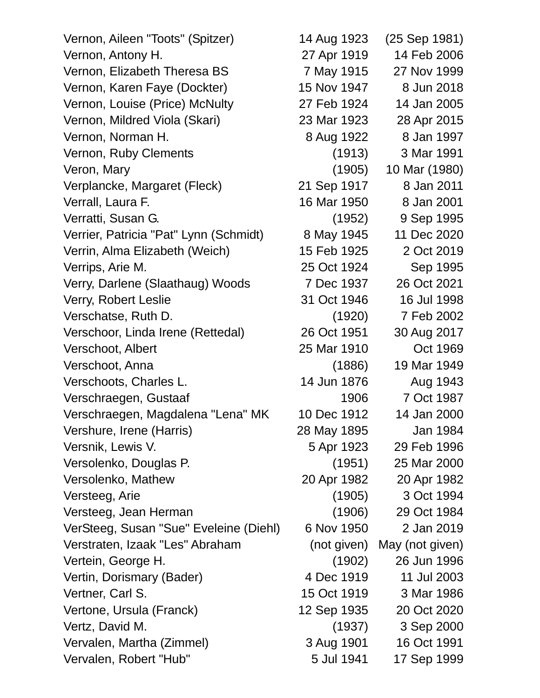Vernon, Aileen "Toots" (Spitzer) 14 Aug 1923 (25 Sep 1981) Vernon, Antony H. 27 Apr 1919 14 Feb 2006 Vernon, Elizabeth Theresa BS 7 May 1915 27 Nov 1999 Vernon, Karen Faye (Dockter) 15 Nov 1947 8 Jun 2018 Vernon, Louise (Price) McNulty 27 Feb 1924 14 Jan 2005 Vernon, Mildred Viola (Skari) 23 Mar 1923 28 Apr 2015 Vernon, Norman H. 68 **8 Aug 1922** 8 Jan 1997 Vernon, Ruby Clements (1913) 3 Mar 1991 Veron, Mary (1905) 10 Mar (1980) Verplancke, Margaret (Fleck) 21 Sep 1917 8 Jan 2011 Verrall, Laura F. 16 Mar 1950 8 Jan 2001 Verratti, Susan G. (1952) 9 Sep 1995 Verrier, Patricia "Pat" Lynn (Schmidt) 8 May 1945 11 Dec 2020 Verrin, Alma Elizabeth (Weich) 15 Feb 1925 2 Oct 2019 Verrips, Arie M. 25 Oct 1924 Sep 1995 Verry, Darlene (Slaathaug) Woods 7 Dec 1937 26 Oct 2021 Verry, Robert Leslie 2008 16 31 Oct 1946 16 Jul 1998 Verschatse, Ruth D. (1920) 7 Feb 2002 Verschoor, Linda Irene (Rettedal) 26 Oct 1951 30 Aug 2017 Verschoot, Albert 25 Mar 1910 Oct 1969 Verschoot, Anna (1886) 19 Mar 1949 Verschoots, Charles L. 14 Jun 1876 Aug 1943 Verschraegen, Gustaaf 1906 7 Oct 1987 Verschraegen, Magdalena "Lena" MK 10 Dec 1912 14 Jan 2000 Vershure, Irene (Harris) 28 May 1895 Jan 1984 Versnik, Lewis V. 5 Apr 1923 29 Feb 1996 Versolenko, Douglas P. (1951) 25 Mar 2000 Versolenko, Mathew 20 Apr 1982 20 Apr 1982 Versteeg, Arie (1905) 3 Oct 1994 Versteeg, Jean Herman (1906) 29 Oct 1984 VerSteeg, Susan "Sue" Eveleine (Diehl) 6 Nov 1950 2 Jan 2019 Verstraten, Izaak "Les" Abraham (not given) May (not given) Vertein, George H. (1902) 26 Jun 1996 Vertin, Dorismary (Bader) 4 Dec 1919 11 Jul 2003 Vertner, Carl S. 15 Oct 1919 3 Mar 1986 Vertone, Ursula (Franck) 12 Sep 1935 20 Oct 2020 Vertz, David M. (1937) 3 Sep 2000 Vervalen, Martha (Zimmel) 3 Aug 1901 16 Oct 1991 Vervalen, Robert "Hub" 5 Jul 1941 17 Sep 1999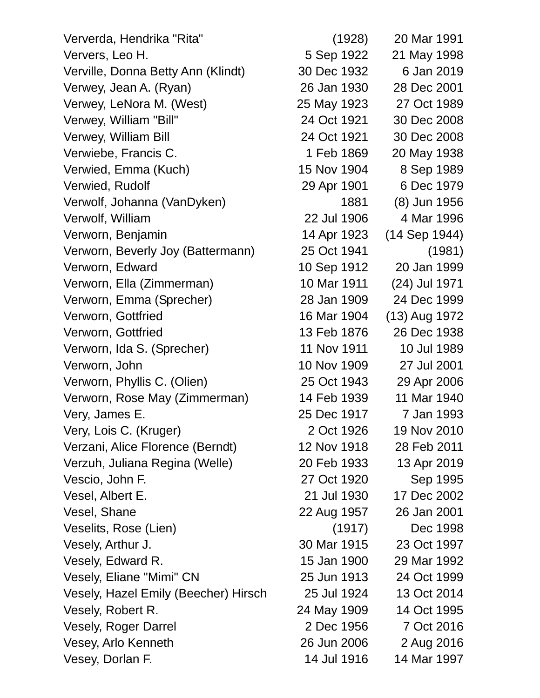Ververda, Hendrika "Rita" (1928) 20 Mar 1991 Ververs, Leo H. 5 Sep 1922 21 May 1998 Verville, Donna Betty Ann (Klindt) 30 Dec 1932 6 Jan 2019 Verwey, Jean A. (Ryan) 26 Jan 1930 28 Dec 2001 Verwey, LeNora M. (West) 25 May 1923 27 Oct 1989 Verwey, William "Bill" 24 Oct 1921 30 Dec 2008 Verwey, William Bill 24 Oct 1921 30 Dec 2008 Verwiebe, Francis C. 1 Feb 1869 20 May 1938 Verwied, Emma (Kuch) 15 Nov 1904 8 Sep 1989 Verwied, Rudolf 29 Apr 1901 6 Dec 1979 Verwolf, Johanna (VanDyken) 1881 (8) Jun 1956 Verwolf, William 22 Jul 1906 4 Mar 1996 Verworn, Benjamin 14 Apr 1923 (14 Sep 1944) Verworn, Beverly Joy (Battermann) 25 Oct 1941 (1981) Verworn, Edward 10 Sep 1912 20 Jan 1999 Verworn, Ella (Zimmerman) 10 Mar 1911 (24) Jul 1971 Verworn, Emma (Sprecher) 28 Jan 1909 24 Dec 1999 Verworn, Gottfried 16 Mar 1904 (13) Aug 1972 Verworn, Gottfried 13 Feb 1876 26 Dec 1938 Verworn, Ida S. (Sprecher) 11 Nov 1911 10 Jul 1989 Verworn, John 10 Nov 1909 27 Jul 2001 Verworn, Phyllis C. (Olien) 25 Oct 1943 29 Apr 2006 Verworn, Rose May (Zimmerman) 14 Feb 1939 11 Mar 1940 Very, James E. 25 Dec 1917 7 Jan 1993 Very, Lois C. (Kruger) 2 Oct 1926 19 Nov 2010 Verzani, Alice Florence (Berndt) 12 Nov 1918 28 Feb 2011 Verzuh, Juliana Regina (Welle) 20 Feb 1933 13 Apr 2019 Vescio, John F. 27 Oct 1920 Sep 1995 Vesel, Albert E. 21 Jul 1930 17 Dec 2002 Vesel, Shane 22 Aug 1957 26 Jan 2001 Veselits, Rose (Lien) (1917) Dec 1998 Vesely, Arthur J. 30 Mar 1915 23 Oct 1997 Vesely, Edward R. 15 Jan 1900 29 Mar 1992 Vesely, Eliane "Mimi" CN 25 Jun 1913 24 Oct 1999 Vesely, Hazel Emily (Beecher) Hirsch 25 Jul 1924 13 Oct 2014 Vesely, Robert R. 24 May 1909 14 Oct 1995 Vesely, Roger Darrel 2 Dec 1956 7 Oct 2016 Vesey, Arlo Kenneth 26 Jun 2006 2 Aug 2016 Vesey, Dorlan F. 14 Jul 1916 14 Mar 1997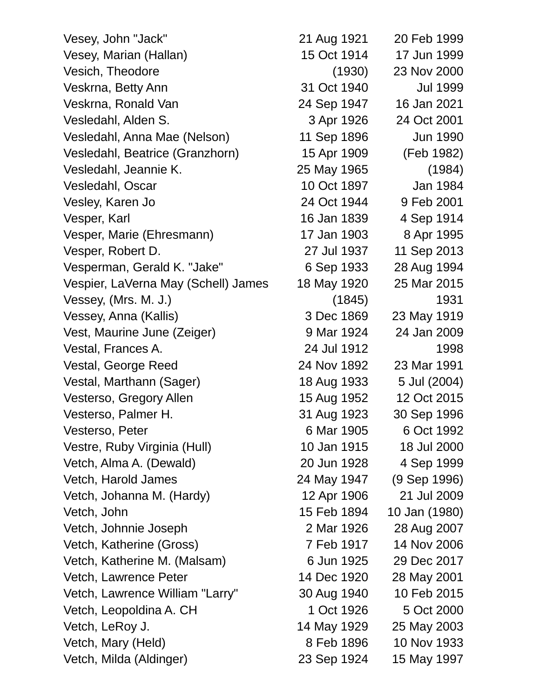Vesey, John "Jack" 21 Aug 1921 20 Feb 1999 Vesey, Marian (Hallan) 15 Oct 1914 17 Jun 1999 Vesich, Theodore (1930) 23 Nov 2000 Veskrna, Betty Ann 31 Oct 1940 Jul 1999 Veskrna, Ronald Van 24 Sep 1947 16 Jan 2021 Vesledahl, Alden S. 3 Apr 1926 24 Oct 2001 Vesledahl, Anna Mae (Nelson) 11 Sep 1896 Jun 1990 Vesledahl, Beatrice (Granzhorn) 15 Apr 1909 (Feb 1982) Vesledahl, Jeannie K. 25 May 1965 (1984) Vesledahl, Oscar 10 Oct 1897 Jan 1984 Vesley, Karen Jo 24 Oct 1944 9 Feb 2001 Vesper, Karl 16 Jan 1839 1914 Vesper, Marie (Ehresmann) 17 Jan 1903 8 Apr 1995 Vesper, Robert D. 27 Jul 1937 11 Sep 2013 Vesperman, Gerald K. "Jake" 6 Sep 1933 28 Aug 1994 Vespier, LaVerna May (Schell) James 18 May 1920 25 Mar 2015 Vessey, (Mrs. M. J.) (1845) (1845) Vessey, Anna (Kallis) 3 Dec 1869 23 May 1919 Vest, Maurine June (Zeiger) 9 Mar 1924 24 Jan 2009 Vestal, Frances A. 24 Jul 1912 1998 Vestal, George Reed 24 Nov 1892 23 Mar 1991 Vestal, Marthann (Sager) 18 Aug 1933 5 Jul (2004) Vesterso, Gregory Allen 15 Aug 1952 12 Oct 2015 Vesterso, Palmer H. 31 Aug 1923 30 Sep 1996 Vesterso, Peter 6 Mar 1905 6 Oct 1992 Vestre, Ruby Virginia (Hull) 10 Jan 1915 18 Jul 2000 Vetch, Alma A. (Dewald) 20 Jun 1928 4 Sep 1999 Vetch, Harold James 24 May 1947 (9 Sep 1996) Vetch, Johanna M. (Hardy) 12 Apr 1906 21 Jul 2009 Vetch, John 15 Feb 1894 10 Jan (1980) Vetch, Johnnie Joseph 2 Mar 1926 28 Aug 2007 Vetch, Katherine (Gross) 7 Feb 1917 14 Nov 2006 Vetch, Katherine M. (Malsam) 6 Jun 1925 29 Dec 2017 Vetch, Lawrence Peter 14 Dec 1920 28 May 2001 Vetch, Lawrence William "Larry" 30 Aug 1940 10 Feb 2015 Vetch, Leopoldina A. CH 1 Oct 1926 5 Oct 2000 Vetch, LeRoy J. 14 May 1929 25 May 2003 Vetch, Mary (Held) 8 Feb 1896 10 Nov 1933 Vetch, Milda (Aldinger) 23 Sep 1924 15 May 1997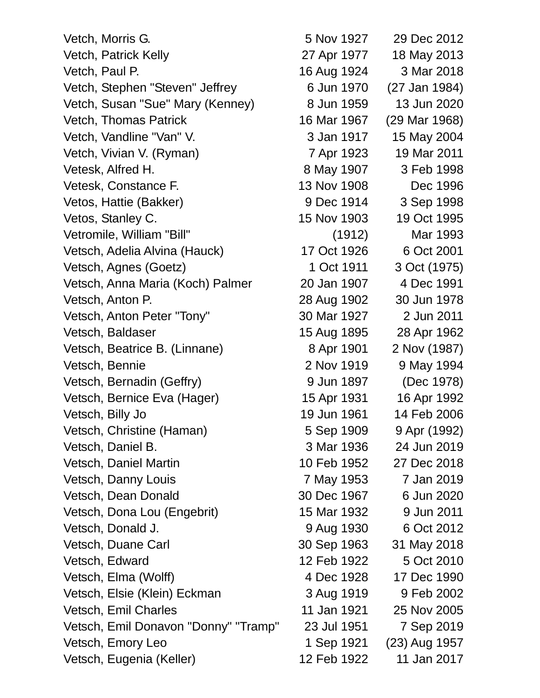| Vetch, Morris G.                     | 5 Nov 1927  | 29 Dec 2012   |
|--------------------------------------|-------------|---------------|
| Vetch, Patrick Kelly                 | 27 Apr 1977 | 18 May 2013   |
| Vetch, Paul P.                       | 16 Aug 1924 | 3 Mar 2018    |
| Vetch, Stephen "Steven" Jeffrey      | 6 Jun 1970  | (27 Jan 1984) |
| Vetch, Susan "Sue" Mary (Kenney)     | 8 Jun 1959  | 13 Jun 2020   |
| <b>Vetch, Thomas Patrick</b>         | 16 Mar 1967 | (29 Mar 1968) |
| Vetch, Vandline "Van" V.             | 3 Jan 1917  | 15 May 2004   |
| Vetch, Vivian V. (Ryman)             | 7 Apr 1923  | 19 Mar 2011   |
| Vetesk, Alfred H.                    | 8 May 1907  | 3 Feb 1998    |
| Vetesk, Constance F.                 | 13 Nov 1908 | Dec 1996      |
| Vetos, Hattie (Bakker)               | 9 Dec 1914  | 3 Sep 1998    |
| Vetos, Stanley C.                    | 15 Nov 1903 | 19 Oct 1995   |
| Vetromile, William "Bill"            | (1912)      | Mar 1993      |
| Vetsch, Adelia Alvina (Hauck)        | 17 Oct 1926 | 6 Oct 2001    |
| Vetsch, Agnes (Goetz)                | 1 Oct 1911  | 3 Oct (1975)  |
| Vetsch, Anna Maria (Koch) Palmer     | 20 Jan 1907 | 4 Dec 1991    |
| Vetsch, Anton P.                     | 28 Aug 1902 | 30 Jun 1978   |
| Vetsch, Anton Peter "Tony"           | 30 Mar 1927 | 2 Jun 2011    |
| Vetsch, Baldaser                     | 15 Aug 1895 | 28 Apr 1962   |
| Vetsch, Beatrice B. (Linnane)        | 8 Apr 1901  | 2 Nov (1987)  |
| Vetsch, Bennie                       | 2 Nov 1919  | 9 May 1994    |
| Vetsch, Bernadin (Geffry)            | 9 Jun 1897  | (Dec 1978)    |
| Vetsch, Bernice Eva (Hager)          | 15 Apr 1931 | 16 Apr 1992   |
| Vetsch, Billy Jo                     | 19 Jun 1961 | 14 Feb 2006   |
| Vetsch, Christine (Haman)            | 5 Sep 1909  | 9 Apr (1992)  |
| Vetsch, Daniel B.                    | 3 Mar 1936  | 24 Jun 2019   |
| Vetsch, Daniel Martin                | 10 Feb 1952 | 27 Dec 2018   |
| Vetsch, Danny Louis                  | 7 May 1953  | 7 Jan 2019    |
| Vetsch, Dean Donald                  | 30 Dec 1967 | 6 Jun 2020    |
| Vetsch, Dona Lou (Engebrit)          | 15 Mar 1932 | 9 Jun 2011    |
| Vetsch, Donald J.                    | 9 Aug 1930  | 6 Oct 2012    |
| Vetsch, Duane Carl                   | 30 Sep 1963 | 31 May 2018   |
| Vetsch, Edward                       | 12 Feb 1922 | 5 Oct 2010    |
| Vetsch, Elma (Wolff)                 | 4 Dec 1928  | 17 Dec 1990   |
| Vetsch, Elsie (Klein) Eckman         | 3 Aug 1919  | 9 Feb 2002    |
| Vetsch, Emil Charles                 | 11 Jan 1921 | 25 Nov 2005   |
| Vetsch, Emil Donavon "Donny" "Tramp" | 23 Jul 1951 | 7 Sep 2019    |
| Vetsch, Emory Leo                    | 1 Sep 1921  | (23) Aug 1957 |
| Vetsch, Eugenia (Keller)             | 12 Feb 1922 | 11 Jan 2017   |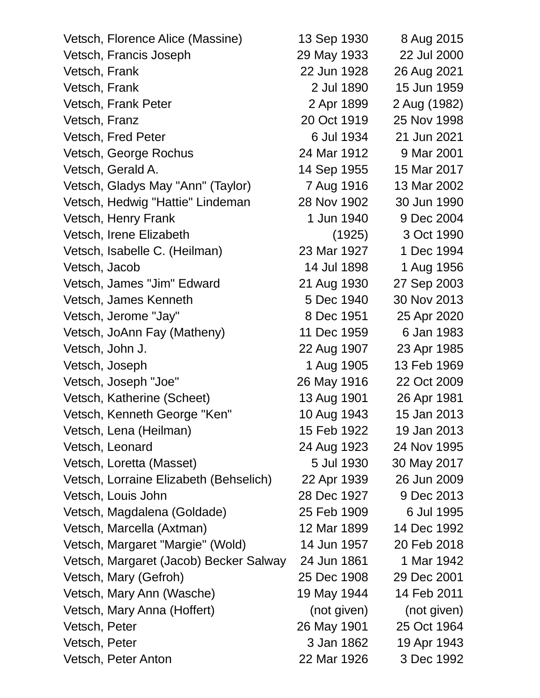| Vetsch, Florence Alice (Massine)       | 13 Sep 1930 | 8 Aug 2015   |
|----------------------------------------|-------------|--------------|
| Vetsch, Francis Joseph                 | 29 May 1933 | 22 Jul 2000  |
| Vetsch, Frank                          | 22 Jun 1928 | 26 Aug 2021  |
| Vetsch, Frank                          | 2 Jul 1890  | 15 Jun 1959  |
| Vetsch, Frank Peter                    | 2 Apr 1899  | 2 Aug (1982) |
| Vetsch, Franz                          | 20 Oct 1919 | 25 Nov 1998  |
| Vetsch, Fred Peter                     | 6 Jul 1934  | 21 Jun 2021  |
| Vetsch, George Rochus                  | 24 Mar 1912 | 9 Mar 2001   |
| Vetsch, Gerald A.                      | 14 Sep 1955 | 15 Mar 2017  |
| Vetsch, Gladys May "Ann" (Taylor)      | 7 Aug 1916  | 13 Mar 2002  |
| Vetsch, Hedwig "Hattie" Lindeman       | 28 Nov 1902 | 30 Jun 1990  |
| Vetsch, Henry Frank                    | 1 Jun 1940  | 9 Dec 2004   |
| Vetsch, Irene Elizabeth                | (1925)      | 3 Oct 1990   |
| Vetsch, Isabelle C. (Heilman)          | 23 Mar 1927 | 1 Dec 1994   |
| Vetsch, Jacob                          | 14 Jul 1898 | 1 Aug 1956   |
| Vetsch, James "Jim" Edward             | 21 Aug 1930 | 27 Sep 2003  |
| Vetsch, James Kenneth                  | 5 Dec 1940  | 30 Nov 2013  |
| Vetsch, Jerome "Jay"                   | 8 Dec 1951  | 25 Apr 2020  |
| Vetsch, JoAnn Fay (Matheny)            | 11 Dec 1959 | 6 Jan 1983   |
| Vetsch, John J.                        | 22 Aug 1907 | 23 Apr 1985  |
| Vetsch, Joseph                         | 1 Aug 1905  | 13 Feb 1969  |
| Vetsch, Joseph "Joe"                   | 26 May 1916 | 22 Oct 2009  |
| Vetsch, Katherine (Scheet)             | 13 Aug 1901 | 26 Apr 1981  |
| Vetsch, Kenneth George "Ken"           | 10 Aug 1943 | 15 Jan 2013  |
| Vetsch, Lena (Heilman)                 | 15 Feb 1922 | 19 Jan 2013  |
| Vetsch, Leonard                        | 24 Aug 1923 | 24 Nov 1995  |
| Vetsch, Loretta (Masset)               | 5 Jul 1930  | 30 May 2017  |
| Vetsch, Lorraine Elizabeth (Behselich) | 22 Apr 1939 | 26 Jun 2009  |
| Vetsch, Louis John                     | 28 Dec 1927 | 9 Dec 2013   |
| Vetsch, Magdalena (Goldade)            | 25 Feb 1909 | 6 Jul 1995   |
| Vetsch, Marcella (Axtman)              | 12 Mar 1899 | 14 Dec 1992  |
| Vetsch, Margaret "Margie" (Wold)       | 14 Jun 1957 | 20 Feb 2018  |
| Vetsch, Margaret (Jacob) Becker Salway | 24 Jun 1861 | 1 Mar 1942   |
| Vetsch, Mary (Gefroh)                  | 25 Dec 1908 | 29 Dec 2001  |
| Vetsch, Mary Ann (Wasche)              | 19 May 1944 | 14 Feb 2011  |
| Vetsch, Mary Anna (Hoffert)            | (not given) | (not given)  |
| Vetsch, Peter                          | 26 May 1901 | 25 Oct 1964  |
| Vetsch, Peter                          | 3 Jan 1862  | 19 Apr 1943  |
| Vetsch, Peter Anton                    | 22 Mar 1926 | 3 Dec 1992   |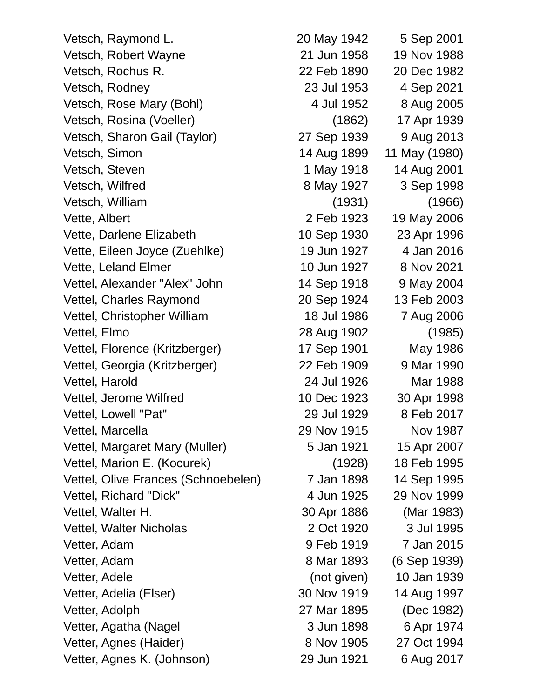Vetsch, Raymond L. 20 May 1942 5 Sep 2001 Vetsch, Robert Wayne 21 Jun 1958 19 Nov 1988 Vetsch, Rochus R. 22 Feb 1890 20 Dec 1982 Vetsch, Rodney 23 Jul 1953 4 Sep 2021 Vetsch, Rose Mary (Bohl) 4 Jul 1952 8 Aug 2005 Vetsch, Rosina (Voeller) (1862) 17 Apr 1939 Vetsch, Sharon Gail (Taylor) 27 Sep 1939 9 Aug 2013 Vetsch, Simon 14 Aug 1899 11 May (1980) Vetsch, Steven 1 May 1918 14 Aug 2001 Vetsch, Wilfred 8 May 1927 3 Sep 1998 Vetsch, William (1931) (1966) Vette, Albert 2 Feb 1923 19 May 2006 Vette, Darlene Elizabeth 10 Sep 1930 23 Apr 1996 Vette, Eileen Joyce (Zuehlke) 19 Jun 1927 4 Jan 2016 Vette, Leland Elmer 10 Jun 1927 8 Nov 2021 Vettel, Alexander "Alex" John 14 Sep 1918 9 May 2004 Vettel, Charles Raymond 20 Sep 1924 13 Feb 2003 Vettel, Christopher William 18 Jul 1986 7 Aug 2006 Vettel, Elmo 28 Aug 1902 (1985) Vettel, Florence (Kritzberger) 17 Sep 1901 May 1986 Vettel, Georgia (Kritzberger) 22 Feb 1909 9 Mar 1990 Vettel, Harold 24 Jul 1926 Mar 1988 Vettel, Jerome Wilfred 10 Dec 1923 30 Apr 1998 Vettel, Lowell "Pat" 29 Jul 1929 8 Feb 2017 Vettel, Marcella 29 Nov 1915 Nov 1987 Vettel, Margaret Mary (Muller) 5 Jan 1921 15 Apr 2007 Vettel, Marion E. (Kocurek) (1928) 18 Feb 1995 Vettel, Olive Frances (Schnoebelen) 7 Jan 1898 14 Sep 1995 Vettel, Richard "Dick" 4 Jun 1925 29 Nov 1999 Vettel, Walter H. 30 Apr 1886 (Mar 1983) Vettel, Walter Nicholas 2 Oct 1920 3 Jul 1995 Vetter, Adam 9 Feb 1919 7 Jan 2015 Vetter, Adam 8 Mar 1893 (6 Sep 1939) Vetter, Adele (not given) 10 Jan 1939 Vetter, Adelia (Elser) 30 Nov 1919 14 Aug 1997 Vetter, Adolph 27 Mar 1895 (Dec 1982) Vetter, Agatha (Nagel 3 Jun 1898 6 Apr 1974 Vetter, Agnes (Haider) 8 Nov 1905 27 Oct 1994

Vetter, Agnes K. (Johnson) 29 Jun 1921 6 Aug 2017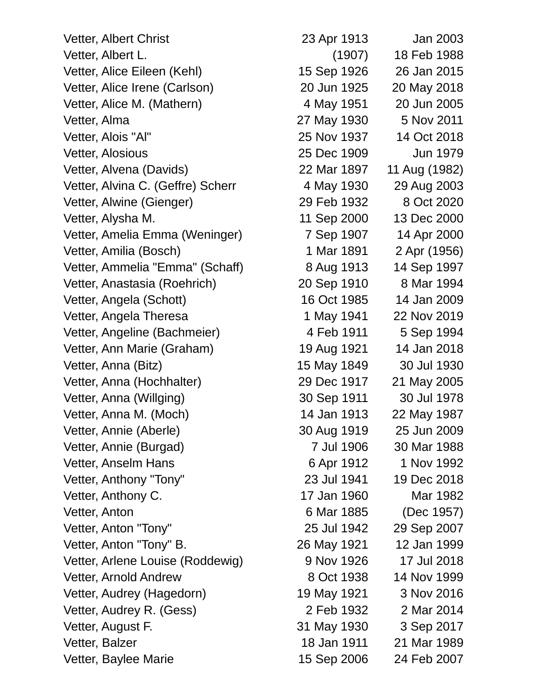Vetter, Albert Christ 23 Apr 1913 Jan 2003 Vetter, Albert L. (1907) 18 Feb 1988 Vetter, Alice Eileen (Kehl) 15 Sep 1926 26 Jan 2015 Vetter, Alice Irene (Carlson) 20 Jun 1925 20 May 2018 Vetter, Alice M. (Mathern) 4 May 1951 20 Jun 2005 Vetter, Alma 27 May 1930 5 Nov 2011 Vetter, Alois "Al" 25 Nov 1937 14 Oct 2018 Vetter, Alosious 25 Dec 1909 Jun 1979 Vetter, Alvena (Davids) 22 Mar 1897 11 Aug (1982) Vetter, Alvina C. (Geffre) Scherr 4 May 1930 29 Aug 2003 Vetter, Alwine (Gienger) 29 Feb 1932 8 Oct 2020 Vetter, Alysha M. 11 Sep 2000 13 Dec 2000 Vetter, Amelia Emma (Weninger) 7 Sep 1907 14 Apr 2000 Vetter, Amilia (Bosch) 1 Mar 1891 2 Apr (1956) Vetter, Ammelia "Emma" (Schaff) 8 Aug 1913 14 Sep 1997 Vetter, Anastasia (Roehrich) 20 Sep 1910 8 Mar 1994 Vetter, Angela (Schott) 16 Oct 1985 14 Jan 2009 Vetter, Angela Theresa 1 May 1941 22 Nov 2019 Vetter, Angeline (Bachmeier) 4 Feb 1911 5 Sep 1994 Vetter, Ann Marie (Graham) 19 Aug 1921 14 Jan 2018 Vetter, Anna (Bitz) 15 May 1849 30 Jul 1930 Vetter, Anna (Hochhalter) 29 Dec 1917 21 May 2005 Vetter, Anna (Willging) 30 Sep 1911 30 Jul 1978 Vetter, Anna M. (Moch) 14 Jan 1913 22 May 1987 Vetter, Annie (Aberle) 30 Aug 1919 25 Jun 2009 Vetter, Annie (Burgad) 7 Jul 1906 30 Mar 1988 Vetter, Anselm Hans 6 Apr 1912 1 Nov 1992 Vetter, Anthony "Tony" 23 Jul 1941 19 Dec 2018 Vetter, Anthony C. 17 Jan 1960 Mar 1982 Vetter, Anton 6 Mar 1885 (Dec 1957) Vetter, Anton "Tony" 25 Jul 1942 29 Sep 2007 Vetter, Anton "Tony" B. 26 May 1921 12 Jan 1999 Vetter, Arlene Louise (Roddewig) 9 Nov 1926 17 Jul 2018 Vetter, Arnold Andrew 8 Oct 1938 14 Nov 1999 Vetter, Audrey (Hagedorn) 19 May 1921 3 Nov 2016 Vetter, Audrey R. (Gess) 2 Feb 1932 2 Mar 2014 Vetter, August F. 31 May 1930 3 Sep 2017 Vetter, Balzer 18 Jan 1911 21 Mar 1989 Vetter, Baylee Marie 15 Sep 2006 24 Feb 2007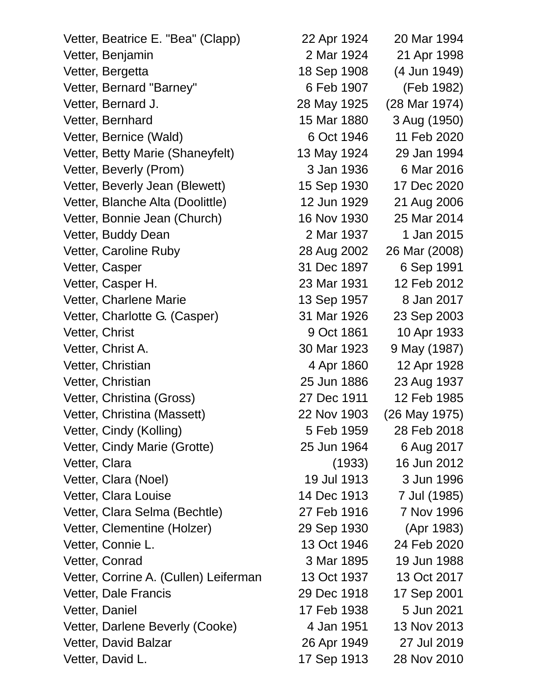Vetter, Beatrice E. "Bea" (Clapp) 22 Apr 1924 20 Mar 1994 Vetter, Benjamin 2 Mar 1924 21 Apr 1998 Vetter, Bergetta 18 Sep 1908 (4 Jun 1949) Vetter, Bernard "Barney" 6 Feb 1907 (Feb 1982) Vetter, Bernard J. 28 May 1925 (28 Mar 1974) Vetter, Bernhard 15 Mar 1880 3 Aug (1950) Vetter, Bernice (Wald) 6 Oct 1946 11 Feb 2020 Vetter, Betty Marie (Shaneyfelt) 13 May 1924 29 Jan 1994 Vetter, Beverly (Prom) 3 Jan 1936 6 Mar 2016 Vetter, Beverly Jean (Blewett) 15 Sep 1930 17 Dec 2020 Vetter, Blanche Alta (Doolittle) 12 Jun 1929 21 Aug 2006 Vetter, Bonnie Jean (Church) 16 Nov 1930 25 Mar 2014 Vetter, Buddy Dean 2015 2 Mar 1937 1 Jan 2015 Vetter, Caroline Ruby 28 Aug 2002 26 Mar (2008) Vetter, Casper 31 Dec 1897 6 Sep 1991 Vetter, Casper H. 23 Mar 1931 12 Feb 2012 Vetter, Charlene Marie 13 Sep 1957 8 Jan 2017 Vetter, Charlotte G. (Casper) 31 Mar 1926 23 Sep 2003 Vetter, Christ 2001 10 Apr 1933 Vetter, Christ A. 30 Mar 1923 9 May (1987) Vetter, Christian 1928 Vetter, Christian 25 Jun 1886 23 Aug 1937 Vetter, Christina (Gross) 27 Dec 1911 12 Feb 1985 Vetter, Christina (Massett) 22 Nov 1903 (26 May 1975) Vetter, Cindy (Kolling) 5 Feb 1959 28 Feb 2018 Vetter, Cindy Marie (Grotte) 25 Jun 1964 6 Aug 2017 Vetter, Clara (1933) 16 Jun 2012 Vetter, Clara (Noel) 19 Jul 1913 3 Jun 1996 Vetter, Clara Louise 14 Dec 1913 7 Jul (1985) Vetter, Clara Selma (Bechtle) 27 Feb 1916 7 Nov 1996 Vetter, Clementine (Holzer) 29 Sep 1930 (Apr 1983) Vetter, Connie L. 13 Oct 1946 24 Feb 2020 Vetter, Conrad 3 Mar 1895 19 Jun 1988 Vetter, Corrine A. (Cullen) Leiferman 13 Oct 1937 13 Oct 2017 Vetter, Dale Francis 29 Dec 1918 17 Sep 2001 Vetter, Daniel 17 Feb 1938 5 Jun 2021 Vetter, Darlene Beverly (Cooke) 4 Jan 1951 13 Nov 2013 Vetter, David Balzar 26 Apr 1949 27 Jul 2019

Vetter, David L. 17 Sep 1913 28 Nov 2010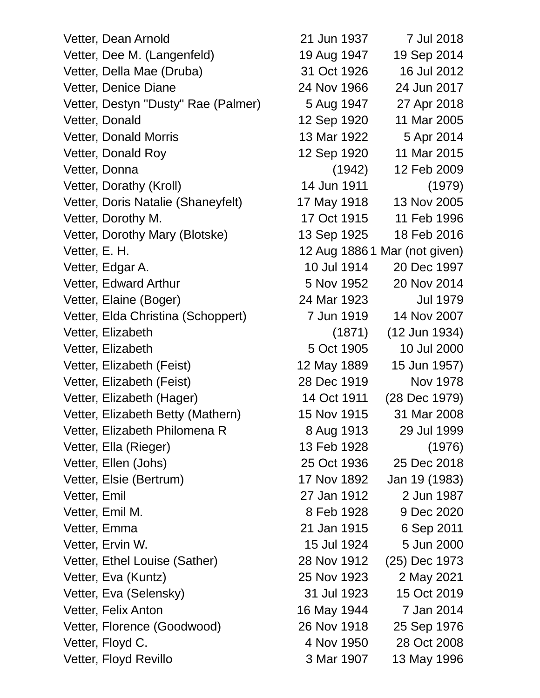Vetter, Dean Arnold 21 Jun 1937 7 Jul 2018 Vetter, Dee M. (Langenfeld) 19 Aug 1947 19 Sep 2014 Vetter, Della Mae (Druba) 31 Oct 1926 16 Jul 2012 Vetter, Denice Diane 24 Nov 1966 24 Jun 2017 Vetter, Destyn "Dusty" Rae (Palmer) 5 Aug 1947 27 Apr 2018 Vetter, Donald 12 Sep 1920 11 Mar 2005 Vetter, Donald Morris 13 Mar 1922 5 Apr 2014 Vetter, Donald Roy 12 Sep 1920 11 Mar 2015 Vetter, Donna (1942) 12 Feb 2009 Vetter, Dorathy (Kroll) 14 Jun 1911 (1979) Vetter, Doris Natalie (Shaneyfelt) 17 May 1918 13 Nov 2005 Vetter, Dorothy M. 17 Oct 1915 11 Feb 1996 Vetter, Dorothy Mary (Blotske) 13 Sep 1925 18 Feb 2016 Vetter, E. H. 12 Aug 1886 1 Mar (not given) Vetter, Edgar A. 10 Jul 1914 20 Dec 1997 Vetter, Edward Arthur 5 Nov 1952 20 Nov 2014 Vetter, Elaine (Boger) 24 Mar 1923 Jul 1979 Vetter, Elda Christina (Schoppert) 7 Jun 1919 14 Nov 2007 Vetter, Elizabeth (1871) (12 Jun 1934) Vetter, Elizabeth 5 Oct 1905 10 Jul 2000 Vetter, Elizabeth (Feist) 12 May 1889 15 Jun 1957) Vetter, Elizabeth (Feist) 28 Dec 1919 Nov 1978 Vetter, Elizabeth (Hager) 14 Oct 1911 (28 Dec 1979) Vetter, Elizabeth Betty (Mathern) 15 Nov 1915 31 Mar 2008 Vetter, Elizabeth Philomena R 8 Aug 1913 29 Jul 1999 Vetter, Ella (Rieger) 13 Feb 1928 (1976) Vetter, Ellen (Johs) 25 Oct 1936 25 Dec 2018 Vetter, Elsie (Bertrum) 17 Nov 1892 Jan 19 (1983) Vetter, Emil 27 Jan 1912 2 Jun 1987 Vetter, Emil M. 68 Feb 1928 9 Dec 2020 Vetter, Emma 21 Jan 1915 6 Sep 2011 Vetter, Ervin W. 15 Jul 1924 5 Jun 2000 Vetter, Ethel Louise (Sather) 28 Nov 1912 (25) Dec 1973 Vetter, Eva (Kuntz) 25 Nov 1923 2 May 2021 Vetter, Eva (Selensky) 31 Jul 1923 15 Oct 2019 Vetter, Felix Anton 16 May 1944 7 Jan 2014 Vetter, Florence (Goodwood) 26 Nov 1918 25 Sep 1976 Vetter, Floyd C. 4 Nov 1950 28 Oct 2008 Vetter, Floyd Revillo **3 Mar 1907** 13 May 1996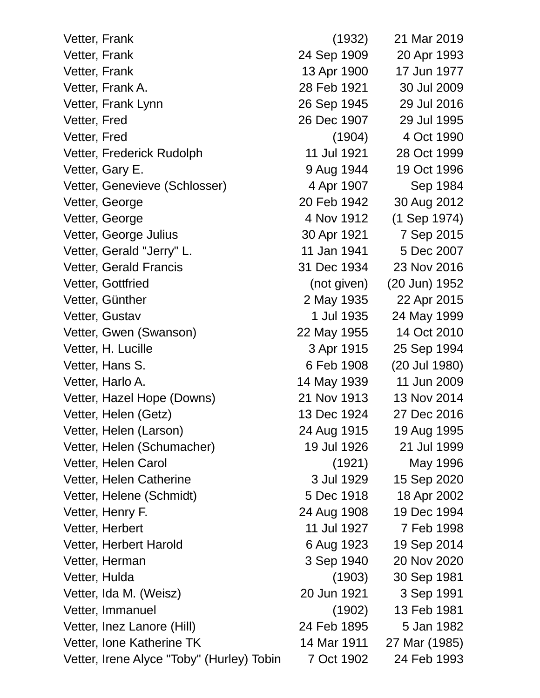| Vetter, Frank                             | (1932)      | 21 Mar 2019    |
|-------------------------------------------|-------------|----------------|
| Vetter, Frank                             | 24 Sep 1909 | 20 Apr 1993    |
| Vetter, Frank                             | 13 Apr 1900 | 17 Jun 1977    |
| Vetter, Frank A.                          | 28 Feb 1921 | 30 Jul 2009    |
| Vetter, Frank Lynn                        | 26 Sep 1945 | 29 Jul 2016    |
| Vetter, Fred                              | 26 Dec 1907 | 29 Jul 1995    |
| Vetter, Fred                              | (1904)      | 4 Oct 1990     |
| Vetter, Frederick Rudolph                 | 11 Jul 1921 | 28 Oct 1999    |
| Vetter, Gary E.                           | 9 Aug 1944  | 19 Oct 1996    |
| Vetter, Genevieve (Schlosser)             | 4 Apr 1907  | Sep 1984       |
| Vetter, George                            | 20 Feb 1942 | 30 Aug 2012    |
| Vetter, George                            | 4 Nov 1912  | $(1$ Sep 1974) |
| Vetter, George Julius                     | 30 Apr 1921 | 7 Sep 2015     |
| Vetter, Gerald "Jerry" L.                 | 11 Jan 1941 | 5 Dec 2007     |
| <b>Vetter, Gerald Francis</b>             | 31 Dec 1934 | 23 Nov 2016    |
| Vetter, Gottfried                         | (not given) | (20 Jun) 1952  |
| Vetter, Günther                           | 2 May 1935  | 22 Apr 2015    |
| Vetter, Gustav                            | 1 Jul 1935  | 24 May 1999    |
| Vetter, Gwen (Swanson)                    | 22 May 1955 | 14 Oct 2010    |
| Vetter, H. Lucille                        | 3 Apr 1915  | 25 Sep 1994    |
| Vetter, Hans S.                           | 6 Feb 1908  | (20 Jul 1980)  |
| Vetter, Harlo A.                          | 14 May 1939 | 11 Jun 2009    |
| Vetter, Hazel Hope (Downs)                | 21 Nov 1913 | 13 Nov 2014    |
| Vetter, Helen (Getz)                      | 13 Dec 1924 | 27 Dec 2016    |
| Vetter, Helen (Larson)                    | 24 Aug 1915 | 19 Aug 1995    |
| Vetter, Helen (Schumacher)                | 19 Jul 1926 | 21 Jul 1999    |
| Vetter, Helen Carol                       | (1921)      | May 1996       |
| Vetter, Helen Catherine                   | 3 Jul 1929  | 15 Sep 2020    |
| Vetter, Helene (Schmidt)                  | 5 Dec 1918  | 18 Apr 2002    |
| Vetter, Henry F.                          | 24 Aug 1908 | 19 Dec 1994    |
| Vetter, Herbert                           | 11 Jul 1927 | 7 Feb 1998     |
| Vetter, Herbert Harold                    | 6 Aug 1923  | 19 Sep 2014    |
| Vetter, Herman                            | 3 Sep 1940  | 20 Nov 2020    |
| Vetter, Hulda                             | (1903)      | 30 Sep 1981    |
| Vetter, Ida M. (Weisz)                    | 20 Jun 1921 | 3 Sep 1991     |
| Vetter, Immanuel                          | (1902)      | 13 Feb 1981    |
| Vetter, Inez Lanore (Hill)                | 24 Feb 1895 | 5 Jan 1982     |
| Vetter, Ione Katherine TK                 | 14 Mar 1911 | 27 Mar (1985)  |
| Vetter, Irene Alyce "Toby" (Hurley) Tobin | 7 Oct 1902  | 24 Feb 1993    |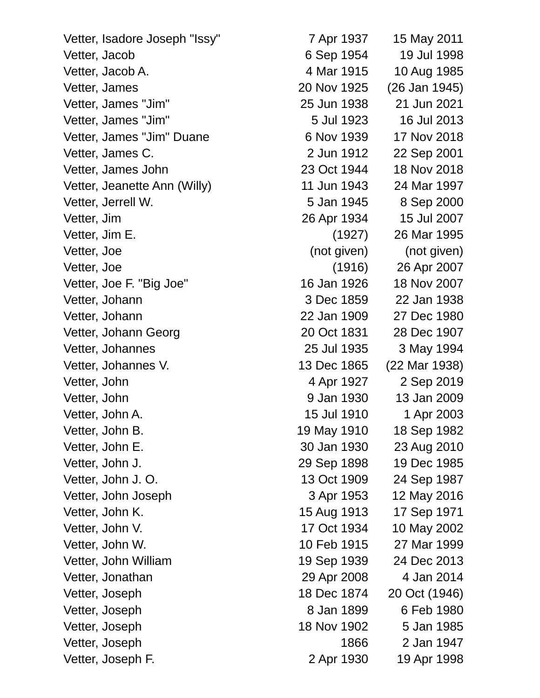| Vetter, Isadore Joseph "Issy" | 7 Apr 1937  | 15 May 2011   |
|-------------------------------|-------------|---------------|
| Vetter, Jacob                 | 6 Sep 1954  | 19 Jul 1998   |
| Vetter, Jacob A.              | 4 Mar 1915  | 10 Aug 1985   |
| Vetter, James                 | 20 Nov 1925 | (26 Jan 1945) |
| Vetter, James "Jim"           | 25 Jun 1938 | 21 Jun 2021   |
| Vetter, James "Jim"           | 5 Jul 1923  | 16 Jul 2013   |
| Vetter, James "Jim" Duane     | 6 Nov 1939  | 17 Nov 2018   |
| Vetter, James C.              | 2 Jun 1912  | 22 Sep 2001   |
| Vetter, James John            | 23 Oct 1944 | 18 Nov 2018   |
| Vetter, Jeanette Ann (Willy)  | 11 Jun 1943 | 24 Mar 1997   |
| Vetter, Jerrell W.            | 5 Jan 1945  | 8 Sep 2000    |
| Vetter, Jim                   | 26 Apr 1934 | 15 Jul 2007   |
| Vetter, Jim E.                | (1927)      | 26 Mar 1995   |
| Vetter, Joe                   | (not given) | (not given)   |
| Vetter, Joe                   | (1916)      | 26 Apr 2007   |
| Vetter, Joe F. "Big Joe"      | 16 Jan 1926 | 18 Nov 2007   |
| Vetter, Johann                | 3 Dec 1859  | 22 Jan 1938   |
| Vetter, Johann                | 22 Jan 1909 | 27 Dec 1980   |
| Vetter, Johann Georg          | 20 Oct 1831 | 28 Dec 1907   |
| Vetter, Johannes              | 25 Jul 1935 | 3 May 1994    |
| Vetter, Johannes V.           | 13 Dec 1865 | (22 Mar 1938) |
| Vetter, John                  | 4 Apr 1927  | 2 Sep 2019    |
| Vetter, John                  | 9 Jan 1930  | 13 Jan 2009   |
| Vetter, John A.               | 15 Jul 1910 | 1 Apr 2003    |
| Vetter, John B.               | 19 May 1910 | 18 Sep 1982   |
| Vetter, John E.               | 30 Jan 1930 | 23 Aug 2010   |
| Vetter, John J.               | 29 Sep 1898 | 19 Dec 1985   |
| Vetter, John J. O.            | 13 Oct 1909 | 24 Sep 1987   |
| Vetter, John Joseph           | 3 Apr 1953  | 12 May 2016   |
| Vetter, John K.               | 15 Aug 1913 | 17 Sep 1971   |
| Vetter, John V.               | 17 Oct 1934 | 10 May 2002   |
| Vetter, John W.               | 10 Feb 1915 | 27 Mar 1999   |
| Vetter, John William          | 19 Sep 1939 | 24 Dec 2013   |
| Vetter, Jonathan              | 29 Apr 2008 | 4 Jan 2014    |
| Vetter, Joseph                | 18 Dec 1874 | 20 Oct (1946) |
| Vetter, Joseph                | 8 Jan 1899  | 6 Feb 1980    |
| Vetter, Joseph                | 18 Nov 1902 | 5 Jan 1985    |
| Vetter, Joseph                | 1866        | 2 Jan 1947    |
| Vetter, Joseph F.             | 2 Apr 1930  | 19 Apr 1998   |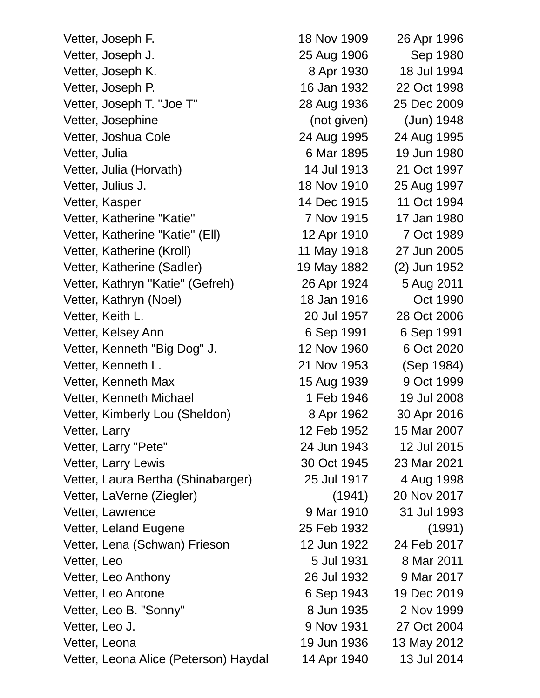| Vetter, Joseph F.                     | 18 Nov 1909 | 26 Apr 1996  |
|---------------------------------------|-------------|--------------|
| Vetter, Joseph J.                     | 25 Aug 1906 | Sep 1980     |
| Vetter, Joseph K.                     | 8 Apr 1930  | 18 Jul 1994  |
| Vetter, Joseph P.                     | 16 Jan 1932 | 22 Oct 1998  |
| Vetter, Joseph T. "Joe T"             | 28 Aug 1936 | 25 Dec 2009  |
| Vetter, Josephine                     | (not given) | (Jun) 1948   |
| Vetter, Joshua Cole                   | 24 Aug 1995 | 24 Aug 1995  |
| Vetter, Julia                         | 6 Mar 1895  | 19 Jun 1980  |
| Vetter, Julia (Horvath)               | 14 Jul 1913 | 21 Oct 1997  |
| Vetter, Julius J.                     | 18 Nov 1910 | 25 Aug 1997  |
| Vetter, Kasper                        | 14 Dec 1915 | 11 Oct 1994  |
| Vetter, Katherine "Katie"             | 7 Nov 1915  | 17 Jan 1980  |
| Vetter, Katherine "Katie" (Ell)       | 12 Apr 1910 | 7 Oct 1989   |
| Vetter, Katherine (Kroll)             | 11 May 1918 | 27 Jun 2005  |
| Vetter, Katherine (Sadler)            | 19 May 1882 | (2) Jun 1952 |
| Vetter, Kathryn "Katie" (Gefreh)      | 26 Apr 1924 | 5 Aug 2011   |
| Vetter, Kathryn (Noel)                | 18 Jan 1916 | Oct 1990     |
| Vetter, Keith L.                      | 20 Jul 1957 | 28 Oct 2006  |
| Vetter, Kelsey Ann                    | 6 Sep 1991  | 6 Sep 1991   |
| Vetter, Kenneth "Big Dog" J.          | 12 Nov 1960 | 6 Oct 2020   |
| Vetter, Kenneth L.                    | 21 Nov 1953 | (Sep 1984)   |
| Vetter, Kenneth Max                   | 15 Aug 1939 | 9 Oct 1999   |
| Vetter, Kenneth Michael               | 1 Feb 1946  | 19 Jul 2008  |
| Vetter, Kimberly Lou (Sheldon)        | 8 Apr 1962  | 30 Apr 2016  |
| Vetter, Larry                         | 12 Feb 1952 | 15 Mar 2007  |
| Vetter, Larry "Pete"                  | 24 Jun 1943 | 12 Jul 2015  |
| Vetter, Larry Lewis                   | 30 Oct 1945 | 23 Mar 2021  |
| Vetter, Laura Bertha (Shinabarger)    | 25 Jul 1917 | 4 Aug 1998   |
| Vetter, LaVerne (Ziegler)             | (1941)      | 20 Nov 2017  |
| Vetter, Lawrence                      | 9 Mar 1910  | 31 Jul 1993  |
| Vetter, Leland Eugene                 | 25 Feb 1932 | (1991)       |
| Vetter, Lena (Schwan) Frieson         | 12 Jun 1922 | 24 Feb 2017  |
| Vetter, Leo                           | 5 Jul 1931  | 8 Mar 2011   |
| Vetter, Leo Anthony                   | 26 Jul 1932 | 9 Mar 2017   |
| Vetter, Leo Antone                    | 6 Sep 1943  | 19 Dec 2019  |
| Vetter, Leo B. "Sonny"                | 8 Jun 1935  | 2 Nov 1999   |
| Vetter, Leo J.                        | 9 Nov 1931  | 27 Oct 2004  |
| Vetter, Leona                         | 19 Jun 1936 | 13 May 2012  |
| Vetter, Leona Alice (Peterson) Haydal | 14 Apr 1940 | 13 Jul 2014  |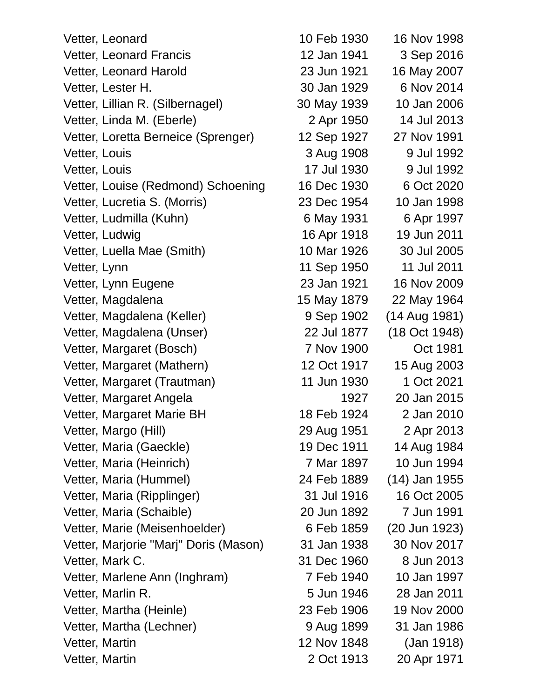Vetter, Leonard 10 Feb 1930 16 Nov 1998 Vetter, Leonard Francis 12 Jan 1941 3 Sep 2016 Vetter, Leonard Harold 23 Jun 1921 16 May 2007 Vetter, Lester H. 30 Jan 1929 6 Nov 2014 Vetter, Lillian R. (Silbernagel) 30 May 1939 10 Jan 2006 Vetter, Linda M. (Eberle) 2 Apr 1950 14 Jul 2013 Vetter, Loretta Berneice (Sprenger) 12 Sep 1927 27 Nov 1991 Vetter, Louis 2008 1908 9 Jul 1992 Vetter, Louis 17 Jul 1930 9 Jul 1992 Vetter, Louise (Redmond) Schoening 16 Dec 1930 6 Oct 2020 Vetter, Lucretia S. (Morris) 23 Dec 1954 10 Jan 1998 Vetter, Ludmilla (Kuhn) 6 May 1931 6 Apr 1997 Vetter, Ludwig 16 Apr 1918 19 Jun 2011 Vetter, Luella Mae (Smith) 10 Mar 1926 30 Jul 2005 Vetter, Lynn 11 Sep 1950 11 Jul 2011 Vetter, Lynn Eugene 23 Jan 1921 16 Nov 2009 Vetter, Magdalena 15 May 1879 22 May 1964 Vetter, Magdalena (Keller) 9 Sep 1902 (14 Aug 1981) Vetter, Magdalena (Unser) 22 Jul 1877 (18 Oct 1948) Vetter, Margaret (Bosch) 7 Nov 1900 Oct 1981 Vetter, Margaret (Mathern) 12 Oct 1917 15 Aug 2003 Vetter, Margaret (Trautman) 11 Jun 1930 1 Oct 2021 Vetter, Margaret Angela 1927 20 Jan 2015 Vetter, Margaret Marie BH 18 Feb 1924 2 Jan 2010 Vetter, Margo (Hill) 29 Aug 1951 2 Apr 2013 Vetter, Maria (Gaeckle) 19 Dec 1911 14 Aug 1984 Vetter, Maria (Heinrich) 7 Mar 1897 10 Jun 1994 Vetter, Maria (Hummel) 24 Feb 1889 (14) Jan 1955 Vetter, Maria (Ripplinger) 31 Jul 1916 16 Oct 2005 Vetter, Maria (Schaible) 20 Jun 1892 7 Jun 1991 Vetter, Marie (Meisenhoelder) 6 Feb 1859 (20 Jun 1923) Vetter, Marjorie "Marj" Doris (Mason) 31 Jan 1938 30 Nov 2017 Vetter, Mark C. 31 Dec 1960 8 Jun 2013 Vetter, Marlene Ann (Inghram) 7 Feb 1940 10 Jan 1997 Vetter, Marlin R. 5 Jun 1946 28 Jan 2011 Vetter, Martha (Heinle) 23 Feb 1906 19 Nov 2000 Vetter, Martha (Lechner) 9 Aug 1899 31 Jan 1986 Vetter, Martin 12 Nov 1848 (Jan 1918)

Vetter, Martin 2 Oct 1913 20 Apr 1971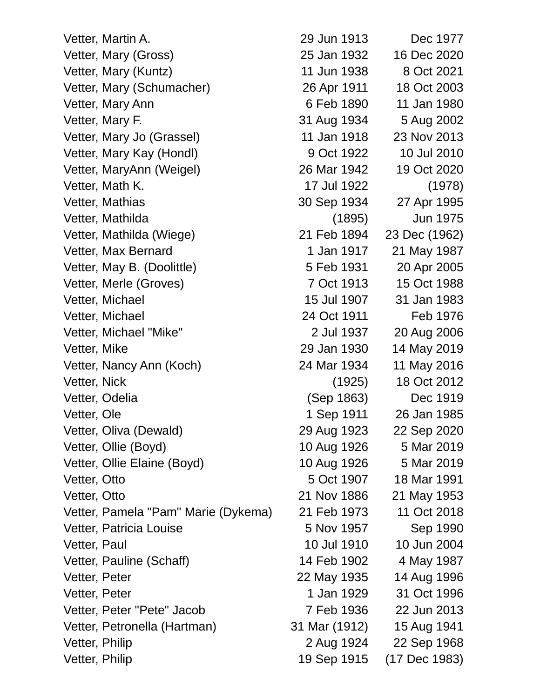Vetter, Martin A. 29 Jun 1913 Dec 1977 Vetter, Mary (Gross) 25 Jan 1932 16 Dec 2020 Vetter, Mary (Kuntz) 11 Jun 1938 8 Oct 2021 Vetter, Mary (Schumacher) 26 Apr 1911 18 Oct 2003 Vetter, Mary Ann 6 Feb 1890 11 Jan 1980 Vetter, Mary F. 31 Aug 1934 5 Aug 2002 Vetter, Mary Jo (Grassel) 11 Jan 1918 23 Nov 2013 Vetter, Mary Kay (Hondl) 9 Oct 1922 10 Jul 2010 Vetter, MaryAnn (Weigel) 26 Mar 1942 19 Oct 2020 Vetter, Math K. 17 Jul 1922 (1978) Vetter, Mathias 30 Sep 1934 27 Apr 1995 Vetter, Mathilda (1895) Jun 1975 Vetter, Mathilda (Wiege) 21 Feb 1894 23 Dec (1962) Vetter, Max Bernard 1 Jan 1917 21 May 1987 Vetter, May B. (Doolittle) 5 Feb 1931 20 Apr 2005 Vetter, Merle (Groves) 7 Oct 1913 15 Oct 1988 Vetter, Michael 15 Jul 1907 31 Jan 1983 Vetter, Michael 24 Oct 1911 Feb 1976 Vetter, Michael "Mike" 2 Jul 1937 20 Aug 2006 Vetter, Mike 29 Jan 1930 14 May 2019 Vetter, Nancy Ann (Koch) 24 Mar 1934 11 May 2016 Vetter, Nick (1925) 18 Oct 2012 Vetter, Odelia (Sep 1863) Dec 1919 Vetter, Ole 1 Sep 1911 26 Jan 1985 Vetter, Oliva (Dewald) 29 Aug 1923 22 Sep 2020 Vetter, Ollie (Boyd) 10 Aug 1926 5 Mar 2019 Vetter, Ollie Elaine (Boyd) 10 Aug 1926 5 Mar 2019 Vetter, Otto 5 Oct 1907 18 Mar 1991 Vetter, Otto 21 Nov 1886 21 May 1953 Vetter, Pamela "Pam" Marie (Dykema) 21 Feb 1973 11 Oct 2018 Vetter, Patricia Louise 6 Nov 1957 Sep 1990 Vetter, Paul 10 Jul 1910 10 Jul 1910 10 Jun 2004 Vetter, Pauline (Schaff) 14 Feb 1902 4 May 1987 Vetter, Peter 22 May 1935 14 Aug 1996 Vetter, Peter 1 1 Jan 1929 31 Oct 1996 Vetter, Peter "Pete" Jacob 7 Feb 1936 22 Jun 2013 Vetter, Petronella (Hartman) 31 Mar (1912) 15 Aug 1941 Vetter, Philip 2 Aug 1924 22 Sep 1968

Vetter, Philip 19 Sep 1915 (17 Dec 1983)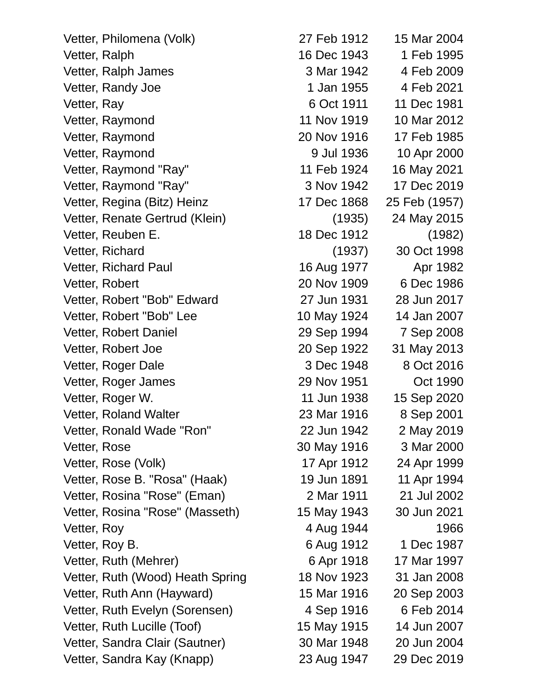Vetter, Philomena (Volk) 27 Feb 1912 15 Mar 2004 Vetter, Ralph 16 Dec 1943 1 Feb 1995 Vetter, Ralph James 3 Mar 1942 4 Feb 2009 Vetter, Randy Joe 1 Jan 1955 4 Feb 2021 Vetter, Ray 6 Oct 1911 11 Dec 1981 Vetter, Raymond 11 Nov 1919 10 Mar 2012 Vetter, Raymond 20 Nov 1916 17 Feb 1985 Vetter, Raymond 8 Jul 1936 10 Apr 2000 Vetter, Raymond "Ray" 11 Feb 1924 16 May 2021 Vetter, Raymond "Ray" 3 Nov 1942 17 Dec 2019 Vetter, Regina (Bitz) Heinz 17 Dec 1868 25 Feb (1957) Vetter, Renate Gertrud (Klein) (1935) 24 May 2015 Vetter, Reuben E. 18 Dec 1912 (1982) Vetter, Richard (1937) 30 Oct 1998 Vetter, Richard Paul 16 Aug 1977 Apr 1982 Vetter, Robert 20 Nov 1909 6 Dec 1986 Vetter, Robert "Bob" Edward 27 Jun 1931 28 Jun 2017 Vetter, Robert "Bob" Lee 10 May 1924 14 Jan 2007 Vetter, Robert Daniel 29 Sep 1994 7 Sep 2008 Vetter, Robert Joe 20 Sep 1922 31 May 2013 Vetter, Roger Dale 3 Dec 1948 8 Oct 2016 Vetter, Roger James 29 Nov 1951 Oct 1990 Vetter, Roger W. 11 Jun 1938 15 Sep 2020 Vetter, Roland Walter 23 Mar 1916 8 Sep 2001 Vetter, Ronald Wade "Ron" 22 Jun 1942 2 May 2019 Vetter, Rose 30 May 1916 3 Mar 2000 Vetter, Rose (Volk) 17 Apr 1912 24 Apr 1999 Vetter, Rose B. "Rosa" (Haak) 19 Jun 1891 11 Apr 1994 Vetter, Rosina "Rose" (Eman) 2 Mar 1911 21 Jul 2002 Vetter, Rosina "Rose" (Masseth) 15 May 1943 30 Jun 2021 Vetter, Roy 1966 Vetter, Roy B. (1987) 6 Aug 1912 1 Dec 1987 Vetter, Ruth (Mehrer) 6 Apr 1918 17 Mar 1997 Vetter, Ruth (Wood) Heath Spring 18 Nov 1923 31 Jan 2008 Vetter, Ruth Ann (Hayward) 15 Mar 1916 20 Sep 2003 Vetter, Ruth Evelyn (Sorensen) 4 Sep 1916 6 Feb 2014 Vetter, Ruth Lucille (Toof) 15 May 1915 14 Jun 2007 Vetter, Sandra Clair (Sautner) 30 Mar 1948 20 Jun 2004

Vetter, Sandra Kay (Knapp) 23 Aug 1947 29 Dec 2019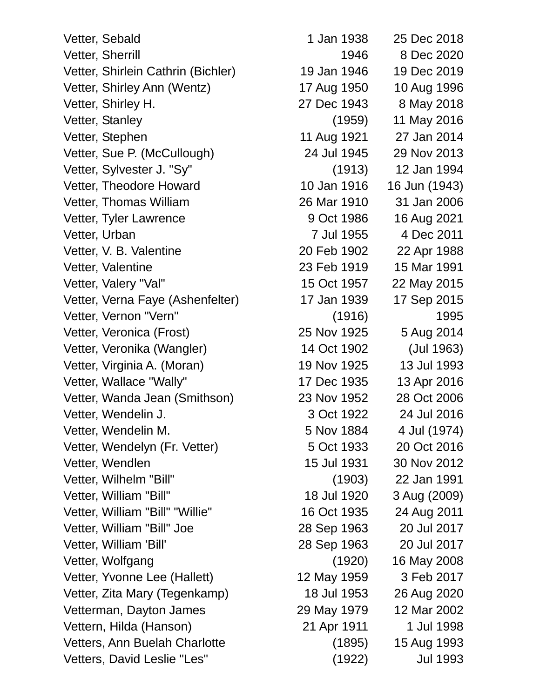Vetter, Sebald 1 Jan 1938 25 Dec 2018 Vetter, Sherrill **1946** 8 Dec 2020 Vetter, Shirlein Cathrin (Bichler) 19 Jan 1946 19 Dec 2019 Vetter, Shirley Ann (Wentz) 17 Aug 1950 10 Aug 1996 Vetter, Shirley H. 27 Dec 1943 8 May 2018 Vetter, Stanley (1959) 11 May 2016 Vetter, Stephen 11 Aug 1921 27 Jan 2014 Vetter, Sue P. (McCullough) 24 Jul 1945 29 Nov 2013 Vetter, Sylvester J. "Sy" (1913) 12 Jan 1994 Vetter, Theodore Howard 10 Jan 1916 16 Jun (1943) Vetter, Thomas William 26 Mar 1910 31 Jan 2006 Vetter, Tyler Lawrence 19 Oct 1986 16 Aug 2021 Vetter, Urban 7 Jul 1955 4 Dec 2011 Vetter, V. B. Valentine 20 Feb 1902 22 Apr 1988 Vetter, Valentine 23 Feb 1919 15 Mar 1991 Vetter, Valery "Val" 15 Oct 1957 22 May 2015 Vetter, Verna Faye (Ashenfelter) 17 Jan 1939 17 Sep 2015 Vetter, Vernon "Vern" (1916) (1916) 1995 Vetter, Veronica (Frost) 25 Nov 1925 5 Aug 2014 Vetter, Veronika (Wangler) 14 Oct 1902 (Jul 1963) Vetter, Virginia A. (Moran) 19 Nov 1925 13 Jul 1993 Vetter, Wallace "Wally" 17 Dec 1935 13 Apr 2016 Vetter, Wanda Jean (Smithson) 23 Nov 1952 28 Oct 2006 Vetter, Wendelin J. 3 Oct 1922 24 Jul 2016 Vetter, Wendelin M. 6 Nov 1884 4 Jul (1974) Vetter, Wendelyn (Fr. Vetter) 5 Oct 1933 20 Oct 2016 Vetter, Wendlen 15 Jul 1931 30 Nov 2012 Vetter, Wilhelm "Bill" (1903) 22 Jan 1991 Vetter, William "Bill" 18 Jul 1920 3 Aug (2009) Vetter, William "Bill" "Willie" 16 Oct 1935 24 Aug 2011 Vetter, William "Bill" Joe 28 Sep 1963 20 Jul 2017 Vetter, William 'Bill' 28 Sep 1963 20 Jul 2017 Vetter, Wolfgang (1920) 16 May 2008 Vetter, Yvonne Lee (Hallett) 12 May 1959 3 Feb 2017 Vetter, Zita Mary (Tegenkamp) 18 Jul 1953 26 Aug 2020 Vetterman, Dayton James 29 May 1979 12 Mar 2002 Vettern, Hilda (Hanson) 21 Apr 1911 1 Jul 1998 Vetters, Ann Buelah Charlotte (1895) 15 Aug 1993 Vetters, David Leslie "Les" (1922) Jul 1993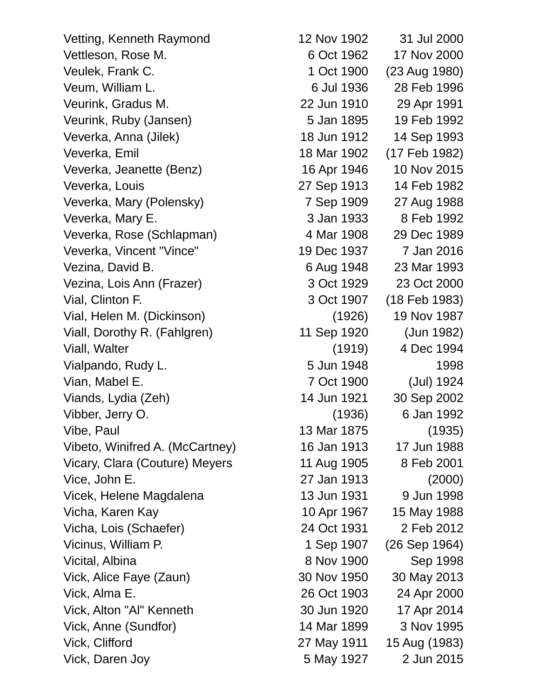Vetting, Kenneth Raymond 12 Nov 1902 31 Jul 2000 Veurink, Gradus M. 22 Jun 1910 29 Apr 1991 Veurink, Ruby (Jansen) 5 Jan 1895 19 Feb 1992 Veverka, Jeanette (Benz) 16 Apr 1946 10 Nov 2015 Veverka, Louis 27 Sep 1913 14 Feb 1982 Veverka, Mary (Polensky) 7 Sep 1909 27 Aug 1988 Veverka, Vincent "Vince" 19 Dec 1937 7 Jan 2016 Vial, Clinton F. 3 Oct 1907 (18 Feb 1983) Vial, Helen M. (Dickinson) (1926) 19 Nov 1987 Viall, Dorothy R. (Fahlgren) 11 Sep 1920 (Jun 1982) Vialpando, Rudy L. 6 and 1948 1998 Viands, Lydia (Zeh) 14 Jun 1921 30 Sep 2002 Vibeto, Winifred A. (McCartney) 16 Jan 1913 17 Jun 1988 Vicary, Clara (Couture) Meyers 11 Aug 1905 8 Feb 2001 Vice, John E. 27 Jan 1913 (2000) Vicha, Karen Kay 10 10 Apr 1967 15 May 1988 Vick, Anne (Sundfor) 14 Mar 1899 3 Nov 1995 Vick, Clifford 27 May 1911 15 Aug (1983) Vick, Daren Joy 5 May 1927 2 Jun 2015

Vettleson, Rose M. 6 Oct 1962 17 Nov 2000 Veulek, Frank C. 1 Oct 1900 (23 Aug 1980) Veum, William L. 6 Jul 1936 28 Feb 1996 Veverka, Anna (Jilek) 18 Jun 1912 14 Sep 1993 Veverka, Emil 18 Mar 1902 (17 Feb 1982) Veverka, Mary E. 3 Jan 1933 8 Feb 1992 Veverka, Rose (Schlapman) 4 Mar 1908 29 Dec 1989 Vezina, David B. 6 Aug 1948 23 Mar 1993 Vezina, Lois Ann (Frazer) 3 Oct 1929 23 Oct 2000 Viall, Walter (1919) 4 Dec 1994 Vian, Mabel E. 7 Oct 1900 (Jul) 1924 Vibber, Jerry O. (1936) 6 Jan 1992 Vibe, Paul 13 Mar 1875 (1935) Vicek, Helene Magdalena 13 Jun 1931 9 Jun 1998 Vicha, Lois (Schaefer) 24 Oct 1931 2 Feb 2012 Vicinus, William P. 1 Sep 1907 (26 Sep 1964) Vicital, Albina 8 Nov 1900 Sep 1998 Vick, Alice Faye (Zaun) 30 Nov 1950 30 May 2013 Vick, Alma E. 26 Oct 1903 24 Apr 2000 Vick, Alton "Al" Kenneth 30 Jun 1920 17 Apr 2014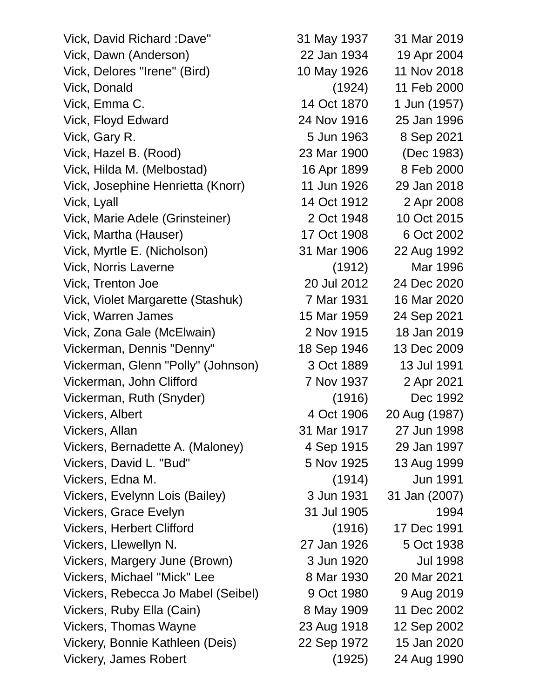Vick, David Richard :Dave" 31 May 1937 31 Mar 2019 Vick, Dawn (Anderson) 22 Jan 1934 19 Apr 2004 Vick, Delores "Irene" (Bird) 10 May 1926 11 Nov 2018 Vick, Donald (1924) 11 Feb 2000 Vick, Emma C. 14 Oct 1870 1 Jun (1957) Vick, Floyd Edward 24 Nov 1916 25 Jan 1996 Vick, Gary R. 5 Jun 1963 8 Sep 2021 Vick, Hazel B. (Rood) 23 Mar 1900 (Dec 1983) Vick, Hilda M. (Melbostad) 16 Apr 1899 8 Feb 2000 Vick, Josephine Henrietta (Knorr) 11 Jun 1926 29 Jan 2018 Vick, Lyall 14 Oct 1912 2 Apr 2008 Vick, Marie Adele (Grinsteiner) 2 Oct 1948 10 Oct 2015 Vick, Martha (Hauser) 17 Oct 1908 6 Oct 2002 Vick, Myrtle E. (Nicholson) 31 Mar 1906 22 Aug 1992 Vick, Norris Laverne (1912) Mar 1996 Vick, Trenton Joe 20 Jul 2012 24 Dec 2020 Vick, Violet Margarette (Stashuk) 7 Mar 1931 16 Mar 2020 Vick, Warren James 15 Mar 1959 24 Sep 2021 Vick, Zona Gale (McElwain) 2 Nov 1915 18 Jan 2019 Vickerman, Dennis "Denny" 18 Sep 1946 13 Dec 2009 Vickerman, Glenn "Polly" (Johnson) 3 Oct 1889 13 Jul 1991 Vickerman, John Clifford 7 Nov 1937 2 Apr 2021 Vickerman, Ruth (Snyder) (1916) Dec 1992 Vickers, Albert 4 Oct 1906 20 Aug (1987) Vickers, Allan 31 Mar 1917 27 Jun 1998 Vickers, Bernadette A. (Maloney) 4 Sep 1915 29 Jan 1997 Vickers, David L. "Bud" 5 Nov 1925 13 Aug 1999 Vickers, Edna M. (1914) Jun 1991 Vickers, Evelynn Lois (Bailey) 3 Jun 1931 31 Jan (2007) Vickers, Grace Evelyn 31 Jul 1905 1994 Vickers, Herbert Clifford (1916) 17 Dec 1991 Vickers, Llewellyn N. 27 Jan 1926 5 Oct 1938 Vickers, Margery June (Brown) 3 Jun 1920 Jul 1998 Vickers, Michael "Mick" Lee 8 Mar 1930 20 Mar 2021 Vickers, Rebecca Jo Mabel (Seibel) 9 Oct 1980 9 Aug 2019 Vickers, Ruby Ella (Cain) 8 May 1909 11 Dec 2002 Vickers, Thomas Wayne 23 Aug 1918 12 Sep 2002 Vickery, Bonnie Kathleen (Deis) 22 Sep 1972 15 Jan 2020 Vickery, James Robert (1925) 24 Aug 1990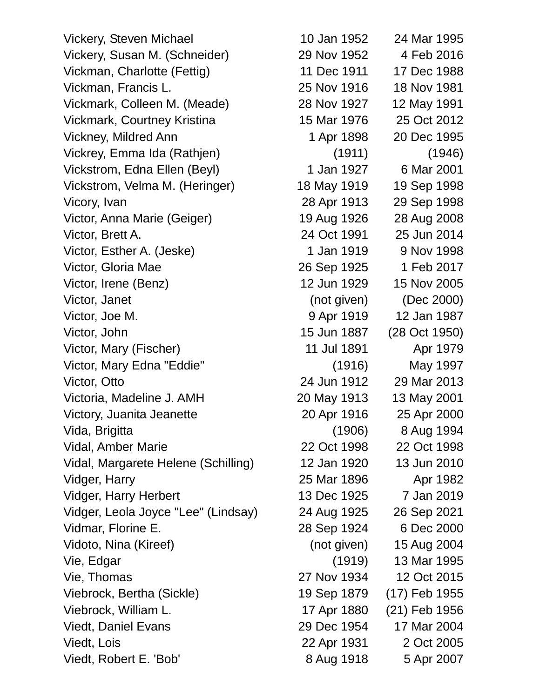Vickery, Steven Michael 10 Jan 1952 24 Mar 1995 Vickery, Susan M. (Schneider) 29 Nov 1952 4 Feb 2016 Vickman, Charlotte (Fettig) 11 Dec 1911 17 Dec 1988 Vickman, Francis L. 25 Nov 1916 18 Nov 1981 Vickmark, Colleen M. (Meade) 28 Nov 1927 12 May 1991 Vickmark, Courtney Kristina 15 Mar 1976 25 Oct 2012 Vickney, Mildred Ann 1 Apr 1898 20 Dec 1995 Vickrey, Emma Ida (Rathjen) (1911) (1946) Vickstrom, Edna Ellen (Beyl) 1 Jan 1927 6 Mar 2001 Vickstrom, Velma M. (Heringer) 18 May 1919 19 Sep 1998 Vicory, Ivan 28 Apr 1913 29 Sep 1998 Victor, Anna Marie (Geiger) 19 Aug 1926 28 Aug 2008 Victor, Brett A. 24 Oct 1991 25 Jun 2014 Victor, Esther A. (Jeske) 1 Jan 1919 9 Nov 1998 Victor, Gloria Mae 26 Sep 1925 1 Feb 2017 Victor, Irene (Benz) 12 Jun 1929 15 Nov 2005 Victor, Janet (not given) (Dec 2000) Victor, Joe M. 2008. The State of the State of the State of Apr 1919 12 Jan 1987 Victor, John 15 Jun 1887 (28 Oct 1950) Victor, Mary (Fischer) 11 Jul 1891 Apr 1979 Victor, Mary Edna "Eddie" (1916) May 1997 Victor, Otto 24 Jun 1912 29 Mar 2013 Victoria, Madeline J. AMH 20 May 1913 13 May 2001 Victory, Juanita Jeanette 20 Apr 1916 25 Apr 2000 Vida, Brigitta (1906) 8 Aug 1994 Vidal, Amber Marie 22 Oct 1998 22 Oct 1998 Vidal, Margarete Helene (Schilling) 12 Jan 1920 13 Jun 2010 Vidger, Harry 25 Mar 1896 Apr 1982 Vidger, Harry Herbert 13 Dec 1925 7 Jan 2019 Vidger, Leola Joyce "Lee" (Lindsay) 24 Aug 1925 26 Sep 2021 Vidmar, Florine E. 28 Sep 1924 6 Dec 2000 Vidoto, Nina (Kireef) (not given) 15 Aug 2004 Vie, Edgar (1919) 13 Mar 1995 Vie, Thomas 27 Nov 1934 12 Oct 2015 Viebrock, Bertha (Sickle) 19 Sep 1879 (17) Feb 1955 Viebrock, William L. 17 Apr 1880 (21) Feb 1956 Viedt, Daniel Evans 29 Dec 1954 17 Mar 2004 Viedt, Lois 22 Apr 1931 2 Oct 2005

Viedt, Robert E. 'Bob' 8 Aug 1918 5 Apr 2007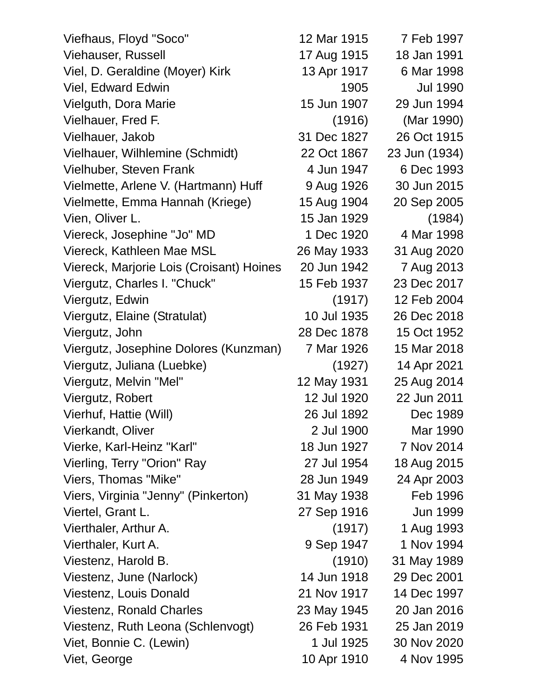| Viefhaus, Floyd "Soco"                   | 12 Mar 1915 | 7 Feb 1997      |
|------------------------------------------|-------------|-----------------|
| <b>Viehauser, Russell</b>                | 17 Aug 1915 | 18 Jan 1991     |
| Viel, D. Geraldine (Moyer) Kirk          | 13 Apr 1917 | 6 Mar 1998      |
| <b>Viel, Edward Edwin</b>                | 1905        | <b>Jul 1990</b> |
| Vielguth, Dora Marie                     | 15 Jun 1907 | 29 Jun 1994     |
| Vielhauer, Fred F.                       | (1916)      | (Mar 1990)      |
| Vielhauer, Jakob                         | 31 Dec 1827 | 26 Oct 1915     |
| Vielhauer, Wilhlemine (Schmidt)          | 22 Oct 1867 | 23 Jun (1934)   |
| Vielhuber, Steven Frank                  | 4 Jun 1947  | 6 Dec 1993      |
| Vielmette, Arlene V. (Hartmann) Huff     | 9 Aug 1926  | 30 Jun 2015     |
| Vielmette, Emma Hannah (Kriege)          | 15 Aug 1904 | 20 Sep 2005     |
| Vien, Oliver L.                          | 15 Jan 1929 | (1984)          |
| Viereck, Josephine "Jo" MD               | 1 Dec 1920  | 4 Mar 1998      |
| Viereck, Kathleen Mae MSL                | 26 May 1933 | 31 Aug 2020     |
| Viereck, Marjorie Lois (Croisant) Hoines | 20 Jun 1942 | 7 Aug 2013      |
| Viergutz, Charles I. "Chuck"             | 15 Feb 1937 | 23 Dec 2017     |
| Viergutz, Edwin                          | (1917)      | 12 Feb 2004     |
| Viergutz, Elaine (Stratulat)             | 10 Jul 1935 | 26 Dec 2018     |
| Viergutz, John                           | 28 Dec 1878 | 15 Oct 1952     |
| Viergutz, Josephine Dolores (Kunzman)    | 7 Mar 1926  | 15 Mar 2018     |
| Viergutz, Juliana (Luebke)               | (1927)      | 14 Apr 2021     |
| Viergutz, Melvin "Mel"                   | 12 May 1931 | 25 Aug 2014     |
| Viergutz, Robert                         | 12 Jul 1920 | 22 Jun 2011     |
| Vierhuf, Hattie (Will)                   | 26 Jul 1892 | Dec 1989        |
| Vierkandt, Oliver                        | 2 Jul 1900  | Mar 1990        |
| Vierke, Karl-Heinz "Karl"                | 18 Jun 1927 | 7 Nov 2014      |
| Vierling, Terry "Orion" Ray              | 27 Jul 1954 | 18 Aug 2015     |
| Viers, Thomas "Mike"                     | 28 Jun 1949 | 24 Apr 2003     |
| Viers, Virginia "Jenny" (Pinkerton)      | 31 May 1938 | Feb 1996        |
| Viertel, Grant L.                        | 27 Sep 1916 | Jun 1999        |
| Vierthaler, Arthur A.                    | (1917)      | 1 Aug 1993      |
| Vierthaler, Kurt A.                      | 9 Sep 1947  | 1 Nov 1994      |
| Viestenz, Harold B.                      | (1910)      | 31 May 1989     |
| Viestenz, June (Narlock)                 | 14 Jun 1918 | 29 Dec 2001     |
| Viestenz, Louis Donald                   | 21 Nov 1917 | 14 Dec 1997     |
| <b>Viestenz, Ronald Charles</b>          | 23 May 1945 | 20 Jan 2016     |
| Viestenz, Ruth Leona (Schlenvogt)        | 26 Feb 1931 | 25 Jan 2019     |
| Viet, Bonnie C. (Lewin)                  | 1 Jul 1925  | 30 Nov 2020     |
| Viet, George                             | 10 Apr 1910 | 4 Nov 1995      |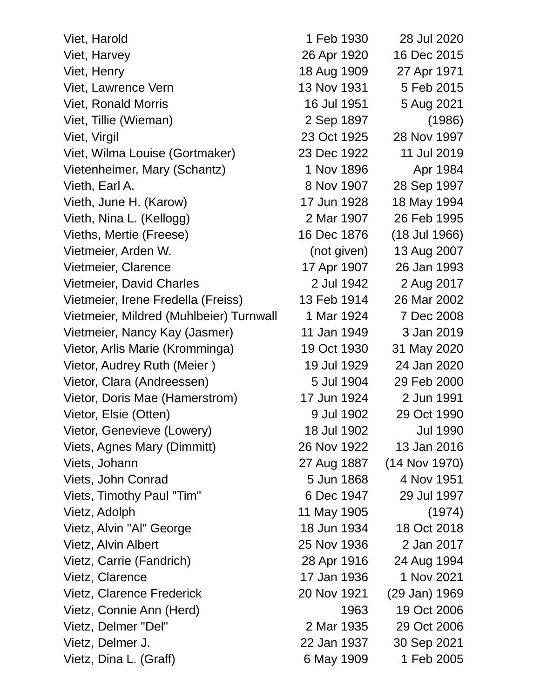| Viet, Harold                            | 1 Feb 1930  | 28 Jul 2020     |
|-----------------------------------------|-------------|-----------------|
| Viet, Harvey                            | 26 Apr 1920 | 16 Dec 2015     |
| Viet, Henry                             | 18 Aug 1909 | 27 Apr 1971     |
| Viet, Lawrence Vern                     | 13 Nov 1931 | 5 Feb 2015      |
| <b>Viet, Ronald Morris</b>              | 16 Jul 1951 | 5 Aug 2021      |
| Viet, Tillie (Wieman)                   | 2 Sep 1897  | (1986)          |
| Viet, Virgil                            | 23 Oct 1925 | 28 Nov 1997     |
| Viet, Wilma Louise (Gortmaker)          | 23 Dec 1922 | 11 Jul 2019     |
| Vietenheimer, Mary (Schantz)            | 1 Nov 1896  | Apr 1984        |
| Vieth, Earl A.                          | 8 Nov 1907  | 28 Sep 1997     |
| Vieth, June H. (Karow)                  | 17 Jun 1928 | 18 May 1994     |
| Vieth, Nina L. (Kellogg)                | 2 Mar 1907  | 26 Feb 1995     |
| Vieths, Mertie (Freese)                 | 16 Dec 1876 | (18 Jul 1966)   |
| Vietmeier, Arden W.                     | (not given) | 13 Aug 2007     |
| Vietmeier, Clarence                     | 17 Apr 1907 | 26 Jan 1993     |
| Vietmeier, David Charles                | 2 Jul 1942  | 2 Aug 2017      |
| Vietmeier, Irene Fredella (Freiss)      | 13 Feb 1914 | 26 Mar 2002     |
| Vietmeier, Mildred (Muhlbeier) Turnwall | 1 Mar 1924  | 7 Dec 2008      |
| Vietmeier, Nancy Kay (Jasmer)           | 11 Jan 1949 | 3 Jan 2019      |
| Vietor, Arlis Marie (Kromminga)         | 19 Oct 1930 | 31 May 2020     |
| Vietor, Audrey Ruth (Meier)             | 19 Jul 1929 | 24 Jan 2020     |
| Vietor, Clara (Andreessen)              | 5 Jul 1904  | 29 Feb 2000     |
| Vietor, Doris Mae (Hamerstrom)          | 17 Jun 1924 | 2 Jun 1991      |
| Vietor, Elsie (Otten)                   | 9 Jul 1902  | 29 Oct 1990     |
| Vietor, Genevieve (Lowery)              | 18 Jul 1902 | Jul 1990        |
| Viets, Agnes Mary (Dimmitt)             | 26 Nov 1922 | 13 Jan 2016     |
| Viets, Johann                           | 27 Aug 1887 | $(14$ Nov 1970) |
| Viets, John Conrad                      | 5 Jun 1868  | 4 Nov 1951      |
| Viets, Timothy Paul "Tim"               | 6 Dec 1947  | 29 Jul 1997     |
| Vietz, Adolph                           | 11 May 1905 | (1974)          |
| Vietz, Alvin "Al" George                | 18 Jun 1934 | 18 Oct 2018     |
| Vietz, Alvin Albert                     | 25 Nov 1936 | 2 Jan 2017      |
| Vietz, Carrie (Fandrich)                | 28 Apr 1916 | 24 Aug 1994     |
| Vietz, Clarence                         | 17 Jan 1936 | 1 Nov 2021      |
| <b>Vietz, Clarence Frederick</b>        | 20 Nov 1921 | (29 Jan) 1969   |
| Vietz, Connie Ann (Herd)                | 1963        | 19 Oct 2006     |
| Vietz, Delmer "Del"                     | 2 Mar 1935  | 29 Oct 2006     |
| Vietz, Delmer J.                        | 22 Jan 1937 | 30 Sep 2021     |
| Vietz, Dina L. (Graff)                  | 6 May 1909  | 1 Feb 2005      |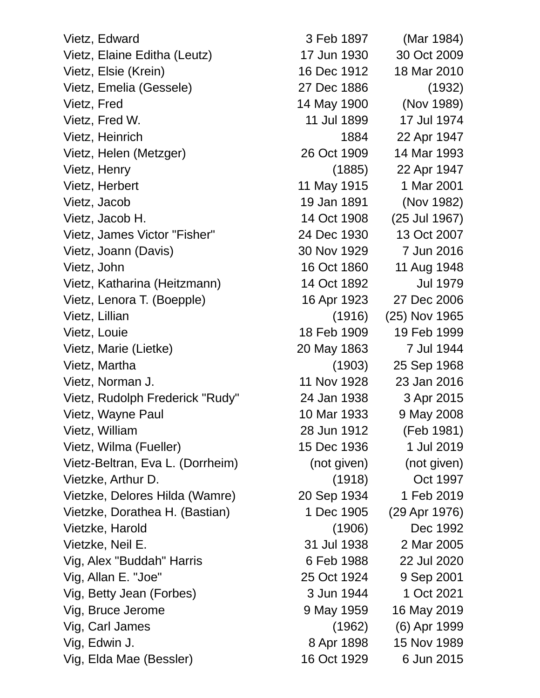Vietz, Edward 3 Feb 1897 (Mar 1984) Vietz, Elaine Editha (Leutz) 17 Jun 1930 30 Oct 2009 Vietz, Elsie (Krein) 16 Dec 1912 18 Mar 2010 Vietz, Emelia (Gessele) 27 Dec 1886 (1932) Vietz, Fred 14 May 1900 (Nov 1989) Vietz, Fred W. 11 Jul 1899 17 Jul 1974 Vietz, Heinrich 1884 22 Apr 1947 Vietz, Helen (Metzger) 26 Oct 1909 14 Mar 1993 Vietz, Henry (1885) 22 Apr 1947 Vietz, Herbert 11 May 1915 11 May 1915 12001 Vietz, Jacob 19 Jan 1891 (Nov 1982) Vietz, Jacob H. 14 Oct 1908 (25 Jul 1967) Vietz, James Victor "Fisher" 24 Dec 1930 13 Oct 2007 Vietz, Joann (Davis) 30 Nov 1929 7 Jun 2016 Vietz, John 16 Oct 1860 11 Aug 1948 Vietz, Katharina (Heitzmann) 14 Oct 1892 Jul 1979 Vietz, Lenora T. (Boepple) 16 Apr 1923 27 Dec 2006 Vietz, Lillian (1916) (25) Nov 1965 Vietz, Louie 18 Feb 1909 19 Feb 1999 Vietz, Marie (Lietke) 20 May 1863 7 Jul 1944 Vietz, Martha (1903) 25 Sep 1968 Vietz, Norman J. 11 Nov 1928 23 Jan 2016 Vietz, Rudolph Frederick "Rudy" 24 Jan 1938 3 Apr 2015 Vietz, Wayne Paul 10 Mar 1933 9 May 2008 Vietz, William 28 Jun 1912 (Feb 1981) Vietz, Wilma (Fueller) 15 Dec 1936 1 Jul 2019 Vietz-Beltran, Eva L. (Dorrheim) (not given) (not given) Vietzke, Arthur D. (1918) Oct 1997 Vietzke, Delores Hilda (Wamre) 20 Sep 1934 1 Feb 2019 Vietzke, Dorathea H. (Bastian) 1 Dec 1905 (29 Apr 1976) Vietzke, Harold (1906) Dec 1992 Vietzke, Neil E. 31 Jul 1938 2 Mar 2005 Vig, Alex "Buddah" Harris 6 Feb 1988 22 Jul 2020 Vig, Allan E. "Joe" 25 Oct 1924 9 Sep 2001 Vig, Betty Jean (Forbes) 3 Jun 1944 1 Oct 2021 Vig, Bruce Jerome 9 May 1959 16 May 2019 Vig, Carl James (1962) (6) Apr 1999 Vig, Edwin J. 8 Apr 1898 15 Nov 1989 Vig, Elda Mae (Bessler) 16 Oct 1929 6 Jun 2015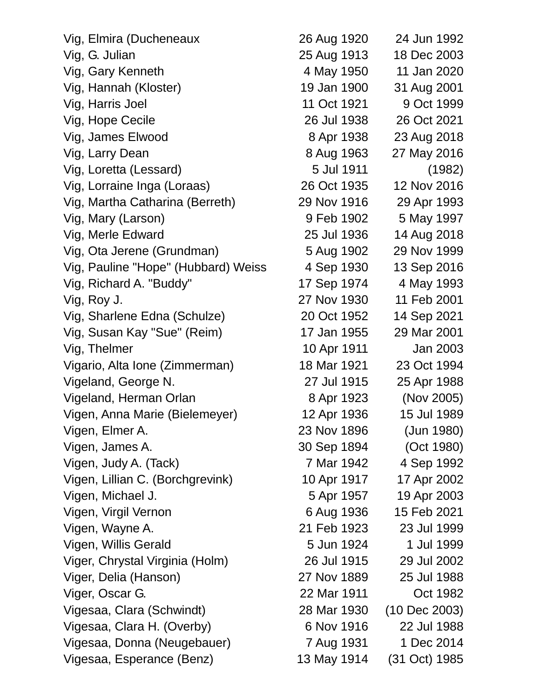| Vig, Elmira (Ducheneaux             | 26 Aug 1920 | 24 Jun 1992   |
|-------------------------------------|-------------|---------------|
| Vig, G. Julian                      | 25 Aug 1913 | 18 Dec 2003   |
| Vig, Gary Kenneth                   | 4 May 1950  | 11 Jan 2020   |
| Vig, Hannah (Kloster)               | 19 Jan 1900 | 31 Aug 2001   |
| Vig, Harris Joel                    | 11 Oct 1921 | 9 Oct 1999    |
| Vig, Hope Cecile                    | 26 Jul 1938 | 26 Oct 2021   |
| Vig, James Elwood                   | 8 Apr 1938  | 23 Aug 2018   |
| Vig, Larry Dean                     | 8 Aug 1963  | 27 May 2016   |
| Vig, Loretta (Lessard)              | 5 Jul 1911  | (1982)        |
| Vig, Lorraine Inga (Loraas)         | 26 Oct 1935 | 12 Nov 2016   |
| Vig, Martha Catharina (Berreth)     | 29 Nov 1916 | 29 Apr 1993   |
| Vig, Mary (Larson)                  | 9 Feb 1902  | 5 May 1997    |
| Vig, Merle Edward                   | 25 Jul 1936 | 14 Aug 2018   |
| Vig, Ota Jerene (Grundman)          | 5 Aug 1902  | 29 Nov 1999   |
| Vig, Pauline "Hope" (Hubbard) Weiss | 4 Sep 1930  | 13 Sep 2016   |
| Vig, Richard A. "Buddy"             | 17 Sep 1974 | 4 May 1993    |
| Vig, Roy J.                         | 27 Nov 1930 | 11 Feb 2001   |
| Vig, Sharlene Edna (Schulze)        | 20 Oct 1952 | 14 Sep 2021   |
| Vig, Susan Kay "Sue" (Reim)         | 17 Jan 1955 | 29 Mar 2001   |
| Vig, Thelmer                        | 10 Apr 1911 | Jan 2003      |
| Vigario, Alta Ione (Zimmerman)      | 18 Mar 1921 | 23 Oct 1994   |
| Vigeland, George N.                 | 27 Jul 1915 | 25 Apr 1988   |
| Vigeland, Herman Orlan              | 8 Apr 1923  | (Nov 2005)    |
| Vigen, Anna Marie (Bielemeyer)      | 12 Apr 1936 | 15 Jul 1989   |
| Vigen, Elmer A.                     | 23 Nov 1896 | (Jun 1980)    |
| Vigen, James A.                     | 30 Sep 1894 | (Oct 1980)    |
| Vigen, Judy A. (Tack)               | 7 Mar 1942  | 4 Sep 1992    |
| Vigen, Lillian C. (Borchgrevink)    | 10 Apr 1917 | 17 Apr 2002   |
| Vigen, Michael J.                   | 5 Apr 1957  | 19 Apr 2003   |
| Vigen, Virgil Vernon                | 6 Aug 1936  | 15 Feb 2021   |
| Vigen, Wayne A.                     | 21 Feb 1923 | 23 Jul 1999   |
| Vigen, Willis Gerald                | 5 Jun 1924  | 1 Jul 1999    |
| Viger, Chrystal Virginia (Holm)     | 26 Jul 1915 | 29 Jul 2002   |
| Viger, Delia (Hanson)               | 27 Nov 1889 | 25 Jul 1988   |
| Viger, Oscar G.                     | 22 Mar 1911 | Oct 1982      |
| Vigesaa, Clara (Schwindt)           | 28 Mar 1930 | (10 Dec 2003) |
| Vigesaa, Clara H. (Overby)          | 6 Nov 1916  | 22 Jul 1988   |
| Vigesaa, Donna (Neugebauer)         | 7 Aug 1931  | 1 Dec 2014    |
| Vigesaa, Esperance (Benz)           | 13 May 1914 | (31 Oct) 1985 |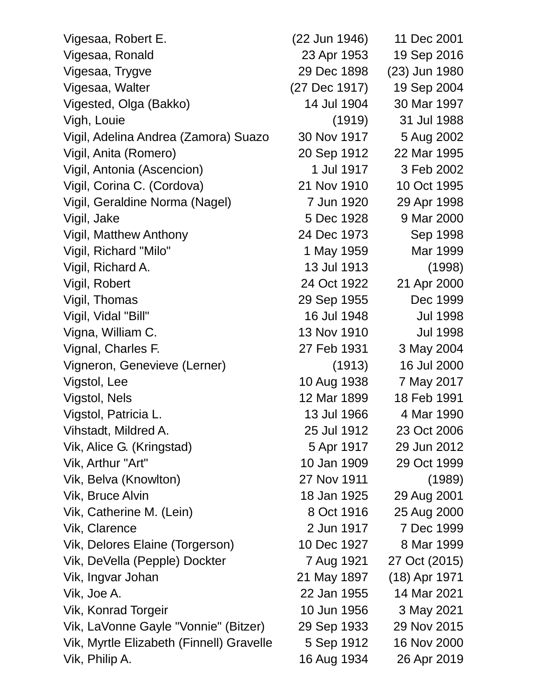| Vigesaa, Robert E.                       | (22 Jun 1946) | 11 Dec 2001     |
|------------------------------------------|---------------|-----------------|
| Vigesaa, Ronald                          | 23 Apr 1953   | 19 Sep 2016     |
| Vigesaa, Trygve                          | 29 Dec 1898   | (23) Jun 1980   |
| Vigesaa, Walter                          | (27 Dec 1917) | 19 Sep 2004     |
| Vigested, Olga (Bakko)                   | 14 Jul 1904   | 30 Mar 1997     |
| Vigh, Louie                              | (1919)        | 31 Jul 1988     |
| Vigil, Adelina Andrea (Zamora) Suazo     | 30 Nov 1917   | 5 Aug 2002      |
| Vigil, Anita (Romero)                    | 20 Sep 1912   | 22 Mar 1995     |
| Vigil, Antonia (Ascencion)               | 1 Jul 1917    | 3 Feb 2002      |
| Vigil, Corina C. (Cordova)               | 21 Nov 1910   | 10 Oct 1995     |
| Vigil, Geraldine Norma (Nagel)           | 7 Jun 1920    | 29 Apr 1998     |
| Vigil, Jake                              | 5 Dec 1928    | 9 Mar 2000      |
| <b>Vigil, Matthew Anthony</b>            | 24 Dec 1973   | Sep 1998        |
| Vigil, Richard "Milo"                    | 1 May 1959    | Mar 1999        |
| Vigil, Richard A.                        | 13 Jul 1913   | (1998)          |
| Vigil, Robert                            | 24 Oct 1922   | 21 Apr 2000     |
| Vigil, Thomas                            | 29 Sep 1955   | Dec 1999        |
| Vigil, Vidal "Bill"                      | 16 Jul 1948   | <b>Jul 1998</b> |
| Vigna, William C.                        | 13 Nov 1910   | <b>Jul 1998</b> |
| Vignal, Charles F.                       | 27 Feb 1931   | 3 May 2004      |
| Vigneron, Genevieve (Lerner)             | (1913)        | 16 Jul 2000     |
| Vigstol, Lee                             | 10 Aug 1938   | 7 May 2017      |
| Vigstol, Nels                            | 12 Mar 1899   | 18 Feb 1991     |
| Vigstol, Patricia L.                     | 13 Jul 1966   | 4 Mar 1990      |
| Vihstadt, Mildred A.                     | 25 Jul 1912   | 23 Oct 2006     |
| Vik, Alice G. (Kringstad)                | 5 Apr 1917    | 29 Jun 2012     |
| Vik, Arthur "Art"                        | 10 Jan 1909   | 29 Oct 1999     |
| Vik, Belva (Knowlton)                    | 27 Nov 1911   | (1989)          |
| Vik, Bruce Alvin                         | 18 Jan 1925   | 29 Aug 2001     |
| Vik, Catherine M. (Lein)                 | 8 Oct 1916    | 25 Aug 2000     |
| Vik, Clarence                            | 2 Jun 1917    | 7 Dec 1999      |
| Vik, Delores Elaine (Torgerson)          | 10 Dec 1927   | 8 Mar 1999      |
| Vik, DeVella (Pepple) Dockter            | 7 Aug 1921    | 27 Oct (2015)   |
| Vik, Ingvar Johan                        | 21 May 1897   | (18) Apr 1971   |
| Vik, Joe A.                              | 22 Jan 1955   | 14 Mar 2021     |
| Vik, Konrad Torgeir                      | 10 Jun 1956   | 3 May 2021      |
| Vik, LaVonne Gayle "Vonnie" (Bitzer)     | 29 Sep 1933   | 29 Nov 2015     |
| Vik, Myrtle Elizabeth (Finnell) Gravelle | 5 Sep 1912    | 16 Nov 2000     |
| Vik, Philip A.                           | 16 Aug 1934   | 26 Apr 2019     |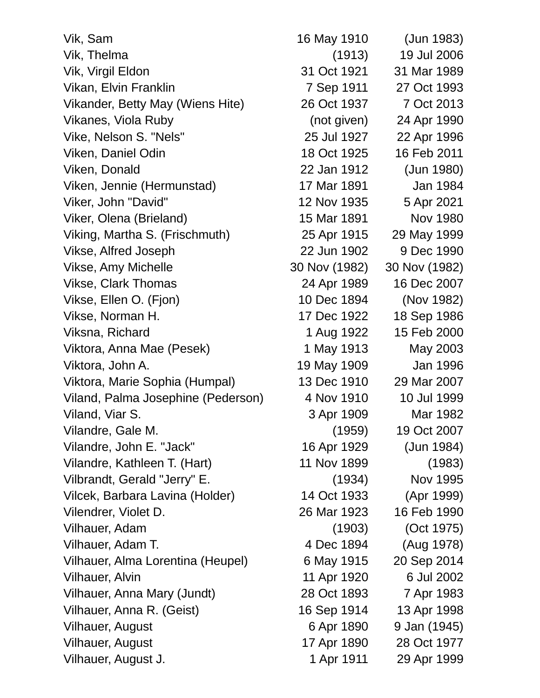| Vik, Sam                           | 16 May 1910   | (Jun 1983)      |
|------------------------------------|---------------|-----------------|
| Vik, Thelma                        | (1913)        | 19 Jul 2006     |
| Vik, Virgil Eldon                  | 31 Oct 1921   | 31 Mar 1989     |
| Vikan, Elvin Franklin              | 7 Sep 1911    | 27 Oct 1993     |
| Vikander, Betty May (Wiens Hite)   | 26 Oct 1937   | 7 Oct 2013      |
| Vikanes, Viola Ruby                | (not given)   | 24 Apr 1990     |
| Vike, Nelson S. "Nels"             | 25 Jul 1927   | 22 Apr 1996     |
| Viken, Daniel Odin                 | 18 Oct 1925   | 16 Feb 2011     |
| Viken, Donald                      | 22 Jan 1912   | (Jun 1980)      |
| Viken, Jennie (Hermunstad)         | 17 Mar 1891   | Jan 1984        |
| Viker, John "David"                | 12 Nov 1935   | 5 Apr 2021      |
| Viker, Olena (Brieland)            | 15 Mar 1891   | <b>Nov 1980</b> |
| Viking, Martha S. (Frischmuth)     | 25 Apr 1915   | 29 May 1999     |
| Vikse, Alfred Joseph               | 22 Jun 1902   | 9 Dec 1990      |
| Vikse, Amy Michelle                | 30 Nov (1982) | 30 Nov (1982)   |
| <b>Vikse, Clark Thomas</b>         | 24 Apr 1989   | 16 Dec 2007     |
| Vikse, Ellen O. (Fjon)             | 10 Dec 1894   | (Nov 1982)      |
| Vikse, Norman H.                   | 17 Dec 1922   | 18 Sep 1986     |
| Viksna, Richard                    | 1 Aug 1922    | 15 Feb 2000     |
| Viktora, Anna Mae (Pesek)          | 1 May 1913    | May 2003        |
| Viktora, John A.                   | 19 May 1909   | Jan 1996        |
| Viktora, Marie Sophia (Humpal)     | 13 Dec 1910   | 29 Mar 2007     |
| Viland, Palma Josephine (Pederson) | 4 Nov 1910    | 10 Jul 1999     |
| Viland, Viar S.                    | 3 Apr 1909    | Mar 1982        |
| Vilandre, Gale M.                  | (1959)        | 19 Oct 2007     |
| Vilandre, John E. "Jack"           | 16 Apr 1929   | (Jun 1984)      |
| Vilandre, Kathleen T. (Hart)       | 11 Nov 1899   | (1983)          |
| Vilbrandt, Gerald "Jerry" E.       | (1934)        | Nov 1995        |
| Vilcek, Barbara Lavina (Holder)    | 14 Oct 1933   | (Apr 1999)      |
| Vilendrer, Violet D.               | 26 Mar 1923   | 16 Feb 1990     |
| Vilhauer, Adam                     | (1903)        | (Oct 1975)      |
| Vilhauer, Adam T.                  | 4 Dec 1894    | (Aug 1978)      |
| Vilhauer, Alma Lorentina (Heupel)  | 6 May 1915    | 20 Sep 2014     |
| <b>Vilhauer, Alvin</b>             | 11 Apr 1920   | 6 Jul 2002      |
| Vilhauer, Anna Mary (Jundt)        | 28 Oct 1893   | 7 Apr 1983      |
| Vilhauer, Anna R. (Geist)          | 16 Sep 1914   | 13 Apr 1998     |
| <b>Vilhauer, August</b>            | 6 Apr 1890    | 9 Jan (1945)    |
| Vilhauer, August                   | 17 Apr 1890   | 28 Oct 1977     |
| Vilhauer, August J.                | 1 Apr 1911    | 29 Apr 1999     |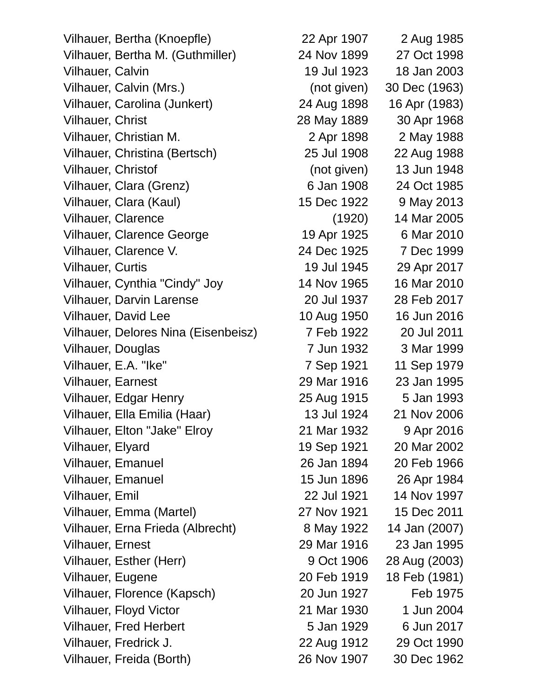Vilhauer, Bertha (Knoepfle) 22 Apr 1907 2 Aug 1985 Vilhauer, Bertha M. (Guthmiller) 24 Nov 1899 27 Oct 1998 Vilhauer, Calvin 19 Jul 1923 18 Jan 2003 Vilhauer, Calvin (Mrs.) (not given) 30 Dec (1963) Vilhauer, Carolina (Junkert) 24 Aug 1898 16 Apr (1983) Vilhauer, Christ 28 May 1889 30 Apr 1968 Vilhauer, Christian M. 2 Apr 1898 2 May 1988 Vilhauer, Christina (Bertsch) 25 Jul 1908 22 Aug 1988 Vilhauer, Christof (not given) 13 Jun 1948 Vilhauer, Clara (Grenz) 6 Jan 1908 24 Oct 1985 Vilhauer, Clara (Kaul) 15 Dec 1922 9 May 2013 Vilhauer, Clarence (1920) 14 Mar 2005 Vilhauer, Clarence George 19 Apr 1925 6 Mar 2010 Vilhauer, Clarence V. 24 Dec 1925 7 Dec 1999 Vilhauer, Curtis 19 Jul 1945 29 Apr 2017 Vilhauer, Cynthia "Cindy" Joy 14 Nov 1965 16 Mar 2010 Vilhauer, Darvin Larense 20 Jul 1937 28 Feb 2017 Vilhauer, David Lee 10 Aug 1950 16 Jun 2016 Vilhauer, Delores Nina (Eisenbeisz) 7 Feb 1922 20 Jul 2011 Vilhauer, Douglas 7 Jun 1932 3 Mar 1999 Vilhauer, E.A. "Ike" 7 Sep 1921 11 Sep 1979 Vilhauer, Earnest 29 Mar 1916 23 Jan 1995 Vilhauer, Edgar Henry 25 Aug 1915 5 Jan 1993 Vilhauer, Ella Emilia (Haar) 13 Jul 1924 21 Nov 2006 Vilhauer, Elton "Jake" Elroy 21 Mar 1932 9 Apr 2016 Vilhauer, Elyard 19 Sep 1921 20 Mar 2002 Vilhauer, Emanuel 26 Jan 1894 20 Feb 1966 Vilhauer, Emanuel 15 Jun 1896 26 Apr 1984 Vilhauer, Emil 22 Jul 1921 14 Nov 1997 Vilhauer, Emma (Martel) 27 Nov 1921 15 Dec 2011 Vilhauer, Erna Frieda (Albrecht) 8 May 1922 14 Jan (2007) Vilhauer, Ernest 29 Mar 1916 23 Jan 1995 Vilhauer, Esther (Herr) 9 Oct 1906 28 Aug (2003) Vilhauer, Eugene 20 Feb 1919 18 Feb (1981) Vilhauer, Florence (Kapsch) 20 Jun 1927 Feb 1975 Vilhauer, Floyd Victor 21 Mar 1930 1 Jun 2004 Vilhauer, Fred Herbert 6 Units 3 Jan 1929 6 Jun 2017 Vilhauer, Fredrick J. 22 Aug 1912 29 Oct 1990

Vilhauer, Freida (Borth) 26 Nov 1907 30 Dec 1962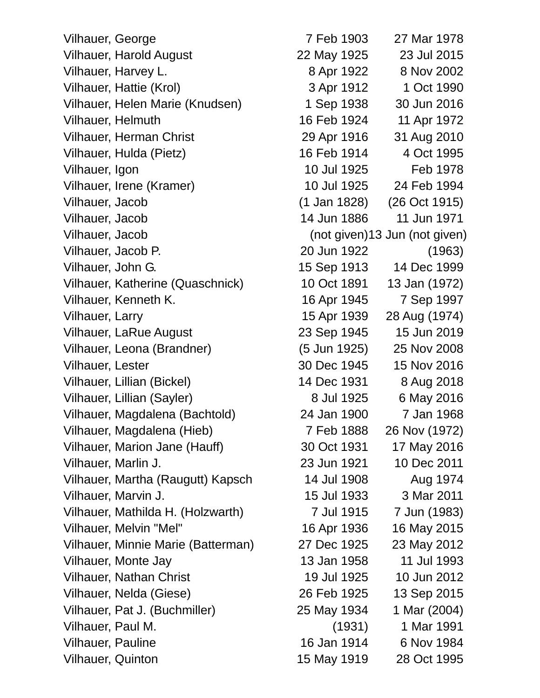Vilhauer, George 7 Feb 1903 27 Mar 1978 Vilhauer, Harold August 22 May 1925 23 Jul 2015 Vilhauer, Harvey L. 6 and 1922 8 Nov 2002 Vilhauer, Hattie (Krol)  $\overline{3}$  Apr 1912  $\overline{1}$  Oct 1990 Vilhauer, Helen Marie (Knudsen) 1 Sep 1938 30 Jun 2016 Vilhauer, Helmuth 16 Feb 1924 11 Apr 1972 Vilhauer, Herman Christ 29 Apr 1916 31 Aug 2010 Vilhauer, Hulda (Pietz) 16 Feb 1914 4 Oct 1995 Vilhauer, Igon 10 Jul 1925 Feb 1978 Vilhauer, Irene (Kramer) 10 Jul 1925 24 Feb 1994 Vilhauer, Jacob (1 Jan 1828) (26 Oct 1915) Vilhauer, Jacob 14 Jun 1886 11 Jun 1971 Vilhauer, Jacob (not given)13 Jun (not given) Vilhauer, Jacob P. 20 Jun 1922 (1963) Vilhauer, John G. 15 Sep 1913 14 Dec 1999 Vilhauer, Katherine (Quaschnick) 10 Oct 1891 13 Jan (1972) Vilhauer, Kenneth K. 16 Apr 1945 7 Sep 1997 Vilhauer, Larry 15 Apr 1939 28 Aug (1974) Vilhauer, LaRue August 23 Sep 1945 15 Jun 2019 Vilhauer, Leona (Brandner) (5 Jun 1925) 25 Nov 2008 Vilhauer, Lester 30 Dec 1945 15 Nov 2016 Vilhauer, Lillian (Bickel) 14 Dec 1931 8 Aug 2018 Vilhauer, Lillian (Sayler) 8 Jul 1925 6 May 2016 Vilhauer, Magdalena (Bachtold) 24 Jan 1900 7 Jan 1968 Vilhauer, Magdalena (Hieb) 7 Feb 1888 26 Nov (1972) Vilhauer, Marion Jane (Hauff) 30 Oct 1931 17 May 2016 Vilhauer, Marlin J. 23 Jun 1921 10 Dec 2011 Vilhauer, Martha (Raugutt) Kapsch 14 Jul 1908 Aug 1974 Vilhauer, Marvin J. 15 Jul 1933 3 Mar 2011 Vilhauer, Mathilda H. (Holzwarth) 7 Jul 1915 7 Jun (1983) Vilhauer, Melvin "Mel" 16 Apr 1936 16 May 2015 Vilhauer, Minnie Marie (Batterman) 27 Dec 1925 23 May 2012 Vilhauer, Monte Jay 13 Jan 1958 11 Jul 1993 Vilhauer, Nathan Christ 19 Jul 1925 10 Jun 2012 Vilhauer, Nelda (Giese) 26 Feb 1925 13 Sep 2015 Vilhauer, Pat J. (Buchmiller) 25 May 1934 1 Mar (2004) Vilhauer, Paul M. (1931) 1 Mar 1991 Vilhauer, Pauline 16 Jan 1914 6 Nov 1984

Vilhauer, Quinton 15 May 1919 28 Oct 1995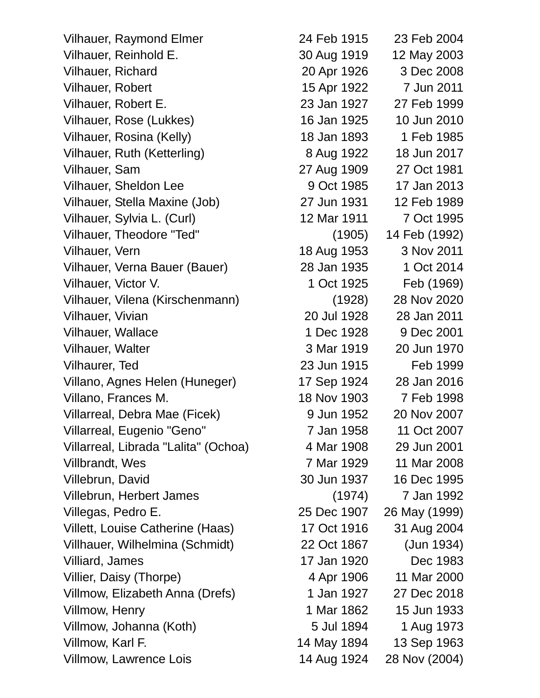Vilhauer, Raymond Elmer 24 Feb 1915 23 Feb 2004 Vilhauer, Reinhold E. 30 Aug 1919 12 May 2003 Vilhauer, Richard 20 Apr 1926 3 Dec 2008 Vilhauer, Robert 15 Apr 1922 7 Jun 2011 Vilhauer, Robert E. 23 Jan 1927 27 Feb 1999 Vilhauer, Rose (Lukkes) 16 Jan 1925 10 Jun 2010 Vilhauer, Rosina (Kelly) 18 Jan 1893 1 Feb 1985 Vilhauer, Ruth (Ketterling) 8 Aug 1922 18 Jun 2017 Vilhauer, Sam 27 Aug 1909 27 Oct 1981 Vilhauer, Sheldon Lee 9 Oct 1985 17 Jan 2013 Vilhauer, Stella Maxine (Job) 27 Jun 1931 12 Feb 1989 Vilhauer, Sylvia L. (Curl) 12 Mar 1911 7 Oct 1995 Vilhauer, Theodore "Ted" (1905) 14 Feb (1992) Vilhauer, Vern 18 Aug 1953 3 Nov 2011 Vilhauer, Verna Bauer (Bauer) 28 Jan 1935 1 Oct 2014 Vilhauer, Victor V. 1 Oct 1925 Feb (1969) Vilhauer, Vilena (Kirschenmann) (1928) 28 Nov 2020 Vilhauer, Vivian 20 Jul 1928 28 Jan 2011 Vilhauer, Wallace 1 Dec 1928 9 Dec 2001 Vilhauer, Walter 3 Mar 1919 20 Jun 1970 Vilhaurer, Ted 23 Jun 1915 Feb 1999 Villano, Agnes Helen (Huneger) 17 Sep 1924 28 Jan 2016 Villano, Frances M. 18 Nov 1903 7 Feb 1998 Villarreal, Debra Mae (Ficek) 9 Jun 1952 20 Nov 2007 Villarreal, Eugenio "Geno" 7 Jan 1958 11 Oct 2007 Villarreal, Librada "Lalita" (Ochoa) 4 Mar 1908 29 Jun 2001 Villbrandt, Wes 7 Mar 1929 11 Mar 2008 Villebrun, David 30 Jun 1937 16 Dec 1995 Villebrun, Herbert James (1974) 7 Jan 1992 Villegas, Pedro E. 25 Dec 1907 26 May (1999) Villett, Louise Catherine (Haas) 17 Oct 1916 31 Aug 2004 Villhauer, Wilhelmina (Schmidt) 22 Oct 1867 (Jun 1934) Villiard, James 2012 17 Jan 1920 Dec 1983 Villier, Daisy (Thorpe)  $\frac{4 \text{ Apr}}{1906}$  11 Mar 2000 Villmow, Elizabeth Anna (Drefs) 1 Jan 1927 27 Dec 2018 Villmow, Henry 1 Mar 1862 15 Jun 1933 Villmow, Johanna (Koth) 6 Jul 1894 1 Aug 1973 Villmow, Karl F. 14 May 1894 13 Sep 1963

Villmow, Lawrence Lois 14 Aug 1924 28 Nov (2004)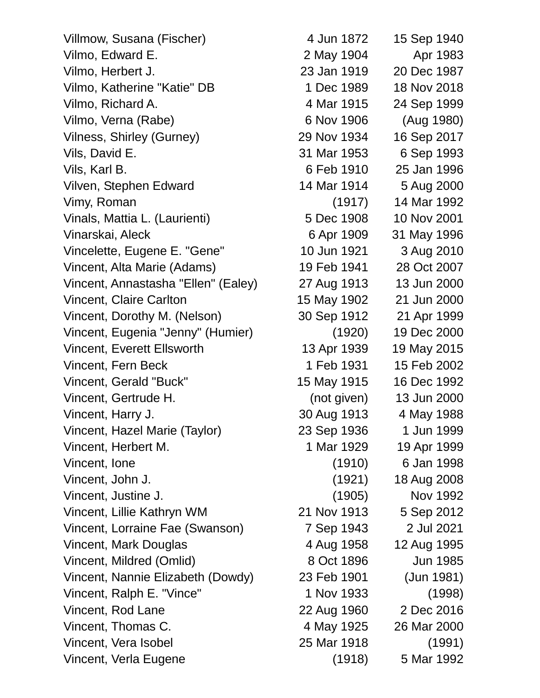| Villmow, Susana (Fischer)           | 4 Jun 1872  | 15 Sep 1940 |
|-------------------------------------|-------------|-------------|
| Vilmo, Edward E.                    | 2 May 1904  | Apr 1983    |
| Vilmo, Herbert J.                   | 23 Jan 1919 | 20 Dec 1987 |
| Vilmo, Katherine "Katie" DB         | 1 Dec 1989  | 18 Nov 2018 |
| Vilmo, Richard A.                   | 4 Mar 1915  | 24 Sep 1999 |
| Vilmo, Verna (Rabe)                 | 6 Nov 1906  | (Aug 1980)  |
| Vilness, Shirley (Gurney)           | 29 Nov 1934 | 16 Sep 2017 |
| Vils, David E.                      | 31 Mar 1953 | 6 Sep 1993  |
| Vils, Karl B.                       | 6 Feb 1910  | 25 Jan 1996 |
| Vilven, Stephen Edward              | 14 Mar 1914 | 5 Aug 2000  |
| Vimy, Roman                         | (1917)      | 14 Mar 1992 |
| Vinals, Mattia L. (Laurienti)       | 5 Dec 1908  | 10 Nov 2001 |
| Vinarskai, Aleck                    | 6 Apr 1909  | 31 May 1996 |
| Vincelette, Eugene E. "Gene"        | 10 Jun 1921 | 3 Aug 2010  |
| Vincent, Alta Marie (Adams)         | 19 Feb 1941 | 28 Oct 2007 |
| Vincent, Annastasha "Ellen" (Ealey) | 27 Aug 1913 | 13 Jun 2000 |
| <b>Vincent, Claire Carlton</b>      | 15 May 1902 | 21 Jun 2000 |
| Vincent, Dorothy M. (Nelson)        | 30 Sep 1912 | 21 Apr 1999 |
| Vincent, Eugenia "Jenny" (Humier)   | (1920)      | 19 Dec 2000 |
| <b>Vincent, Everett Ellsworth</b>   | 13 Apr 1939 | 19 May 2015 |
| Vincent, Fern Beck                  | 1 Feb 1931  | 15 Feb 2002 |
| Vincent, Gerald "Buck"              | 15 May 1915 | 16 Dec 1992 |
| Vincent, Gertrude H.                | (not given) | 13 Jun 2000 |
| Vincent, Harry J.                   | 30 Aug 1913 | 4 May 1988  |
| Vincent, Hazel Marie (Taylor)       | 23 Sep 1936 | 1 Jun 1999  |
| Vincent, Herbert M.                 | 1 Mar 1929  | 19 Apr 1999 |
| Vincent, lone                       | (1910)      | 6 Jan 1998  |
| Vincent, John J.                    | (1921)      | 18 Aug 2008 |
| Vincent, Justine J.                 | (1905)      | Nov 1992    |
| Vincent, Lillie Kathryn WM          | 21 Nov 1913 | 5 Sep 2012  |
| Vincent, Lorraine Fae (Swanson)     | 7 Sep 1943  | 2 Jul 2021  |
| Vincent, Mark Douglas               | 4 Aug 1958  | 12 Aug 1995 |
| Vincent, Mildred (Omlid)            | 8 Oct 1896  | Jun 1985    |
| Vincent, Nannie Elizabeth (Dowdy)   | 23 Feb 1901 | (Jun 1981)  |
| Vincent, Ralph E. "Vince"           | 1 Nov 1933  | (1998)      |
| Vincent, Rod Lane                   | 22 Aug 1960 | 2 Dec 2016  |
| Vincent, Thomas C.                  | 4 May 1925  | 26 Mar 2000 |
| Vincent, Vera Isobel                | 25 Mar 1918 | (1991)      |
| Vincent, Verla Eugene               | (1918)      | 5 Mar 1992  |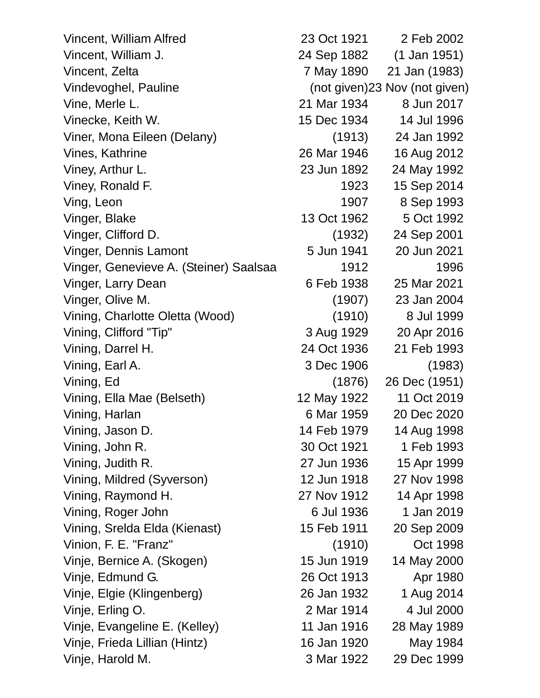Vincent, William Alfred 23 Oct 1921 2 Feb 2002 Vincent, William J. 24 Sep 1882 (1 Jan 1951) Vincent, Zelta 7 May 1890 21 Jan (1983) Vindevoghel, Pauline (not given)23 Nov (not given) Vine, Merle L. 21 Mar 1934 8 Jun 2017 Vinecke, Keith W. 15 Dec 1934 14 Jul 1996 Viner, Mona Eileen (Delany) (1913) 24 Jan 1992 Vines, Kathrine 26 Mar 1946 16 Aug 2012 Viney, Arthur L. 23 Jun 1892 24 May 1992 Viney, Ronald F. 1923 15 Sep 2014 Ving, Leon 1907 8 Sep 1993 Vinger, Blake 13 Oct 1962 5 Oct 1992 Vinger, Clifford D. (1932) 24 Sep 2001 Vinger, Dennis Lamont 5 Jun 1941 20 Jun 2021 Vinger, Genevieve A. (Steiner) Saalsaa 1912 1996 Vinger, Larry Dean 6 Feb 1938 25 Mar 2021 Vinger, Olive M. (1907) 23 Jan 2004 Vining, Charlotte Oletta (Wood) (1910) 8 Jul 1999 Vining, Clifford "Tip" 3 Aug 1929 20 Apr 2016 Vining, Darrel H. 24 Oct 1936 21 Feb 1993 Vining, Earl A. 3 Dec 1906 (1983) Vining, Ed (1876) 26 Dec (1951) Vining, Ella Mae (Belseth) 12 May 1922 11 Oct 2019 Vining, Harlan 6 Mar 1959 20 Dec 2020 Vining, Jason D. 14 Feb 1979 14 Aug 1998 Vining, John R. 30 Oct 1921 1 Feb 1993 Vining, Judith R. 27 Jun 1936 15 Apr 1999 Vining, Mildred (Syverson) 12 Jun 1918 27 Nov 1998 Vining, Raymond H. 27 Nov 1912 14 Apr 1998 Vining, Roger John 6 Jul 1936 1 Jan 2019 Vining, Srelda Elda (Kienast) 15 Feb 1911 20 Sep 2009 Vinion, F. E. "Franz" (1910) Oct 1998 Vinje, Bernice A. (Skogen) 15 Jun 1919 14 May 2000 Vinje, Edmund G. 26 Oct 1913 Apr 1980 Vinje, Elgie (Klingenberg) 26 Jan 1932 1 Aug 2014 Vinje, Erling O. 2 Mar 1914 4 Jul 2000 Vinje, Evangeline E. (Kelley) 11 Jan 1916 28 May 1989 Vinje, Frieda Lillian (Hintz) 16 Jan 1920 May 1984 Vinje, Harold M. 3 Mar 1922 29 Dec 1999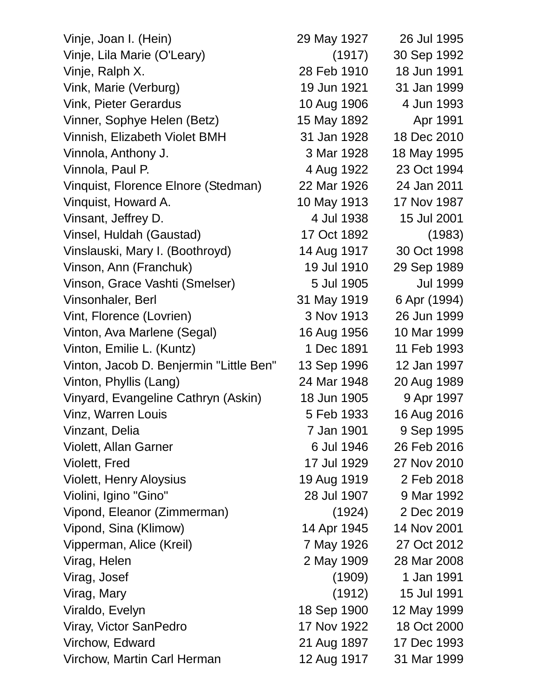| Vinje, Joan I. (Hein)                   | 29 May 1927 | 26 Jul 1995     |
|-----------------------------------------|-------------|-----------------|
| Vinje, Lila Marie (O'Leary)             | (1917)      | 30 Sep 1992     |
| Vinje, Ralph X.                         | 28 Feb 1910 | 18 Jun 1991     |
| Vink, Marie (Verburg)                   | 19 Jun 1921 | 31 Jan 1999     |
| <b>Vink, Pieter Gerardus</b>            | 10 Aug 1906 | 4 Jun 1993      |
| Vinner, Sophye Helen (Betz)             | 15 May 1892 | Apr 1991        |
| Vinnish, Elizabeth Violet BMH           | 31 Jan 1928 | 18 Dec 2010     |
| Vinnola, Anthony J.                     | 3 Mar 1928  | 18 May 1995     |
| Vinnola, Paul P.                        | 4 Aug 1922  | 23 Oct 1994     |
| Vinquist, Florence Elnore (Stedman)     | 22 Mar 1926 | 24 Jan 2011     |
| Vinquist, Howard A.                     | 10 May 1913 | 17 Nov 1987     |
| Vinsant, Jeffrey D.                     | 4 Jul 1938  | 15 Jul 2001     |
| Vinsel, Huldah (Gaustad)                | 17 Oct 1892 | (1983)          |
| Vinslauski, Mary I. (Boothroyd)         | 14 Aug 1917 | 30 Oct 1998     |
| Vinson, Ann (Franchuk)                  | 19 Jul 1910 | 29 Sep 1989     |
| Vinson, Grace Vashti (Smelser)          | 5 Jul 1905  | <b>Jul 1999</b> |
| Vinsonhaler, Berl                       | 31 May 1919 | 6 Apr (1994)    |
| Vint, Florence (Lovrien)                | 3 Nov 1913  | 26 Jun 1999     |
| Vinton, Ava Marlene (Segal)             | 16 Aug 1956 | 10 Mar 1999     |
| Vinton, Emilie L. (Kuntz)               | 1 Dec 1891  | 11 Feb 1993     |
| Vinton, Jacob D. Benjermin "Little Ben" | 13 Sep 1996 | 12 Jan 1997     |
| Vinton, Phyllis (Lang)                  | 24 Mar 1948 | 20 Aug 1989     |
| Vinyard, Evangeline Cathryn (Askin)     | 18 Jun 1905 | 9 Apr 1997      |
| Vinz, Warren Louis                      | 5 Feb 1933  | 16 Aug 2016     |
| Vinzant, Delia                          | 7 Jan 1901  | 9 Sep 1995      |
| <b>Violett, Allan Garner</b>            | 6 Jul 1946  | 26 Feb 2016     |
| Violett, Fred                           | 17 Jul 1929 | 27 Nov 2010     |
| <b>Violett, Henry Aloysius</b>          | 19 Aug 1919 | 2 Feb 2018      |
| Violini, Igino "Gino"                   | 28 Jul 1907 | 9 Mar 1992      |
| Vipond, Eleanor (Zimmerman)             | (1924)      | 2 Dec 2019      |
| Vipond, Sina (Klimow)                   | 14 Apr 1945 | 14 Nov 2001     |
| Vipperman, Alice (Kreil)                | 7 May 1926  | 27 Oct 2012     |
| Virag, Helen                            | 2 May 1909  | 28 Mar 2008     |
| Virag, Josef                            | (1909)      | 1 Jan 1991      |
| Virag, Mary                             | (1912)      | 15 Jul 1991     |
| Viraldo, Evelyn                         | 18 Sep 1900 | 12 May 1999     |
| Viray, Victor SanPedro                  | 17 Nov 1922 | 18 Oct 2000     |
| Virchow, Edward                         | 21 Aug 1897 | 17 Dec 1993     |
| Virchow, Martin Carl Herman             | 12 Aug 1917 | 31 Mar 1999     |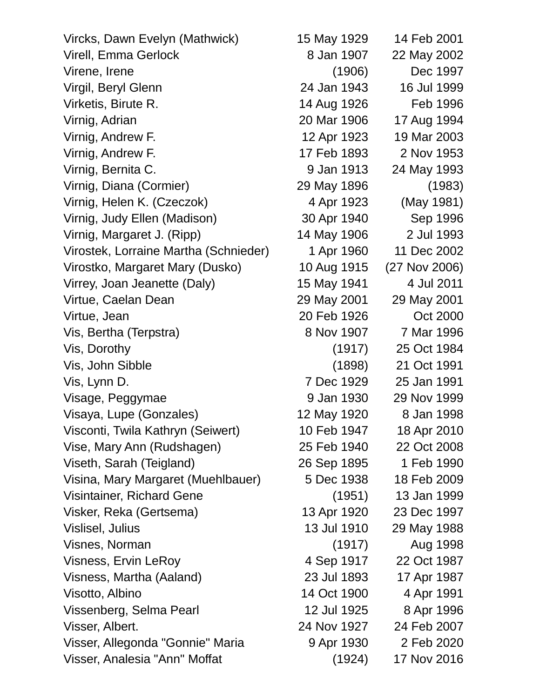| Vircks, Dawn Evelyn (Mathwick)        | 15 May 1929 | 14 Feb 2001   |
|---------------------------------------|-------------|---------------|
| <b>Virell, Emma Gerlock</b>           | 8 Jan 1907  | 22 May 2002   |
| Virene, Irene                         | (1906)      | Dec 1997      |
| Virgil, Beryl Glenn                   | 24 Jan 1943 | 16 Jul 1999   |
| Virketis, Birute R.                   | 14 Aug 1926 | Feb 1996      |
| Virnig, Adrian                        | 20 Mar 1906 | 17 Aug 1994   |
| Virnig, Andrew F.                     | 12 Apr 1923 | 19 Mar 2003   |
| Virnig, Andrew F.                     | 17 Feb 1893 | 2 Nov 1953    |
| Virnig, Bernita C.                    | 9 Jan 1913  | 24 May 1993   |
| Virnig, Diana (Cormier)               | 29 May 1896 | (1983)        |
| Virnig, Helen K. (Czeczok)            | 4 Apr 1923  | (May 1981)    |
| Virnig, Judy Ellen (Madison)          | 30 Apr 1940 | Sep 1996      |
| Virnig, Margaret J. (Ripp)            | 14 May 1906 | 2 Jul 1993    |
| Virostek, Lorraine Martha (Schnieder) | 1 Apr 1960  | 11 Dec 2002   |
| Virostko, Margaret Mary (Dusko)       | 10 Aug 1915 | (27 Nov 2006) |
| Virrey, Joan Jeanette (Daly)          | 15 May 1941 | 4 Jul 2011    |
| Virtue, Caelan Dean                   | 29 May 2001 | 29 May 2001   |
| Virtue, Jean                          | 20 Feb 1926 | Oct 2000      |
| Vis, Bertha (Terpstra)                | 8 Nov 1907  | 7 Mar 1996    |
| Vis, Dorothy                          | (1917)      | 25 Oct 1984   |
| Vis, John Sibble                      | (1898)      | 21 Oct 1991   |
| Vis, Lynn D.                          | 7 Dec 1929  | 25 Jan 1991   |
| Visage, Peggymae                      | 9 Jan 1930  | 29 Nov 1999   |
| Visaya, Lupe (Gonzales)               | 12 May 1920 | 8 Jan 1998    |
| Visconti, Twila Kathryn (Seiwert)     | 10 Feb 1947 | 18 Apr 2010   |
| Vise, Mary Ann (Rudshagen)            | 25 Feb 1940 | 22 Oct 2008   |
| Viseth, Sarah (Teigland)              | 26 Sep 1895 | 1 Feb 1990    |
| Visina, Mary Margaret (Muehlbauer)    | 5 Dec 1938  | 18 Feb 2009   |
| Visintainer, Richard Gene             | (1951)      | 13 Jan 1999   |
| Visker, Reka (Gertsema)               | 13 Apr 1920 | 23 Dec 1997   |
| Vislisel, Julius                      | 13 Jul 1910 | 29 May 1988   |
| Visnes, Norman                        | (1917)      | Aug 1998      |
| Visness, Ervin LeRoy                  | 4 Sep 1917  | 22 Oct 1987   |
| Visness, Martha (Aaland)              | 23 Jul 1893 | 17 Apr 1987   |
| Visotto, Albino                       | 14 Oct 1900 | 4 Apr 1991    |
| Vissenberg, Selma Pearl               | 12 Jul 1925 | 8 Apr 1996    |
| Visser, Albert.                       | 24 Nov 1927 | 24 Feb 2007   |
| Visser, Allegonda "Gonnie" Maria      | 9 Apr 1930  | 2 Feb 2020    |
| Visser, Analesia "Ann" Moffat         | (1924)      | 17 Nov 2016   |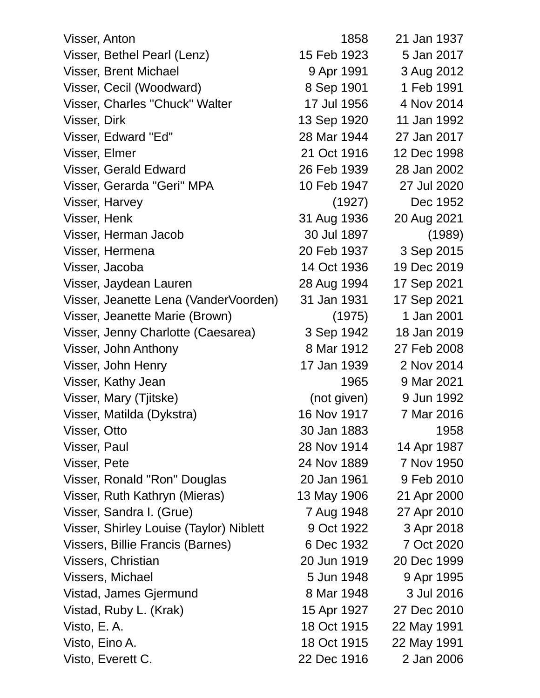| Visser, Anton                           | 1858        | 21 Jan 1937 |
|-----------------------------------------|-------------|-------------|
| Visser, Bethel Pearl (Lenz)             | 15 Feb 1923 | 5 Jan 2017  |
| Visser, Brent Michael                   | 9 Apr 1991  | 3 Aug 2012  |
| Visser, Cecil (Woodward)                | 8 Sep 1901  | 1 Feb 1991  |
| Visser, Charles "Chuck" Walter          | 17 Jul 1956 | 4 Nov 2014  |
| Visser, Dirk                            | 13 Sep 1920 | 11 Jan 1992 |
| Visser, Edward "Ed"                     | 28 Mar 1944 | 27 Jan 2017 |
| Visser, Elmer                           | 21 Oct 1916 | 12 Dec 1998 |
| Visser, Gerald Edward                   | 26 Feb 1939 | 28 Jan 2002 |
| Visser, Gerarda "Geri" MPA              | 10 Feb 1947 | 27 Jul 2020 |
| Visser, Harvey                          | (1927)      | Dec 1952    |
| Visser, Henk                            | 31 Aug 1936 | 20 Aug 2021 |
| Visser, Herman Jacob                    | 30 Jul 1897 | (1989)      |
| Visser, Hermena                         | 20 Feb 1937 | 3 Sep 2015  |
| Visser, Jacoba                          | 14 Oct 1936 | 19 Dec 2019 |
| Visser, Jaydean Lauren                  | 28 Aug 1994 | 17 Sep 2021 |
| Visser, Jeanette Lena (VanderVoorden)   | 31 Jan 1931 | 17 Sep 2021 |
| Visser, Jeanette Marie (Brown)          | (1975)      | 1 Jan 2001  |
| Visser, Jenny Charlotte (Caesarea)      | 3 Sep 1942  | 18 Jan 2019 |
| Visser, John Anthony                    | 8 Mar 1912  | 27 Feb 2008 |
| Visser, John Henry                      | 17 Jan 1939 | 2 Nov 2014  |
| Visser, Kathy Jean                      | 1965        | 9 Mar 2021  |
| Visser, Mary (Tjitske)                  | (not given) | 9 Jun 1992  |
| Visser, Matilda (Dykstra)               | 16 Nov 1917 | 7 Mar 2016  |
| Visser, Otto                            | 30 Jan 1883 | 1958        |
| Visser, Paul                            | 28 Nov 1914 | 14 Apr 1987 |
| Visser, Pete                            | 24 Nov 1889 | 7 Nov 1950  |
| Visser, Ronald "Ron" Douglas            | 20 Jan 1961 | 9 Feb 2010  |
| Visser, Ruth Kathryn (Mieras)           | 13 May 1906 | 21 Apr 2000 |
| Visser, Sandra I. (Grue)                | 7 Aug 1948  | 27 Apr 2010 |
| Visser, Shirley Louise (Taylor) Niblett | 9 Oct 1922  | 3 Apr 2018  |
| Vissers, Billie Francis (Barnes)        | 6 Dec 1932  | 7 Oct 2020  |
| Vissers, Christian                      | 20 Jun 1919 | 20 Dec 1999 |
| Vissers, Michael                        | 5 Jun 1948  | 9 Apr 1995  |
| Vistad, James Gjermund                  | 8 Mar 1948  | 3 Jul 2016  |
| Vistad, Ruby L. (Krak)                  | 15 Apr 1927 | 27 Dec 2010 |
| Visto, E.A.                             | 18 Oct 1915 | 22 May 1991 |
| Visto, Eino A.                          | 18 Oct 1915 | 22 May 1991 |
| Visto, Everett C.                       | 22 Dec 1916 | 2 Jan 2006  |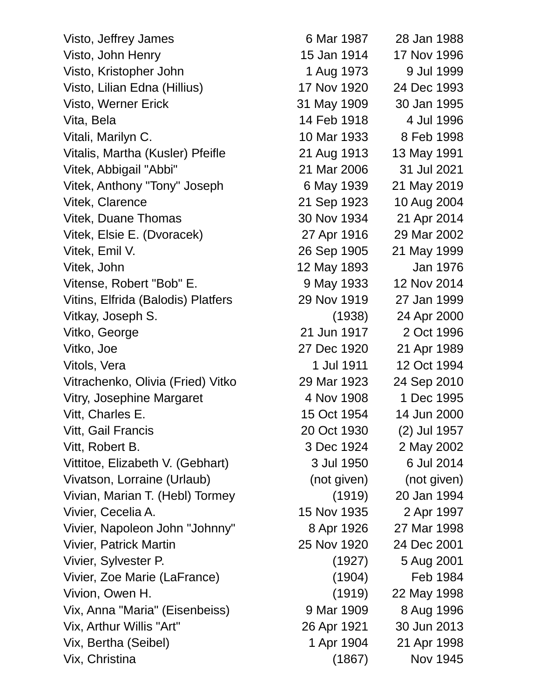Visto, Jeffrey James 6 Mar 1987 28 Jan 1988 Visto, John Henry 15 Jan 1914 17 Nov 1996 Visto, Kristopher John 1 Aug 1973 9 Jul 1999 Visto, Lilian Edna (Hillius) 17 Nov 1920 24 Dec 1993 Visto, Werner Erick 31 May 1909 30 Jan 1995 Vita, Bela 14 Feb 1918 4 Jul 1996 Vitali, Marilyn C. 10 Mar 1933 8 Feb 1998 Vitalis, Martha (Kusler) Pfeifle 21 Aug 1913 13 May 1991 Vitek, Abbigail "Abbi" 21 Mar 2006 31 Jul 2021 Vitek, Anthony "Tony" Joseph 6 May 1939 21 May 2019 Vitek, Clarence 21 Sep 1923 10 Aug 2004 Vitek, Duane Thomas 30 Nov 1934 21 Apr 2014 Vitek, Elsie E. (Dvoracek) 27 Apr 1916 29 Mar 2002 Vitek, Emil V. 26 Sep 1905 21 May 1999 Vitek, John 12 May 1893 Jan 1976 Vitense, Robert "Bob" E. 9 May 1933 12 Nov 2014 Vitins, Elfrida (Balodis) Platfers 29 Nov 1919 27 Jan 1999 Vitkay, Joseph S. (1938) 24 Apr 2000 Vitko, George 21 Jun 1917 2 Oct 1996 Vitko, Joe 27 Dec 1920 21 Apr 1989 Vitols, Vera 1 Jul 1911 12 Oct 1994 Vitrachenko, Olivia (Fried) Vitko 29 Mar 1923 24 Sep 2010 Vitry, Josephine Margaret 4 Nov 1908 1 Dec 1995 Vitt, Charles E. 15 Oct 1954 14 Jun 2000 Vitt, Gail Francis 20 Oct 1930 (2) Jul 1957 Vitt, Robert B. 3 Dec 1924 2 May 2002 Vittitoe, Elizabeth V. (Gebhart) 3 Jul 1950 6 Jul 2014 Vivatson, Lorraine (Urlaub) (not given) (not given) Vivian, Marian T. (Hebl) Tormey (1919) 20 Jan 1994 Vivier, Cecelia A. 15 Nov 1935 2 Apr 1997 Vivier, Napoleon John "Johnny" 8 Apr 1926 27 Mar 1998 Vivier, Patrick Martin 25 Nov 1920 24 Dec 2001 Vivier, Sylvester P. (1927) 5 Aug 2001 Vivier, Zoe Marie (LaFrance) (1904) Feb 1984 Vivion, Owen H. (1919) 22 May 1998 Vix, Anna "Maria" (Eisenbeiss) 9 Mar 1909 8 Aug 1996 Vix, Arthur Willis "Art" 26 Apr 1921 30 Jun 2013 Vix, Bertha (Seibel) 1 Apr 1904 21 Apr 1998 Vix, Christina (1867) Nov 1945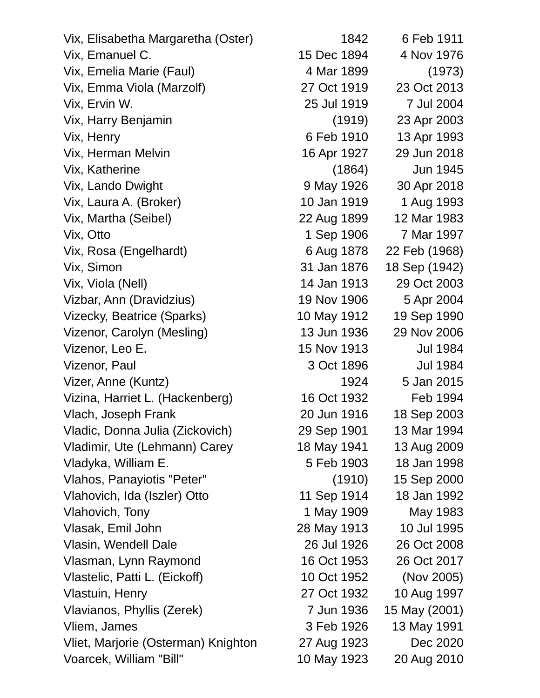| Vix, Elisabetha Margaretha (Oster)  | 1842        | 6 Feb 1911      |
|-------------------------------------|-------------|-----------------|
| Vix, Emanuel C.                     | 15 Dec 1894 | 4 Nov 1976      |
| Vix, Emelia Marie (Faul)            | 4 Mar 1899  | (1973)          |
| Vix, Emma Viola (Marzolf)           | 27 Oct 1919 | 23 Oct 2013     |
| Vix, Ervin W.                       | 25 Jul 1919 | 7 Jul 2004      |
| Vix, Harry Benjamin                 | (1919)      | 23 Apr 2003     |
| Vix, Henry                          | 6 Feb 1910  | 13 Apr 1993     |
| Vix, Herman Melvin                  | 16 Apr 1927 | 29 Jun 2018     |
| Vix, Katherine                      | (1864)      | Jun 1945        |
| Vix, Lando Dwight                   | 9 May 1926  | 30 Apr 2018     |
| Vix, Laura A. (Broker)              | 10 Jan 1919 | 1 Aug 1993      |
| Vix, Martha (Seibel)                | 22 Aug 1899 | 12 Mar 1983     |
| Vix, Otto                           | 1 Sep 1906  | 7 Mar 1997      |
| Vix, Rosa (Engelhardt)              | 6 Aug 1878  | 22 Feb (1968)   |
| Vix, Simon                          | 31 Jan 1876 | 18 Sep (1942)   |
| Vix, Viola (Nell)                   | 14 Jan 1913 | 29 Oct 2003     |
| Vizbar, Ann (Dravidzius)            | 19 Nov 1906 | 5 Apr 2004      |
| Vizecky, Beatrice (Sparks)          | 10 May 1912 | 19 Sep 1990     |
| Vizenor, Carolyn (Mesling)          | 13 Jun 1936 | 29 Nov 2006     |
| Vizenor, Leo E.                     | 15 Nov 1913 | <b>Jul 1984</b> |
| Vizenor, Paul                       | 3 Oct 1896  | <b>Jul 1984</b> |
| Vizer, Anne (Kuntz)                 | 1924        | 5 Jan 2015      |
| Vizina, Harriet L. (Hackenberg)     | 16 Oct 1932 | Feb 1994        |
| Vlach, Joseph Frank                 | 20 Jun 1916 | 18 Sep 2003     |
| Vladic, Donna Julia (Zickovich)     | 29 Sep 1901 | 13 Mar 1994     |
| Vladimir, Ute (Lehmann) Carey       | 18 May 1941 | 13 Aug 2009     |
| Vladyka, William E.                 | 5 Feb 1903  | 18 Jan 1998     |
| Vlahos, Panayiotis "Peter"          | (1910)      | 15 Sep 2000     |
| Vlahovich, Ida (Iszler) Otto        | 11 Sep 1914 | 18 Jan 1992     |
| Vlahovich, Tony                     | 1 May 1909  | May 1983        |
| Vlasak, Emil John                   | 28 May 1913 | 10 Jul 1995     |
| Vlasin, Wendell Dale                | 26 Jul 1926 | 26 Oct 2008     |
| Vlasman, Lynn Raymond               | 16 Oct 1953 | 26 Oct 2017     |
| Vlastelic, Patti L. (Eickoff)       | 10 Oct 1952 | (Nov 2005)      |
| Vlastuin, Henry                     | 27 Oct 1932 | 10 Aug 1997     |
| Vlavianos, Phyllis (Zerek)          | 7 Jun 1936  | 15 May (2001)   |
| Vliem, James                        | 3 Feb 1926  | 13 May 1991     |
| Vliet, Marjorie (Osterman) Knighton | 27 Aug 1923 | Dec 2020        |
| Voarcek, William "Bill"             | 10 May 1923 | 20 Aug 2010     |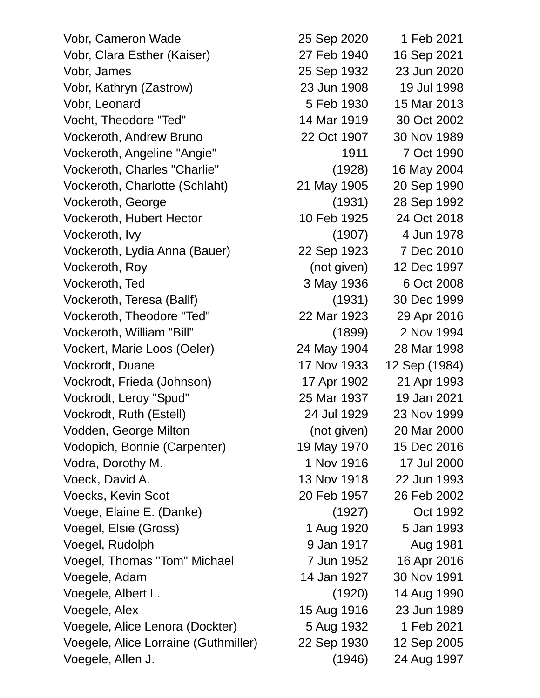Vobr, Cameron Wade 25 Sep 2020 1 Feb 2021 Vobr, Clara Esther (Kaiser) 27 Feb 1940 16 Sep 2021 Vobr, James 25 Sep 1932 23 Jun 2020 Vobr, Kathryn (Zastrow) 23 Jun 1908 19 Jul 1998 Vobr, Leonard 5 Feb 1930 15 Mar 2013 Vocht, Theodore "Ted" 14 Mar 1919 30 Oct 2002 Vockeroth, Andrew Bruno 22 Oct 1907 30 Nov 1989 Vockeroth, Angeline "Angie" 1911 7 Oct 1990 Vockeroth, Charles "Charlie" (1928) 16 May 2004 Vockeroth, Charlotte (Schlaht) 21 May 1905 20 Sep 1990 Vockeroth, George (1931) 28 Sep 1992 Vockeroth, Hubert Hector 10 Feb 1925 24 Oct 2018 Vockeroth, Ivy (1907) 4 Jun 1978 Vockeroth, Lydia Anna (Bauer) 22 Sep 1923 7 Dec 2010 Vockeroth, Roy (not given) 12 Dec 1997 Vockeroth, Ted 3 May 1936 6 Oct 2008 Vockeroth, Teresa (Ballf) (1931) 30 Dec 1999 Vockeroth, Theodore "Ted" 22 Mar 1923 29 Apr 2016 Vockeroth, William "Bill" (1899) 2 Nov 1994 Vockert, Marie Loos (Oeler) 24 May 1904 28 Mar 1998 Vockrodt, Duane 17 Nov 1933 12 Sep (1984) Vockrodt, Frieda (Johnson) 17 Apr 1902 21 Apr 1993 Vockrodt, Leroy "Spud" 25 Mar 1937 19 Jan 2021 Vockrodt, Ruth (Estell) 24 Jul 1929 23 Nov 1999 Vodden, George Milton (not given) 20 Mar 2000 Vodopich, Bonnie (Carpenter) 19 May 1970 15 Dec 2016 Vodra, Dorothy M. 1 Nov 1916 17 Jul 2000 Voeck, David A. 13 Nov 1918 22 Jun 1993 Voecks, Kevin Scot 20 Feb 1957 26 Feb 2002 Voege, Elaine E. (Danke) (1927) Oct 1992 Voegel, Elsie (Gross) 1 Aug 1920 5 Jan 1993 Voegel, Rudolph 9 Jan 1917 Aug 1981 Voegel, Thomas "Tom" Michael 7 Jun 1952 16 Apr 2016 Voegele, Adam 14 Jan 1927 30 Nov 1991 Voegele, Albert L. (1920) 14 Aug 1990 Voegele, Alex 15 Aug 1916 23 Jun 1989 Voegele, Alice Lenora (Dockter) 5 Aug 1932 1 Feb 2021 Voegele, Alice Lorraine (Guthmiller) 22 Sep 1930 12 Sep 2005 Voegele, Allen J. (1946) 24 Aug 1997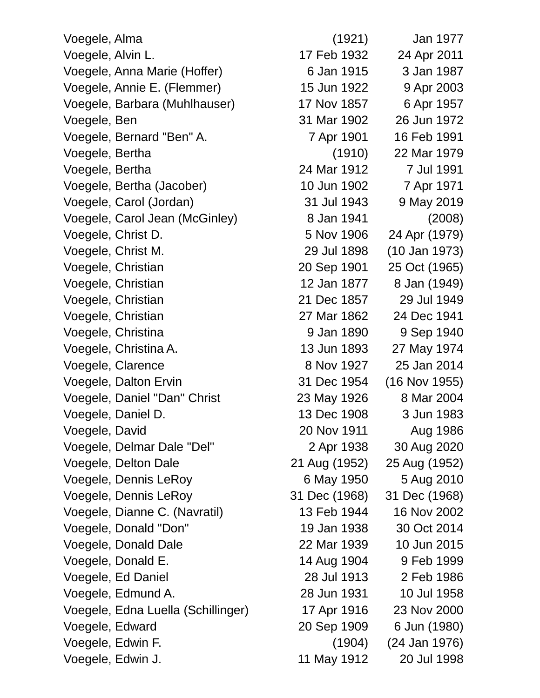| Voegele, Alma                      | (1921)        | Jan 1977        |
|------------------------------------|---------------|-----------------|
| Voegele, Alvin L.                  | 17 Feb 1932   | 24 Apr 2011     |
| Voegele, Anna Marie (Hoffer)       | 6 Jan 1915    | 3 Jan 1987      |
| Voegele, Annie E. (Flemmer)        | 15 Jun 1922   | 9 Apr 2003      |
| Voegele, Barbara (Muhlhauser)      | 17 Nov 1857   | 6 Apr 1957      |
| Voegele, Ben                       | 31 Mar 1902   | 26 Jun 1972     |
| Voegele, Bernard "Ben" A.          | 7 Apr 1901    | 16 Feb 1991     |
| Voegele, Bertha                    | (1910)        | 22 Mar 1979     |
| Voegele, Bertha                    | 24 Mar 1912   | 7 Jul 1991      |
| Voegele, Bertha (Jacober)          | 10 Jun 1902   | 7 Apr 1971      |
| Voegele, Carol (Jordan)            | 31 Jul 1943   | 9 May 2019      |
| Voegele, Carol Jean (McGinley)     | 8 Jan 1941    | (2008)          |
| Voegele, Christ D.                 | 5 Nov 1906    | 24 Apr (1979)   |
| Voegele, Christ M.                 | 29 Jul 1898   | (10 Jan 1973)   |
| Voegele, Christian                 | 20 Sep 1901   | 25 Oct (1965)   |
| Voegele, Christian                 | 12 Jan 1877   | 8 Jan (1949)    |
| Voegele, Christian                 | 21 Dec 1857   | 29 Jul 1949     |
| Voegele, Christian                 | 27 Mar 1862   | 24 Dec 1941     |
| Voegele, Christina                 | 9 Jan 1890    | 9 Sep 1940      |
| Voegele, Christina A.              | 13 Jun 1893   | 27 May 1974     |
| Voegele, Clarence                  | 8 Nov 1927    | 25 Jan 2014     |
| Voegele, Dalton Ervin              | 31 Dec 1954   | $(16$ Nov 1955) |
| Voegele, Daniel "Dan" Christ       | 23 May 1926   | 8 Mar 2004      |
| Voegele, Daniel D.                 | 13 Dec 1908   | 3 Jun 1983      |
| Voegele, David                     | 20 Nov 1911   | Aug 1986        |
| Voegele, Delmar Dale "Del"         | 2 Apr 1938    | 30 Aug 2020     |
| Voegele, Delton Dale               | 21 Aug (1952) | 25 Aug (1952)   |
| Voegele, Dennis LeRoy              | 6 May 1950    | 5 Aug 2010      |
| Voegele, Dennis LeRoy              | 31 Dec (1968) | 31 Dec (1968)   |
| Voegele, Dianne C. (Navratil)      | 13 Feb 1944   | 16 Nov 2002     |
| Voegele, Donald "Don"              | 19 Jan 1938   | 30 Oct 2014     |
| Voegele, Donald Dale               | 22 Mar 1939   | 10 Jun 2015     |
| Voegele, Donald E.                 | 14 Aug 1904   | 9 Feb 1999      |
| Voegele, Ed Daniel                 | 28 Jul 1913   | 2 Feb 1986      |
| Voegele, Edmund A.                 | 28 Jun 1931   | 10 Jul 1958     |
| Voegele, Edna Luella (Schillinger) | 17 Apr 1916   | 23 Nov 2000     |
| Voegele, Edward                    | 20 Sep 1909   | 6 Jun (1980)    |
| Voegele, Edwin F.                  | (1904)        | (24 Jan 1976)   |
| Voegele, Edwin J.                  | 11 May 1912   | 20 Jul 1998     |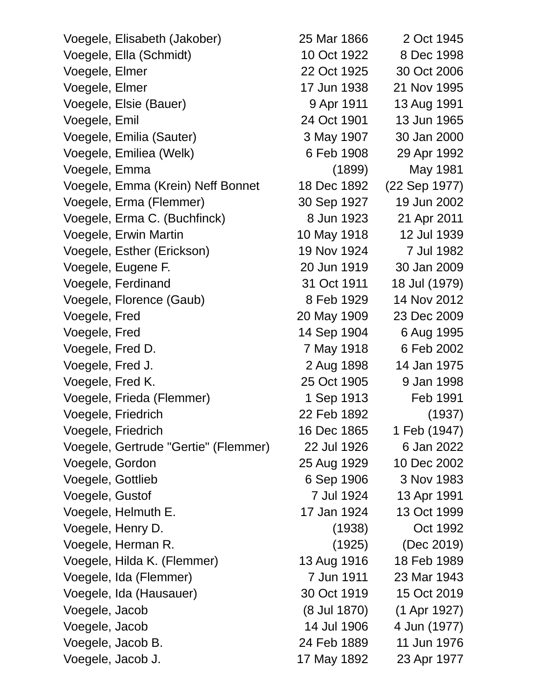| Voegele, Elisabeth (Jakober)         | 25 Mar 1866  | 2 Oct 1945    |
|--------------------------------------|--------------|---------------|
| Voegele, Ella (Schmidt)              | 10 Oct 1922  | 8 Dec 1998    |
| Voegele, Elmer                       | 22 Oct 1925  | 30 Oct 2006   |
| Voegele, Elmer                       | 17 Jun 1938  | 21 Nov 1995   |
| Voegele, Elsie (Bauer)               | 9 Apr 1911   | 13 Aug 1991   |
| Voegele, Emil                        | 24 Oct 1901  | 13 Jun 1965   |
| Voegele, Emilia (Sauter)             | 3 May 1907   | 30 Jan 2000   |
| Voegele, Emiliea (Welk)              | 6 Feb 1908   | 29 Apr 1992   |
| Voegele, Emma                        | (1899)       | May 1981      |
| Voegele, Emma (Krein) Neff Bonnet    | 18 Dec 1892  | (22 Sep 1977) |
| Voegele, Erma (Flemmer)              | 30 Sep 1927  | 19 Jun 2002   |
| Voegele, Erma C. (Buchfinck)         | 8 Jun 1923   | 21 Apr 2011   |
| Voegele, Erwin Martin                | 10 May 1918  | 12 Jul 1939   |
| Voegele, Esther (Erickson)           | 19 Nov 1924  | 7 Jul 1982    |
| Voegele, Eugene F.                   | 20 Jun 1919  | 30 Jan 2009   |
| Voegele, Ferdinand                   | 31 Oct 1911  | 18 Jul (1979) |
| Voegele, Florence (Gaub)             | 8 Feb 1929   | 14 Nov 2012   |
| Voegele, Fred                        | 20 May 1909  | 23 Dec 2009   |
| Voegele, Fred                        | 14 Sep 1904  | 6 Aug 1995    |
| Voegele, Fred D.                     | 7 May 1918   | 6 Feb 2002    |
| Voegele, Fred J.                     | 2 Aug 1898   | 14 Jan 1975   |
| Voegele, Fred K.                     | 25 Oct 1905  | 9 Jan 1998    |
| Voegele, Frieda (Flemmer)            | 1 Sep 1913   | Feb 1991      |
| Voegele, Friedrich                   | 22 Feb 1892  | (1937)        |
| Voegele, Friedrich                   | 16 Dec 1865  | 1 Feb (1947)  |
| Voegele, Gertrude "Gertie" (Flemmer) | 22 Jul 1926  | 6 Jan 2022    |
| Voegele, Gordon                      | 25 Aug 1929  | 10 Dec 2002   |
| Voegele, Gottlieb                    | 6 Sep 1906   | 3 Nov 1983    |
| Voegele, Gustof                      | 7 Jul 1924   | 13 Apr 1991   |
| Voegele, Helmuth E.                  | 17 Jan 1924  | 13 Oct 1999   |
| Voegele, Henry D.                    | (1938)       | Oct 1992      |
| Voegele, Herman R.                   | (1925)       | (Dec 2019)    |
| Voegele, Hilda K. (Flemmer)          | 13 Aug 1916  | 18 Feb 1989   |
| Voegele, Ida (Flemmer)               | 7 Jun 1911   | 23 Mar 1943   |
| Voegele, Ida (Hausauer)              | 30 Oct 1919  | 15 Oct 2019   |
| Voegele, Jacob                       | (8 Jul 1870) | (1 Apr 1927)  |
| Voegele, Jacob                       | 14 Jul 1906  | 4 Jun (1977)  |
| Voegele, Jacob B.                    | 24 Feb 1889  | 11 Jun 1976   |
| Voegele, Jacob J.                    | 17 May 1892  | 23 Apr 1977   |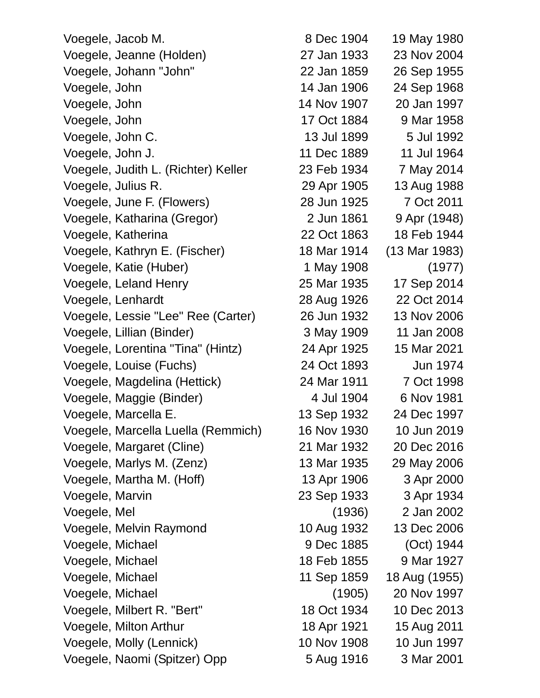| Voegele, Jacob M.                   | 8 Dec 1904  | 19 May 1980   |
|-------------------------------------|-------------|---------------|
| Voegele, Jeanne (Holden)            | 27 Jan 1933 | 23 Nov 2004   |
| Voegele, Johann "John"              | 22 Jan 1859 | 26 Sep 1955   |
| Voegele, John                       | 14 Jan 1906 | 24 Sep 1968   |
| Voegele, John                       | 14 Nov 1907 | 20 Jan 1997   |
| Voegele, John                       | 17 Oct 1884 | 9 Mar 1958    |
| Voegele, John C.                    | 13 Jul 1899 | 5 Jul 1992    |
| Voegele, John J.                    | 11 Dec 1889 | 11 Jul 1964   |
| Voegele, Judith L. (Richter) Keller | 23 Feb 1934 | 7 May 2014    |
| Voegele, Julius R.                  | 29 Apr 1905 | 13 Aug 1988   |
| Voegele, June F. (Flowers)          | 28 Jun 1925 | 7 Oct 2011    |
| Voegele, Katharina (Gregor)         | 2 Jun 1861  | 9 Apr (1948)  |
| Voegele, Katherina                  | 22 Oct 1863 | 18 Feb 1944   |
| Voegele, Kathryn E. (Fischer)       | 18 Mar 1914 | (13 Mar 1983) |
| Voegele, Katie (Huber)              | 1 May 1908  | (1977)        |
| Voegele, Leland Henry               | 25 Mar 1935 | 17 Sep 2014   |
| Voegele, Lenhardt                   | 28 Aug 1926 | 22 Oct 2014   |
| Voegele, Lessie "Lee" Ree (Carter)  | 26 Jun 1932 | 13 Nov 2006   |
| Voegele, Lillian (Binder)           | 3 May 1909  | 11 Jan 2008   |
| Voegele, Lorentina "Tina" (Hintz)   | 24 Apr 1925 | 15 Mar 2021   |
| Voegele, Louise (Fuchs)             | 24 Oct 1893 | Jun 1974      |
| Voegele, Magdelina (Hettick)        | 24 Mar 1911 | 7 Oct 1998    |
| Voegele, Maggie (Binder)            | 4 Jul 1904  | 6 Nov 1981    |
| Voegele, Marcella E.                | 13 Sep 1932 | 24 Dec 1997   |
| Voegele, Marcella Luella (Remmich)  | 16 Nov 1930 | 10 Jun 2019   |
| Voegele, Margaret (Cline)           | 21 Mar 1932 | 20 Dec 2016   |
| Voegele, Marlys M. (Zenz)           | 13 Mar 1935 | 29 May 2006   |
| Voegele, Martha M. (Hoff)           | 13 Apr 1906 | 3 Apr 2000    |
| Voegele, Marvin                     | 23 Sep 1933 | 3 Apr 1934    |
| Voegele, Mel                        | (1936)      | 2 Jan 2002    |
| Voegele, Melvin Raymond             | 10 Aug 1932 | 13 Dec 2006   |
| Voegele, Michael                    | 9 Dec 1885  | (Oct) 1944    |
| Voegele, Michael                    | 18 Feb 1855 | 9 Mar 1927    |
| Voegele, Michael                    | 11 Sep 1859 | 18 Aug (1955) |
| Voegele, Michael                    | (1905)      | 20 Nov 1997   |
| Voegele, Milbert R. "Bert"          | 18 Oct 1934 | 10 Dec 2013   |
| Voegele, Milton Arthur              | 18 Apr 1921 | 15 Aug 2011   |
| Voegele, Molly (Lennick)            | 10 Nov 1908 | 10 Jun 1997   |
| Voegele, Naomi (Spitzer) Opp        | 5 Aug 1916  | 3 Mar 2001    |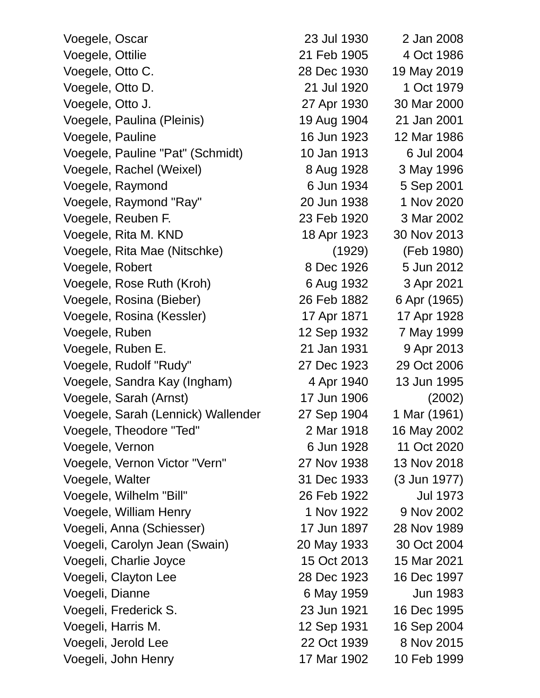| Voegele, Oscar                     | 23 Jul 1930 | 2 Jan 2008      |
|------------------------------------|-------------|-----------------|
| Voegele, Ottilie                   | 21 Feb 1905 | 4 Oct 1986      |
| Voegele, Otto C.                   | 28 Dec 1930 | 19 May 2019     |
| Voegele, Otto D.                   | 21 Jul 1920 | 1 Oct 1979      |
| Voegele, Otto J.                   | 27 Apr 1930 | 30 Mar 2000     |
| Voegele, Paulina (Pleinis)         | 19 Aug 1904 | 21 Jan 2001     |
| Voegele, Pauline                   | 16 Jun 1923 | 12 Mar 1986     |
| Voegele, Pauline "Pat" (Schmidt)   | 10 Jan 1913 | 6 Jul 2004      |
| Voegele, Rachel (Weixel)           | 8 Aug 1928  | 3 May 1996      |
| Voegele, Raymond                   | 6 Jun 1934  | 5 Sep 2001      |
| Voegele, Raymond "Ray"             | 20 Jun 1938 | 1 Nov 2020      |
| Voegele, Reuben F.                 | 23 Feb 1920 | 3 Mar 2002      |
| Voegele, Rita M. KND               | 18 Apr 1923 | 30 Nov 2013     |
| Voegele, Rita Mae (Nitschke)       | (1929)      | (Feb 1980)      |
| Voegele, Robert                    | 8 Dec 1926  | 5 Jun 2012      |
| Voegele, Rose Ruth (Kroh)          | 6 Aug 1932  | 3 Apr 2021      |
| Voegele, Rosina (Bieber)           | 26 Feb 1882 | 6 Apr (1965)    |
| Voegele, Rosina (Kessler)          | 17 Apr 1871 | 17 Apr 1928     |
| Voegele, Ruben                     | 12 Sep 1932 | 7 May 1999      |
| Voegele, Ruben E.                  | 21 Jan 1931 | 9 Apr 2013      |
| Voegele, Rudolf "Rudy"             | 27 Dec 1923 | 29 Oct 2006     |
| Voegele, Sandra Kay (Ingham)       | 4 Apr 1940  | 13 Jun 1995     |
| Voegele, Sarah (Arnst)             | 17 Jun 1906 | (2002)          |
| Voegele, Sarah (Lennick) Wallender | 27 Sep 1904 | 1 Mar (1961)    |
| Voegele, Theodore "Ted"            | 2 Mar 1918  | 16 May 2002     |
| Voegele, Vernon                    | 6 Jun 1928  | 11 Oct 2020     |
| Voegele, Vernon Victor "Vern"      | 27 Nov 1938 | 13 Nov 2018     |
| Voegele, Walter                    | 31 Dec 1933 | (3 Jun 1977)    |
| Voegele, Wilhelm "Bill"            | 26 Feb 1922 | <b>Jul 1973</b> |
| Voegele, William Henry             | 1 Nov 1922  | 9 Nov 2002      |
| Voegeli, Anna (Schiesser)          | 17 Jun 1897 | 28 Nov 1989     |
| Voegeli, Carolyn Jean (Swain)      | 20 May 1933 | 30 Oct 2004     |
| Voegeli, Charlie Joyce             | 15 Oct 2013 | 15 Mar 2021     |
| Voegeli, Clayton Lee               | 28 Dec 1923 | 16 Dec 1997     |
| Voegeli, Dianne                    | 6 May 1959  | Jun 1983        |
| Voegeli, Frederick S.              | 23 Jun 1921 | 16 Dec 1995     |
| Voegeli, Harris M.                 | 12 Sep 1931 | 16 Sep 2004     |
| Voegeli, Jerold Lee                | 22 Oct 1939 | 8 Nov 2015      |
| Voegeli, John Henry                | 17 Mar 1902 | 10 Feb 1999     |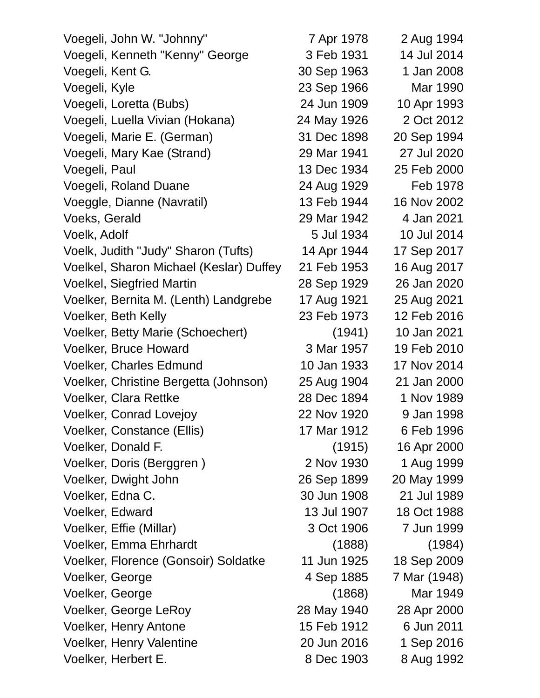| 7 Apr 1978  | 2 Aug 1994   |
|-------------|--------------|
| 3 Feb 1931  | 14 Jul 2014  |
| 30 Sep 1963 | 1 Jan 2008   |
| 23 Sep 1966 | Mar 1990     |
| 24 Jun 1909 | 10 Apr 1993  |
| 24 May 1926 | 2 Oct 2012   |
| 31 Dec 1898 | 20 Sep 1994  |
| 29 Mar 1941 | 27 Jul 2020  |
| 13 Dec 1934 | 25 Feb 2000  |
| 24 Aug 1929 | Feb 1978     |
| 13 Feb 1944 | 16 Nov 2002  |
| 29 Mar 1942 | 4 Jan 2021   |
| 5 Jul 1934  | 10 Jul 2014  |
| 14 Apr 1944 | 17 Sep 2017  |
| 21 Feb 1953 | 16 Aug 2017  |
| 28 Sep 1929 | 26 Jan 2020  |
| 17 Aug 1921 | 25 Aug 2021  |
| 23 Feb 1973 | 12 Feb 2016  |
| (1941)      | 10 Jan 2021  |
| 3 Mar 1957  | 19 Feb 2010  |
| 10 Jan 1933 | 17 Nov 2014  |
| 25 Aug 1904 | 21 Jan 2000  |
| 28 Dec 1894 | 1 Nov 1989   |
| 22 Nov 1920 | 9 Jan 1998   |
| 17 Mar 1912 | 6 Feb 1996   |
| (1915)      | 16 Apr 2000  |
| 2 Nov 1930  | 1 Aug 1999   |
| 26 Sep 1899 | 20 May 1999  |
| 30 Jun 1908 | 21 Jul 1989  |
| 13 Jul 1907 | 18 Oct 1988  |
| 3 Oct 1906  | 7 Jun 1999   |
| (1888)      | (1984)       |
| 11 Jun 1925 | 18 Sep 2009  |
| 4 Sep 1885  | 7 Mar (1948) |
| (1868)      | Mar 1949     |
| 28 May 1940 | 28 Apr 2000  |
| 15 Feb 1912 | 6 Jun 2011   |
| 20 Jun 2016 | 1 Sep 2016   |
| 8 Dec 1903  | 8 Aug 1992   |
|             |              |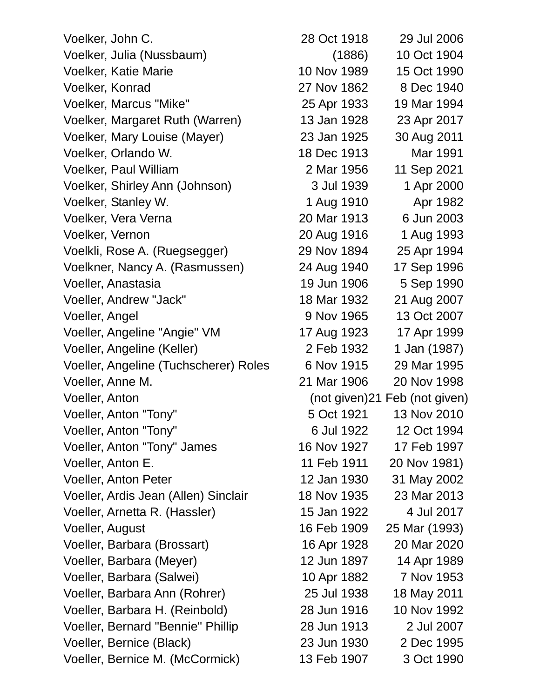| Voelker, John C.                      | 28 Oct 1918 | 29 Jul 2006                   |
|---------------------------------------|-------------|-------------------------------|
| Voelker, Julia (Nussbaum)             | (1886)      | 10 Oct 1904                   |
| <b>Voelker, Katie Marie</b>           | 10 Nov 1989 | 15 Oct 1990                   |
| Voelker, Konrad                       | 27 Nov 1862 | 8 Dec 1940                    |
| Voelker, Marcus "Mike"                | 25 Apr 1933 | 19 Mar 1994                   |
| Voelker, Margaret Ruth (Warren)       | 13 Jan 1928 | 23 Apr 2017                   |
| Voelker, Mary Louise (Mayer)          | 23 Jan 1925 | 30 Aug 2011                   |
| Voelker, Orlando W.                   | 18 Dec 1913 | Mar 1991                      |
| Voelker, Paul William                 | 2 Mar 1956  | 11 Sep 2021                   |
| Voelker, Shirley Ann (Johnson)        | 3 Jul 1939  | 1 Apr 2000                    |
| Voelker, Stanley W.                   | 1 Aug 1910  | Apr 1982                      |
| Voelker, Vera Verna                   | 20 Mar 1913 | 6 Jun 2003                    |
| Voelker, Vernon                       | 20 Aug 1916 | 1 Aug 1993                    |
| Voelkli, Rose A. (Ruegsegger)         | 29 Nov 1894 | 25 Apr 1994                   |
| Voelkner, Nancy A. (Rasmussen)        | 24 Aug 1940 | 17 Sep 1996                   |
| Voeller, Anastasia                    | 19 Jun 1906 | 5 Sep 1990                    |
| Voeller, Andrew "Jack"                | 18 Mar 1932 | 21 Aug 2007                   |
| Voeller, Angel                        | 9 Nov 1965  | 13 Oct 2007                   |
| Voeller, Angeline "Angie" VM          | 17 Aug 1923 | 17 Apr 1999                   |
| Voeller, Angeline (Keller)            | 2 Feb 1932  | 1 Jan (1987)                  |
| Voeller, Angeline (Tuchscherer) Roles | 6 Nov 1915  | 29 Mar 1995                   |
| Voeller, Anne M.                      | 21 Mar 1906 | 20 Nov 1998                   |
| Voeller, Anton                        |             | (not given)21 Feb (not given) |
| Voeller, Anton "Tony"                 | 5 Oct 1921  | 13 Nov 2010                   |
| Voeller, Anton "Tony"                 | 6 Jul 1922  | 12 Oct 1994                   |
| Voeller, Anton "Tony" James           | 16 Nov 1927 | 17 Feb 1997                   |
| Voeller, Anton E.                     | 11 Feb 1911 | 20 Nov 1981)                  |
| <b>Voeller, Anton Peter</b>           | 12 Jan 1930 | 31 May 2002                   |
| Voeller, Ardis Jean (Allen) Sinclair  | 18 Nov 1935 | 23 Mar 2013                   |
| Voeller, Arnetta R. (Hassler)         | 15 Jan 1922 | 4 Jul 2017                    |
| Voeller, August                       | 16 Feb 1909 | 25 Mar (1993)                 |
| Voeller, Barbara (Brossart)           | 16 Apr 1928 | 20 Mar 2020                   |
| Voeller, Barbara (Meyer)              | 12 Jun 1897 | 14 Apr 1989                   |
| Voeller, Barbara (Salwei)             | 10 Apr 1882 | 7 Nov 1953                    |
| Voeller, Barbara Ann (Rohrer)         | 25 Jul 1938 | 18 May 2011                   |
| Voeller, Barbara H. (Reinbold)        | 28 Jun 1916 | 10 Nov 1992                   |
| Voeller, Bernard "Bennie" Phillip     | 28 Jun 1913 | 2 Jul 2007                    |
| Voeller, Bernice (Black)              | 23 Jun 1930 | 2 Dec 1995                    |
| Voeller, Bernice M. (McCormick)       | 13 Feb 1907 | 3 Oct 1990                    |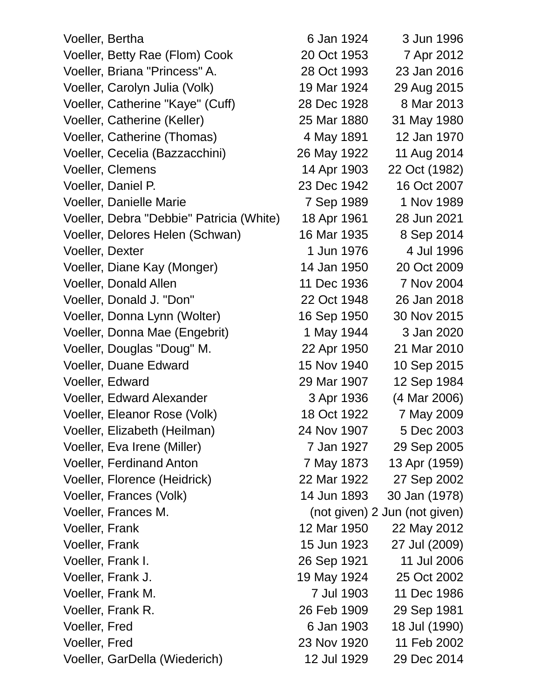| Voeller, Bertha                          | 6 Jan 1924  | 3 Jun 1996                    |
|------------------------------------------|-------------|-------------------------------|
| Voeller, Betty Rae (Flom) Cook           | 20 Oct 1953 | 7 Apr 2012                    |
| Voeller, Briana "Princess" A.            | 28 Oct 1993 | 23 Jan 2016                   |
| Voeller, Carolyn Julia (Volk)            | 19 Mar 1924 | 29 Aug 2015                   |
| Voeller, Catherine "Kaye" (Cuff)         | 28 Dec 1928 | 8 Mar 2013                    |
| Voeller, Catherine (Keller)              | 25 Mar 1880 | 31 May 1980                   |
| Voeller, Catherine (Thomas)              | 4 May 1891  | 12 Jan 1970                   |
| Voeller, Cecelia (Bazzacchini)           | 26 May 1922 | 11 Aug 2014                   |
| <b>Voeller, Clemens</b>                  | 14 Apr 1903 | 22 Oct (1982)                 |
| Voeller, Daniel P.                       | 23 Dec 1942 | 16 Oct 2007                   |
| <b>Voeller, Danielle Marie</b>           | 7 Sep 1989  | 1 Nov 1989                    |
| Voeller, Debra "Debbie" Patricia (White) | 18 Apr 1961 | 28 Jun 2021                   |
| Voeller, Delores Helen (Schwan)          | 16 Mar 1935 | 8 Sep 2014                    |
| <b>Voeller, Dexter</b>                   | 1 Jun 1976  | 4 Jul 1996                    |
| Voeller, Diane Kay (Monger)              | 14 Jan 1950 | 20 Oct 2009                   |
| Voeller, Donald Allen                    | 11 Dec 1936 | 7 Nov 2004                    |
| Voeller, Donald J. "Don"                 | 22 Oct 1948 | 26 Jan 2018                   |
| Voeller, Donna Lynn (Wolter)             | 16 Sep 1950 | 30 Nov 2015                   |
| Voeller, Donna Mae (Engebrit)            | 1 May 1944  | 3 Jan 2020                    |
| Voeller, Douglas "Doug" M.               | 22 Apr 1950 | 21 Mar 2010                   |
| <b>Voeller, Duane Edward</b>             | 15 Nov 1940 | 10 Sep 2015                   |
| Voeller, Edward                          | 29 Mar 1907 | 12 Sep 1984                   |
| <b>Voeller, Edward Alexander</b>         | 3 Apr 1936  | (4 Mar 2006)                  |
| Voeller, Eleanor Rose (Volk)             | 18 Oct 1922 | 7 May 2009                    |
| Voeller, Elizabeth (Heilman)             | 24 Nov 1907 | 5 Dec 2003                    |
| Voeller, Eva Irene (Miller)              | 7 Jan 1927  | 29 Sep 2005                   |
| <b>Voeller, Ferdinand Anton</b>          | 7 May 1873  | 13 Apr (1959)                 |
| Voeller, Florence (Heidrick)             | 22 Mar 1922 | 27 Sep 2002                   |
| Voeller, Frances (Volk)                  | 14 Jun 1893 | 30 Jan (1978)                 |
| Voeller, Frances M.                      |             | (not given) 2 Jun (not given) |
| Voeller, Frank                           | 12 Mar 1950 | 22 May 2012                   |
| <b>Voeller, Frank</b>                    | 15 Jun 1923 | 27 Jul (2009)                 |
| Voeller, Frank I.                        | 26 Sep 1921 | 11 Jul 2006                   |
| Voeller, Frank J.                        | 19 May 1924 | 25 Oct 2002                   |
| Voeller, Frank M.                        | 7 Jul 1903  | 11 Dec 1986                   |
| Voeller, Frank R.                        | 26 Feb 1909 | 29 Sep 1981                   |
| <b>Voeller, Fred</b>                     | 6 Jan 1903  | 18 Jul (1990)                 |
| <b>Voeller, Fred</b>                     | 23 Nov 1920 | 11 Feb 2002                   |
| Voeller, GarDella (Wiederich)            | 12 Jul 1929 | 29 Dec 2014                   |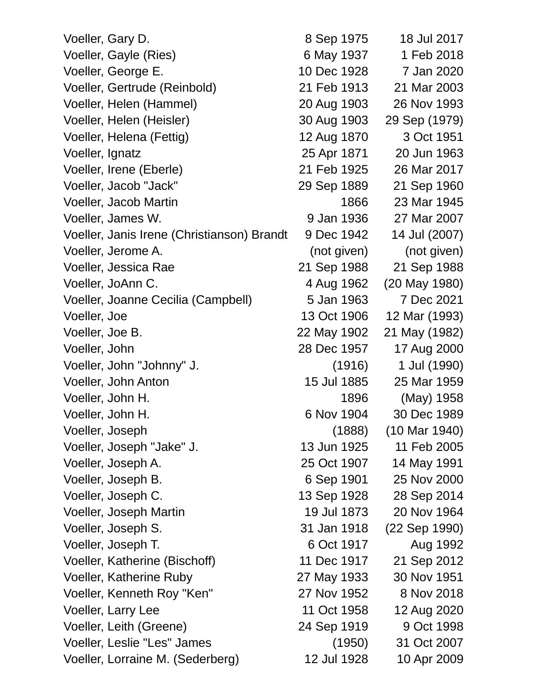| Voeller, Gary D.                           | 8 Sep 1975  | 18 Jul 2017   |
|--------------------------------------------|-------------|---------------|
| Voeller, Gayle (Ries)                      | 6 May 1937  | 1 Feb 2018    |
| Voeller, George E.                         | 10 Dec 1928 | 7 Jan 2020    |
| Voeller, Gertrude (Reinbold)               | 21 Feb 1913 | 21 Mar 2003   |
| Voeller, Helen (Hammel)                    | 20 Aug 1903 | 26 Nov 1993   |
| Voeller, Helen (Heisler)                   | 30 Aug 1903 | 29 Sep (1979) |
| Voeller, Helena (Fettig)                   | 12 Aug 1870 | 3 Oct 1951    |
| Voeller, Ignatz                            | 25 Apr 1871 | 20 Jun 1963   |
| Voeller, Irene (Eberle)                    | 21 Feb 1925 | 26 Mar 2017   |
| Voeller, Jacob "Jack"                      | 29 Sep 1889 | 21 Sep 1960   |
| Voeller, Jacob Martin                      | 1866        | 23 Mar 1945   |
| Voeller, James W.                          | 9 Jan 1936  | 27 Mar 2007   |
| Voeller, Janis Irene (Christianson) Brandt | 9 Dec 1942  | 14 Jul (2007) |
| Voeller, Jerome A.                         | (not given) | (not given)   |
| Voeller, Jessica Rae                       | 21 Sep 1988 | 21 Sep 1988   |
| Voeller, JoAnn C.                          | 4 Aug 1962  | (20 May 1980) |
| Voeller, Joanne Cecilia (Campbell)         | 5 Jan 1963  | 7 Dec 2021    |
| Voeller, Joe                               | 13 Oct 1906 | 12 Mar (1993) |
| Voeller, Joe B.                            | 22 May 1902 | 21 May (1982) |
| Voeller, John                              | 28 Dec 1957 | 17 Aug 2000   |
| Voeller, John "Johnny" J.                  | (1916)      | 1 Jul (1990)  |
| Voeller, John Anton                        | 15 Jul 1885 | 25 Mar 1959   |
| Voeller, John H.                           | 1896        | (May) 1958    |
| Voeller, John H.                           | 6 Nov 1904  | 30 Dec 1989   |
| Voeller, Joseph                            | (1888)      | (10 Mar 1940) |
| Voeller, Joseph "Jake" J.                  | 13 Jun 1925 | 11 Feb 2005   |
| Voeller, Joseph A.                         | 25 Oct 1907 | 14 May 1991   |
| Voeller, Joseph B.                         | 6 Sep 1901  | 25 Nov 2000   |
| Voeller, Joseph C.                         | 13 Sep 1928 | 28 Sep 2014   |
| Voeller, Joseph Martin                     | 19 Jul 1873 | 20 Nov 1964   |
| Voeller, Joseph S.                         | 31 Jan 1918 | (22 Sep 1990) |
| Voeller, Joseph T.                         | 6 Oct 1917  | Aug 1992      |
| Voeller, Katherine (Bischoff)              | 11 Dec 1917 | 21 Sep 2012   |
| <b>Voeller, Katherine Ruby</b>             | 27 May 1933 | 30 Nov 1951   |
| Voeller, Kenneth Roy "Ken"                 | 27 Nov 1952 | 8 Nov 2018    |
| Voeller, Larry Lee                         | 11 Oct 1958 | 12 Aug 2020   |
| Voeller, Leith (Greene)                    | 24 Sep 1919 | 9 Oct 1998    |
| Voeller, Leslie "Les" James                | (1950)      | 31 Oct 2007   |
| Voeller, Lorraine M. (Sederberg)           | 12 Jul 1928 | 10 Apr 2009   |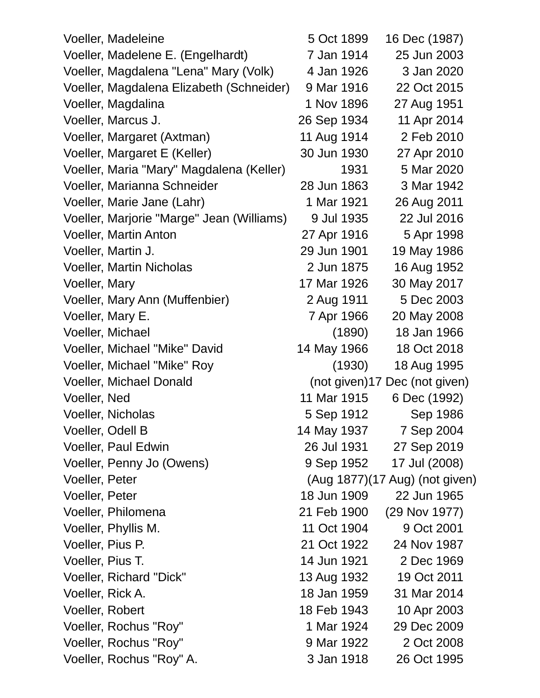| Voeller, Madeleine                        | 5 Oct 1899  | 16 Dec (1987)                  |
|-------------------------------------------|-------------|--------------------------------|
| Voeller, Madelene E. (Engelhardt)         | 7 Jan 1914  | 25 Jun 2003                    |
| Voeller, Magdalena "Lena" Mary (Volk)     | 4 Jan 1926  | 3 Jan 2020                     |
| Voeller, Magdalena Elizabeth (Schneider)  | 9 Mar 1916  | 22 Oct 2015                    |
| Voeller, Magdalina                        | 1 Nov 1896  | 27 Aug 1951                    |
| Voeller, Marcus J.                        | 26 Sep 1934 | 11 Apr 2014                    |
| Voeller, Margaret (Axtman)                | 11 Aug 1914 | 2 Feb 2010                     |
| Voeller, Margaret E (Keller)              | 30 Jun 1930 | 27 Apr 2010                    |
| Voeller, Maria "Mary" Magdalena (Keller)  | 1931        | 5 Mar 2020                     |
| Voeller, Marianna Schneider               | 28 Jun 1863 | 3 Mar 1942                     |
| Voeller, Marie Jane (Lahr)                | 1 Mar 1921  | 26 Aug 2011                    |
| Voeller, Marjorie "Marge" Jean (Williams) | 9 Jul 1935  | 22 Jul 2016                    |
| <b>Voeller, Martin Anton</b>              | 27 Apr 1916 | 5 Apr 1998                     |
| Voeller, Martin J.                        | 29 Jun 1901 | 19 May 1986                    |
| <b>Voeller, Martin Nicholas</b>           | 2 Jun 1875  | 16 Aug 1952                    |
| <b>Voeller, Mary</b>                      | 17 Mar 1926 | 30 May 2017                    |
| Voeller, Mary Ann (Muffenbier)            | 2 Aug 1911  | 5 Dec 2003                     |
| Voeller, Mary E.                          | 7 Apr 1966  | 20 May 2008                    |
| <b>Voeller, Michael</b>                   | (1890)      | 18 Jan 1966                    |
| Voeller, Michael "Mike" David             | 14 May 1966 | 18 Oct 2018                    |
| Voeller, Michael "Mike" Roy               | (1930)      | 18 Aug 1995                    |
| Voeller, Michael Donald                   |             | (not given)17 Dec (not given)  |
| Voeller, Ned                              | 11 Mar 1915 | 6 Dec (1992)                   |
| Voeller, Nicholas                         | 5 Sep 1912  | Sep 1986                       |
| Voeller, Odell B                          | 14 May 1937 | 7 Sep 2004                     |
| <b>Voeller, Paul Edwin</b>                | 26 Jul 1931 | 27 Sep 2019                    |
| Voeller, Penny Jo (Owens)                 | 9 Sep 1952  | 17 Jul (2008)                  |
| <b>Voeller, Peter</b>                     |             | (Aug 1877)(17 Aug) (not given) |
| Voeller, Peter                            | 18 Jun 1909 | 22 Jun 1965                    |
| Voeller, Philomena                        | 21 Feb 1900 | (29 Nov 1977)                  |
| Voeller, Phyllis M.                       | 11 Oct 1904 | 9 Oct 2001                     |
| Voeller, Pius P.                          | 21 Oct 1922 | 24 Nov 1987                    |
| Voeller, Pius T.                          | 14 Jun 1921 | 2 Dec 1969                     |
| Voeller, Richard "Dick"                   | 13 Aug 1932 | 19 Oct 2011                    |
| Voeller, Rick A.                          | 18 Jan 1959 | 31 Mar 2014                    |
| Voeller, Robert                           | 18 Feb 1943 | 10 Apr 2003                    |
| Voeller, Rochus "Roy"                     | 1 Mar 1924  | 29 Dec 2009                    |
| Voeller, Rochus "Roy"                     | 9 Mar 1922  | 2 Oct 2008                     |
| Voeller, Rochus "Roy" A.                  | 3 Jan 1918  | 26 Oct 1995                    |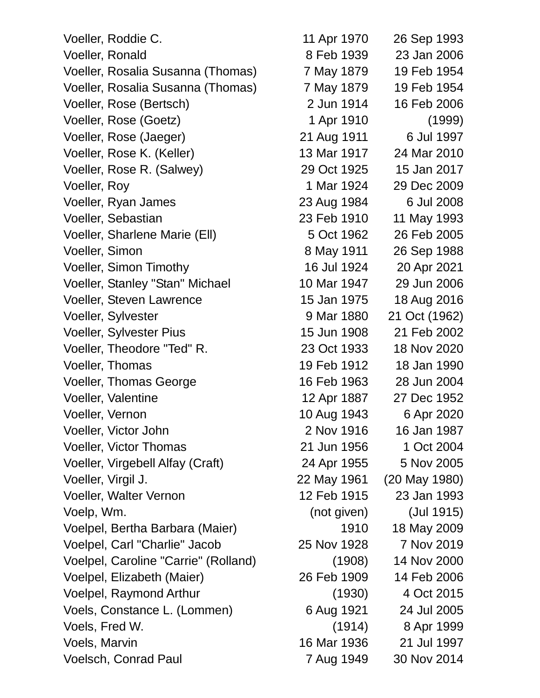| Voeller, Roddie C.                   | 11 Apr 1970 | 26 Sep 1993   |
|--------------------------------------|-------------|---------------|
| Voeller, Ronald                      | 8 Feb 1939  | 23 Jan 2006   |
| Voeller, Rosalia Susanna (Thomas)    | 7 May 1879  | 19 Feb 1954   |
| Voeller, Rosalia Susanna (Thomas)    | 7 May 1879  | 19 Feb 1954   |
| Voeller, Rose (Bertsch)              | 2 Jun 1914  | 16 Feb 2006   |
| Voeller, Rose (Goetz)                | 1 Apr 1910  | (1999)        |
| Voeller, Rose (Jaeger)               | 21 Aug 1911 | 6 Jul 1997    |
| Voeller, Rose K. (Keller)            | 13 Mar 1917 | 24 Mar 2010   |
| Voeller, Rose R. (Salwey)            | 29 Oct 1925 | 15 Jan 2017   |
| Voeller, Roy                         | 1 Mar 1924  | 29 Dec 2009   |
| Voeller, Ryan James                  | 23 Aug 1984 | 6 Jul 2008    |
| Voeller, Sebastian                   | 23 Feb 1910 | 11 May 1993   |
| Voeller, Sharlene Marie (Ell)        | 5 Oct 1962  | 26 Feb 2005   |
| Voeller, Simon                       | 8 May 1911  | 26 Sep 1988   |
| <b>Voeller, Simon Timothy</b>        | 16 Jul 1924 | 20 Apr 2021   |
| Voeller, Stanley "Stan" Michael      | 10 Mar 1947 | 29 Jun 2006   |
| <b>Voeller, Steven Lawrence</b>      | 15 Jan 1975 | 18 Aug 2016   |
| Voeller, Sylvester                   | 9 Mar 1880  | 21 Oct (1962) |
| Voeller, Sylvester Pius              | 15 Jun 1908 | 21 Feb 2002   |
| Voeller, Theodore "Ted" R.           | 23 Oct 1933 | 18 Nov 2020   |
| Voeller, Thomas                      | 19 Feb 1912 | 18 Jan 1990   |
| <b>Voeller, Thomas George</b>        | 16 Feb 1963 | 28 Jun 2004   |
| Voeller, Valentine                   | 12 Apr 1887 | 27 Dec 1952   |
| Voeller, Vernon                      | 10 Aug 1943 | 6 Apr 2020    |
| Voeller, Victor John                 | 2 Nov 1916  | 16 Jan 1987   |
| <b>Voeller, Victor Thomas</b>        | 21 Jun 1956 | 1 Oct 2004    |
| Voeller, Virgebell Alfay (Craft)     | 24 Apr 1955 | 5 Nov 2005    |
| Voeller, Virgil J.                   | 22 May 1961 | (20 May 1980) |
| <b>Voeller, Walter Vernon</b>        | 12 Feb 1915 | 23 Jan 1993   |
| Voelp, Wm.                           | (not given) | (Jul 1915)    |
| Voelpel, Bertha Barbara (Maier)      | 1910        | 18 May 2009   |
| Voelpel, Carl "Charlie" Jacob        | 25 Nov 1928 | 7 Nov 2019    |
| Voelpel, Caroline "Carrie" (Rolland) | (1908)      | 14 Nov 2000   |
| Voelpel, Elizabeth (Maier)           | 26 Feb 1909 | 14 Feb 2006   |
| Voelpel, Raymond Arthur              | (1930)      | 4 Oct 2015    |
| Voels, Constance L. (Lommen)         | 6 Aug 1921  | 24 Jul 2005   |
| Voels, Fred W.                       | (1914)      | 8 Apr 1999    |
| Voels, Marvin                        | 16 Mar 1936 | 21 Jul 1997   |
| <b>Voelsch, Conrad Paul</b>          | 7 Aug 1949  | 30 Nov 2014   |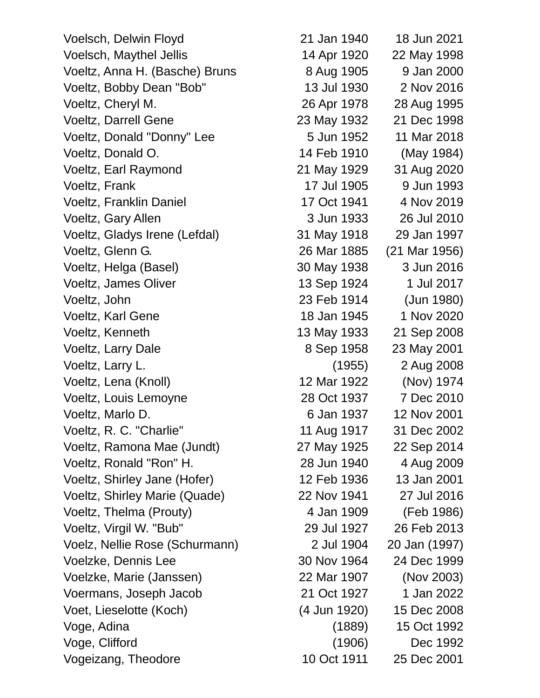Voelsch, Delwin Floyd 21 Jan 1940 18 Jun 2021 Voelsch, Maythel Jellis 14 Apr 1920 22 May 1998 Voeltz, Anna H. (Basche) Bruns 8 Aug 1905 9 Jan 2000 Voeltz, Bobby Dean "Bob" 13 Jul 1930 2 Nov 2016 Voeltz, Cheryl M. 26 Apr 1978 28 Aug 1995 Voeltz, Darrell Gene 23 May 1932 21 Dec 1998 Voeltz, Donald "Donny" Lee 5 Jun 1952 11 Mar 2018 Voeltz, Donald O. 14 Feb 1910 (May 1984) Voeltz, Earl Raymond 21 May 1929 31 Aug 2020 Voeltz, Frank 17 Jul 1905 9 Jun 1993 Voeltz, Franklin Daniel 17 Oct 1941 4 Nov 2019 Voeltz, Gary Allen 3 Jun 1933 26 Jul 2010 Voeltz, Gladys Irene (Lefdal) 31 May 1918 29 Jan 1997 Voeltz, Glenn G. 26 Mar 1885 (21 Mar 1956) Voeltz, Helga (Basel) 30 May 1938 3 Jun 2016 Voeltz, James Oliver 13 Sep 1924 1 Jul 2017 Voeltz, John 23 Feb 1914 (Jun 1980) Voeltz, Karl Gene 18 Jan 1945 1 Nov 2020 Voeltz, Kenneth 13 May 1933 21 Sep 2008 Voeltz, Larry Dale 8 Sep 1958 23 May 2001 Voeltz, Larry L. (1955) 2 Aug 2008 Voeltz, Lena (Knoll) 12 Mar 1922 (Nov) 1974 Voeltz, Louis Lemoyne 28 Oct 1937 7 Dec 2010 Voeltz, Marlo D. 6 Jan 1937 12 Nov 2001 Voeltz, R. C. "Charlie" 11 Aug 1917 31 Dec 2002 Voeltz, Ramona Mae (Jundt) 27 May 1925 22 Sep 2014 Voeltz, Ronald "Ron" H. 28 Jun 1940 4 Aug 2009 Voeltz, Shirley Jane (Hofer) 12 Feb 1936 13 Jan 2001 Voeltz, Shirley Marie (Quade) 22 Nov 1941 27 Jul 2016 Voeltz, Thelma (Prouty) 4 Jan 1909 (Feb 1986) Voeltz, Virgil W. "Bub" 29 Jul 1927 26 Feb 2013 Voelz, Nellie Rose (Schurmann) 2 Jul 1904 20 Jan (1997) Voelzke, Dennis Lee 30 Nov 1964 24 Dec 1999 Voelzke, Marie (Janssen) 22 Mar 1907 (Nov 2003) Voermans, Joseph Jacob 21 Oct 1927 1 Jan 2022 Voet, Lieselotte (Koch) (4 Jun 1920) 15 Dec 2008 Voge, Adina (1889) 15 Oct 1992 Voge, Clifford (1906) Dec 1992

Vogeizang, Theodore 10 Oct 1911 25 Dec 2001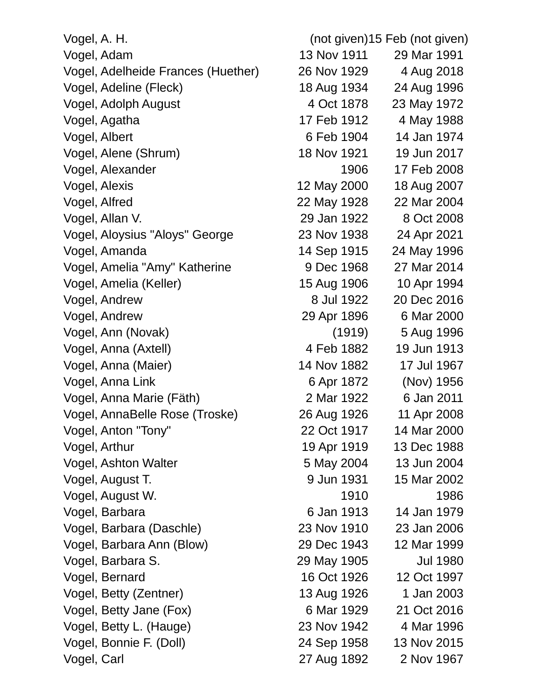Vogel, A. H. (not given)15 Feb (not given) Vogel, Adam 13 Nov 1911 29 Mar 1991 Vogel, Adelheide Frances (Huether) 26 Nov 1929 4 Aug 2018 Vogel, Adeline (Fleck) 18 Aug 1934 24 Aug 1996 Vogel, Adolph August 4 Oct 1878 23 May 1972 Vogel, Agatha 17 Feb 1912 4 May 1988 Vogel, Albert 6 Feb 1904 14 Jan 1974 Vogel, Alene (Shrum) 18 Nov 1921 19 Jun 2017 Vogel, Alexander 1906 17 Feb 2008 Vogel, Alexis 12 May 2000 18 Aug 2007 Vogel, Alfred 22 May 1928 22 Mar 2004 Vogel, Allan V. 29 Jan 1922 8 Oct 2008 Vogel, Aloysius "Aloys" George 23 Nov 1938 24 Apr 2021 Vogel, Amanda 14 Sep 1915 24 May 1996 Vogel, Amelia "Amy" Katherine 9 Dec 1968 27 Mar 2014 Vogel, Amelia (Keller) 15 Aug 1906 10 Apr 1994 Vogel, Andrew 8 Jul 1922 20 Dec 2016 Vogel, Andrew 29 Apr 1896 6 Mar 2000 Vogel, Ann (Novak) (1919) 5 Aug 1996 Vogel, Anna (Axtell) 4 Feb 1882 19 Jun 1913 Vogel, Anna (Maier) 14 Nov 1882 17 Jul 1967 Vogel, Anna Link 6 Apr 1872 (Nov) 1956 Vogel, Anna Marie (Fäth) 2 Mar 1922 6 Jan 2011 Vogel, AnnaBelle Rose (Troske) 26 Aug 1926 11 Apr 2008 Vogel, Anton "Tony" 22 Oct 1917 14 Mar 2000 Vogel, Arthur 19 Apr 1919 13 Dec 1988 Vogel, Ashton Walter 5 May 2004 13 Jun 2004 Vogel, August T. 9 Jun 1931 15 Mar 2002 Vogel, August W. 1910 1986 Vogel, Barbara 1979 **6 Jan 1913** 14 Jan 1979 Vogel, Barbara (Daschle) 23 Nov 1910 23 Jan 2006 Vogel, Barbara Ann (Blow) 29 Dec 1943 12 Mar 1999 Vogel, Barbara S. 29 May 1905 Jul 1980 Vogel, Bernard 16 Oct 1926 12 Oct 1997 Vogel, Betty (Zentner) 13 Aug 1926 1 Jan 2003 Vogel, Betty Jane (Fox) 6 Mar 1929 21 Oct 2016 Vogel, Betty L. (Hauge) 23 Nov 1942 4 Mar 1996 Vogel, Bonnie F. (Doll) 24 Sep 1958 13 Nov 2015

Vogel, Carl 27 Aug 1892 2 Nov 1967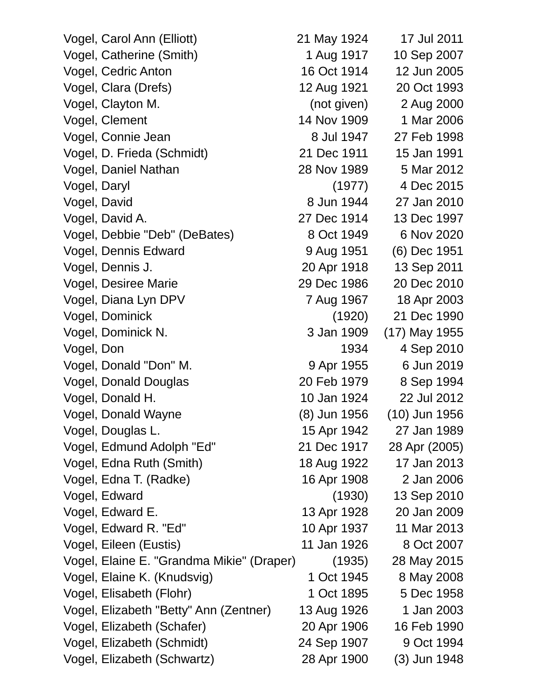Vogel, Carol Ann (Elliott) 21 May 1924 17 Jul 2011 Vogel, Catherine (Smith) 1 Aug 1917 10 Sep 2007 Vogel, Cedric Anton 16 Oct 1914 12 Jun 2005 Vogel, Clara (Drefs) 12 Aug 1921 20 Oct 1993 Vogel, Clayton M. (not given) 2 Aug 2000 Vogel, Clement 14 Nov 1909 1 Mar 2006 Vogel, Connie Jean 8 Jul 1947 27 Feb 1998 Vogel, D. Frieda (Schmidt) 21 Dec 1911 15 Jan 1991 Vogel, Daniel Nathan 28 Nov 1989 5 Mar 2012 Vogel, Daryl (1977) 4 Dec 2015 Vogel, David **8 Jun 1944** 27 Jan 2010 Vogel, David A. 27 Dec 1914 13 Dec 1997 Vogel, Debbie "Deb" (DeBates) 8 Oct 1949 6 Nov 2020 Vogel, Dennis Edward 9 Aug 1951 (6) Dec 1951 Vogel, Dennis J. 20 Apr 1918 13 Sep 2011 Vogel, Desiree Marie 29 Dec 1986 20 Dec 2010 Vogel, Diana Lyn DPV 7 Aug 1967 18 Apr 2003 Vogel, Dominick (1920) 21 Dec 1990 Vogel, Dominick N. 3 Jan 1909 (17) May 1955 Vogel, Don 1934 4 Sep 2010 Vogel, Donald "Don" M. 30 8 9 Apr 1955 6 Jun 2019 Vogel, Donald Douglas 20 Feb 1979 8 Sep 1994 Vogel, Donald H. 10 Jan 1924 22 Jul 2012 Vogel, Donald Wayne (8) Jun 1956 (10) Jun 1956 Vogel, Douglas L. 15 Apr 1942 27 Jan 1989 Vogel, Edmund Adolph "Ed" 21 Dec 1917 28 Apr (2005) Vogel, Edna Ruth (Smith) 18 Aug 1922 17 Jan 2013 Vogel, Edna T. (Radke) 16 Apr 1908 2 Jan 2006 Vogel, Edward (1930) 13 Sep 2010 Vogel, Edward E. 13 Apr 1928 20 Jan 2009 Vogel, Edward R. "Ed" 10 Apr 1937 11 Mar 2013 Vogel, Eileen (Eustis) 11 Jan 1926 8 Oct 2007 Vogel, Elaine E. "Grandma Mikie" (Draper) (1935) 28 May 2015 Vogel, Elaine K. (Knudsvig) 1 Oct 1945 8 May 2008 Vogel, Elisabeth (Flohr) 1 Oct 1895 5 Dec 1958 Vogel, Elizabeth "Betty" Ann (Zentner) 13 Aug 1926 1 Jan 2003 Vogel, Elizabeth (Schafer) 20 Apr 1906 16 Feb 1990 Vogel, Elizabeth (Schmidt) 24 Sep 1907 9 Oct 1994 Vogel, Elizabeth (Schwartz) 28 Apr 1900 (3) Jun 1948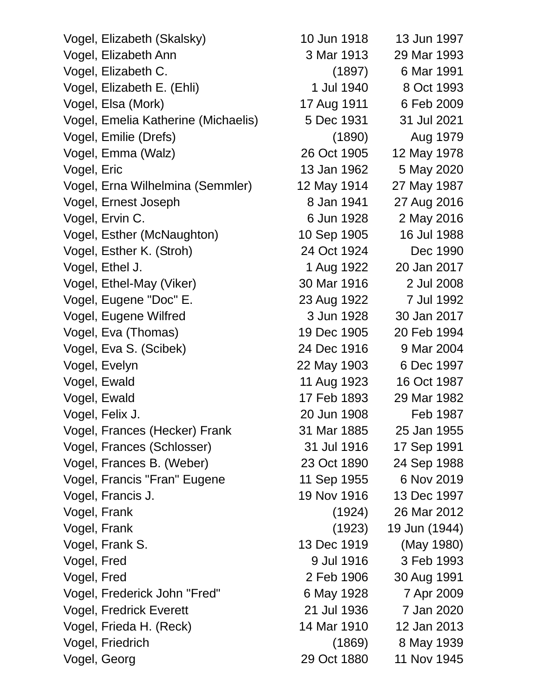| Vogel, Elizabeth (Skalsky)          | 10 Jun 1918 | 13 Jun 1997   |
|-------------------------------------|-------------|---------------|
| Vogel, Elizabeth Ann                | 3 Mar 1913  | 29 Mar 1993   |
| Vogel, Elizabeth C.                 | (1897)      | 6 Mar 1991    |
| Vogel, Elizabeth E. (Ehli)          | 1 Jul 1940  | 8 Oct 1993    |
| Vogel, Elsa (Mork)                  | 17 Aug 1911 | 6 Feb 2009    |
| Vogel, Emelia Katherine (Michaelis) | 5 Dec 1931  | 31 Jul 2021   |
| Vogel, Emilie (Drefs)               | (1890)      | Aug 1979      |
| Vogel, Emma (Walz)                  | 26 Oct 1905 | 12 May 1978   |
| Vogel, Eric                         | 13 Jan 1962 | 5 May 2020    |
| Vogel, Erna Wilhelmina (Semmler)    | 12 May 1914 | 27 May 1987   |
| Vogel, Ernest Joseph                | 8 Jan 1941  | 27 Aug 2016   |
| Vogel, Ervin C.                     | 6 Jun 1928  | 2 May 2016    |
| Vogel, Esther (McNaughton)          | 10 Sep 1905 | 16 Jul 1988   |
| Vogel, Esther K. (Stroh)            | 24 Oct 1924 | Dec 1990      |
| Vogel, Ethel J.                     | 1 Aug 1922  | 20 Jan 2017   |
| Vogel, Ethel-May (Viker)            | 30 Mar 1916 | 2 Jul 2008    |
| Vogel, Eugene "Doc" E.              | 23 Aug 1922 | 7 Jul 1992    |
| Vogel, Eugene Wilfred               | 3 Jun 1928  | 30 Jan 2017   |
| Vogel, Eva (Thomas)                 | 19 Dec 1905 | 20 Feb 1994   |
| Vogel, Eva S. (Scibek)              | 24 Dec 1916 | 9 Mar 2004    |
| Vogel, Evelyn                       | 22 May 1903 | 6 Dec 1997    |
| Vogel, Ewald                        | 11 Aug 1923 | 16 Oct 1987   |
| Vogel, Ewald                        | 17 Feb 1893 | 29 Mar 1982   |
| Vogel, Felix J.                     | 20 Jun 1908 | Feb 1987      |
| Vogel, Frances (Hecker) Frank       | 31 Mar 1885 | 25 Jan 1955   |
| Vogel, Frances (Schlosser)          | 31 Jul 1916 | 17 Sep 1991   |
| Vogel, Frances B. (Weber)           | 23 Oct 1890 | 24 Sep 1988   |
| Vogel, Francis "Fran" Eugene        | 11 Sep 1955 | 6 Nov 2019    |
| Vogel, Francis J.                   | 19 Nov 1916 | 13 Dec 1997   |
| Vogel, Frank                        | (1924)      | 26 Mar 2012   |
| Vogel, Frank                        | (1923)      | 19 Jun (1944) |
| Vogel, Frank S.                     | 13 Dec 1919 | (May 1980)    |
| Vogel, Fred                         | 9 Jul 1916  | 3 Feb 1993    |
| Vogel, Fred                         | 2 Feb 1906  | 30 Aug 1991   |
| Vogel, Frederick John "Fred"        | 6 May 1928  | 7 Apr 2009    |
| <b>Vogel, Fredrick Everett</b>      | 21 Jul 1936 | 7 Jan 2020    |
| Vogel, Frieda H. (Reck)             | 14 Mar 1910 | 12 Jan 2013   |
| Vogel, Friedrich                    | (1869)      | 8 May 1939    |
| Vogel, Georg                        | 29 Oct 1880 | 11 Nov 1945   |
|                                     |             |               |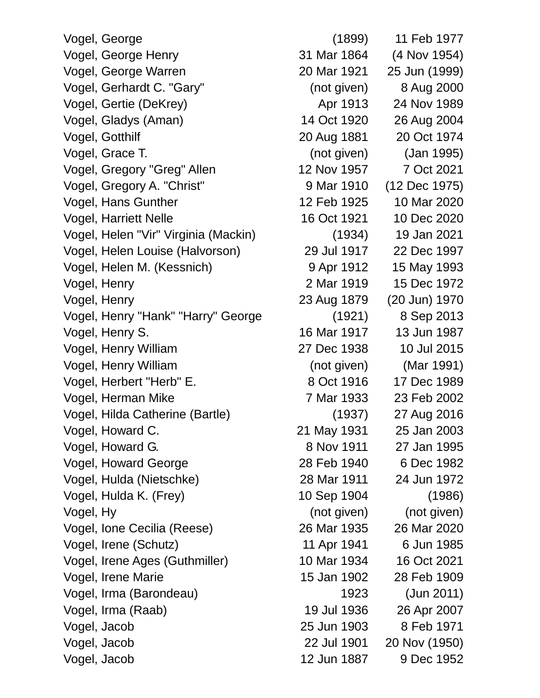Vogel, George (1899) 11 Feb 1977 Vogel, George Henry 31 Mar 1864 (4 Nov 1954) Vogel, George Warren 20 Mar 1921 25 Jun (1999) Vogel, Gerhardt C. "Gary" (not given) 8 Aug 2000 Vogel, Gertie (DeKrey) and Apr 1913 24 Nov 1989 Vogel, Gladys (Aman) 14 Oct 1920 26 Aug 2004 Vogel, Gotthilf 20 Aug 1881 20 Oct 1974 Vogel, Grace T. (not given) (Jan 1995) Vogel, Gregory "Greg" Allen 12 Nov 1957 7 Oct 2021 Vogel, Gregory A. "Christ" 9 Mar 1910 (12 Dec 1975) Vogel, Hans Gunther 12 Feb 1925 10 Mar 2020 Vogel, Harriett Nelle 16 Oct 1921 10 Dec 2020 Vogel, Helen "Vir" Virginia (Mackin) (1934) 19 Jan 2021 Vogel, Helen Louise (Halvorson) 29 Jul 1917 22 Dec 1997 Vogel, Helen M. (Kessnich) 9 Apr 1912 15 May 1993 Vogel, Henry 2 Mar 1919 15 Dec 1972 Vogel, Henry 23 Aug 1879 (20 Jun) 1970 Vogel, Henry "Hank" "Harry" George (1921) 8 Sep 2013 Vogel, Henry S. 16 Mar 1917 13 Jun 1987 Vogel, Henry William 27 Dec 1938 10 Jul 2015 Vogel, Henry William (not given) (Mar 1991) Vogel, Herbert "Herb" E. 8 Oct 1916 17 Dec 1989 Vogel, Herman Mike 7 Mar 1933 23 Feb 2002 Vogel, Hilda Catherine (Bartle) (1937) 27 Aug 2016 Vogel, Howard C. 21 May 1931 25 Jan 2003 Vogel, Howard G. 8 Nov 1911 27 Jan 1995 Vogel, Howard George 28 Feb 1940 6 Dec 1982 Vogel, Hulda (Nietschke) 28 Mar 1911 24 Jun 1972 Vogel, Hulda K. (Frey) 10 Sep 1904 (1986) Vogel, Hy (not given) (not given) Vogel, Ione Cecilia (Reese) 26 Mar 1935 26 Mar 2020 Vogel, Irene (Schutz) 11 Apr 1941 6 Jun 1985 Vogel, Irene Ages (Guthmiller) 10 Mar 1934 16 Oct 2021 Vogel, Irene Marie 15 Jan 1902 28 Feb 1909 Vogel, Irma (Barondeau) 1923 (Jun 2011) Vogel, Irma (Raab) 19 Jul 1936 26 Apr 2007 Vogel, Jacob 25 Jun 1903 8 Feb 1971 Vogel, Jacob 22 Jul 1901 20 Nov (1950) Vogel, Jacob 12 Jun 1887 9 Dec 1952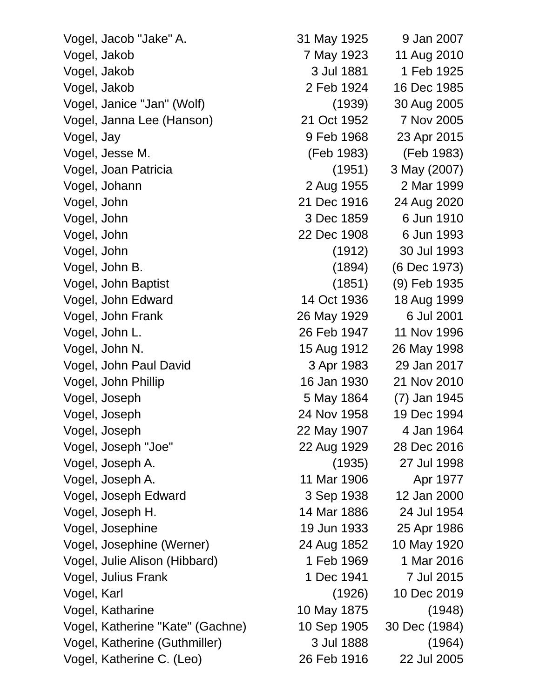Vogel, Jacob "Jake" A. 31 May 1925 9 Jan 2007 Vogel, Jakob 7 May 1923 11 Aug 2010 Vogel, Jakob 3 Jul 1881 1 Feb 1925 Vogel, Jakob 2 Feb 1924 16 Dec 1985 Vogel, Janice "Jan" (Wolf) (1939) 30 Aug 2005 Vogel, Janna Lee (Hanson) 21 Oct 1952 7 Nov 2005 Vogel, Jay 9 Feb 1968 23 Apr 2015 Vogel, Jesse M. (Feb 1983) (Feb 1983) Vogel, Joan Patricia (1951) 3 May (2007) Vogel, Johann 2 Aug 1955 2 Mar 1999 Vogel, John 21 Dec 1916 24 Aug 2020 Vogel, John 3 Dec 1859 6 Jun 1910 Vogel, John 22 Dec 1908 6 Jun 1993 Vogel, John (1912) 30 Jul 1993 Vogel, John B. (1894) (6 Dec 1973) Vogel, John Baptist (1851) (9) Feb 1935 Vogel, John Edward 14 Oct 1936 18 Aug 1999 Vogel, John Frank 26 May 1929 6 Jul 2001 Vogel, John L. 26 Feb 1947 11 Nov 1996 Vogel, John N. 15 Aug 1912 26 May 1998 Vogel, John Paul David 3 Apr 1983 29 Jan 2017 Vogel, John Phillip 16 Jan 1930 21 Nov 2010 Vogel, Joseph 5 May 1864 (7) Jan 1945 Vogel, Joseph 24 Nov 1958 19 Dec 1994 Vogel, Joseph 22 May 1907 4 Jan 1964 Vogel, Joseph "Joe" 22 Aug 1929 28 Dec 2016 Vogel, Joseph A. (1935) 27 Jul 1998 Vogel, Joseph A. 11 Mar 1906 Apr 1977 Vogel, Joseph Edward 3 Sep 1938 12 Jan 2000 Vogel, Joseph H. 14 Mar 1886 24 Jul 1954 Vogel, Josephine 19 Jun 1933 25 Apr 1986 Vogel, Josephine (Werner) 24 Aug 1852 10 May 1920 Vogel, Julie Alison (Hibbard) 1 Feb 1969 1 Mar 2016 Vogel, Julius Frank 1 Dec 1941 7 Jul 2015 Vogel, Karl (1926) 10 Dec 2019 Vogel, Katharine 10 May 1875 (1948) Vogel, Katherine "Kate" (Gachne) 10 Sep 1905 30 Dec (1984) Vogel, Katherine (Guthmiller) 3 Jul 1888 (1964)

Vogel, Katherine C. (Leo) 26 Feb 1916 22 Jul 2005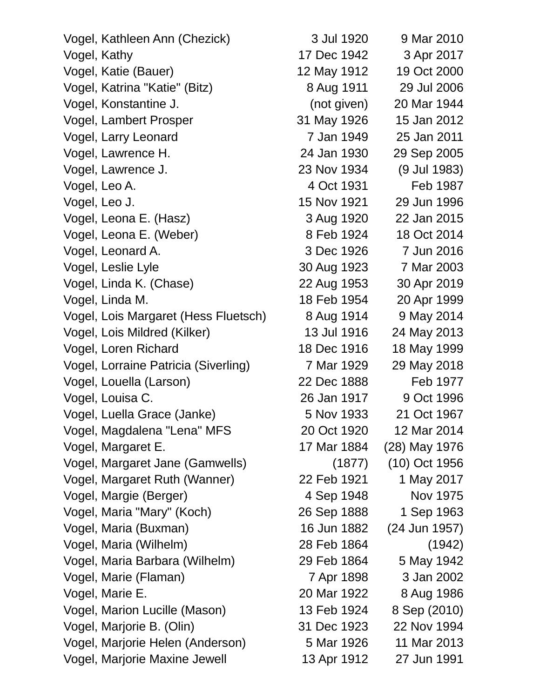| Vogel, Kathleen Ann (Chezick)        | 3 Jul 1920  | 9 Mar 2010    |
|--------------------------------------|-------------|---------------|
| Vogel, Kathy                         | 17 Dec 1942 | 3 Apr 2017    |
| Vogel, Katie (Bauer)                 | 12 May 1912 | 19 Oct 2000   |
| Vogel, Katrina "Katie" (Bitz)        | 8 Aug 1911  | 29 Jul 2006   |
| Vogel, Konstantine J.                | (not given) | 20 Mar 1944   |
| Vogel, Lambert Prosper               | 31 May 1926 | 15 Jan 2012   |
| Vogel, Larry Leonard                 | 7 Jan 1949  | 25 Jan 2011   |
| Vogel, Lawrence H.                   | 24 Jan 1930 | 29 Sep 2005   |
| Vogel, Lawrence J.                   | 23 Nov 1934 | (9 Jul 1983)  |
| Vogel, Leo A.                        | 4 Oct 1931  | Feb 1987      |
| Vogel, Leo J.                        | 15 Nov 1921 | 29 Jun 1996   |
| Vogel, Leona E. (Hasz)               | 3 Aug 1920  | 22 Jan 2015   |
| Vogel, Leona E. (Weber)              | 8 Feb 1924  | 18 Oct 2014   |
| Vogel, Leonard A.                    | 3 Dec 1926  | 7 Jun 2016    |
| Vogel, Leslie Lyle                   | 30 Aug 1923 | 7 Mar 2003    |
| Vogel, Linda K. (Chase)              | 22 Aug 1953 | 30 Apr 2019   |
| Vogel, Linda M.                      | 18 Feb 1954 | 20 Apr 1999   |
| Vogel, Lois Margaret (Hess Fluetsch) | 8 Aug 1914  | 9 May 2014    |
| Vogel, Lois Mildred (Kilker)         | 13 Jul 1916 | 24 May 2013   |
| Vogel, Loren Richard                 | 18 Dec 1916 | 18 May 1999   |
| Vogel, Lorraine Patricia (Siverling) | 7 Mar 1929  | 29 May 2018   |
| Vogel, Louella (Larson)              | 22 Dec 1888 | Feb 1977      |
| Vogel, Louisa C.                     | 26 Jan 1917 | 9 Oct 1996    |
| Vogel, Luella Grace (Janke)          | 5 Nov 1933  | 21 Oct 1967   |
| Vogel, Magdalena "Lena" MFS          | 20 Oct 1920 | 12 Mar 2014   |
| Vogel, Margaret E.                   | 17 Mar 1884 | (28) May 1976 |
| Vogel, Margaret Jane (Gamwells)      | (1877)      | (10) Oct 1956 |
| Vogel, Margaret Ruth (Wanner)        | 22 Feb 1921 | 1 May 2017    |
| Vogel, Margie (Berger)               | 4 Sep 1948  | Nov 1975      |
| Vogel, Maria "Mary" (Koch)           | 26 Sep 1888 | 1 Sep 1963    |
| Vogel, Maria (Buxman)                | 16 Jun 1882 | (24 Jun 1957) |
| Vogel, Maria (Wilhelm)               | 28 Feb 1864 | (1942)        |
| Vogel, Maria Barbara (Wilhelm)       | 29 Feb 1864 | 5 May 1942    |
| Vogel, Marie (Flaman)                | 7 Apr 1898  | 3 Jan 2002    |
| Vogel, Marie E.                      | 20 Mar 1922 | 8 Aug 1986    |
| Vogel, Marion Lucille (Mason)        | 13 Feb 1924 | 8 Sep (2010)  |
| Vogel, Marjorie B. (Olin)            | 31 Dec 1923 | 22 Nov 1994   |
| Vogel, Marjorie Helen (Anderson)     | 5 Mar 1926  | 11 Mar 2013   |
| Vogel, Marjorie Maxine Jewell        | 13 Apr 1912 | 27 Jun 1991   |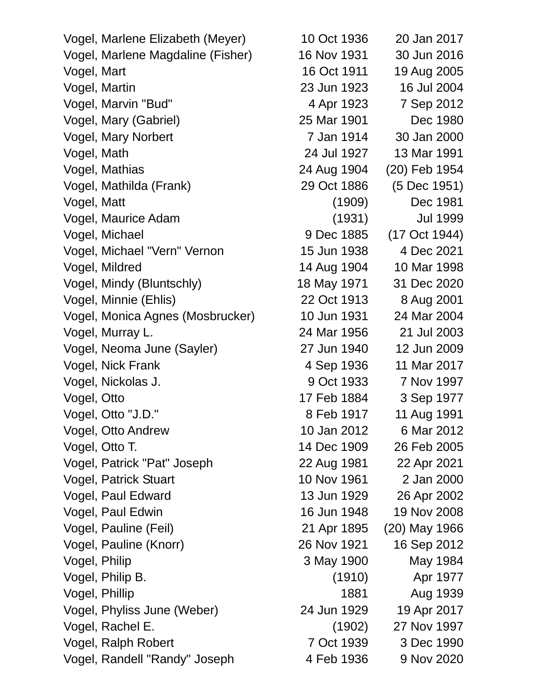Vogel, Marlene Elizabeth (Meyer) 10 Oct 1936 20 Jan 2017 Vogel, Marlene Magdaline (Fisher) 16 Nov 1931 30 Jun 2016 Vogel, Mart 16 Oct 1911 19 Aug 2005 Vogel, Martin 23 Jun 1923 16 Jul 2004 Vogel, Marvin "Bud" 4 Apr 1923 7 Sep 2012 Vogel, Mary (Gabriel) 25 Mar 1901 Dec 1980 Vogel, Mary Norbert 7 Jan 1914 30 Jan 2000 Vogel, Math 24 Jul 1927 13 Mar 1991 Vogel, Mathias 24 Aug 1904 (20) Feb 1954 Vogel, Mathilda (Frank) 29 Oct 1886 (5 Dec 1951) Vogel, Matt (1909) Dec 1981 Vogel, Maurice Adam (1931) Jul 1999 Vogel, Michael 9 Dec 1885 (17 Oct 1944) Vogel, Michael "Vern" Vernon 15 Jun 1938 4 Dec 2021 Vogel, Mildred 14 Aug 1904 10 Mar 1998 Vogel, Mindy (Bluntschly) 18 May 1971 31 Dec 2020 Vogel, Minnie (Ehlis) 22 Oct 1913 8 Aug 2001 Vogel, Monica Agnes (Mosbrucker) 10 Jun 1931 24 Mar 2004 Vogel, Murray L. 24 Mar 1956 21 Jul 2003 Vogel, Neoma June (Sayler) 27 Jun 1940 12 Jun 2009 Vogel, Nick Frank 1936 1936 11 Mar 2017 Vogel, Nickolas J. 9 Oct 1933 7 Nov 1997 Vogel, Otto 17 Feb 1884 3 Sep 1977 Vogel, Otto "J.D." 8 Feb 1917 11 Aug 1991 Vogel, Otto Andrew 10 Jan 2012 6 Mar 2012 Vogel, Otto T. 14 Dec 1909 26 Feb 2005 Vogel, Patrick "Pat" Joseph 22 Aug 1981 22 Apr 2021 Vogel, Patrick Stuart 10 Nov 1961 2 Jan 2000 Vogel, Paul Edward 13 Jun 1929 26 Apr 2002 Vogel, Paul Edwin 16 Jun 1948 19 Nov 2008 Vogel, Pauline (Feil) 21 Apr 1895 (20) May 1966 Vogel, Pauline (Knorr) 26 Nov 1921 16 Sep 2012 Vogel, Philip 3 May 1900 May 1984 Vogel, Philip B. (1910) Apr 1977 Vogel, Phillip 1881 Aug 1939 Vogel, Phyliss June (Weber) 24 Jun 1929 19 Apr 2017 Vogel, Rachel E. (1902) 27 Nov 1997 Vogel, Ralph Robert 7 Oct 1939 3 Dec 1990 Vogel, Randell "Randy" Joseph 4 Feb 1936 9 Nov 2020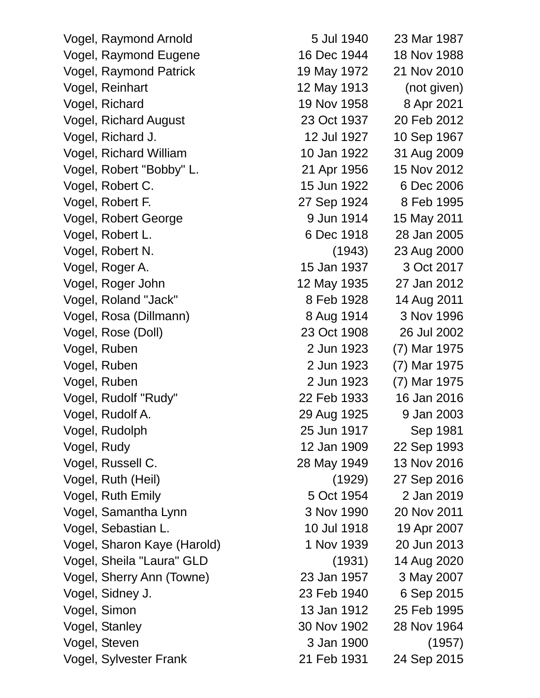Vogel, Raymond Arnold 5 Jul 1940 23 Mar 1987 Vogel, Raymond Eugene 16 Dec 1944 18 Nov 1988 Vogel, Raymond Patrick 19 May 1972 21 Nov 2010 Vogel, Reinhart 12 May 1913 (not given) Vogel, Richard 19 Nov 1958 8 Apr 2021 Vogel, Richard August 23 Oct 1937 20 Feb 2012 Vogel, Richard J. 12 Jul 1927 10 Sep 1967 Vogel, Richard William 10 Jan 1922 31 Aug 2009 Vogel, Robert "Bobby" L. 21 Apr 1956 15 Nov 2012 Vogel, Robert C. 15 Jun 1922 6 Dec 2006 Vogel, Robert F. 27 Sep 1924 8 Feb 1995 Vogel, Robert George 19th Contract 15 May 2011 Vogel, Robert L. 6 Dec 1918 28 Jan 2005 Vogel, Robert N. (1943) 23 Aug 2000 Vogel, Roger A. 15 Jan 1937 3 Oct 2017 Vogel, Roger John 12 May 1935 27 Jan 2012 Vogel, Roland "Jack" 8 Feb 1928 14 Aug 2011 Vogel, Rosa (Dillmann) 8 Aug 1914 3 Nov 1996 Vogel, Rose (Doll) 23 Oct 1908 26 Jul 2002 Vogel, Ruben 2 Jun 1923 (7) Mar 1975 Vogel, Ruben 2 Jun 1923 (7) Mar 1975 Vogel, Ruben 2 Jun 1923 (7) Mar 1975 Vogel, Rudolf "Rudy" 22 Feb 1933 16 Jan 2016 Vogel, Rudolf A. 29 Aug 1925 9 Jan 2003 Vogel, Rudolph 25 Jun 1917 Sep 1981 Vogel, Rudy 12 Jan 1909 22 Sep 1993 Vogel, Russell C. 28 May 1949 13 Nov 2016 Vogel, Ruth (Heil) (1929) 27 Sep 2016 Vogel, Ruth Emily 5 Oct 1954 2 Jan 2019 Vogel, Samantha Lynn 3 Nov 1990 20 Nov 2011 Vogel, Sebastian L. 10 Jul 1918 19 Apr 2007 Vogel, Sharon Kaye (Harold) 1 Nov 1939 20 Jun 2013 Vogel, Sheila "Laura" GLD (1931) 14 Aug 2020 Vogel, Sherry Ann (Towne) 23 Jan 1957 3 May 2007 Vogel, Sidney J. 23 Feb 1940 6 Sep 2015 Vogel, Simon 13 Jan 1912 25 Feb 1995 Vogel, Stanley 30 Nov 1902 28 Nov 1964 Vogel, Steven 3 Jan 1900 (1957) Vogel, Sylvester Frank 21 Feb 1931 24 Sep 2015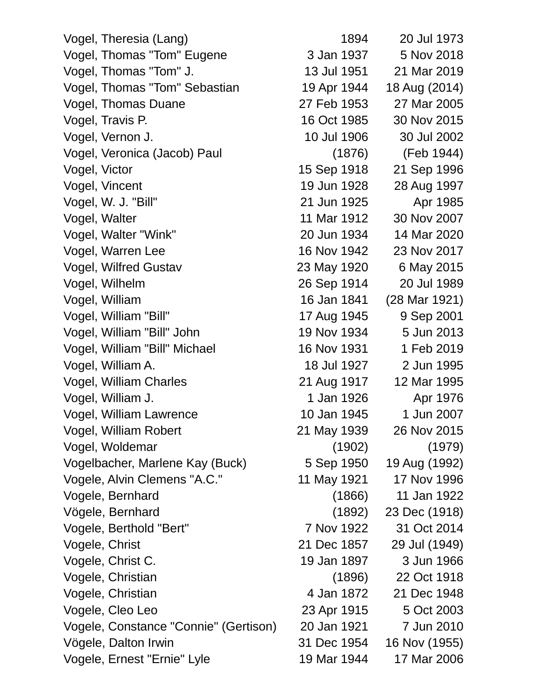Vogel, Theresia (Lang) 1894 20 Jul 1973 Vogel, Thomas "Tom" Eugene 3 Jan 1937 5 Nov 2018 Vogel, Thomas "Tom" J. 13 Jul 1951 21 Mar 2019 Vogel, Thomas "Tom" Sebastian 19 Apr 1944 18 Aug (2014) Vogel, Thomas Duane 27 Feb 1953 27 Mar 2005 Vogel, Travis P. 16 Oct 1985 30 Nov 2015 Vogel, Vernon J. 10 Jul 1906 30 Jul 2002 Vogel, Veronica (Jacob) Paul (1876) (Feb 1944) Vogel, Victor 15 Sep 1918 21 Sep 1996 Vogel, Vincent 19 Jun 1928 28 Aug 1997 Vogel, W. J. "Bill" 21 Jun 1925 Apr 1985 Vogel, Walter 11 Mar 1912 30 Nov 2007 Vogel, Walter "Wink" 20 Jun 1934 14 Mar 2020 Vogel, Warren Lee 16 Nov 1942 23 Nov 2017 Vogel, Wilfred Gustav 23 May 1920 6 May 2015 Vogel, Wilhelm 26 Sep 1914 20 Jul 1989 Vogel, William 16 Jan 1841 (28 Mar 1921) Vogel, William "Bill" 17 Aug 1945 9 Sep 2001 Vogel, William "Bill" John 19 Nov 1934 5 Jun 2013 Vogel, William "Bill" Michael 16 Nov 1931 1 Feb 2019 Vogel, William A. 18 Jul 1927 2 Jun 1995 Vogel, William Charles 21 Aug 1917 12 Mar 1995 Vogel, William J. 1 Jan 1926 Apr 1976 Vogel, William Lawrence 10 Jan 1945 1 Jun 2007 Vogel, William Robert 21 May 1939 26 Nov 2015 Vogel, Woldemar (1902) (1979) Vogelbacher, Marlene Kay (Buck) 5 Sep 1950 19 Aug (1992) Vogele, Alvin Clemens "A.C." 11 May 1921 17 Nov 1996 Vogele, Bernhard (1866) 11 Jan 1922 Vögele, Bernhard (1892) 23 Dec (1918) Vogele, Berthold "Bert" 7 Nov 1922 31 Oct 2014 Vogele, Christ 21 Dec 1857 29 Jul (1949) Vogele, Christ C. 19 Jan 1897 3 Jun 1966 Vogele, Christian (1896) 22 Oct 1918 Vogele, Christian 1872 21 Dec 1948 Vogele, Cleo Leo 23 Apr 1915 5 Oct 2003 Vogele, Constance "Connie" (Gertison) 20 Jan 1921 7 Jun 2010 Vögele, Dalton Irwin 31 Dec 1954 16 Nov (1955) Vogele, Ernest "Ernie" Lyle 19 Mar 1944 17 Mar 2006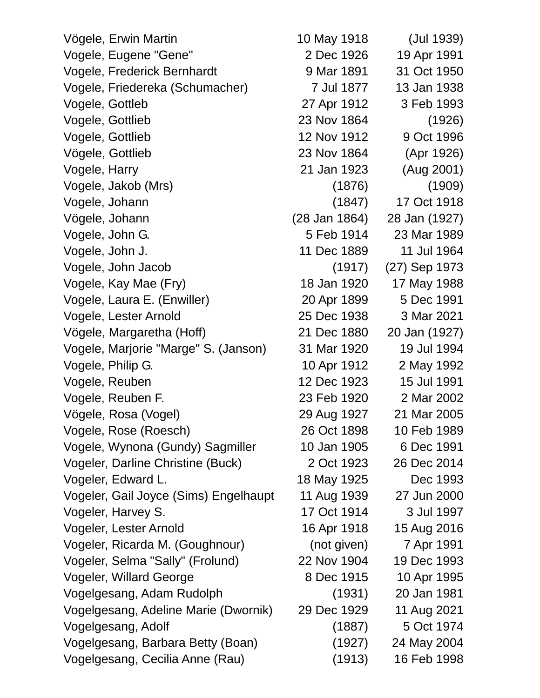Vögele, Erwin Martin 10 May 1918 (Jul 1939) Vogele, Eugene "Gene" 2 Dec 1926 19 Apr 1991 Vogele, Frederick Bernhardt 9 Mar 1891 31 Oct 1950 Vogele, Friedereka (Schumacher) 7 Jul 1877 13 Jan 1938 Vogele, Gottleb 27 Apr 1912 3 Feb 1993 Vogele, Gottlieb 23 Nov 1864 (1926) Vogele, Gottlieb 12 Nov 1912 9 Oct 1996 Vögele, Gottlieb 23 Nov 1864 (Apr 1926) Vogele, Harry 21 Jan 1923 (Aug 2001) Vogele, Jakob (Mrs) (1876) (1909) Vogele, Johann (1847) 17 Oct 1918 Vögele, Johann (28 Jan 1864) 28 Jan (1927) Vogele, John G. 5 Feb 1914 23 Mar 1989 Vogele, John J. 11 Dec 1889 11 Jul 1964 Vogele, John Jacob (1917) (27) Sep 1973 Vogele, Kay Mae (Fry) 18 Jan 1920 17 May 1988 Vogele, Laura E. (Enwiller) 20 Apr 1899 5 Dec 1991 Vogele, Lester Arnold 25 Dec 1938 3 Mar 2021 Vögele, Margaretha (Hoff) 21 Dec 1880 20 Jan (1927) Vogele, Marjorie "Marge" S. (Janson) 31 Mar 1920 19 Jul 1994 Vogele, Philip G. 10 Apr 1912 2 May 1992 Vogele, Reuben 12 Dec 1923 15 Jul 1991 Vogele, Reuben F. 23 Feb 1920 2 Mar 2002 Vögele, Rosa (Vogel) 29 Aug 1927 21 Mar 2005 Vogele, Rose (Roesch) 26 Oct 1898 10 Feb 1989 Vogele, Wynona (Gundy) Sagmiller 10 Jan 1905 6 Dec 1991 Vogeler, Darline Christine (Buck) 2 Oct 1923 26 Dec 2014 Vogeler, Edward L. 18 May 1925 Dec 1993 Vogeler, Gail Joyce (Sims) Engelhaupt 11 Aug 1939 27 Jun 2000 Vogeler, Harvey S. 17 Oct 1914 3 Jul 1997 Vogeler, Lester Arnold 16 Apr 1918 15 Aug 2016 Vogeler, Ricarda M. (Goughnour) (not given) 7 Apr 1991 Vogeler, Selma "Sally" (Frolund) 22 Nov 1904 19 Dec 1993 Vogeler, Willard George 8 Dec 1915 10 Apr 1995 Vogelgesang, Adam Rudolph (1931) 20 Jan 1981 Vogelgesang, Adeline Marie (Dwornik) 29 Dec 1929 11 Aug 2021 Vogelgesang, Adolf (1887) 5 Oct 1974 Vogelgesang, Barbara Betty (Boan) (1927) 24 May 2004 Vogelgesang, Cecilia Anne (Rau) (1913) 16 Feb 1998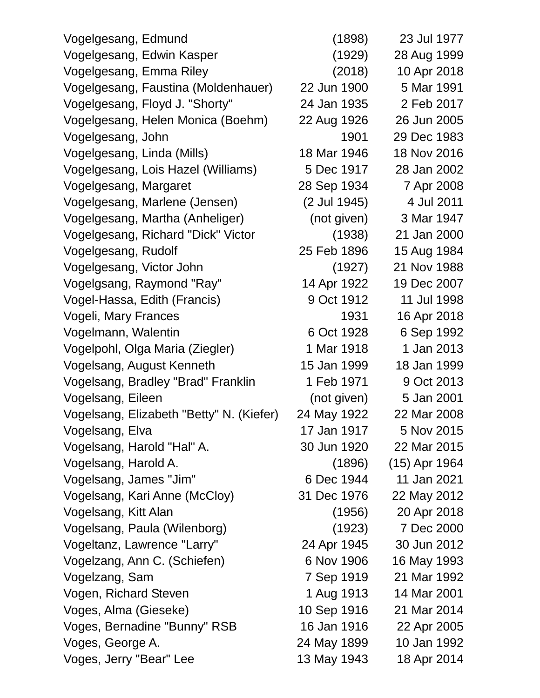| Vogelgesang, Edmund                      | (1898)       | 23 Jul 1977   |
|------------------------------------------|--------------|---------------|
| Vogelgesang, Edwin Kasper                | (1929)       | 28 Aug 1999   |
| Vogelgesang, Emma Riley                  | (2018)       | 10 Apr 2018   |
| Vogelgesang, Faustina (Moldenhauer)      | 22 Jun 1900  | 5 Mar 1991    |
| Vogelgesang, Floyd J. "Shorty"           | 24 Jan 1935  | 2 Feb 2017    |
| Vogelgesang, Helen Monica (Boehm)        | 22 Aug 1926  | 26 Jun 2005   |
| Vogelgesang, John                        | 1901         | 29 Dec 1983   |
| Vogelgesang, Linda (Mills)               | 18 Mar 1946  | 18 Nov 2016   |
| Vogelgesang, Lois Hazel (Williams)       | 5 Dec 1917   | 28 Jan 2002   |
| Vogelgesang, Margaret                    | 28 Sep 1934  | 7 Apr 2008    |
| Vogelgesang, Marlene (Jensen)            | (2 Jul 1945) | 4 Jul 2011    |
| Vogelgesang, Martha (Anheliger)          | (not given)  | 3 Mar 1947    |
| Vogelgesang, Richard "Dick" Victor       | (1938)       | 21 Jan 2000   |
| Vogelgesang, Rudolf                      | 25 Feb 1896  | 15 Aug 1984   |
| Vogelgesang, Victor John                 | (1927)       | 21 Nov 1988   |
| Vogelgsang, Raymond "Ray"                | 14 Apr 1922  | 19 Dec 2007   |
| Vogel-Hassa, Edith (Francis)             | 9 Oct 1912   | 11 Jul 1998   |
| Vogeli, Mary Frances                     | 1931         | 16 Apr 2018   |
| Vogelmann, Walentin                      | 6 Oct 1928   | 6 Sep 1992    |
| Vogelpohl, Olga Maria (Ziegler)          | 1 Mar 1918   | 1 Jan 2013    |
| Vogelsang, August Kenneth                | 15 Jan 1999  | 18 Jan 1999   |
| Vogelsang, Bradley "Brad" Franklin       | 1 Feb 1971   | 9 Oct 2013    |
| Vogelsang, Eileen                        | (not given)  | 5 Jan 2001    |
| Vogelsang, Elizabeth "Betty" N. (Kiefer) | 24 May 1922  | 22 Mar 2008   |
| Vogelsang, Elva                          | 17 Jan 1917  | 5 Nov 2015    |
| Vogelsang, Harold "Hal" A.               | 30 Jun 1920  | 22 Mar 2015   |
| Vogelsang, Harold A.                     | (1896)       | (15) Apr 1964 |
| Vogelsang, James "Jim"                   | 6 Dec 1944   | 11 Jan 2021   |
| Vogelsang, Kari Anne (McCloy)            | 31 Dec 1976  | 22 May 2012   |
| Vogelsang, Kitt Alan                     | (1956)       | 20 Apr 2018   |
| Vogelsang, Paula (Wilenborg)             | (1923)       | 7 Dec 2000    |
| Vogeltanz, Lawrence "Larry"              | 24 Apr 1945  | 30 Jun 2012   |
| Vogelzang, Ann C. (Schiefen)             | 6 Nov 1906   | 16 May 1993   |
| Vogelzang, Sam                           | 7 Sep 1919   | 21 Mar 1992   |
| Vogen, Richard Steven                    | 1 Aug 1913   | 14 Mar 2001   |
| Voges, Alma (Gieseke)                    | 10 Sep 1916  | 21 Mar 2014   |
| Voges, Bernadine "Bunny" RSB             | 16 Jan 1916  | 22 Apr 2005   |
| Voges, George A.                         | 24 May 1899  | 10 Jan 1992   |
| Voges, Jerry "Bear" Lee                  | 13 May 1943  | 18 Apr 2014   |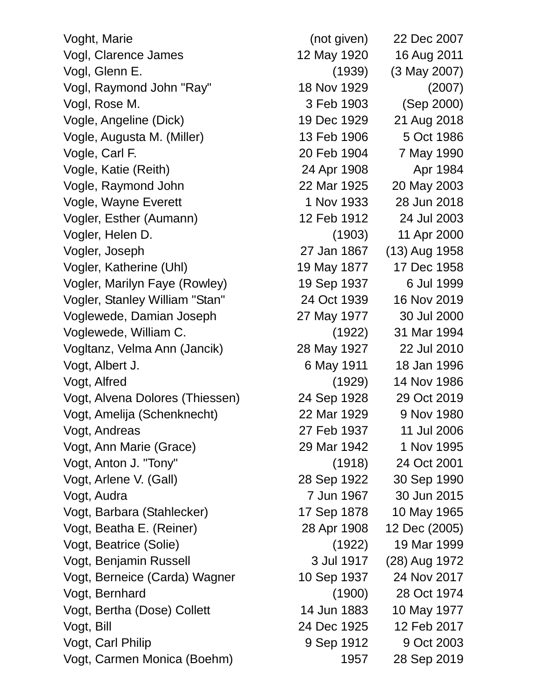Voght, Marie (not given) 22 Dec 2007 Vogl, Clarence James 12 May 1920 16 Aug 2011 Vogl, Glenn E. (1939) (3 May 2007) Vogl, Raymond John "Ray" 18 Nov 1929 (2007) Vogl, Rose M. 3 Feb 1903 (Sep 2000) Vogle, Angeline (Dick) 19 Dec 1929 21 Aug 2018 Vogle, Augusta M. (Miller) 13 Feb 1906 5 Oct 1986 Vogle, Carl F. 20 Feb 1904 7 May 1990 Vogle, Katie (Reith) 24 Apr 1908 Apr 1984 Vogle, Raymond John 22 Mar 1925 20 May 2003 Vogle, Wayne Everett 1 Nov 1933 28 Jun 2018 Vogler, Esther (Aumann) 12 Feb 1912 24 Jul 2003 Vogler, Helen D. (1903) 11 Apr 2000 Vogler, Joseph 27 Jan 1867 (13) Aug 1958 Vogler, Katherine (Uhl) 19 May 1877 17 Dec 1958 Vogler, Marilyn Faye (Rowley) 19 Sep 1937 6 Jul 1999 Vogler, Stanley William "Stan" 24 Oct 1939 16 Nov 2019 Voglewede, Damian Joseph 27 May 1977 30 Jul 2000 Voglewede, William C. (1922) 31 Mar 1994 Vogltanz, Velma Ann (Jancik) 28 May 1927 22 Jul 2010 Vogt, Albert J. 6 May 1911 18 Jan 1996 Vogt, Alfred (1929) 14 Nov 1986 Vogt, Alvena Dolores (Thiessen) 24 Sep 1928 29 Oct 2019 Vogt, Amelija (Schenknecht) 22 Mar 1929 9 Nov 1980 Vogt, Andreas 27 Feb 1937 11 Jul 2006 Vogt, Ann Marie (Grace) 29 Mar 1942 1 Nov 1995 Vogt, Anton J. "Tony" (1918) 24 Oct 2001 Vogt, Arlene V. (Gall) 28 Sep 1922 30 Sep 1990 Vogt, Audra 7 Jun 1967 30 Jun 2015 Vogt, Barbara (Stahlecker) 17 Sep 1878 10 May 1965 Vogt, Beatha E. (Reiner) 28 Apr 1908 12 Dec (2005) Vogt, Beatrice (Solie) (1922) 19 Mar 1999 Vogt, Benjamin Russell 3 Jul 1917 (28) Aug 1972 Vogt, Berneice (Carda) Wagner 10 Sep 1937 24 Nov 2017 Vogt, Bernhard (1900) 28 Oct 1974 Vogt, Bertha (Dose) Collett 14 Jun 1883 10 May 1977 Vogt, Bill 24 Dec 1925 12 Feb 2017 Vogt, Carl Philip 19 Sep 1912 9 Oct 2003 Vogt, Carmen Monica (Boehm) 1957 28 Sep 2019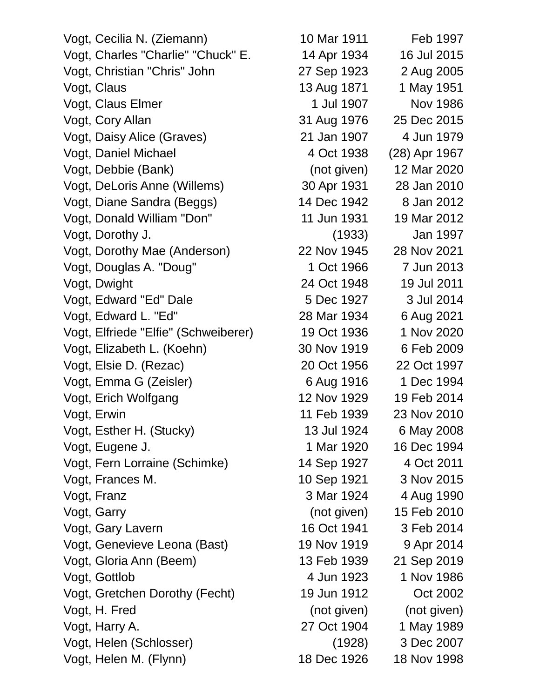Vogt, Cecilia N. (Ziemann) 10 Mar 1911 Feb 1997 Vogt, Charles "Charlie" "Chuck" E. 14 Apr 1934 16 Jul 2015 Vogt, Christian "Chris" John 27 Sep 1923 2 Aug 2005 Vogt, Claus 13 Aug 1871 1 May 1951 Vogt, Claus Elmer 1 Jul 1907 Nov 1986 Vogt, Cory Allan 31 Aug 1976 25 Dec 2015 Vogt, Daisy Alice (Graves) 21 Jan 1907 4 Jun 1979 Vogt, Daniel Michael 1988 (28) Apr 1967 Vogt, Debbie (Bank) (not given) 12 Mar 2020 Vogt, DeLoris Anne (Willems) 30 Apr 1931 28 Jan 2010 Vogt, Diane Sandra (Beggs) 14 Dec 1942 8 Jan 2012 Vogt, Donald William "Don" 11 Jun 1931 19 Mar 2012 Vogt, Dorothy J. (1933) Jan 1997 Vogt, Dorothy Mae (Anderson) 22 Nov 1945 28 Nov 2021 Vogt, Douglas A. "Doug" 1 Oct 1966 7 Jun 2013 Vogt, Dwight 24 Oct 1948 19 Jul 2011 Vogt, Edward "Ed" Dale 5 Dec 1927 3 Jul 2014 Vogt, Edward L. "Ed" 28 Mar 1934 6 Aug 2021 Vogt, Elfriede "Elfie" (Schweiberer) 19 Oct 1936 1 Nov 2020 Vogt, Elizabeth L. (Koehn) 30 Nov 1919 6 Feb 2009 Vogt, Elsie D. (Rezac) 20 Oct 1956 22 Oct 1997 Vogt, Emma G (Zeisler) 6 Aug 1916 1 Dec 1994 Vogt, Erich Wolfgang 12 Nov 1929 19 Feb 2014 Vogt, Erwin 11 Feb 1939 23 Nov 2010 Vogt, Esther H. (Stucky) 13 Jul 1924 6 May 2008 Vogt, Eugene J. 1 Mar 1920 16 Dec 1994 Vogt, Fern Lorraine (Schimke) 14 Sep 1927 4 Oct 2011 Vogt, Frances M. 10 Sep 1921 3 Nov 2015 Vogt, Franz 3 Mar 1924 4 Aug 1990 Vogt, Garry (not given) 15 Feb 2010 Vogt, Gary Lavern 16 Oct 1941 3 Feb 2014 Vogt, Genevieve Leona (Bast) 19 Nov 1919 9 Apr 2014 Vogt, Gloria Ann (Beem) 13 Feb 1939 21 Sep 2019 Vogt, Gottlob 4 Jun 1923 1 Nov 1986 Vogt, Gretchen Dorothy (Fecht) 19 Jun 1912 Oct 2002 Vogt, H. Fred (not given) (not given) Vogt, Harry A. 27 Oct 1904 1 May 1989 Vogt, Helen (Schlosser) (1928) 3 Dec 2007

Vogt, Helen M. (Flynn) 18 Dec 1926 18 Nov 1998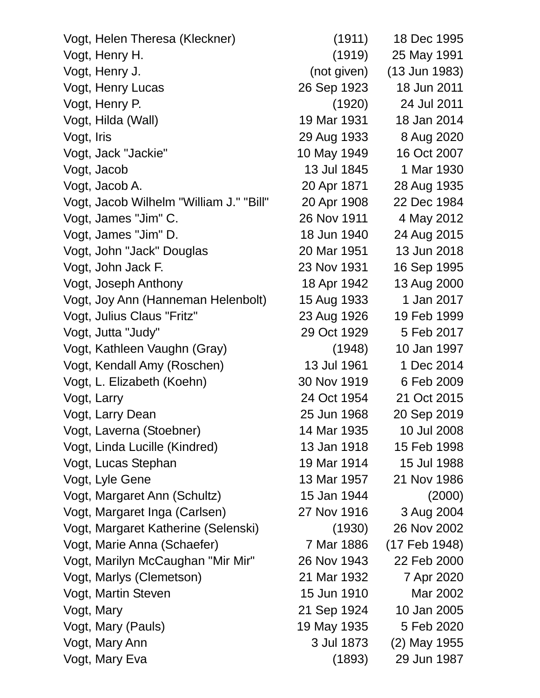| Vogt, Helen Theresa (Kleckner)          | (1911)      | 18 Dec 1995   |
|-----------------------------------------|-------------|---------------|
| Vogt, Henry H.                          | (1919)      | 25 May 1991   |
| Vogt, Henry J.                          | (not given) | (13 Jun 1983) |
| Vogt, Henry Lucas                       | 26 Sep 1923 | 18 Jun 2011   |
| Vogt, Henry P.                          | (1920)      | 24 Jul 2011   |
| Vogt, Hilda (Wall)                      | 19 Mar 1931 | 18 Jan 2014   |
| Vogt, Iris                              | 29 Aug 1933 | 8 Aug 2020    |
| Vogt, Jack "Jackie"                     | 10 May 1949 | 16 Oct 2007   |
| Vogt, Jacob                             | 13 Jul 1845 | 1 Mar 1930    |
| Vogt, Jacob A.                          | 20 Apr 1871 | 28 Aug 1935   |
| Vogt, Jacob Wilhelm "William J." "Bill" | 20 Apr 1908 | 22 Dec 1984   |
| Vogt, James "Jim" C.                    | 26 Nov 1911 | 4 May 2012    |
| Vogt, James "Jim" D.                    | 18 Jun 1940 | 24 Aug 2015   |
| Vogt, John "Jack" Douglas               | 20 Mar 1951 | 13 Jun 2018   |
| Vogt, John Jack F.                      | 23 Nov 1931 | 16 Sep 1995   |
| Vogt, Joseph Anthony                    | 18 Apr 1942 | 13 Aug 2000   |
| Vogt, Joy Ann (Hanneman Helenbolt)      | 15 Aug 1933 | 1 Jan 2017    |
| Vogt, Julius Claus "Fritz"              | 23 Aug 1926 | 19 Feb 1999   |
| Vogt, Jutta "Judy"                      | 29 Oct 1929 | 5 Feb 2017    |
| Vogt, Kathleen Vaughn (Gray)            | (1948)      | 10 Jan 1997   |
| Vogt, Kendall Amy (Roschen)             | 13 Jul 1961 | 1 Dec 2014    |
| Vogt, L. Elizabeth (Koehn)              | 30 Nov 1919 | 6 Feb 2009    |
| Vogt, Larry                             | 24 Oct 1954 | 21 Oct 2015   |
| Vogt, Larry Dean                        | 25 Jun 1968 | 20 Sep 2019   |
| Vogt, Laverna (Stoebner)                | 14 Mar 1935 | 10 Jul 2008   |
| Vogt, Linda Lucille (Kindred)           | 13 Jan 1918 | 15 Feb 1998   |
| Vogt, Lucas Stephan                     | 19 Mar 1914 | 15 Jul 1988   |
| Vogt, Lyle Gene                         | 13 Mar 1957 | 21 Nov 1986   |
| Vogt, Margaret Ann (Schultz)            | 15 Jan 1944 | (2000)        |
| Vogt, Margaret Inga (Carlsen)           | 27 Nov 1916 | 3 Aug 2004    |
| Vogt, Margaret Katherine (Selenski)     | (1930)      | 26 Nov 2002   |
| Vogt, Marie Anna (Schaefer)             | 7 Mar 1886  | (17 Feb 1948) |
| Vogt, Marilyn McCaughan "Mir Mir"       | 26 Nov 1943 | 22 Feb 2000   |
| Vogt, Marlys (Clemetson)                | 21 Mar 1932 | 7 Apr 2020    |
| Vogt, Martin Steven                     | 15 Jun 1910 | Mar 2002      |
| Vogt, Mary                              | 21 Sep 1924 | 10 Jan 2005   |
| Vogt, Mary (Pauls)                      | 19 May 1935 | 5 Feb 2020    |
| Vogt, Mary Ann                          | 3 Jul 1873  | (2) May 1955  |
| Vogt, Mary Eva                          | (1893)      | 29 Jun 1987   |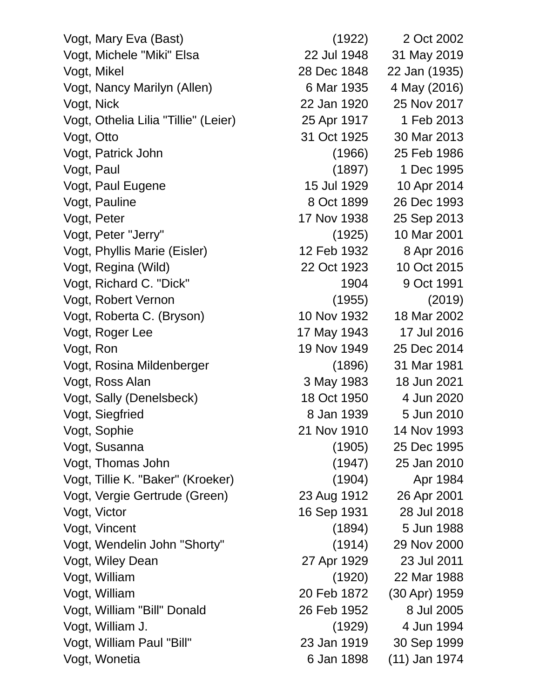| Vogt, Mary Eva (Bast)                | (1922)      | 2 Oct 2002    |
|--------------------------------------|-------------|---------------|
| Vogt, Michele "Miki" Elsa            | 22 Jul 1948 | 31 May 2019   |
| Vogt, Mikel                          | 28 Dec 1848 | 22 Jan (1935) |
| Vogt, Nancy Marilyn (Allen)          | 6 Mar 1935  | 4 May (2016)  |
| Vogt, Nick                           | 22 Jan 1920 | 25 Nov 2017   |
| Vogt, Othelia Lilia "Tillie" (Leier) | 25 Apr 1917 | 1 Feb 2013    |
| Vogt, Otto                           | 31 Oct 1925 | 30 Mar 2013   |
| Vogt, Patrick John                   | (1966)      | 25 Feb 1986   |
| Vogt, Paul                           | (1897)      | 1 Dec 1995    |
| Vogt, Paul Eugene                    | 15 Jul 1929 | 10 Apr 2014   |
| Vogt, Pauline                        | 8 Oct 1899  | 26 Dec 1993   |
| Vogt, Peter                          | 17 Nov 1938 | 25 Sep 2013   |
| Vogt, Peter "Jerry"                  | (1925)      | 10 Mar 2001   |
| Vogt, Phyllis Marie (Eisler)         | 12 Feb 1932 | 8 Apr 2016    |
| Vogt, Regina (Wild)                  | 22 Oct 1923 | 10 Oct 2015   |
| Vogt, Richard C. "Dick"              | 1904        | 9 Oct 1991    |
| Vogt, Robert Vernon                  | (1955)      | (2019)        |
| Vogt, Roberta C. (Bryson)            | 10 Nov 1932 | 18 Mar 2002   |
| Vogt, Roger Lee                      | 17 May 1943 | 17 Jul 2016   |
| Vogt, Ron                            | 19 Nov 1949 | 25 Dec 2014   |
| Vogt, Rosina Mildenberger            | (1896)      | 31 Mar 1981   |
| Vogt, Ross Alan                      | 3 May 1983  | 18 Jun 2021   |
| Vogt, Sally (Denelsbeck)             | 18 Oct 1950 | 4 Jun 2020    |
| Vogt, Siegfried                      | 8 Jan 1939  | 5 Jun 2010    |
| Vogt, Sophie                         | 21 Nov 1910 | 14 Nov 1993   |
| Vogt, Susanna                        | (1905)      | 25 Dec 1995   |
| Vogt, Thomas John                    | (1947)      | 25 Jan 2010   |
| Vogt, Tillie K. "Baker" (Kroeker)    | (1904)      | Apr 1984      |
| Vogt, Vergie Gertrude (Green)        | 23 Aug 1912 | 26 Apr 2001   |
| Vogt, Victor                         | 16 Sep 1931 | 28 Jul 2018   |
| Vogt, Vincent                        | (1894)      | 5 Jun 1988    |
| Vogt, Wendelin John "Shorty"         | (1914)      | 29 Nov 2000   |
| Vogt, Wiley Dean                     | 27 Apr 1929 | 23 Jul 2011   |
| Vogt, William                        | (1920)      | 22 Mar 1988   |
| Vogt, William                        | 20 Feb 1872 | (30 Apr) 1959 |
| Vogt, William "Bill" Donald          | 26 Feb 1952 | 8 Jul 2005    |
| Vogt, William J.                     | (1929)      | 4 Jun 1994    |
| Vogt, William Paul "Bill"            | 23 Jan 1919 | 30 Sep 1999   |
| Vogt, Wonetia                        | 6 Jan 1898  | (11) Jan 1974 |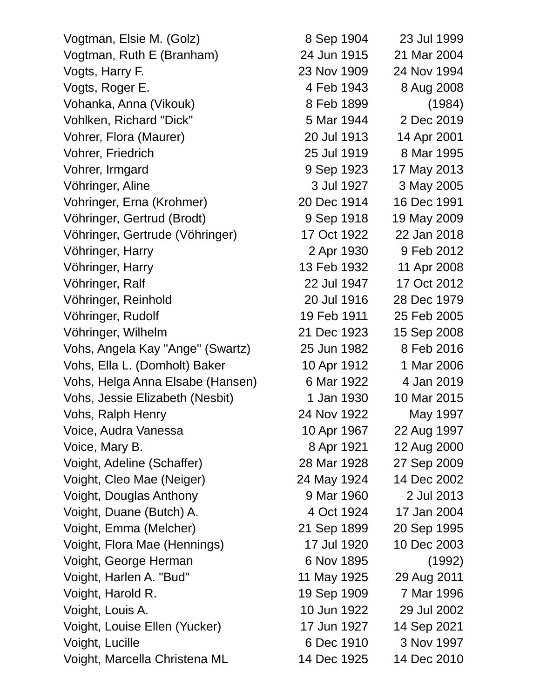| Vogtman, Elsie M. (Golz)         | 8 Sep 1904  | 23 Jul 1999 |
|----------------------------------|-------------|-------------|
| Vogtman, Ruth E (Branham)        | 24 Jun 1915 | 21 Mar 2004 |
| Vogts, Harry F.                  | 23 Nov 1909 | 24 Nov 1994 |
| Vogts, Roger E.                  | 4 Feb 1943  | 8 Aug 2008  |
| Vohanka, Anna (Vikouk)           | 8 Feb 1899  | (1984)      |
| Vohlken, Richard "Dick"          | 5 Mar 1944  | 2 Dec 2019  |
| Vohrer, Flora (Maurer)           | 20 Jul 1913 | 14 Apr 2001 |
| <b>Vohrer, Friedrich</b>         | 25 Jul 1919 | 8 Mar 1995  |
| Vohrer, Irmgard                  | 9 Sep 1923  | 17 May 2013 |
| Vöhringer, Aline                 | 3 Jul 1927  | 3 May 2005  |
| Vohringer, Erna (Krohmer)        | 20 Dec 1914 | 16 Dec 1991 |
| Vöhringer, Gertrud (Brodt)       | 9 Sep 1918  | 19 May 2009 |
| Vöhringer, Gertrude (Vöhringer)  | 17 Oct 1922 | 22 Jan 2018 |
| Vöhringer, Harry                 | 2 Apr 1930  | 9 Feb 2012  |
| Vöhringer, Harry                 | 13 Feb 1932 | 11 Apr 2008 |
| Vöhringer, Ralf                  | 22 Jul 1947 | 17 Oct 2012 |
| Vöhringer, Reinhold              | 20 Jul 1916 | 28 Dec 1979 |
| Vöhringer, Rudolf                | 19 Feb 1911 | 25 Feb 2005 |
| Vöhringer, Wilhelm               | 21 Dec 1923 | 15 Sep 2008 |
| Vohs, Angela Kay "Ange" (Swartz) | 25 Jun 1982 | 8 Feb 2016  |
| Vohs, Ella L. (Domholt) Baker    | 10 Apr 1912 | 1 Mar 2006  |
| Vohs, Helga Anna Elsabe (Hansen) | 6 Mar 1922  | 4 Jan 2019  |
| Vohs, Jessie Elizabeth (Nesbit)  | 1 Jan 1930  | 10 Mar 2015 |
| Vohs, Ralph Henry                | 24 Nov 1922 | May 1997    |
| Voice, Audra Vanessa             | 10 Apr 1967 | 22 Aug 1997 |
| Voice, Mary B.                   | 8 Apr 1921  | 12 Aug 2000 |
| Voight, Adeline (Schaffer)       | 28 Mar 1928 | 27 Sep 2009 |
| Voight, Cleo Mae (Neiger)        | 24 May 1924 | 14 Dec 2002 |
| Voight, Douglas Anthony          | 9 Mar 1960  | 2 Jul 2013  |
| Voight, Duane (Butch) A.         | 4 Oct 1924  | 17 Jan 2004 |
| Voight, Emma (Melcher)           | 21 Sep 1899 | 20 Sep 1995 |
| Voight, Flora Mae (Hennings)     | 17 Jul 1920 | 10 Dec 2003 |
| Voight, George Herman            | 6 Nov 1895  | (1992)      |
| Voight, Harlen A. "Bud"          | 11 May 1925 | 29 Aug 2011 |
| Voight, Harold R.                | 19 Sep 1909 | 7 Mar 1996  |
| Voight, Louis A.                 | 10 Jun 1922 | 29 Jul 2002 |
| Voight, Louise Ellen (Yucker)    | 17 Jun 1927 | 14 Sep 2021 |
| Voight, Lucille                  | 6 Dec 1910  | 3 Nov 1997  |
| Voight, Marcella Christena ML    | 14 Dec 1925 | 14 Dec 2010 |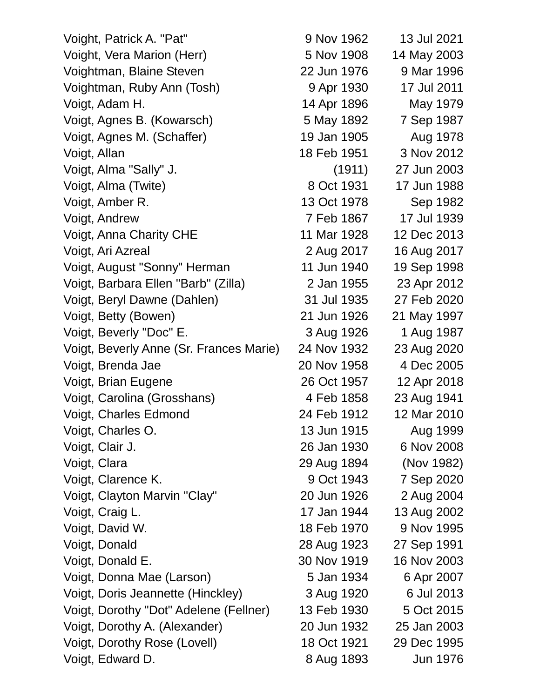| Voight, Patrick A. "Pat"                | 9 Nov 1962  | 13 Jul 2021 |
|-----------------------------------------|-------------|-------------|
| Voight, Vera Marion (Herr)              | 5 Nov 1908  | 14 May 2003 |
| Voightman, Blaine Steven                | 22 Jun 1976 | 9 Mar 1996  |
| Voightman, Ruby Ann (Tosh)              | 9 Apr 1930  | 17 Jul 2011 |
| Voigt, Adam H.                          | 14 Apr 1896 | May 1979    |
| Voigt, Agnes B. (Kowarsch)              | 5 May 1892  | 7 Sep 1987  |
| Voigt, Agnes M. (Schaffer)              | 19 Jan 1905 | Aug 1978    |
| Voigt, Allan                            | 18 Feb 1951 | 3 Nov 2012  |
| Voigt, Alma "Sally" J.                  | (1911)      | 27 Jun 2003 |
| Voigt, Alma (Twite)                     | 8 Oct 1931  | 17 Jun 1988 |
| Voigt, Amber R.                         | 13 Oct 1978 | Sep 1982    |
| Voigt, Andrew                           | 7 Feb 1867  | 17 Jul 1939 |
| <b>Voigt, Anna Charity CHE</b>          | 11 Mar 1928 | 12 Dec 2013 |
| Voigt, Ari Azreal                       | 2 Aug 2017  | 16 Aug 2017 |
| Voigt, August "Sonny" Herman            | 11 Jun 1940 | 19 Sep 1998 |
| Voigt, Barbara Ellen "Barb" (Zilla)     | 2 Jan 1955  | 23 Apr 2012 |
| Voigt, Beryl Dawne (Dahlen)             | 31 Jul 1935 | 27 Feb 2020 |
| Voigt, Betty (Bowen)                    | 21 Jun 1926 | 21 May 1997 |
| Voigt, Beverly "Doc" E.                 | 3 Aug 1926  | 1 Aug 1987  |
| Voigt, Beverly Anne (Sr. Frances Marie) | 24 Nov 1932 | 23 Aug 2020 |
| Voigt, Brenda Jae                       | 20 Nov 1958 | 4 Dec 2005  |
| Voigt, Brian Eugene                     | 26 Oct 1957 | 12 Apr 2018 |
| Voigt, Carolina (Grosshans)             | 4 Feb 1858  | 23 Aug 1941 |
| Voigt, Charles Edmond                   | 24 Feb 1912 | 12 Mar 2010 |
| Voigt, Charles O.                       | 13 Jun 1915 | Aug 1999    |
| Voigt, Clair J.                         | 26 Jan 1930 | 6 Nov 2008  |
| Voigt, Clara                            | 29 Aug 1894 | (Nov 1982)  |
| Voigt, Clarence K.                      | 9 Oct 1943  | 7 Sep 2020  |
| Voigt, Clayton Marvin "Clay"            | 20 Jun 1926 | 2 Aug 2004  |
| Voigt, Craig L.                         | 17 Jan 1944 | 13 Aug 2002 |
| Voigt, David W.                         | 18 Feb 1970 | 9 Nov 1995  |
| Voigt, Donald                           | 28 Aug 1923 | 27 Sep 1991 |
| Voigt, Donald E.                        | 30 Nov 1919 | 16 Nov 2003 |
| Voigt, Donna Mae (Larson)               | 5 Jan 1934  | 6 Apr 2007  |
| Voigt, Doris Jeannette (Hinckley)       | 3 Aug 1920  | 6 Jul 2013  |
| Voigt, Dorothy "Dot" Adelene (Fellner)  | 13 Feb 1930 | 5 Oct 2015  |
| Voigt, Dorothy A. (Alexander)           | 20 Jun 1932 | 25 Jan 2003 |
| Voigt, Dorothy Rose (Lovell)            | 18 Oct 1921 | 29 Dec 1995 |
| Voigt, Edward D.                        | 8 Aug 1893  | Jun 1976    |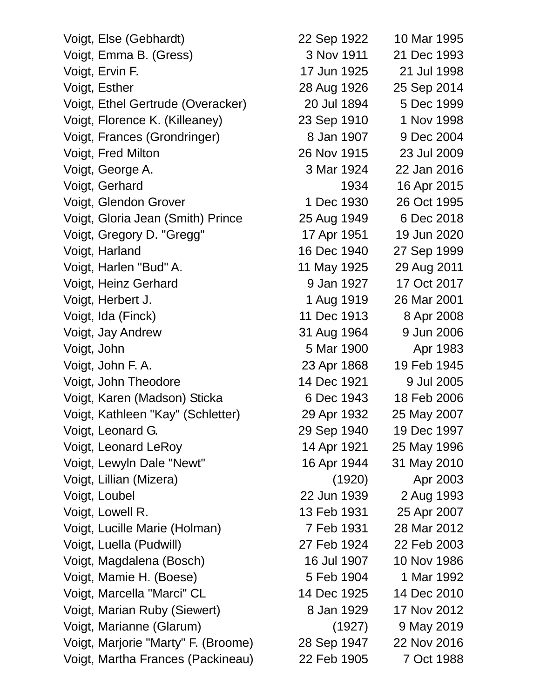| Voigt, Else (Gebhardt)              | 22 Sep 1922 | 10 Mar 1995 |
|-------------------------------------|-------------|-------------|
| Voigt, Emma B. (Gress)              | 3 Nov 1911  | 21 Dec 1993 |
| Voigt, Ervin F.                     | 17 Jun 1925 | 21 Jul 1998 |
| Voigt, Esther                       | 28 Aug 1926 | 25 Sep 2014 |
| Voigt, Ethel Gertrude (Overacker)   | 20 Jul 1894 | 5 Dec 1999  |
| Voigt, Florence K. (Killeaney)      | 23 Sep 1910 | 1 Nov 1998  |
| Voigt, Frances (Grondringer)        | 8 Jan 1907  | 9 Dec 2004  |
| Voigt, Fred Milton                  | 26 Nov 1915 | 23 Jul 2009 |
| Voigt, George A.                    | 3 Mar 1924  | 22 Jan 2016 |
| Voigt, Gerhard                      | 1934        | 16 Apr 2015 |
| Voigt, Glendon Grover               | 1 Dec 1930  | 26 Oct 1995 |
| Voigt, Gloria Jean (Smith) Prince   | 25 Aug 1949 | 6 Dec 2018  |
| Voigt, Gregory D. "Gregg"           | 17 Apr 1951 | 19 Jun 2020 |
| Voigt, Harland                      | 16 Dec 1940 | 27 Sep 1999 |
| Voigt, Harlen "Bud" A.              | 11 May 1925 | 29 Aug 2011 |
| Voigt, Heinz Gerhard                | 9 Jan 1927  | 17 Oct 2017 |
| Voigt, Herbert J.                   | 1 Aug 1919  | 26 Mar 2001 |
| Voigt, Ida (Finck)                  | 11 Dec 1913 | 8 Apr 2008  |
| Voigt, Jay Andrew                   | 31 Aug 1964 | 9 Jun 2006  |
| Voigt, John                         | 5 Mar 1900  | Apr 1983    |
| Voigt, John F. A.                   | 23 Apr 1868 | 19 Feb 1945 |
| Voigt, John Theodore                | 14 Dec 1921 | 9 Jul 2005  |
| Voigt, Karen (Madson) Sticka        | 6 Dec 1943  | 18 Feb 2006 |
| Voigt, Kathleen "Kay" (Schletter)   | 29 Apr 1932 | 25 May 2007 |
| Voigt, Leonard G.                   | 29 Sep 1940 | 19 Dec 1997 |
| Voigt, Leonard LeRoy                | 14 Apr 1921 | 25 May 1996 |
| Voigt, Lewyln Dale "Newt"           | 16 Apr 1944 | 31 May 2010 |
| Voigt, Lillian (Mizera)             | (1920)      | Apr 2003    |
| Voigt, Loubel                       | 22 Jun 1939 | 2 Aug 1993  |
| Voigt, Lowell R.                    | 13 Feb 1931 | 25 Apr 2007 |
| Voigt, Lucille Marie (Holman)       | 7 Feb 1931  | 28 Mar 2012 |
| Voigt, Luella (Pudwill)             | 27 Feb 1924 | 22 Feb 2003 |
| Voigt, Magdalena (Bosch)            | 16 Jul 1907 | 10 Nov 1986 |
| Voigt, Mamie H. (Boese)             | 5 Feb 1904  | 1 Mar 1992  |
| Voigt, Marcella "Marci" CL          | 14 Dec 1925 | 14 Dec 2010 |
| Voigt, Marian Ruby (Siewert)        | 8 Jan 1929  | 17 Nov 2012 |
| Voigt, Marianne (Glarum)            | (1927)      | 9 May 2019  |
| Voigt, Marjorie "Marty" F. (Broome) | 28 Sep 1947 | 22 Nov 2016 |
| Voigt, Martha Frances (Packineau)   | 22 Feb 1905 | 7 Oct 1988  |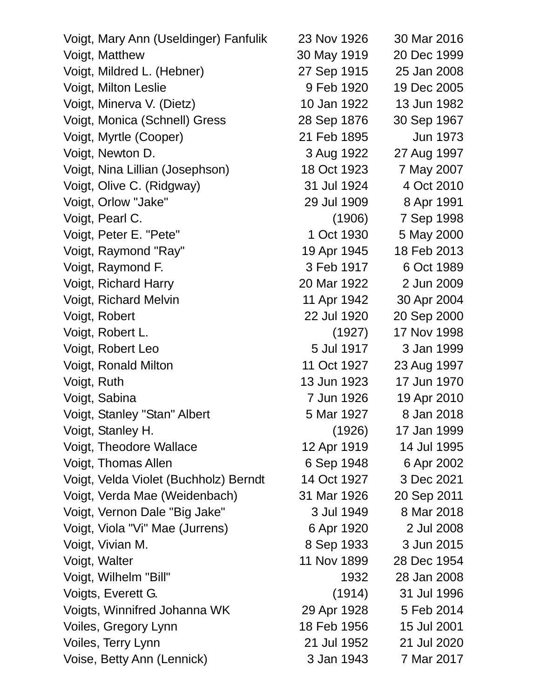| Voigt, Mary Ann (Useldinger) Fanfulik | 23 Nov 1926 | 30 Mar 2016     |
|---------------------------------------|-------------|-----------------|
| Voigt, Matthew                        | 30 May 1919 | 20 Dec 1999     |
| Voigt, Mildred L. (Hebner)            | 27 Sep 1915 | 25 Jan 2008     |
| Voigt, Milton Leslie                  | 9 Feb 1920  | 19 Dec 2005     |
| Voigt, Minerva V. (Dietz)             | 10 Jan 1922 | 13 Jun 1982     |
| Voigt, Monica (Schnell) Gress         | 28 Sep 1876 | 30 Sep 1967     |
| Voigt, Myrtle (Cooper)                | 21 Feb 1895 | <b>Jun 1973</b> |
| Voigt, Newton D.                      | 3 Aug 1922  | 27 Aug 1997     |
| Voigt, Nina Lillian (Josephson)       | 18 Oct 1923 | 7 May 2007      |
| Voigt, Olive C. (Ridgway)             | 31 Jul 1924 | 4 Oct 2010      |
| Voigt, Orlow "Jake"                   | 29 Jul 1909 | 8 Apr 1991      |
| Voigt, Pearl C.                       | (1906)      | 7 Sep 1998      |
| Voigt, Peter E. "Pete"                | 1 Oct 1930  | 5 May 2000      |
| Voigt, Raymond "Ray"                  | 19 Apr 1945 | 18 Feb 2013     |
| Voigt, Raymond F.                     | 3 Feb 1917  | 6 Oct 1989      |
| Voigt, Richard Harry                  | 20 Mar 1922 | 2 Jun 2009      |
| Voigt, Richard Melvin                 | 11 Apr 1942 | 30 Apr 2004     |
| Voigt, Robert                         | 22 Jul 1920 | 20 Sep 2000     |
| Voigt, Robert L.                      | (1927)      | 17 Nov 1998     |
| Voigt, Robert Leo                     | 5 Jul 1917  | 3 Jan 1999      |
| Voigt, Ronald Milton                  | 11 Oct 1927 | 23 Aug 1997     |
| Voigt, Ruth                           | 13 Jun 1923 | 17 Jun 1970     |
| Voigt, Sabina                         | 7 Jun 1926  | 19 Apr 2010     |
| Voigt, Stanley "Stan" Albert          | 5 Mar 1927  | 8 Jan 2018      |
| Voigt, Stanley H.                     | (1926)      | 17 Jan 1999     |
| Voigt, Theodore Wallace               | 12 Apr 1919 | 14 Jul 1995     |
| Voigt, Thomas Allen                   | 6 Sep 1948  | 6 Apr 2002      |
| Voigt, Velda Violet (Buchholz) Berndt | 14 Oct 1927 | 3 Dec 2021      |
| Voigt, Verda Mae (Weidenbach)         | 31 Mar 1926 | 20 Sep 2011     |
| Voigt, Vernon Dale "Big Jake"         | 3 Jul 1949  | 8 Mar 2018      |
| Voigt, Viola "Vi" Mae (Jurrens)       | 6 Apr 1920  | 2 Jul 2008      |
| Voigt, Vivian M.                      | 8 Sep 1933  | 3 Jun 2015      |
| Voigt, Walter                         | 11 Nov 1899 | 28 Dec 1954     |
| Voigt, Wilhelm "Bill"                 | 1932        | 28 Jan 2008     |
| Voigts, Everett G.                    | (1914)      | 31 Jul 1996     |
| Voigts, Winnifred Johanna WK          | 29 Apr 1928 | 5 Feb 2014      |
| Voiles, Gregory Lynn                  | 18 Feb 1956 | 15 Jul 2001     |
| Voiles, Terry Lynn                    | 21 Jul 1952 | 21 Jul 2020     |
| Voise, Betty Ann (Lennick)            | 3 Jan 1943  | 7 Mar 2017      |
|                                       |             |                 |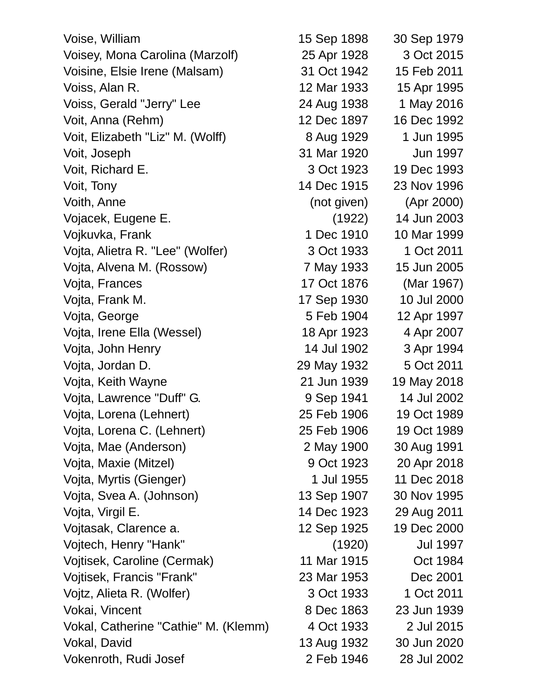Voise, William 15 Sep 1898 30 Sep 1979 Voisey, Mona Carolina (Marzolf) 25 Apr 1928 3 Oct 2015 Voisine, Elsie Irene (Malsam) 31 Oct 1942 15 Feb 2011 Voiss, Alan R. 12 Mar 1933 15 Apr 1995 Voiss, Gerald "Jerry" Lee 24 Aug 1938 1 May 2016 Voit, Anna (Rehm) 12 Dec 1897 16 Dec 1992 Voit, Elizabeth "Liz" M. (Wolff) 8 Aug 1929 1 Jun 1995 Voit, Joseph 31 Mar 1920 Jun 1997 Voit, Richard E. 3 Oct 1923 19 Dec 1993 Voit, Tony 14 Dec 1915 23 Nov 1996 Voith, Anne (not given) (Apr 2000) Vojacek, Eugene E. (1922) 14 Jun 2003 Vojkuvka, Frank 1 Dec 1910 10 Mar 1999 Vojta, Alietra R. "Lee" (Wolfer) 3 Oct 1933 1 Oct 2011 Vojta, Alvena M. (Rossow) 7 May 1933 15 Jun 2005 Vojta, Frances 17 Oct 1876 (Mar 1967) Vojta, Frank M. 17 Sep 1930 10 Jul 2000 Vojta, George 5 Feb 1904 12 Apr 1997 Vojta, Irene Ella (Wessel) 18 Apr 1923 4 Apr 2007 Vojta, John Henry 14 Jul 1902 3 Apr 1994 Vojta, Jordan D. 29 May 1932 5 Oct 2011 Vojta, Keith Wayne 21 Jun 1939 19 May 2018 Vojta, Lawrence "Duff" G. (1994) 9 Sep 1941 14 Jul 2002 Vojta, Lorena (Lehnert) 25 Feb 1906 19 Oct 1989 Vojta, Lorena C. (Lehnert) 25 Feb 1906 19 Oct 1989 Vojta, Mae (Anderson) 2 May 1900 30 Aug 1991 Vojta, Maxie (Mitzel) 9 Oct 1923 20 Apr 2018 Vojta, Myrtis (Gienger) 1 Jul 1955 11 Dec 2018 Vojta, Svea A. (Johnson) 13 Sep 1907 30 Nov 1995 Vojta, Virgil E. 14 Dec 1923 29 Aug 2011 Vojtasak, Clarence a. 12 Sep 1925 19 Dec 2000 Vojtech, Henry "Hank" (1920) Jul 1997 Vojtisek, Caroline (Cermak) 11 Mar 1915 Oct 1984 Vojtisek, Francis "Frank" 23 Mar 1953 Dec 2001 Vojtz, Alieta R. (Wolfer) 3 Oct 1933 1 Oct 2011 Vokai, Vincent 8 Dec 1863 23 Jun 1939 Vokal, Catherine "Cathie" M. (Klemm) 4 Oct 1933 2 Jul 2015 Vokal, David 13 Aug 1932 30 Jun 2020 Vokenroth, Rudi Josef 2 Feb 1946 28 Jul 2002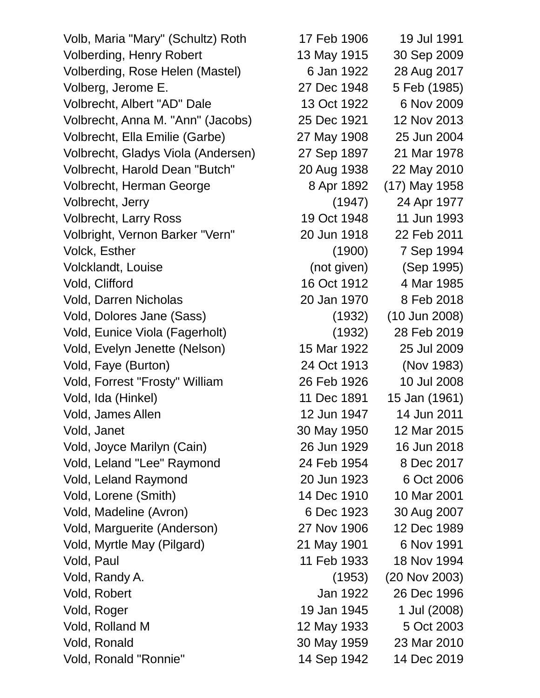Volb, Maria "Mary" (Schultz) Roth 17 Feb 1906 19 Jul 1991 Volberding, Henry Robert 13 May 1915 30 Sep 2009 Volberding, Rose Helen (Mastel) 6 Jan 1922 28 Aug 2017 Volberg, Jerome E. 27 Dec 1948 5 Feb (1985) Volbrecht, Albert "AD" Dale 13 Oct 1922 6 Nov 2009 Volbrecht, Anna M. "Ann" (Jacobs) 25 Dec 1921 12 Nov 2013 Volbrecht, Ella Emilie (Garbe) 27 May 1908 25 Jun 2004 Volbrecht, Gladys Viola (Andersen) 27 Sep 1897 21 Mar 1978 Volbrecht, Harold Dean "Butch" 20 Aug 1938 22 May 2010 Volbrecht, Herman George 8 Apr 1892 (17) May 1958 Volbrecht, Jerry (1947) 24 Apr 1977 Volbrecht, Larry Ross 19 Oct 1948 11 Jun 1993 Volbright, Vernon Barker "Vern" 20 Jun 1918 22 Feb 2011 Volck, Esther (1900) 7 Sep 1994 Volcklandt, Louise (not given) (Sep 1995) Vold, Clifford 16 Oct 1912 4 Mar 1985 Vold, Darren Nicholas 20 Jan 1970 8 Feb 2018 Vold, Dolores Jane (Sass) (1932) (10 Jun 2008) Vold, Eunice Viola (Fagerholt) (1932) 28 Feb 2019 Vold, Evelyn Jenette (Nelson) 15 Mar 1922 25 Jul 2009 Vold, Faye (Burton) 24 Oct 1913 (Nov 1983) Vold, Forrest "Frosty" William 26 Feb 1926 10 Jul 2008 Vold, Ida (Hinkel) 11 Dec 1891 15 Jan (1961) Vold, James Allen 12 Jun 1947 14 Jun 2011 Vold, Janet 30 May 1950 12 Mar 2015 Vold, Joyce Marilyn (Cain) 26 Jun 1929 16 Jun 2018 Vold, Leland "Lee" Raymond 24 Feb 1954 8 Dec 2017 Vold, Leland Raymond 20 Jun 1923 6 Oct 2006 Vold, Lorene (Smith) 14 Dec 1910 10 Mar 2001 Vold, Madeline (Avron) 6 Dec 1923 30 Aug 2007 Vold, Marguerite (Anderson) 27 Nov 1906 12 Dec 1989 Vold, Myrtle May (Pilgard) 21 May 1901 6 Nov 1991 Vold, Paul 11 Feb 1933 18 Nov 1994 Vold, Randy A. (1953) (20 Nov 2003) Vold, Robert Jan 1922 26 Dec 1996 Vold, Roger 19 Jan 1945 1 Jul (2008) Vold, Rolland M 12 May 1933 5 Oct 2003 Vold, Ronald 30 May 1959 23 Mar 2010 Vold, Ronald "Ronnie" 14 Sep 1942 14 Dec 2019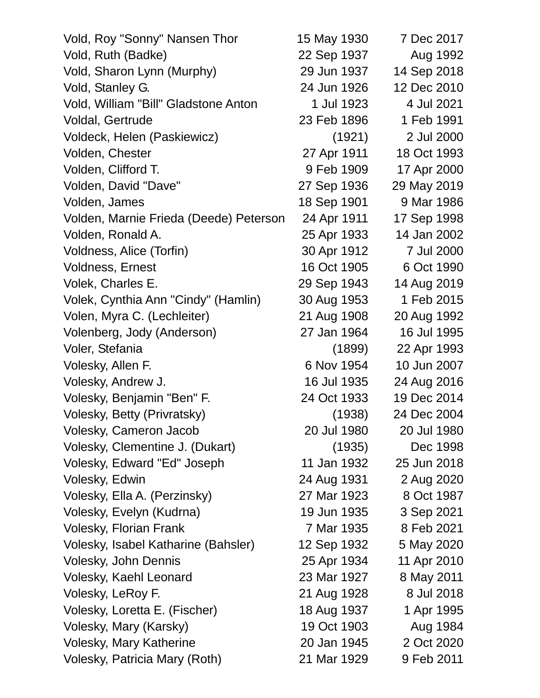| Vold, Roy "Sonny" Nansen Thor          | 15 May 1930 | 7 Dec 2017  |
|----------------------------------------|-------------|-------------|
| Vold, Ruth (Badke)                     | 22 Sep 1937 | Aug 1992    |
| Vold, Sharon Lynn (Murphy)             | 29 Jun 1937 | 14 Sep 2018 |
| Vold, Stanley G.                       | 24 Jun 1926 | 12 Dec 2010 |
| Vold, William "Bill" Gladstone Anton   | 1 Jul 1923  | 4 Jul 2021  |
| Voldal, Gertrude                       | 23 Feb 1896 | 1 Feb 1991  |
| Voldeck, Helen (Paskiewicz)            | (1921)      | 2 Jul 2000  |
| Volden, Chester                        | 27 Apr 1911 | 18 Oct 1993 |
| Volden, Clifford T.                    | 9 Feb 1909  | 17 Apr 2000 |
| Volden, David "Dave"                   | 27 Sep 1936 | 29 May 2019 |
| Volden, James                          | 18 Sep 1901 | 9 Mar 1986  |
| Volden, Marnie Frieda (Deede) Peterson | 24 Apr 1911 | 17 Sep 1998 |
| Volden, Ronald A.                      | 25 Apr 1933 | 14 Jan 2002 |
| Voldness, Alice (Torfin)               | 30 Apr 1912 | 7 Jul 2000  |
| Voldness, Ernest                       | 16 Oct 1905 | 6 Oct 1990  |
| Volek, Charles E.                      | 29 Sep 1943 | 14 Aug 2019 |
| Volek, Cynthia Ann "Cindy" (Hamlin)    | 30 Aug 1953 | 1 Feb 2015  |
| Volen, Myra C. (Lechleiter)            | 21 Aug 1908 | 20 Aug 1992 |
| Volenberg, Jody (Anderson)             | 27 Jan 1964 | 16 Jul 1995 |
| Voler, Stefania                        | (1899)      | 22 Apr 1993 |
| Volesky, Allen F.                      | 6 Nov 1954  | 10 Jun 2007 |
| Volesky, Andrew J.                     | 16 Jul 1935 | 24 Aug 2016 |
| Volesky, Benjamin "Ben" F.             | 24 Oct 1933 | 19 Dec 2014 |
| Volesky, Betty (Privratsky)            | (1938)      | 24 Dec 2004 |
| Volesky, Cameron Jacob                 | 20 Jul 1980 | 20 Jul 1980 |
| Volesky, Clementine J. (Dukart)        | (1935)      | Dec 1998    |
| Volesky, Edward "Ed" Joseph            | 11 Jan 1932 | 25 Jun 2018 |
| Volesky, Edwin                         | 24 Aug 1931 | 2 Aug 2020  |
| Volesky, Ella A. (Perzinsky)           | 27 Mar 1923 | 8 Oct 1987  |
| Volesky, Evelyn (Kudrna)               | 19 Jun 1935 | 3 Sep 2021  |
| <b>Volesky, Florian Frank</b>          | 7 Mar 1935  | 8 Feb 2021  |
| Volesky, Isabel Katharine (Bahsler)    | 12 Sep 1932 | 5 May 2020  |
| <b>Volesky, John Dennis</b>            | 25 Apr 1934 | 11 Apr 2010 |
| Volesky, Kaehl Leonard                 | 23 Mar 1927 | 8 May 2011  |
| Volesky, LeRoy F.                      | 21 Aug 1928 | 8 Jul 2018  |
| Volesky, Loretta E. (Fischer)          | 18 Aug 1937 | 1 Apr 1995  |
| Volesky, Mary (Karsky)                 | 19 Oct 1903 | Aug 1984    |
| <b>Volesky, Mary Katherine</b>         | 20 Jan 1945 | 2 Oct 2020  |
| Volesky, Patricia Mary (Roth)          | 21 Mar 1929 | 9 Feb 2011  |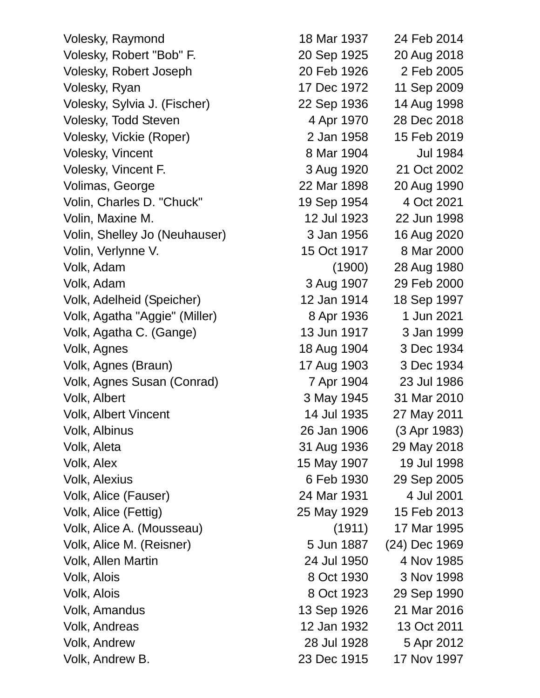Volesky, Raymond 18 Mar 1937 24 Feb 2014 Volesky, Robert "Bob" F. 20 Sep 1925 20 Aug 2018 Volesky, Robert Joseph 20 Feb 1926 2 Feb 2005 Volesky, Ryan 17 Dec 1972 11 Sep 2009 Volesky, Sylvia J. (Fischer) 22 Sep 1936 14 Aug 1998 Volesky, Todd Steven 4 Apr 1970 28 Dec 2018 Volesky, Vickie (Roper) 2 Jan 1958 15 Feb 2019 Volesky, Vincent 8 Mar 1904 Jul 1984 Volesky, Vincent F. 3 Aug 1920 21 Oct 2002 Volimas, George 22 Mar 1898 20 Aug 1990 Volin, Charles D. "Chuck" 19 Sep 1954 4 Oct 2021 Volin, Maxine M. 12 Jul 1923 22 Jun 1998 Volin, Shelley Jo (Neuhauser) 3 Jan 1956 16 Aug 2020 Volin, Verlynne V. 15 Oct 1917 8 Mar 2000 Volk, Adam (1900) 28 Aug 1980 Volk, Adam 3 Aug 1907 29 Feb 2000 Volk, Adelheid (Speicher) 12 Jan 1914 18 Sep 1997 Volk, Agatha "Aggie" (Miller) 8 Apr 1936 1 Jun 2021 Volk, Agatha C. (Gange) 13 Jun 1917 3 Jan 1999 Volk, Agnes 18 Aug 1904 3 Dec 1934 Volk, Agnes (Braun) 17 Aug 1903 3 Dec 1934 Volk, Agnes Susan (Conrad) 7 Apr 1904 23 Jul 1986 Volk, Albert 3 May 1945 31 Mar 2010 Volk, Albert Vincent 14 Jul 1935 27 May 2011 Volk, Albinus 26 Jan 1906 (3 Apr 1983) Volk, Aleta 31 Aug 1936 29 May 2018 Volk, Alex 15 May 1907 19 Jul 1998 Volk, Alexius 6 Feb 1930 29 Sep 2005 Volk, Alice (Fauser) 24 Mar 1931 4 Jul 2001 Volk, Alice (Fettig) 25 May 1929 15 Feb 2013 Volk, Alice A. (Mousseau) (1911) 17 Mar 1995 Volk, Alice M. (Reisner) 5 Jun 1887 (24) Dec 1969 Volk, Allen Martin 24 Jul 1950 4 Nov 1985 Volk, Alois 8 Oct 1930 3 Nov 1998 Volk, Alois 8 Oct 1923 29 Sep 1990 Volk, Amandus 13 Sep 1926 21 Mar 2016 Volk, Andreas 12 Jan 1932 13 Oct 2011 Volk, Andrew 28 Jul 1928 5 Apr 2012 Volk, Andrew B. 23 Dec 1915 17 Nov 1997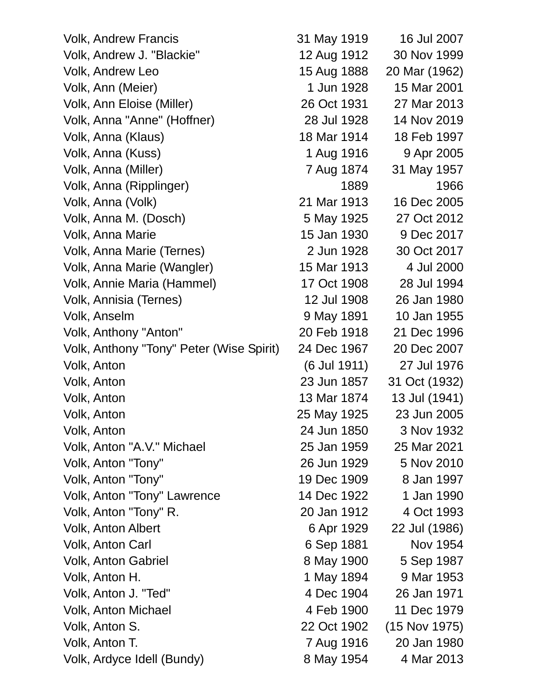| <b>Volk, Andrew Francis</b>              | 31 May 1919  | 16 Jul 2007   |
|------------------------------------------|--------------|---------------|
| Volk, Andrew J. "Blackie"                | 12 Aug 1912  | 30 Nov 1999   |
| Volk, Andrew Leo                         | 15 Aug 1888  | 20 Mar (1962) |
| Volk, Ann (Meier)                        | 1 Jun 1928   | 15 Mar 2001   |
| Volk, Ann Eloise (Miller)                | 26 Oct 1931  | 27 Mar 2013   |
| Volk, Anna "Anne" (Hoffner)              | 28 Jul 1928  | 14 Nov 2019   |
| Volk, Anna (Klaus)                       | 18 Mar 1914  | 18 Feb 1997   |
| Volk, Anna (Kuss)                        | 1 Aug 1916   | 9 Apr 2005    |
| Volk, Anna (Miller)                      | 7 Aug 1874   | 31 May 1957   |
| Volk, Anna (Ripplinger)                  | 1889         | 1966          |
| Volk, Anna (Volk)                        | 21 Mar 1913  | 16 Dec 2005   |
| Volk, Anna M. (Dosch)                    | 5 May 1925   | 27 Oct 2012   |
| Volk, Anna Marie                         | 15 Jan 1930  | 9 Dec 2017    |
| Volk, Anna Marie (Ternes)                | 2 Jun 1928   | 30 Oct 2017   |
| Volk, Anna Marie (Wangler)               | 15 Mar 1913  | 4 Jul 2000    |
| Volk, Annie Maria (Hammel)               | 17 Oct 1908  | 28 Jul 1994   |
| Volk, Annisia (Ternes)                   | 12 Jul 1908  | 26 Jan 1980   |
| Volk, Anselm                             | 9 May 1891   | 10 Jan 1955   |
| Volk, Anthony "Anton"                    | 20 Feb 1918  | 21 Dec 1996   |
| Volk, Anthony "Tony" Peter (Wise Spirit) | 24 Dec 1967  | 20 Dec 2007   |
| Volk, Anton                              | (6 Jul 1911) | 27 Jul 1976   |
| Volk, Anton                              | 23 Jun 1857  | 31 Oct (1932) |
| Volk, Anton                              | 13 Mar 1874  | 13 Jul (1941) |
| Volk, Anton                              | 25 May 1925  | 23 Jun 2005   |
| Volk, Anton                              | 24 Jun 1850  | 3 Nov 1932    |
| Volk, Anton "A.V." Michael               | 25 Jan 1959  | 25 Mar 2021   |
| Volk, Anton "Tony"                       | 26 Jun 1929  | 5 Nov 2010    |
| Volk, Anton "Tony"                       | 19 Dec 1909  | 8 Jan 1997    |
| Volk, Anton "Tony" Lawrence              | 14 Dec 1922  | 1 Jan 1990    |
| Volk, Anton "Tony" R.                    | 20 Jan 1912  | 4 Oct 1993    |
| <b>Volk, Anton Albert</b>                | 6 Apr 1929   | 22 Jul (1986) |
| Volk, Anton Carl                         | 6 Sep 1881   | Nov 1954      |
| <b>Volk, Anton Gabriel</b>               | 8 May 1900   | 5 Sep 1987    |
| Volk, Anton H.                           | 1 May 1894   | 9 Mar 1953    |
| Volk, Anton J. "Ted"                     | 4 Dec 1904   | 26 Jan 1971   |
| <b>Volk, Anton Michael</b>               | 4 Feb 1900   | 11 Dec 1979   |
| Volk, Anton S.                           | 22 Oct 1902  | (15 Nov 1975) |
| Volk, Anton T.                           | 7 Aug 1916   | 20 Jan 1980   |
| Volk, Ardyce Idell (Bundy)               | 8 May 1954   | 4 Mar 2013    |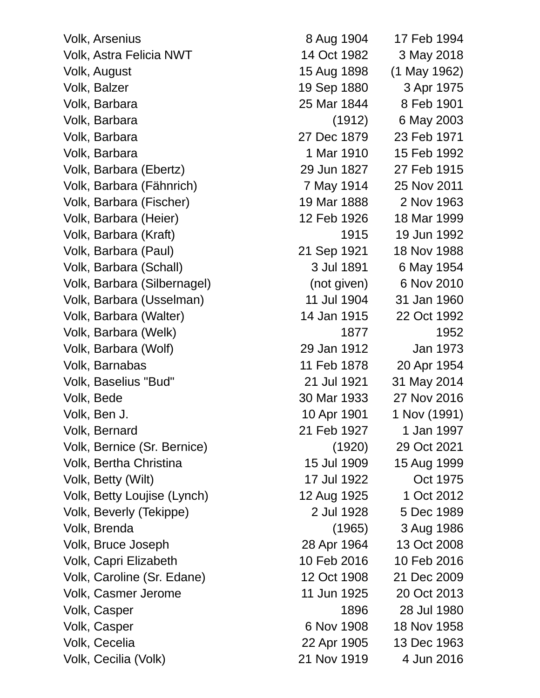Volk, Arsenius 8 Aug 1904 17 Feb 1994 Volk, Astra Felicia NWT 14 Oct 1982 3 May 2018 Volk, August 15 Aug 1898 (1 May 1962) Volk, Balzer 19 Sep 1880 3 Apr 1975 Volk, Barbara 25 Mar 1844 8 Feb 1901 Volk, Barbara (1912) 6 May 2003 Volk, Barbara 27 Dec 1879 23 Feb 1971 Volk, Barbara 1 Mar 1910 15 Feb 1992 Volk, Barbara (Ebertz) 29 Jun 1827 27 Feb 1915 Volk, Barbara (Fähnrich) 7 May 1914 25 Nov 2011 Volk, Barbara (Fischer) 19 Mar 1888 2 Nov 1963 Volk, Barbara (Heier) 12 Feb 1926 18 Mar 1999 Volk, Barbara (Kraft) 1915 19 Jun 1992 Volk, Barbara (Paul) 21 Sep 1921 18 Nov 1988 Volk, Barbara (Schall) 3 Jul 1891 6 May 1954 Volk, Barbara (Silbernagel) (not given) 6 Nov 2010 Volk, Barbara (Usselman) 11 Jul 1904 31 Jan 1960 Volk, Barbara (Walter) 14 Jan 1915 22 Oct 1992 Volk, Barbara (Welk) 1877 1952 Volk, Barbara (Wolf) 29 Jan 1912 Jan 1973 Volk, Barnabas 11 Feb 1878 20 Apr 1954 Volk, Baselius "Bud" 21 Jul 1921 31 May 2014 Volk, Bede 30 Mar 1933 27 Nov 2016 Volk, Ben J. 10 Apr 1901 1 Nov (1991) Volk, Bernard 21 Feb 1927 1 Jan 1997 Volk, Bernice (Sr. Bernice) (1920) 29 Oct 2021 Volk, Bertha Christina 15 Jul 1909 15 Aug 1999 Volk, Betty (Wilt) 17 Jul 1922 Oct 1975 Volk, Betty Loujise (Lynch) 12 Aug 1925 1 Oct 2012 Volk, Beverly (Tekippe) 2 Jul 1928 5 Dec 1989 Volk, Brenda (1965) 3 Aug 1986 Volk, Bruce Joseph 28 Apr 1964 13 Oct 2008 Volk, Capri Elizabeth 10 Feb 2016 10 Feb 2016 Volk, Caroline (Sr. Edane) 12 Oct 1908 21 Dec 2009 Volk, Casmer Jerome 11 Jun 1925 20 Oct 2013 Volk, Casper 1896 28 Jul 1980 Volk, Casper 6 Nov 1908 18 Nov 1958 Volk, Cecelia 22 Apr 1905 13 Dec 1963 Volk, Cecilia (Volk) 21 Nov 1919 4 Jun 2016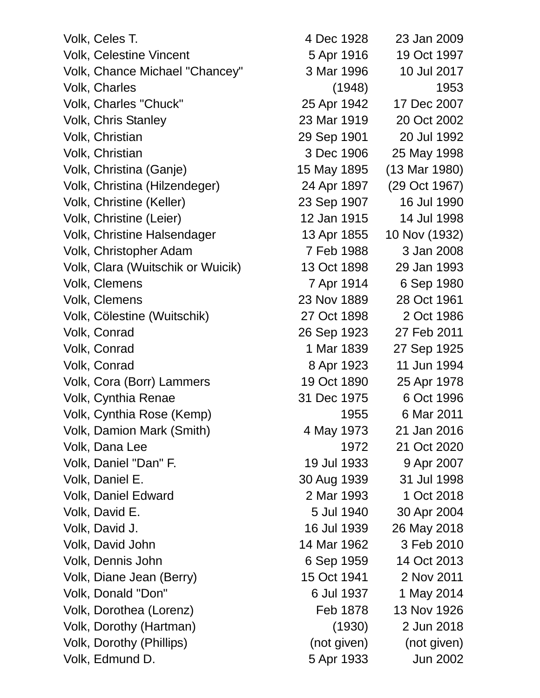Volk, Celes T. 4 Dec 1928 23 Jan 2009 Volk, Celestine Vincent 6 and 5 Apr 1916 19 Oct 1997 Volk, Chance Michael "Chancey" 3 Mar 1996 10 Jul 2017 Volk, Charles (1948) 1953 Volk, Charles "Chuck" 25 Apr 1942 17 Dec 2007 Volk, Chris Stanley 23 Mar 1919 20 Oct 2002 Volk, Christian 29 Sep 1901 20 Jul 1992 Volk, Christian 3 Dec 1906 25 May 1998 Volk, Christina (Ganje) 15 May 1895 (13 Mar 1980) Volk, Christina (Hilzendeger) 24 Apr 1897 (29 Oct 1967) Volk, Christine (Keller) 23 Sep 1907 16 Jul 1990 Volk, Christine (Leier) 12 Jan 1915 14 Jul 1998 Volk, Christine Halsendager 13 Apr 1855 10 Nov (1932) Volk, Christopher Adam 7 Feb 1988 3 Jan 2008 Volk, Clara (Wuitschik or Wuicik) 13 Oct 1898 29 Jan 1993 Volk, Clemens 7 Apr 1914 6 Sep 1980 Volk, Clemens 23 Nov 1889 28 Oct 1961 Volk, Cölestine (Wuitschik) 27 Oct 1898 2 Oct 1986 Volk, Conrad 26 Sep 1923 27 Feb 2011 Volk, Conrad 1 Mar 1839 27 Sep 1925 Volk, Conrad 8 Apr 1923 11 Jun 1994 Volk, Cora (Borr) Lammers 19 Oct 1890 25 Apr 1978 Volk, Cynthia Renae 31 Dec 1975 6 Oct 1996 Volk, Cynthia Rose (Kemp) 1955 6 Mar 2011 Volk, Damion Mark (Smith) 4 May 1973 21 Jan 2016 Volk, Dana Lee 1972 21 Oct 2020 Volk, Daniel "Dan" F. 19 Jul 1933 9 Apr 2007 Volk, Daniel E. 30 Aug 1939 31 Jul 1998 Volk, Daniel Edward 2 Mar 1993 1 Oct 2018 Volk, David E. 5 Jul 1940 30 Apr 2004 Volk, David J. 16 Jul 1939 26 May 2018 Volk, David John 14 Mar 1962 3 Feb 2010 Volk, Dennis John 6 Sep 1959 14 Oct 2013 Volk, Diane Jean (Berry) 15 Oct 1941 2 Nov 2011 Volk, Donald "Don" 6 Jul 1937 1 May 2014 Volk, Dorothea (Lorenz) Feb 1878 13 Nov 1926 Volk, Dorothy (Hartman) (1930) 2 Jun 2018 Volk, Dorothy (Phillips) (not given) (not given) Volk, Edmund D. 5 Apr 1933 Jun 2002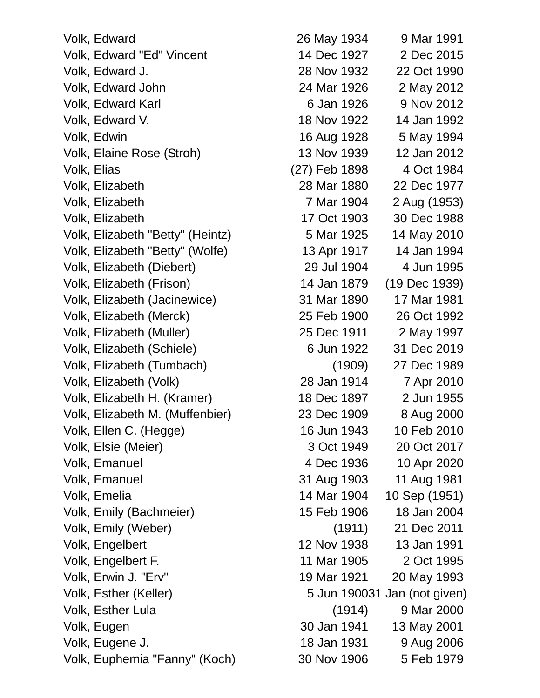| Volk, Edward                     | 26 May 1934   | 9 Mar 1991      |
|----------------------------------|---------------|-----------------|
| Volk, Edward "Ed" Vincent        | 14 Dec 1927   | 2 Dec 2015      |
| Volk, Edward J.                  | 28 Nov 1932   | 22 Oct 1990     |
| Volk, Edward John                | 24 Mar 1926   | 2 May 2012      |
| Volk, Edward Karl                | 6 Jan 1926    | 9 Nov 2012      |
| Volk, Edward V.                  | 18 Nov 1922   | 14 Jan 1992     |
| Volk, Edwin                      | 16 Aug 1928   | 5 May 1994      |
| Volk, Elaine Rose (Stroh)        | 13 Nov 1939   | 12 Jan 2012     |
| Volk, Elias                      | (27) Feb 1898 | 4 Oct 1984      |
| Volk, Elizabeth                  | 28 Mar 1880   | 22 Dec 1977     |
| Volk, Elizabeth                  | 7 Mar 1904    | 2 Aug (1953)    |
| Volk, Elizabeth                  | 17 Oct 1903   | 30 Dec 1988     |
| Volk, Elizabeth "Betty" (Heintz) | 5 Mar 1925    | 14 May 2010     |
| Volk, Elizabeth "Betty" (Wolfe)  | 13 Apr 1917   | 14 Jan 1994     |
| Volk, Elizabeth (Diebert)        | 29 Jul 1904   | 4 Jun 1995      |
| Volk, Elizabeth (Frison)         | 14 Jan 1879   | (19 Dec 1939)   |
| Volk, Elizabeth (Jacinewice)     | 31 Mar 1890   | 17 Mar 1981     |
| Volk, Elizabeth (Merck)          | 25 Feb 1900   | 26 Oct 1992     |
| Volk, Elizabeth (Muller)         | 25 Dec 1911   | 2 May 1997      |
| Volk, Elizabeth (Schiele)        | 6 Jun 1922    | 31 Dec 2019     |
| Volk, Elizabeth (Tumbach)        | (1909)        | 27 Dec 1989     |
| Volk, Elizabeth (Volk)           | 28 Jan 1914   | 7 Apr 2010      |
| Volk, Elizabeth H. (Kramer)      | 18 Dec 1897   | 2 Jun 1955      |
| Volk, Elizabeth M. (Muffenbier)  | 23 Dec 1909   | 8 Aug 2000      |
| Volk, Ellen C. (Hegge)           | 16 Jun 1943   | 10 Feb 2010     |
| Volk, Elsie (Meier)              | 3 Oct 1949    | 20 Oct 2017     |
| <b>Volk, Emanuel</b>             | 4 Dec 1936    | 10 Apr 2020     |
| Volk, Emanuel                    | 31 Aug 1903   | 11 Aug 1981     |
| Volk, Emelia                     | 14 Mar 1904   | 10 Sep (1951)   |
| Volk, Emily (Bachmeier)          | 15 Feb 1906   | 18 Jan 2004     |
| Volk, Emily (Weber)              | (1911)        | 21 Dec 2011     |
| Volk, Engelbert                  | 12 Nov 1938   | 13 Jan 1991     |
| Volk, Engelbert F.               | 11 Mar 1905   | 2 Oct 1995      |
| Volk, Erwin J. "Erv"             | 19 Mar 1921   | 20 May 1993     |
| Volk, Esther (Keller)            | 5 Jun 190031  | Jan (not given) |
| Volk, Esther Lula                | (1914)        | 9 Mar 2000      |
| Volk, Eugen                      | 30 Jan 1941   | 13 May 2001     |
| Volk, Eugene J.                  | 18 Jan 1931   | 9 Aug 2006      |
| Volk, Euphemia "Fanny" (Koch)    | 30 Nov 1906   | 5 Feb 1979      |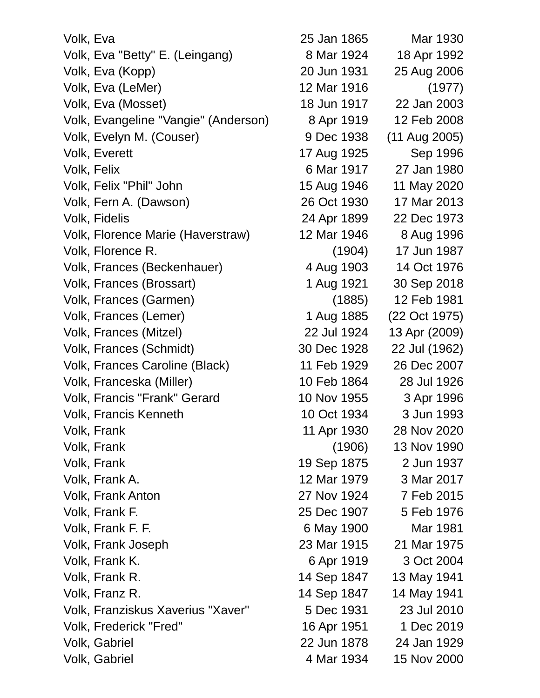| Volk, Eva                            | 25 Jan 1865 | Mar 1930      |
|--------------------------------------|-------------|---------------|
| Volk, Eva "Betty" E. (Leingang)      | 8 Mar 1924  | 18 Apr 1992   |
| Volk, Eva (Kopp)                     | 20 Jun 1931 | 25 Aug 2006   |
| Volk, Eva (LeMer)                    | 12 Mar 1916 | (1977)        |
| Volk, Eva (Mosset)                   | 18 Jun 1917 | 22 Jan 2003   |
| Volk, Evangeline "Vangie" (Anderson) | 8 Apr 1919  | 12 Feb 2008   |
| Volk, Evelyn M. (Couser)             | 9 Dec 1938  | (11 Aug 2005) |
| <b>Volk, Everett</b>                 | 17 Aug 1925 | Sep 1996      |
| Volk, Felix                          | 6 Mar 1917  | 27 Jan 1980   |
| Volk, Felix "Phil" John              | 15 Aug 1946 | 11 May 2020   |
| Volk, Fern A. (Dawson)               | 26 Oct 1930 | 17 Mar 2013   |
| Volk, Fidelis                        | 24 Apr 1899 | 22 Dec 1973   |
| Volk, Florence Marie (Haverstraw)    | 12 Mar 1946 | 8 Aug 1996    |
| Volk, Florence R.                    | (1904)      | 17 Jun 1987   |
| Volk, Frances (Beckenhauer)          | 4 Aug 1903  | 14 Oct 1976   |
| Volk, Frances (Brossart)             | 1 Aug 1921  | 30 Sep 2018   |
| Volk, Frances (Garmen)               | (1885)      | 12 Feb 1981   |
| Volk, Frances (Lemer)                | 1 Aug 1885  | (22 Oct 1975) |
| Volk, Frances (Mitzel)               | 22 Jul 1924 | 13 Apr (2009) |
| Volk, Frances (Schmidt)              | 30 Dec 1928 | 22 Jul (1962) |
| Volk, Frances Caroline (Black)       | 11 Feb 1929 | 26 Dec 2007   |
| Volk, Franceska (Miller)             | 10 Feb 1864 | 28 Jul 1926   |
| <b>Volk, Francis "Frank" Gerard</b>  | 10 Nov 1955 | 3 Apr 1996    |
| <b>Volk, Francis Kenneth</b>         | 10 Oct 1934 | 3 Jun 1993    |
| Volk, Frank                          | 11 Apr 1930 | 28 Nov 2020   |
| Volk, Frank                          | (1906)      | 13 Nov 1990   |
| Volk, Frank                          | 19 Sep 1875 | 2 Jun 1937    |
| Volk, Frank A.                       | 12 Mar 1979 | 3 Mar 2017    |
| Volk, Frank Anton                    | 27 Nov 1924 | 7 Feb 2015    |
| Volk, Frank F.                       | 25 Dec 1907 | 5 Feb 1976    |
| Volk, Frank F. F.                    | 6 May 1900  | Mar 1981      |
| Volk, Frank Joseph                   | 23 Mar 1915 | 21 Mar 1975   |
| Volk, Frank K.                       | 6 Apr 1919  | 3 Oct 2004    |
| Volk, Frank R.                       | 14 Sep 1847 | 13 May 1941   |
| Volk, Franz R.                       | 14 Sep 1847 | 14 May 1941   |
| Volk, Franziskus Xaverius "Xaver"    | 5 Dec 1931  | 23 Jul 2010   |
| Volk, Frederick "Fred"               | 16 Apr 1951 | 1 Dec 2019    |
| Volk, Gabriel                        | 22 Jun 1878 | 24 Jan 1929   |
| Volk, Gabriel                        | 4 Mar 1934  | 15 Nov 2000   |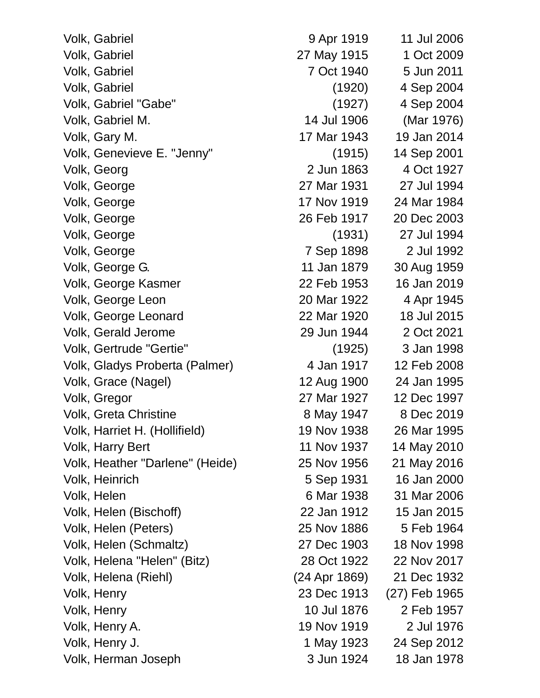Volk, Gabriel 9 Apr 1919 11 Jul 2006 Volk, Gabriel 27 May 1915 1 Oct 2009 Volk, Gabriel 7 Oct 1940 5 Jun 2011 Volk, Gabriel (1920) 4 Sep 2004 Volk, Gabriel "Gabe" (1927) 4 Sep 2004 Volk, Gabriel M. 14 Jul 1906 (Mar 1976) Volk, Gary M. 17 Mar 1943 19 Jan 2014 Volk, Genevieve E. "Jenny" (1915) 14 Sep 2001 Volk, Georg 2 Jun 1863 4 Oct 1927 Volk, George 27 Mar 1931 27 Jul 1994 Volk, George 17 Nov 1919 24 Mar 1984 Volk, George 26 Feb 1917 20 Dec 2003 Volk, George (1931) 27 Jul 1994 Volk, George 7 Sep 1898 2 Jul 1992 Volk, George G. 11 Jan 1879 30 Aug 1959 Volk, George Kasmer 22 Feb 1953 16 Jan 2019 Volk, George Leon 20 Mar 1922 4 Apr 1945 Volk, George Leonard 22 Mar 1920 18 Jul 2015 Volk, Gerald Jerome 29 Jun 1944 2 Oct 2021 Volk, Gertrude "Gertie" (1925) 3 Jan 1998 Volk, Gladys Proberta (Palmer) 4 Jan 1917 12 Feb 2008 Volk, Grace (Nagel) 12 Aug 1900 24 Jan 1995 Volk, Gregor 27 Mar 1927 12 Dec 1997 Volk, Greta Christine 8 May 1947 8 Dec 2019 Volk, Harriet H. (Hollifield) 19 Nov 1938 26 Mar 1995 Volk, Harry Bert 11 Nov 1937 14 May 2010 Volk, Heather "Darlene" (Heide) 25 Nov 1956 21 May 2016 Volk, Heinrich 5 Sep 1931 16 Jan 2000 Volk, Helen 6 Mar 1938 31 Mar 2006 Volk, Helen (Bischoff) 22 Jan 1912 15 Jan 2015 Volk, Helen (Peters) 25 Nov 1886 5 Feb 1964 Volk, Helen (Schmaltz) 27 Dec 1903 18 Nov 1998 Volk, Helena "Helen" (Bitz) 28 Oct 1922 22 Nov 2017 Volk, Helena (Riehl) (24 Apr 1869) 21 Dec 1932 Volk, Henry 23 Dec 1913 (27) Feb 1965 Volk, Henry 10 Jul 1876 2 Feb 1957 Volk, Henry A. 19 Nov 1919 2 Jul 1976 Volk, Henry J. 1 May 1923 24 Sep 2012 Volk, Herman Joseph 3 Jun 1924 18 Jan 1978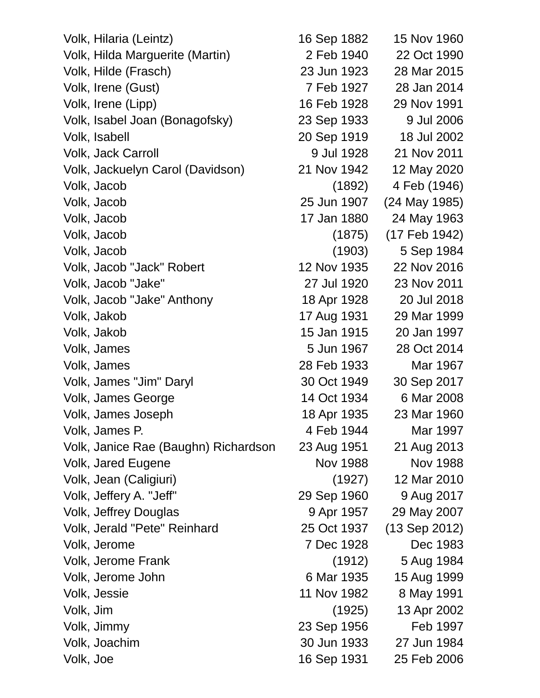Volk, Hilaria (Leintz) 16 Sep 1882 15 Nov 1960 Volk, Hilda Marguerite (Martin) 2 Feb 1940 22 Oct 1990 Volk, Hilde (Frasch) 23 Jun 1923 28 Mar 2015 Volk, Irene (Gust) 7 Feb 1927 28 Jan 2014 Volk, Irene (Lipp) 16 Feb 1928 29 Nov 1991 Volk, Isabel Joan (Bonagofsky) 23 Sep 1933 9 Jul 2006 Volk, Isabell 20 Sep 1919 18 Jul 2002 Volk, Jack Carroll 9 Jul 1928 21 Nov 2011 Volk, Jackuelyn Carol (Davidson) 21 Nov 1942 12 May 2020 Volk, Jacob (1892) 4 Feb (1946) Volk, Jacob 25 Jun 1907 (24 May 1985) Volk, Jacob 17 Jan 1880 24 May 1963 Volk, Jacob (1875) (17 Feb 1942) Volk, Jacob (1903) 5 Sep 1984 Volk, Jacob "Jack" Robert 12 Nov 1935 22 Nov 2016 Volk, Jacob "Jake" 27 Jul 1920 23 Nov 2011 Volk, Jacob "Jake" Anthony 18 Apr 1928 20 Jul 2018 Volk, Jakob 17 Aug 1931 29 Mar 1999 Volk, Jakob 15 Jan 1915 20 Jan 1997 Volk, James 5 Jun 1967 28 Oct 2014 Volk, James 28 Feb 1933 Mar 1967 Volk, James "Jim" Daryl 30 Oct 1949 30 Sep 2017 Volk, James George 14 Oct 1934 6 Mar 2008 Volk, James Joseph 18 Apr 1935 23 Mar 1960 Volk, James P. And The Local Contract America Affeb 1944 Mar 1997 Volk, Janice Rae (Baughn) Richardson 23 Aug 1951 21 Aug 2013 Volk, Jared Eugene Nov 1988 Nov 1988 Volk, Jean (Caligiuri) (1927) 12 Mar 2010 Volk, Jeffery A. "Jeff" 29 Sep 1960 9 Aug 2017 Volk, Jeffrey Douglas 9 Apr 1957 29 May 2007 Volk, Jerald "Pete" Reinhard 25 Oct 1937 (13 Sep 2012) Volk, Jerome 7 Dec 1928 Dec 1983 Volk, Jerome Frank (1912) 5 Aug 1984 Volk, Jerome John 6 Mar 1935 15 Aug 1999 Volk, Jessie 11 Nov 1982 8 May 1991 Volk, Jim (1925) 13 Apr 2002 Volk, Jimmy 23 Sep 1956 Feb 1997 Volk, Joachim 30 Jun 1933 27 Jun 1984 Volk, Joe 16 Sep 1931 25 Feb 2006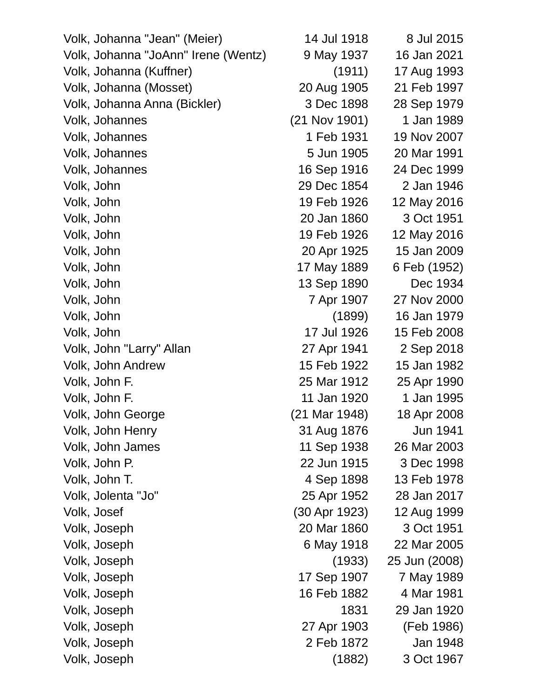| Volk, Johanna "Jean" (Meier)        | 14 Jul 1918     | 8 Jul 2015    |
|-------------------------------------|-----------------|---------------|
| Volk, Johanna "JoAnn" Irene (Wentz) | 9 May 1937      | 16 Jan 2021   |
| Volk, Johanna (Kuffner)             | (1911)          | 17 Aug 1993   |
| Volk, Johanna (Mosset)              | 20 Aug 1905     | 21 Feb 1997   |
| Volk, Johanna Anna (Bickler)        | 3 Dec 1898      | 28 Sep 1979   |
| Volk, Johannes                      | $(21$ Nov 1901) | 1 Jan 1989    |
| Volk, Johannes                      | 1 Feb 1931      | 19 Nov 2007   |
| Volk, Johannes                      | 5 Jun 1905      | 20 Mar 1991   |
| Volk, Johannes                      | 16 Sep 1916     | 24 Dec 1999   |
| Volk, John                          | 29 Dec 1854     | 2 Jan 1946    |
| Volk, John                          | 19 Feb 1926     | 12 May 2016   |
| Volk, John                          | 20 Jan 1860     | 3 Oct 1951    |
| Volk, John                          | 19 Feb 1926     | 12 May 2016   |
| Volk, John                          | 20 Apr 1925     | 15 Jan 2009   |
| Volk, John                          | 17 May 1889     | 6 Feb (1952)  |
| Volk, John                          | 13 Sep 1890     | Dec 1934      |
| Volk, John                          | 7 Apr 1907      | 27 Nov 2000   |
| Volk, John                          | (1899)          | 16 Jan 1979   |
| Volk, John                          | 17 Jul 1926     | 15 Feb 2008   |
| Volk, John "Larry" Allan            | 27 Apr 1941     | 2 Sep 2018    |
| Volk, John Andrew                   | 15 Feb 1922     | 15 Jan 1982   |
| Volk, John F.                       | 25 Mar 1912     | 25 Apr 1990   |
| Volk, John F.                       | 11 Jan 1920     | 1 Jan 1995    |
| Volk, John George                   | (21 Mar 1948)   | 18 Apr 2008   |
| Volk, John Henry                    | 31 Aug 1876     | Jun 1941      |
| Volk, John James                    | 11 Sep 1938     | 26 Mar 2003   |
| Volk, John P.                       | 22 Jun 1915     | 3 Dec 1998    |
| Volk, John T.                       | 4 Sep 1898      | 13 Feb 1978   |
| Volk, Jolenta "Jo"                  | 25 Apr 1952     | 28 Jan 2017   |
| Volk, Josef                         | (30 Apr 1923)   | 12 Aug 1999   |
| Volk, Joseph                        | 20 Mar 1860     | 3 Oct 1951    |
| Volk, Joseph                        | 6 May 1918      | 22 Mar 2005   |
| Volk, Joseph                        | (1933)          | 25 Jun (2008) |
| Volk, Joseph                        | 17 Sep 1907     | 7 May 1989    |
| Volk, Joseph                        | 16 Feb 1882     | 4 Mar 1981    |
| Volk, Joseph                        | 1831            | 29 Jan 1920   |
| Volk, Joseph                        | 27 Apr 1903     | (Feb 1986)    |
| Volk, Joseph                        | 2 Feb 1872      | Jan 1948      |
| Volk, Joseph                        | (1882)          | 3 Oct 1967    |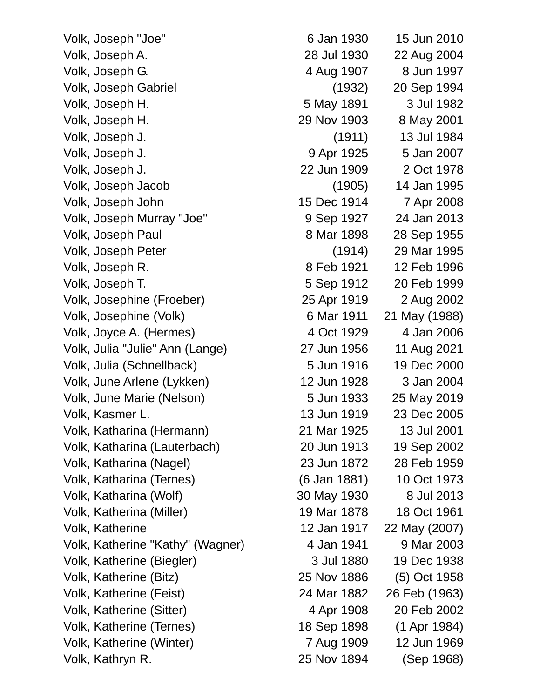Volk, Joseph "Joe" 6 Jan 1930 15 Jun 2010 Volk, Joseph A. 28 Jul 1930 22 Aug 2004 Volk, Joseph G. 4 Aug 1907 8 Jun 1997 Volk, Joseph Gabriel (1932) 20 Sep 1994 Volk, Joseph H. 5 May 1891 3 Jul 1982 Volk, Joseph H. 29 Nov 1903 8 May 2001 Volk, Joseph J. (1911) 13 Jul 1984 Volk, Joseph J. 9 Apr 1925 5 Jan 2007 Volk, Joseph J. 22 Jun 1909 2 Oct 1978 Volk, Joseph Jacob (1905) 14 Jan 1995 Volk, Joseph John 15 Dec 1914 7 Apr 2008 Volk, Joseph Murray "Joe" 9 Sep 1927 24 Jan 2013 Volk, Joseph Paul 8 Mar 1898 28 Sep 1955 Volk, Joseph Peter (1914) 29 Mar 1995 Volk, Joseph R. 8 Feb 1921 12 Feb 1996 Volk, Joseph T. 5 Sep 1912 20 Feb 1999 Volk, Josephine (Froeber) 25 Apr 1919 2 Aug 2002 Volk, Josephine (Volk) 6 Mar 1911 21 May (1988) Volk, Joyce A. (Hermes)  $40c$ t 1929  $4$  Jan 2006 Volk, Julia "Julie" Ann (Lange) 27 Jun 1956 11 Aug 2021 Volk, Julia (Schnellback) 5 Jun 1916 19 Dec 2000 Volk, June Arlene (Lykken) 12 Jun 1928 3 Jan 2004 Volk, June Marie (Nelson) 5 Jun 1933 25 May 2019 Volk, Kasmer L. 13 Jun 1919 23 Dec 2005 Volk, Katharina (Hermann) 21 Mar 1925 13 Jul 2001 Volk, Katharina (Lauterbach) 20 Jun 1913 19 Sep 2002 Volk, Katharina (Nagel) 23 Jun 1872 28 Feb 1959 Volk, Katharina (Ternes) (6 Jan 1881) 10 Oct 1973 Volk, Katharina (Wolf) 30 May 1930 8 Jul 2013 Volk, Katherina (Miller) 19 Mar 1878 18 Oct 1961 Volk, Katherine 12 Jan 1917 22 May (2007) Volk, Katherine "Kathy" (Wagner) 4 Jan 1941 9 Mar 2003 Volk, Katherine (Biegler) 3 Jul 1880 19 Dec 1938 Volk, Katherine (Bitz) 25 Nov 1886 (5) Oct 1958 Volk, Katherine (Feist) 24 Mar 1882 26 Feb (1963) Volk, Katherine (Sitter) 4 Apr 1908 20 Feb 2002 Volk, Katherine (Ternes) 18 Sep 1898 (1 Apr 1984) Volk, Katherine (Winter) 7 Aug 1909 12 Jun 1969

Volk, Kathryn R. 25 Nov 1894 (Sep 1968)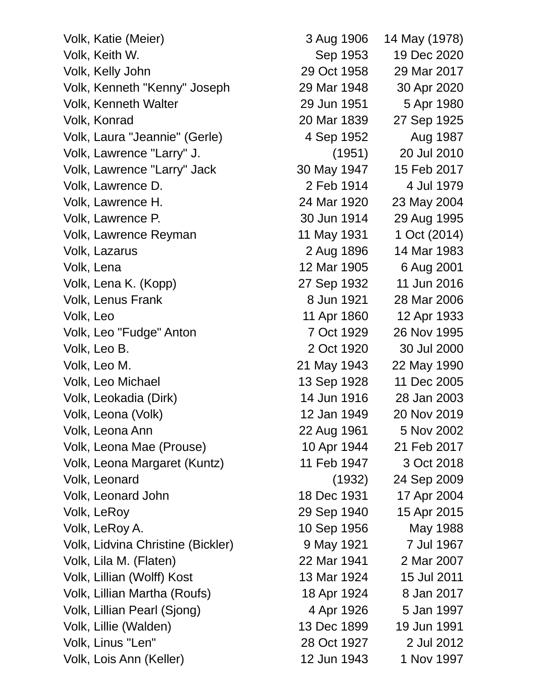Volk, Katie (Meier) 3 Aug 1906 14 May (1978) Volk, Keith W. Sep 1953 19 Dec 2020 Volk, Kelly John 29 Oct 1958 29 Mar 2017 Volk, Kenneth "Kenny" Joseph 29 Mar 1948 30 Apr 2020 Volk, Kenneth Walter 29 Jun 1951 5 Apr 1980 Volk, Konrad 20 Mar 1839 27 Sep 1925 Volk, Laura "Jeannie" (Gerle) 4 Sep 1952 Aug 1987 Volk, Lawrence "Larry" J. (1951) 20 Jul 2010 Volk, Lawrence "Larry" Jack 30 May 1947 15 Feb 2017 Volk, Lawrence D. 2 Feb 1914 4 Jul 1979 Volk, Lawrence H. 24 Mar 1920 23 May 2004 Volk, Lawrence P. 30 Jun 1914 29 Aug 1995 Volk, Lawrence Reyman 11 May 1931 1 Oct (2014) Volk, Lazarus 2 Aug 1896 14 Mar 1983 Volk, Lena 12 Mar 1905 6 Aug 2001 Volk, Lena K. (Kopp) 27 Sep 1932 11 Jun 2016 Volk, Lenus Frank 8 Jun 1921 28 Mar 2006 Volk, Leo 11 Apr 1860 12 Apr 1933 Volk, Leo "Fudge" Anton 7 Oct 1929 26 Nov 1995 Volk, Leo B. 2 Oct 1920 30 Jul 2000 Volk, Leo M. 21 May 1943 22 May 1990 Volk, Leo Michael 13 Sep 1928 11 Dec 2005 Volk, Leokadia (Dirk) 14 Jun 1916 28 Jan 2003 Volk, Leona (Volk) 12 Jan 1949 20 Nov 2019 Volk, Leona Ann 22 Aug 1961 5 Nov 2002 Volk, Leona Mae (Prouse) 10 Apr 1944 21 Feb 2017 Volk, Leona Margaret (Kuntz) 11 Feb 1947 3 Oct 2018 Volk, Leonard (1932) 24 Sep 2009 Volk, Leonard John 18 Dec 1931 17 Apr 2004 Volk, LeRoy 29 Sep 1940 15 Apr 2015 Volk, LeRoy A. 10 Sep 1956 May 1988 Volk, Lidvina Christine (Bickler) 9 May 1921 7 Jul 1967 Volk, Lila M. (Flaten) 22 Mar 1941 2 Mar 2007 Volk, Lillian (Wolff) Kost 13 Mar 1924 15 Jul 2011 Volk, Lillian Martha (Roufs) 18 Apr 1924 8 Jan 2017 Volk, Lillian Pearl (Sjong) 4 Apr 1926 5 Jan 1997 Volk, Lillie (Walden) 13 Dec 1899 19 Jun 1991 Volk, Linus "Len" 28 Oct 1927 2 Jul 2012

Volk, Lois Ann (Keller) 12 Jun 1943 1 Nov 1997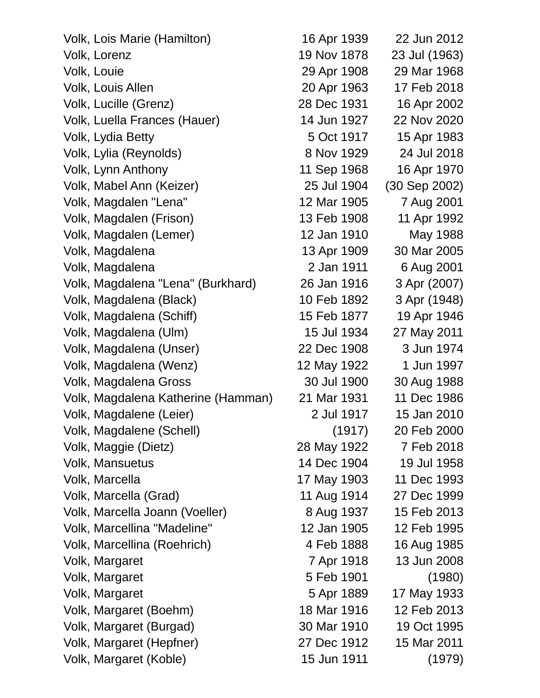| Volk, Lois Marie (Hamilton)        | 16 Apr 1939 | 22 Jun 2012   |
|------------------------------------|-------------|---------------|
| Volk, Lorenz                       | 19 Nov 1878 | 23 Jul (1963) |
| Volk, Louie                        | 29 Apr 1908 | 29 Mar 1968   |
| Volk, Louis Allen                  | 20 Apr 1963 | 17 Feb 2018   |
| Volk, Lucille (Grenz)              | 28 Dec 1931 | 16 Apr 2002   |
| Volk, Luella Frances (Hauer)       | 14 Jun 1927 | 22 Nov 2020   |
| Volk, Lydia Betty                  | 5 Oct 1917  | 15 Apr 1983   |
| Volk, Lylia (Reynolds)             | 8 Nov 1929  | 24 Jul 2018   |
| Volk, Lynn Anthony                 | 11 Sep 1968 | 16 Apr 1970   |
| Volk, Mabel Ann (Keizer)           | 25 Jul 1904 | (30 Sep 2002) |
| Volk, Magdalen "Lena"              | 12 Mar 1905 | 7 Aug 2001    |
| Volk, Magdalen (Frison)            | 13 Feb 1908 | 11 Apr 1992   |
| Volk, Magdalen (Lemer)             | 12 Jan 1910 | May 1988      |
| Volk, Magdalena                    | 13 Apr 1909 | 30 Mar 2005   |
| Volk, Magdalena                    | 2 Jan 1911  | 6 Aug 2001    |
| Volk, Magdalena "Lena" (Burkhard)  | 26 Jan 1916 | 3 Apr (2007)  |
| Volk, Magdalena (Black)            | 10 Feb 1892 | 3 Apr (1948)  |
| Volk, Magdalena (Schiff)           | 15 Feb 1877 | 19 Apr 1946   |
| Volk, Magdalena (Ulm)              | 15 Jul 1934 | 27 May 2011   |
| Volk, Magdalena (Unser)            | 22 Dec 1908 | 3 Jun 1974    |
| Volk, Magdalena (Wenz)             | 12 May 1922 | 1 Jun 1997    |
| Volk, Magdalena Gross              | 30 Jul 1900 | 30 Aug 1988   |
| Volk, Magdalena Katherine (Hamman) | 21 Mar 1931 | 11 Dec 1986   |
| Volk, Magdalene (Leier)            | 2 Jul 1917  | 15 Jan 2010   |
| Volk, Magdalene (Schell)           | (1917)      | 20 Feb 2000   |
| Volk, Maggie (Dietz)               | 28 May 1922 | 7 Feb 2018    |
| Volk, Mansuetus                    | 14 Dec 1904 | 19 Jul 1958   |
| Volk, Marcella                     | 17 May 1903 | 11 Dec 1993   |
| Volk, Marcella (Grad)              | 11 Aug 1914 | 27 Dec 1999   |
| Volk, Marcella Joann (Voeller)     | 8 Aug 1937  | 15 Feb 2013   |
| Volk, Marcellina "Madeline"        | 12 Jan 1905 | 12 Feb 1995   |
| Volk, Marcellina (Roehrich)        | 4 Feb 1888  | 16 Aug 1985   |
| Volk, Margaret                     | 7 Apr 1918  | 13 Jun 2008   |
| Volk, Margaret                     | 5 Feb 1901  | (1980)        |
| Volk, Margaret                     | 5 Apr 1889  | 17 May 1933   |
| Volk, Margaret (Boehm)             | 18 Mar 1916 | 12 Feb 2013   |
| Volk, Margaret (Burgad)            | 30 Mar 1910 | 19 Oct 1995   |
| Volk, Margaret (Hepfner)           | 27 Dec 1912 | 15 Mar 2011   |
| Volk, Margaret (Koble)             | 15 Jun 1911 | (1979)        |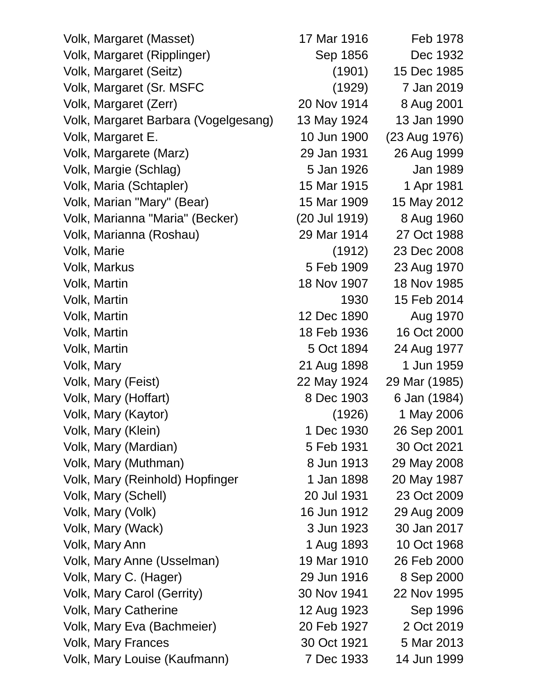| Volk, Margaret (Masset)              | 17 Mar 1916   | Feb 1978      |
|--------------------------------------|---------------|---------------|
| Volk, Margaret (Ripplinger)          | Sep 1856      | Dec 1932      |
| Volk, Margaret (Seitz)               | (1901)        | 15 Dec 1985   |
| Volk, Margaret (Sr. MSFC             | (1929)        | 7 Jan 2019    |
| Volk, Margaret (Zerr)                | 20 Nov 1914   | 8 Aug 2001    |
| Volk, Margaret Barbara (Vogelgesang) | 13 May 1924   | 13 Jan 1990   |
| Volk, Margaret E.                    | 10 Jun 1900   | (23 Aug 1976) |
| Volk, Margarete (Marz)               | 29 Jan 1931   | 26 Aug 1999   |
| Volk, Margie (Schlag)                | 5 Jan 1926    | Jan 1989      |
| Volk, Maria (Schtapler)              | 15 Mar 1915   | 1 Apr 1981    |
| Volk, Marian "Mary" (Bear)           | 15 Mar 1909   | 15 May 2012   |
| Volk, Marianna "Maria" (Becker)      | (20 Jul 1919) | 8 Aug 1960    |
| Volk, Marianna (Roshau)              | 29 Mar 1914   | 27 Oct 1988   |
| Volk, Marie                          | (1912)        | 23 Dec 2008   |
| Volk, Markus                         | 5 Feb 1909    | 23 Aug 1970   |
| Volk, Martin                         | 18 Nov 1907   | 18 Nov 1985   |
| Volk, Martin                         | 1930          | 15 Feb 2014   |
| Volk, Martin                         | 12 Dec 1890   | Aug 1970      |
| Volk, Martin                         | 18 Feb 1936   | 16 Oct 2000   |
| Volk, Martin                         | 5 Oct 1894    | 24 Aug 1977   |
| Volk, Mary                           | 21 Aug 1898   | 1 Jun 1959    |
| Volk, Mary (Feist)                   | 22 May 1924   | 29 Mar (1985) |
| Volk, Mary (Hoffart)                 | 8 Dec 1903    | 6 Jan (1984)  |
| Volk, Mary (Kaytor)                  | (1926)        | 1 May 2006    |
| Volk, Mary (Klein)                   | 1 Dec 1930    | 26 Sep 2001   |
| Volk, Mary (Mardian)                 | 5 Feb 1931    | 30 Oct 2021   |
| Volk, Mary (Muthman)                 | 8 Jun 1913    | 29 May 2008   |
| Volk, Mary (Reinhold) Hopfinger      | 1 Jan 1898    | 20 May 1987   |
| Volk, Mary (Schell)                  | 20 Jul 1931   | 23 Oct 2009   |
| Volk, Mary (Volk)                    | 16 Jun 1912   | 29 Aug 2009   |
| Volk, Mary (Wack)                    | 3 Jun 1923    | 30 Jan 2017   |
| Volk, Mary Ann                       | 1 Aug 1893    | 10 Oct 1968   |
| Volk, Mary Anne (Usselman)           | 19 Mar 1910   | 26 Feb 2000   |
| Volk, Mary C. (Hager)                | 29 Jun 1916   | 8 Sep 2000    |
| Volk, Mary Carol (Gerrity)           | 30 Nov 1941   | 22 Nov 1995   |
| <b>Volk, Mary Catherine</b>          | 12 Aug 1923   | Sep 1996      |
| Volk, Mary Eva (Bachmeier)           | 20 Feb 1927   | 2 Oct 2019    |
| <b>Volk, Mary Frances</b>            | 30 Oct 1921   | 5 Mar 2013    |
| Volk, Mary Louise (Kaufmann)         | 7 Dec 1933    | 14 Jun 1999   |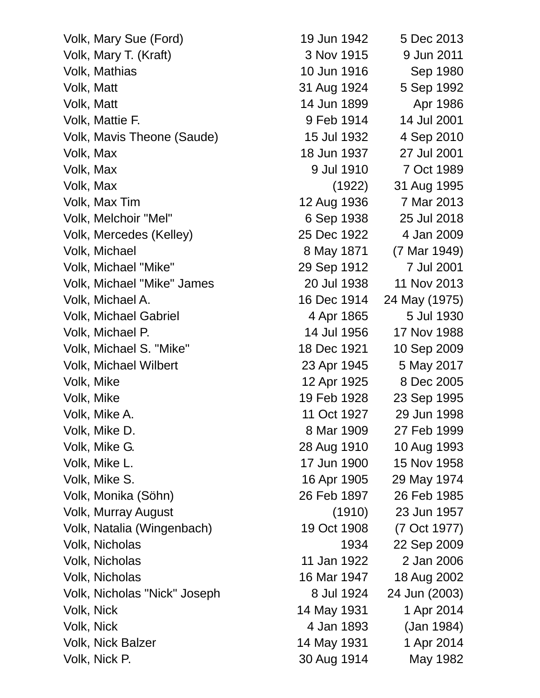| Volk, Mary Sue (Ford)        | 19 Jun 1942 | 5 Dec 2013    |
|------------------------------|-------------|---------------|
| Volk, Mary T. (Kraft)        | 3 Nov 1915  | 9 Jun 2011    |
| Volk, Mathias                | 10 Jun 1916 | Sep 1980      |
| Volk, Matt                   | 31 Aug 1924 | 5 Sep 1992    |
| Volk, Matt                   | 14 Jun 1899 | Apr 1986      |
| Volk, Mattie F.              | 9 Feb 1914  | 14 Jul 2001   |
| Volk, Mavis Theone (Saude)   | 15 Jul 1932 | 4 Sep 2010    |
| Volk, Max                    | 18 Jun 1937 | 27 Jul 2001   |
| Volk, Max                    | 9 Jul 1910  | 7 Oct 1989    |
| Volk, Max                    | (1922)      | 31 Aug 1995   |
| Volk, Max Tim                | 12 Aug 1936 | 7 Mar 2013    |
| Volk, Melchoir "Mel"         | 6 Sep 1938  | 25 Jul 2018   |
| Volk, Mercedes (Kelley)      | 25 Dec 1922 | 4 Jan 2009    |
| Volk, Michael                | 8 May 1871  | (7 Mar 1949)  |
| Volk, Michael "Mike"         | 29 Sep 1912 | 7 Jul 2001    |
| Volk, Michael "Mike" James   | 20 Jul 1938 | 11 Nov 2013   |
| Volk, Michael A.             | 16 Dec 1914 | 24 May (1975) |
| Volk, Michael Gabriel        | 4 Apr 1865  | 5 Jul 1930    |
| Volk, Michael P.             | 14 Jul 1956 | 17 Nov 1988   |
| Volk, Michael S. "Mike"      | 18 Dec 1921 | 10 Sep 2009   |
| <b>Volk, Michael Wilbert</b> | 23 Apr 1945 | 5 May 2017    |
| Volk, Mike                   | 12 Apr 1925 | 8 Dec 2005    |
| Volk, Mike                   | 19 Feb 1928 | 23 Sep 1995   |
| Volk, Mike A.                | 11 Oct 1927 | 29 Jun 1998   |
| Volk, Mike D.                | 8 Mar 1909  | 27 Feb 1999   |
| Volk, Mike G.                | 28 Aug 1910 | 10 Aug 1993   |
| Volk, Mike L.                | 17 Jun 1900 | 15 Nov 1958   |
| Volk, Mike S.                | 16 Apr 1905 | 29 May 1974   |
| Volk, Monika (Söhn)          | 26 Feb 1897 | 26 Feb 1985   |
| <b>Volk, Murray August</b>   | (1910)      | 23 Jun 1957   |
| Volk, Natalia (Wingenbach)   | 19 Oct 1908 | (7 Oct 1977)  |
| Volk, Nicholas               | 1934        | 22 Sep 2009   |
| Volk, Nicholas               | 11 Jan 1922 | 2 Jan 2006    |
| Volk, Nicholas               | 16 Mar 1947 | 18 Aug 2002   |
| Volk, Nicholas "Nick" Joseph | 8 Jul 1924  | 24 Jun (2003) |
| Volk, Nick                   | 14 May 1931 | 1 Apr 2014    |
| Volk, Nick                   | 4 Jan 1893  | (Jan 1984)    |
| <b>Volk, Nick Balzer</b>     | 14 May 1931 | 1 Apr 2014    |
| Volk, Nick P.                | 30 Aug 1914 | May 1982      |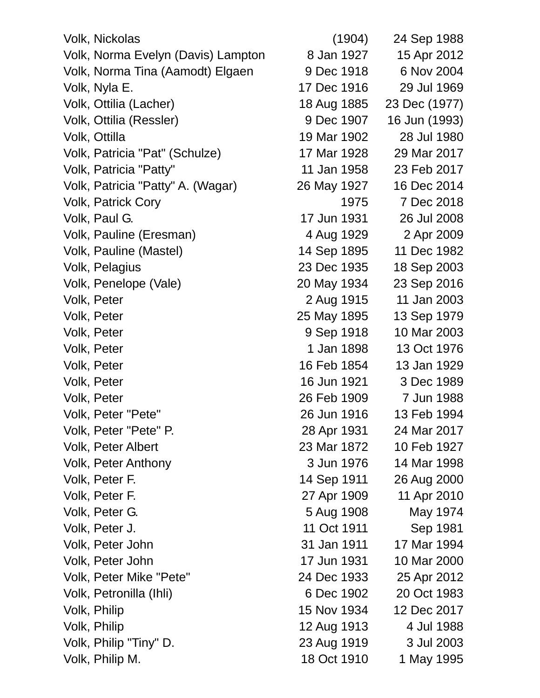Volk, Nickolas (1904) 24 Sep 1988 Volk, Norma Evelyn (Davis) Lampton 8 Jan 1927 15 Apr 2012 Volk, Norma Tina (Aamodt) Elgaen 9 Dec 1918 6 Nov 2004 Volk, Nyla E. 17 Dec 1916 29 Jul 1969 Volk, Ottilia (Lacher) 18 Aug 1885 23 Dec (1977) Volk, Ottilia (Ressler) 9 Dec 1907 16 Jun (1993) Volk, Ottilla 19 Mar 1902 28 Jul 1980 Volk, Patricia "Pat" (Schulze) 17 Mar 1928 29 Mar 2017 Volk, Patricia "Patty" 11 Jan 1958 23 Feb 2017 Volk, Patricia "Patty" A. (Wagar) 26 May 1927 16 Dec 2014 Volk, Patrick Cory 1975 7 Dec 2018 Volk, Paul G. 17 Jun 1931 26 Jul 2008 Volk, Pauline (Eresman) 4 Aug 1929 2 Apr 2009 Volk, Pauline (Mastel) 14 Sep 1895 11 Dec 1982 Volk, Pelagius 23 Dec 1935 18 Sep 2003 Volk, Penelope (Vale) 20 May 1934 23 Sep 2016 Volk, Peter 2 Aug 1915 11 Jan 2003 Volk, Peter 25 May 1895 13 Sep 1979 Volk, Peter 9 Sep 1918 10 Mar 2003 Volk, Peter 1 Jan 1898 13 Oct 1976 Volk, Peter 16 Feb 1854 13 Jan 1929 Volk, Peter 16 Jun 1921 3 Dec 1989 Volk, Peter 26 Feb 1909 7 Jun 1988 Volk, Peter "Pete" 26 Jun 1916 13 Feb 1994 Volk, Peter "Pete" P. 28 Apr 1931 24 Mar 2017 Volk, Peter Albert 23 Mar 1872 10 Feb 1927 Volk, Peter Anthony 3 Jun 1976 14 Mar 1998 Volk, Peter F. 14 Sep 1911 26 Aug 2000 Volk, Peter F. 27 Apr 1909 11 Apr 2010 Volk, Peter G. 5 Aug 1908 May 1974 Volk, Peter J. 11 Oct 1911 Sep 1981 Volk, Peter John 31 Jan 1911 17 Mar 1994 Volk, Peter John 17 Jun 1931 10 Mar 2000 Volk, Peter Mike "Pete" 24 Dec 1933 25 Apr 2012 Volk, Petronilla (Ihli) 6 Dec 1902 20 Oct 1983 Volk, Philip 15 Nov 1934 12 Dec 2017 Volk, Philip 12 Aug 1913 4 Jul 1988 Volk, Philip "Tiny" D. 23 Aug 1919 3 Jul 2003

Volk, Philip M. 18 Oct 1910 1 May 1995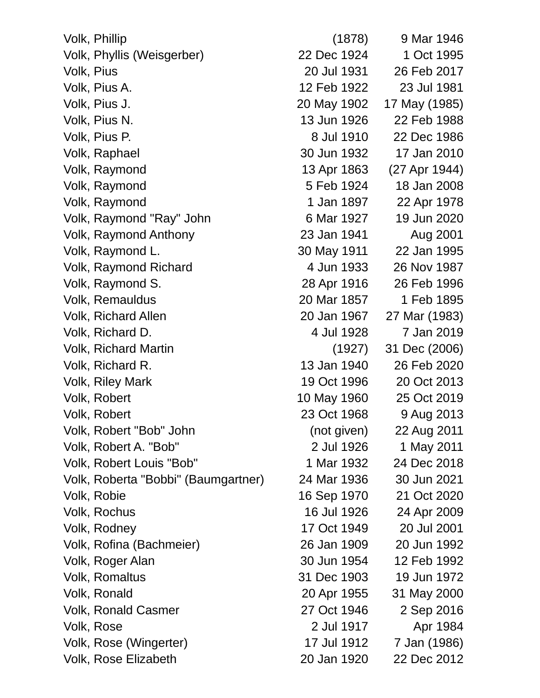| Volk, Phillip                       | (1878)      | 9 Mar 1946    |
|-------------------------------------|-------------|---------------|
| Volk, Phyllis (Weisgerber)          | 22 Dec 1924 | 1 Oct 1995    |
| Volk, Pius                          | 20 Jul 1931 | 26 Feb 2017   |
| Volk, Pius A.                       | 12 Feb 1922 | 23 Jul 1981   |
| Volk, Pius J.                       | 20 May 1902 | 17 May (1985) |
| Volk, Pius N.                       | 13 Jun 1926 | 22 Feb 1988   |
| Volk, Pius P.                       | 8 Jul 1910  | 22 Dec 1986   |
| Volk, Raphael                       | 30 Jun 1932 | 17 Jan 2010   |
| Volk, Raymond                       | 13 Apr 1863 | (27 Apr 1944) |
| Volk, Raymond                       | 5 Feb 1924  | 18 Jan 2008   |
| Volk, Raymond                       | 1 Jan 1897  | 22 Apr 1978   |
| Volk, Raymond "Ray" John            | 6 Mar 1927  | 19 Jun 2020   |
| Volk, Raymond Anthony               | 23 Jan 1941 | Aug 2001      |
| Volk, Raymond L.                    | 30 May 1911 | 22 Jan 1995   |
| <b>Volk, Raymond Richard</b>        | 4 Jun 1933  | 26 Nov 1987   |
| Volk, Raymond S.                    | 28 Apr 1916 | 26 Feb 1996   |
| Volk, Remauldus                     | 20 Mar 1857 | 1 Feb 1895    |
| <b>Volk, Richard Allen</b>          | 20 Jan 1967 | 27 Mar (1983) |
| Volk, Richard D.                    | 4 Jul 1928  | 7 Jan 2019    |
| <b>Volk, Richard Martin</b>         | (1927)      | 31 Dec (2006) |
| Volk, Richard R.                    | 13 Jan 1940 | 26 Feb 2020   |
| <b>Volk, Riley Mark</b>             | 19 Oct 1996 | 20 Oct 2013   |
| Volk, Robert                        | 10 May 1960 | 25 Oct 2019   |
| Volk, Robert                        | 23 Oct 1968 | 9 Aug 2013    |
| Volk, Robert "Bob" John             | (not given) | 22 Aug 2011   |
| Volk, Robert A. "Bob"               | 2 Jul 1926  | 1 May 2011    |
| Volk, Robert Louis "Bob"            | 1 Mar 1932  | 24 Dec 2018   |
| Volk, Roberta "Bobbi" (Baumgartner) | 24 Mar 1936 | 30 Jun 2021   |
| Volk, Robie                         | 16 Sep 1970 | 21 Oct 2020   |
| Volk, Rochus                        | 16 Jul 1926 | 24 Apr 2009   |
| Volk, Rodney                        | 17 Oct 1949 | 20 Jul 2001   |
| Volk, Rofina (Bachmeier)            | 26 Jan 1909 | 20 Jun 1992   |
| Volk, Roger Alan                    | 30 Jun 1954 | 12 Feb 1992   |
| <b>Volk, Romaltus</b>               | 31 Dec 1903 | 19 Jun 1972   |
| Volk, Ronald                        | 20 Apr 1955 | 31 May 2000   |
| <b>Volk, Ronald Casmer</b>          | 27 Oct 1946 | 2 Sep 2016    |
| Volk, Rose                          | 2 Jul 1917  | Apr 1984      |
| Volk, Rose (Wingerter)              | 17 Jul 1912 | 7 Jan (1986)  |
| Volk, Rose Elizabeth                | 20 Jan 1920 | 22 Dec 2012   |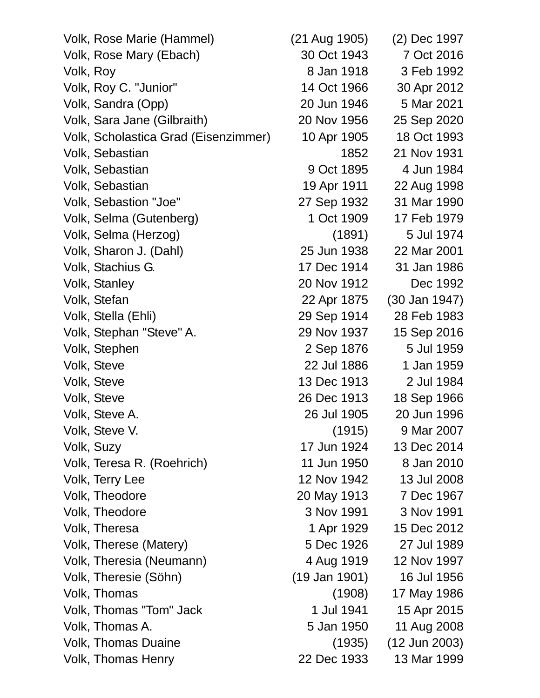| Volk, Rose Marie (Hammel)            | (21 Aug 1905) | (2) Dec 1997    |
|--------------------------------------|---------------|-----------------|
| Volk, Rose Mary (Ebach)              | 30 Oct 1943   | 7 Oct 2016      |
| Volk, Roy                            | 8 Jan 1918    | 3 Feb 1992      |
| Volk, Roy C. "Junior"                | 14 Oct 1966   | 30 Apr 2012     |
| Volk, Sandra (Opp)                   | 20 Jun 1946   | 5 Mar 2021      |
| Volk, Sara Jane (Gilbraith)          | 20 Nov 1956   | 25 Sep 2020     |
| Volk, Scholastica Grad (Eisenzimmer) | 10 Apr 1905   | 18 Oct 1993     |
| Volk, Sebastian                      | 1852          | 21 Nov 1931     |
| Volk, Sebastian                      | 9 Oct 1895    | 4 Jun 1984      |
| Volk, Sebastian                      | 19 Apr 1911   | 22 Aug 1998     |
| Volk, Sebastion "Joe"                | 27 Sep 1932   | 31 Mar 1990     |
| Volk, Selma (Gutenberg)              | 1 Oct 1909    | 17 Feb 1979     |
| Volk, Selma (Herzog)                 | (1891)        | 5 Jul 1974      |
| Volk, Sharon J. (Dahl)               | 25 Jun 1938   | 22 Mar 2001     |
| Volk, Stachius G.                    | 17 Dec 1914   | 31 Jan 1986     |
| Volk, Stanley                        | 20 Nov 1912   | Dec 1992        |
| Volk, Stefan                         | 22 Apr 1875   | $(30$ Jan 1947) |
| Volk, Stella (Ehli)                  | 29 Sep 1914   | 28 Feb 1983     |
| Volk, Stephan "Steve" A.             | 29 Nov 1937   | 15 Sep 2016     |
| Volk, Stephen                        | 2 Sep 1876    | 5 Jul 1959      |
| Volk, Steve                          | 22 Jul 1886   | 1 Jan 1959      |
| Volk, Steve                          | 13 Dec 1913   | 2 Jul 1984      |
| Volk, Steve                          | 26 Dec 1913   | 18 Sep 1966     |
| Volk, Steve A.                       | 26 Jul 1905   | 20 Jun 1996     |
| Volk, Steve V.                       | (1915)        | 9 Mar 2007      |
| Volk, Suzy                           | 17 Jun 1924   | 13 Dec 2014     |
| Volk, Teresa R. (Roehrich)           | 11 Jun 1950   | 8 Jan 2010      |
| Volk, Terry Lee                      | 12 Nov 1942   | 13 Jul 2008     |
| Volk, Theodore                       | 20 May 1913   | 7 Dec 1967      |
| Volk, Theodore                       | 3 Nov 1991    | 3 Nov 1991      |
| Volk, Theresa                        | 1 Apr 1929    | 15 Dec 2012     |
| Volk, Therese (Matery)               | 5 Dec 1926    | 27 Jul 1989     |
| Volk, Theresia (Neumann)             | 4 Aug 1919    | 12 Nov 1997     |
| Volk, Theresie (Söhn)                | (19 Jan 1901) | 16 Jul 1956     |
| Volk, Thomas                         | (1908)        | 17 May 1986     |
| Volk, Thomas "Tom" Jack              | 1 Jul 1941    | 15 Apr 2015     |
| Volk, Thomas A.                      | 5 Jan 1950    | 11 Aug 2008     |
| <b>Volk, Thomas Duaine</b>           | (1935)        | $(12$ Jun 2003) |
| <b>Volk, Thomas Henry</b>            | 22 Dec 1933   | 13 Mar 1999     |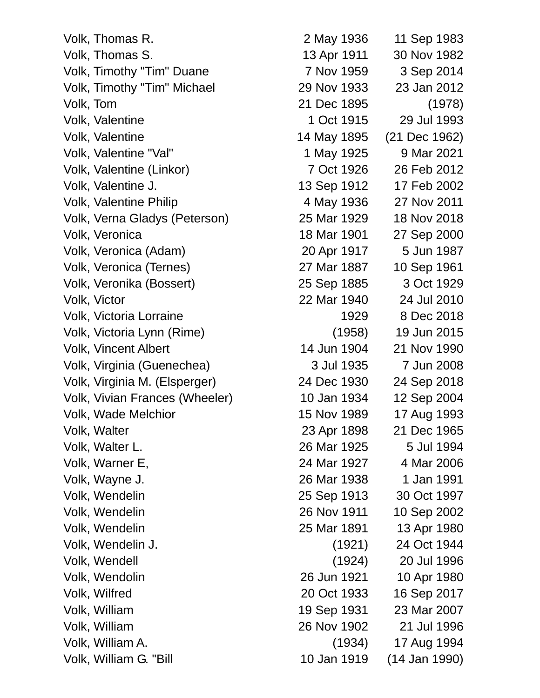Volk, Thomas R. 2 May 1936 11 Sep 1983 Volk, Thomas S. 13 Apr 1911 30 Nov 1982 Volk, Timothy "Tim" Duane 7 Nov 1959 3 Sep 2014 Volk, Timothy "Tim" Michael 29 Nov 1933 23 Jan 2012 Volk, Tom 21 Dec 1895 (1978) Volk, Valentine 1 Oct 1915 29 Jul 1993 Volk, Valentine 14 May 1895 (21 Dec 1962) Volk, Valentine "Val" 1 May 1925 9 Mar 2021 Volk, Valentine (Linkor) 7 Oct 1926 26 Feb 2012 Volk, Valentine J. 13 Sep 1912 17 Feb 2002 Volk, Valentine Philip 27 Nov 2011 Volk, Verna Gladys (Peterson) 25 Mar 1929 18 Nov 2018 Volk, Veronica 18 Mar 1901 27 Sep 2000 Volk, Veronica (Adam) 20 Apr 1917 5 Jun 1987 Volk, Veronica (Ternes) 27 Mar 1887 10 Sep 1961 Volk, Veronika (Bossert) 25 Sep 1885 3 Oct 1929 Volk, Victor 22 Mar 1940 24 Jul 2010 Volk, Victoria Lorraine 1929 8 Dec 2018 Volk, Victoria Lynn (Rime) (1958) 19 Jun 2015 Volk, Vincent Albert 14 Jun 1904 21 Nov 1990 Volk, Virginia (Guenechea) 3 Jul 1935 7 Jun 2008 Volk, Virginia M. (Elsperger) 24 Dec 1930 24 Sep 2018 Volk, Vivian Frances (Wheeler) 10 Jan 1934 12 Sep 2004 Volk, Wade Melchior 15 Nov 1989 17 Aug 1993 Volk, Walter 23 Apr 1898 21 Dec 1965 Volk, Walter L. 26 Mar 1925 5 Jul 1994 Volk, Warner E, 24 Mar 1927 4 Mar 2006 Volk, Wayne J. 26 Mar 1938 1 Jan 1991 Volk, Wendelin 25 Sep 1913 30 Oct 1997 Volk, Wendelin 26 Nov 1911 10 Sep 2002 Volk, Wendelin 25 Mar 1891 13 Apr 1980 Volk, Wendelin J. (1921) 24 Oct 1944 Volk, Wendell (1924) 20 Jul 1996 Volk, Wendolin 26 Jun 1921 10 Apr 1980 Volk, Wilfred 20 Oct 1933 16 Sep 2017 Volk, William 19 Sep 1931 23 Mar 2007 Volk, William 26 Nov 1902 21 Jul 1996 Volk, William A. (1934) 17 Aug 1994 Volk, William G. "Bill 10 Jan 1919 (14 Jan 1990)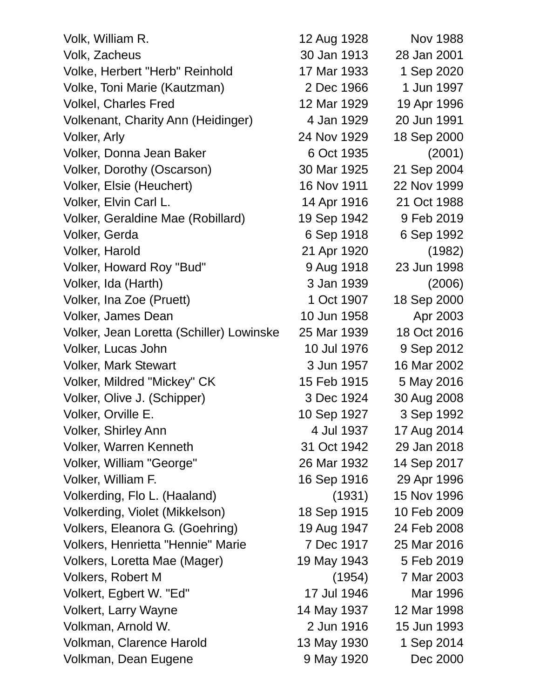| Volk, William R.                         | 12 Aug 1928 | <b>Nov 1988</b> |
|------------------------------------------|-------------|-----------------|
| Volk, Zacheus                            | 30 Jan 1913 | 28 Jan 2001     |
| Volke, Herbert "Herb" Reinhold           | 17 Mar 1933 | 1 Sep 2020      |
| Volke, Toni Marie (Kautzman)             | 2 Dec 1966  | 1 Jun 1997      |
| <b>Volkel, Charles Fred</b>              | 12 Mar 1929 | 19 Apr 1996     |
| Volkenant, Charity Ann (Heidinger)       | 4 Jan 1929  | 20 Jun 1991     |
| <b>Volker, Arly</b>                      | 24 Nov 1929 | 18 Sep 2000     |
| Volker, Donna Jean Baker                 | 6 Oct 1935  | (2001)          |
| Volker, Dorothy (Oscarson)               | 30 Mar 1925 | 21 Sep 2004     |
| Volker, Elsie (Heuchert)                 | 16 Nov 1911 | 22 Nov 1999     |
| Volker, Elvin Carl L.                    | 14 Apr 1916 | 21 Oct 1988     |
| Volker, Geraldine Mae (Robillard)        | 19 Sep 1942 | 9 Feb 2019      |
| Volker, Gerda                            | 6 Sep 1918  | 6 Sep 1992      |
| Volker, Harold                           | 21 Apr 1920 | (1982)          |
| Volker, Howard Roy "Bud"                 | 9 Aug 1918  | 23 Jun 1998     |
| Volker, Ida (Harth)                      | 3 Jan 1939  | (2006)          |
| Volker, Ina Zoe (Pruett)                 | 1 Oct 1907  | 18 Sep 2000     |
| Volker, James Dean                       | 10 Jun 1958 | Apr 2003        |
| Volker, Jean Loretta (Schiller) Lowinske | 25 Mar 1939 | 18 Oct 2016     |
| Volker, Lucas John                       | 10 Jul 1976 | 9 Sep 2012      |
| <b>Volker, Mark Stewart</b>              | 3 Jun 1957  | 16 Mar 2002     |
| Volker, Mildred "Mickey" CK              | 15 Feb 1915 | 5 May 2016      |
| Volker, Olive J. (Schipper)              | 3 Dec 1924  | 30 Aug 2008     |
| Volker, Orville E.                       | 10 Sep 1927 | 3 Sep 1992      |
| Volker, Shirley Ann                      | 4 Jul 1937  | 17 Aug 2014     |
| <b>Volker, Warren Kenneth</b>            | 31 Oct 1942 | 29 Jan 2018     |
| Volker, William "George"                 | 26 Mar 1932 | 14 Sep 2017     |
| Volker, William F.                       | 16 Sep 1916 | 29 Apr 1996     |
| Volkerding, Flo L. (Haaland)             | (1931)      | 15 Nov 1996     |
| Volkerding, Violet (Mikkelson)           | 18 Sep 1915 | 10 Feb 2009     |
| Volkers, Eleanora G. (Goehring)          | 19 Aug 1947 | 24 Feb 2008     |
| Volkers, Henrietta "Hennie" Marie        | 7 Dec 1917  | 25 Mar 2016     |
| Volkers, Loretta Mae (Mager)             | 19 May 1943 | 5 Feb 2019      |
| <b>Volkers, Robert M</b>                 | (1954)      | 7 Mar 2003      |
| Volkert, Egbert W. "Ed"                  | 17 Jul 1946 | Mar 1996        |
| <b>Volkert, Larry Wayne</b>              | 14 May 1937 | 12 Mar 1998     |
| Volkman, Arnold W.                       | 2 Jun 1916  | 15 Jun 1993     |
| Volkman, Clarence Harold                 | 13 May 1930 | 1 Sep 2014      |
| Volkman, Dean Eugene                     | 9 May 1920  | Dec 2000        |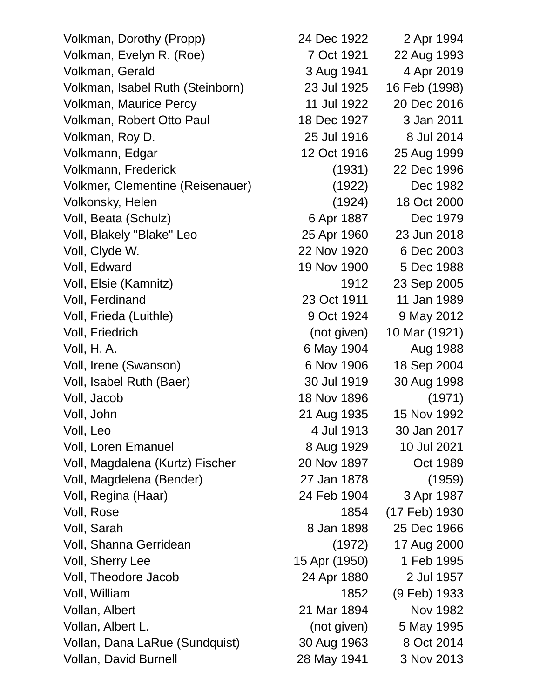Volkman, Dorothy (Propp) 24 Dec 1922 2 Apr 1994 Volkman, Evelyn R. (Roe) 7 Oct 1921 22 Aug 1993 Volkman, Gerald 3 Aug 1941 4 Apr 2019 Volkman, Isabel Ruth (Steinborn) 23 Jul 1925 16 Feb (1998) Volkman, Maurice Percy 11 Jul 1922 20 Dec 2016 Volkman, Robert Otto Paul 18 Dec 1927 3 Jan 2011 Volkman, Roy D. 25 Jul 1916 8 Jul 2014 Volkmann, Edgar 12 Oct 1916 25 Aug 1999 Volkmann, Frederick (1931) 22 Dec 1996 Volkmer, Clementine (Reisenauer) (1922) Dec 1982 Volkonsky, Helen (1924) 18 Oct 2000 Voll, Beata (Schulz) 6 Apr 1887 Dec 1979 Voll, Blakely "Blake" Leo 25 Apr 1960 23 Jun 2018 Voll, Clyde W. 22 Nov 1920 6 Dec 2003 Voll, Edward 19 Nov 1900 5 Dec 1988 Voll, Elsie (Kamnitz) 1912 23 Sep 2005 Voll, Ferdinand 23 Oct 1911 11 Jan 1989 Voll, Frieda (Luithle) 8 Oct 1924 9 May 2012 Voll, Friedrich (not given) 10 Mar (1921) Voll, H. A. 6 May 1904 Aug 1988 Voll, Irene (Swanson) 6 Nov 1906 18 Sep 2004 Voll, Isabel Ruth (Baer) 30 Jul 1919 30 Aug 1998 Voll, Jacob 18 Nov 1896 (1971) Voll, John 21 Aug 1935 15 Nov 1992 Voll, Leo 4 Jul 1913 30 Jan 2017 Voll, Loren Emanuel 8 Aug 1929 10 Jul 2021 Voll, Magdalena (Kurtz) Fischer 20 Nov 1897 Oct 1989 Voll, Magdelena (Bender) 27 Jan 1878 (1959) Voll, Regina (Haar) 24 Feb 1904 3 Apr 1987 Voll, Rose 1854 (17 Feb) 1930 Voll, Sarah 8 Jan 1898 25 Dec 1966 Voll, Shanna Gerridean (1972) 17 Aug 2000 Voll, Sherry Lee 15 Apr (1950) 1 Feb 1995 Voll, Theodore Jacob 24 Apr 1880 2 Jul 1957 Voll, William 1852 (9 Feb) 1933 Vollan, Albert 21 Mar 1894 Nov 1982 Vollan, Albert L. (not given) 5 May 1995 Vollan, Dana LaRue (Sundquist) 30 Aug 1963 8 Oct 2014 Vollan, David Burnell 28 May 1941 3 Nov 2013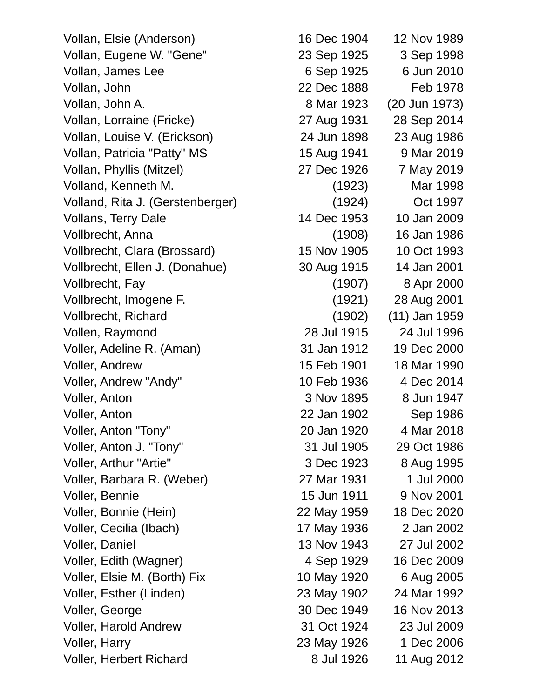Vollan, Eugene W. "Gene" 23 Sep 1925 3 Sep 1998 Vollan, James Lee 6 Sep 1925 6 Jun 2010 Vollan, John 22 Dec 1888 Feb 1978 Vollan, John A. 8 Mar 1923 (20 Jun 1973) Vollan, Lorraine (Fricke) 27 Aug 1931 28 Sep 2014 Vollan, Louise V. (Erickson) 24 Jun 1898 23 Aug 1986 Vollan, Patricia "Patty" MS 15 Aug 1941 9 Mar 2019 Vollan, Phyllis (Mitzel) 27 Dec 1926 7 May 2019 Volland, Kenneth M. (1923) Mar 1998 Volland, Rita J. (Gerstenberger) (1924) Oct 1997 Vollans, Terry Dale 14 Dec 1953 10 Jan 2009 Vollbrecht, Anna (1908) 16 Jan 1986 Vollbrecht, Clara (Brossard) 15 Nov 1905 10 Oct 1993 Vollbrecht, Ellen J. (Donahue) 30 Aug 1915 14 Jan 2001 Vollbrecht, Fay (1907) 8 Apr 2000 Vollbrecht, Imogene F. (1921) 28 Aug 2001 Vollbrecht, Richard (1902) (11) Jan 1959 Vollen, Raymond 28 Jul 1915 24 Jul 1996 Voller, Adeline R. (Aman) 31 Jan 1912 19 Dec 2000 Voller, Andrew 15 Feb 1901 18 Mar 1990 Voller, Andrew "Andy" 10 Feb 1936 4 Dec 2014 Voller, Anton **3 Nov 1895** 8 Jun 1947 Voller, Anton 22 Jan 1902 Sep 1986 Voller, Anton "Tony" 20 Jan 1920 4 Mar 2018 Voller, Anton J. "Tony" 31 Jul 1905 29 Oct 1986 Voller, Arthur "Artie" 3 Dec 1923 8 Aug 1995 Voller, Barbara R. (Weber) 27 Mar 1931 1 Jul 2000 Voller, Bennie 15 Jun 1911 9 Nov 2001 Voller, Bonnie (Hein) 22 May 1959 18 Dec 2020 Voller, Cecilia (Ibach) 17 May 1936 2 Jan 2002 Voller, Daniel 13 Nov 1943 27 Jul 2002 Voller, Edith (Wagner) 4 Sep 1929 16 Dec 2009 Voller, Elsie M. (Borth) Fix 10 May 1920 6 Aug 2005 Voller, Esther (Linden) 23 May 1902 24 Mar 1992 Voller, George 30 Dec 1949 16 Nov 2013 Voller, Harold Andrew 31 Oct 1924 23 Jul 2009 Voller, Harry 23 May 1926 1 Dec 2006 Voller, Herbert Richard 8 Jul 1926 11 Aug 2012

Vollan, Elsie (Anderson) 16 Dec 1904 12 Nov 1989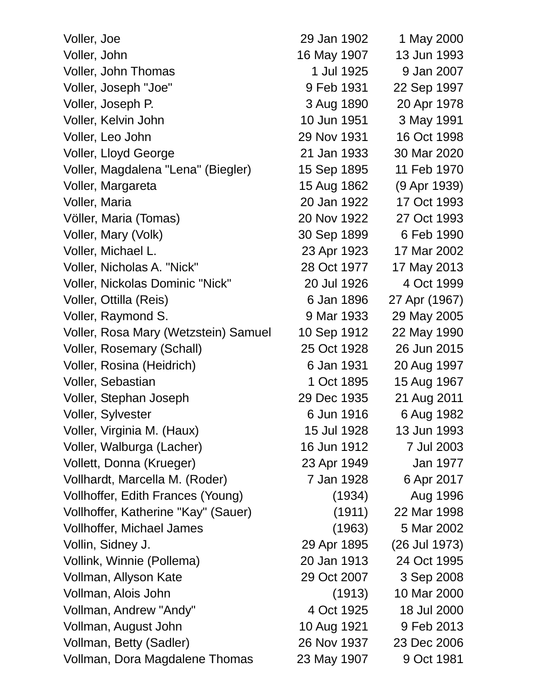| Voller, Joe                          | 29 Jan 1902 | 1 May 2000    |
|--------------------------------------|-------------|---------------|
| Voller, John                         | 16 May 1907 | 13 Jun 1993   |
| Voller, John Thomas                  | 1 Jul 1925  | 9 Jan 2007    |
| Voller, Joseph "Joe"                 | 9 Feb 1931  | 22 Sep 1997   |
| Voller, Joseph P.                    | 3 Aug 1890  | 20 Apr 1978   |
| Voller, Kelvin John                  | 10 Jun 1951 | 3 May 1991    |
| Voller, Leo John                     | 29 Nov 1931 | 16 Oct 1998   |
| <b>Voller, Lloyd George</b>          | 21 Jan 1933 | 30 Mar 2020   |
| Voller, Magdalena "Lena" (Biegler)   | 15 Sep 1895 | 11 Feb 1970   |
| Voller, Margareta                    | 15 Aug 1862 | (9 Apr 1939)  |
| Voller, Maria                        | 20 Jan 1922 | 17 Oct 1993   |
| Völler, Maria (Tomas)                | 20 Nov 1922 | 27 Oct 1993   |
| Voller, Mary (Volk)                  | 30 Sep 1899 | 6 Feb 1990    |
| Voller, Michael L.                   | 23 Apr 1923 | 17 Mar 2002   |
| Voller, Nicholas A. "Nick"           | 28 Oct 1977 | 17 May 2013   |
| Voller, Nickolas Dominic "Nick"      | 20 Jul 1926 | 4 Oct 1999    |
| Voller, Ottilla (Reis)               | 6 Jan 1896  | 27 Apr (1967) |
| Voller, Raymond S.                   | 9 Mar 1933  | 29 May 2005   |
| Voller, Rosa Mary (Wetzstein) Samuel | 10 Sep 1912 | 22 May 1990   |
| Voller, Rosemary (Schall)            | 25 Oct 1928 | 26 Jun 2015   |
| Voller, Rosina (Heidrich)            | 6 Jan 1931  | 20 Aug 1997   |
| Voller, Sebastian                    | 1 Oct 1895  | 15 Aug 1967   |
| Voller, Stephan Joseph               | 29 Dec 1935 | 21 Aug 2011   |
| Voller, Sylvester                    | 6 Jun 1916  | 6 Aug 1982    |
| Voller, Virginia M. (Haux)           | 15 Jul 1928 | 13 Jun 1993   |
| Voller, Walburga (Lacher)            | 16 Jun 1912 | 7 Jul 2003    |
| Vollett, Donna (Krueger)             | 23 Apr 1949 | Jan 1977      |
| Vollhardt, Marcella M. (Roder)       | 7 Jan 1928  | 6 Apr 2017    |
| Vollhoffer, Edith Frances (Young)    | (1934)      | Aug 1996      |
| Vollhoffer, Katherine "Kay" (Sauer)  | (1911)      | 22 Mar 1998   |
| <b>Vollhoffer, Michael James</b>     | (1963)      | 5 Mar 2002    |
| Vollin, Sidney J.                    | 29 Apr 1895 | (26 Jul 1973) |
| Vollink, Winnie (Pollema)            | 20 Jan 1913 | 24 Oct 1995   |
| Vollman, Allyson Kate                | 29 Oct 2007 | 3 Sep 2008    |
| Vollman, Alois John                  | (1913)      | 10 Mar 2000   |
| Vollman, Andrew "Andy"               | 4 Oct 1925  | 18 Jul 2000   |
| Vollman, August John                 | 10 Aug 1921 | 9 Feb 2013    |
| Vollman, Betty (Sadler)              | 26 Nov 1937 | 23 Dec 2006   |
| Vollman, Dora Magdalene Thomas       | 23 May 1907 | 9 Oct 1981    |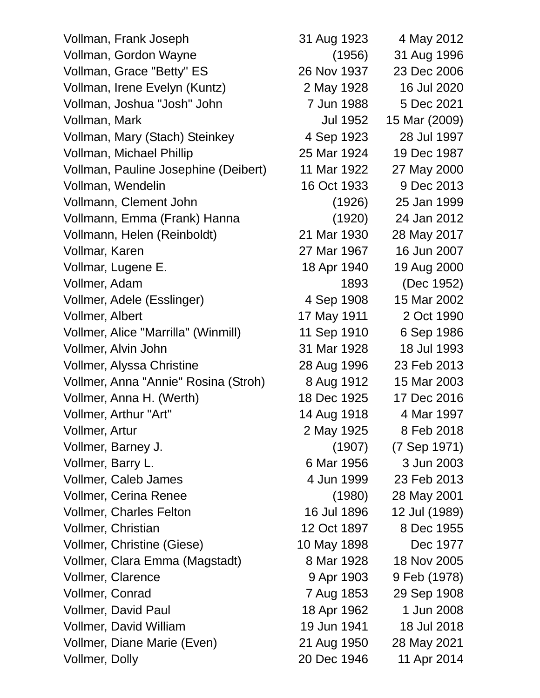Vollman, Frank Joseph 31 Aug 1923 4 May 2012 Vollman, Gordon Wayne (1956) 31 Aug 1996 Vollman, Grace "Betty" ES 26 Nov 1937 23 Dec 2006 Vollman, Irene Evelyn (Kuntz) 2 May 1928 16 Jul 2020 Vollman, Joshua "Josh" John 7 Jun 1988 5 Dec 2021 Vollman, Mark Jul 1952 15 Mar (2009) Vollman, Mary (Stach) Steinkey 4 Sep 1923 28 Jul 1997 Vollman, Michael Phillip 25 Mar 1924 19 Dec 1987 Vollman, Pauline Josephine (Deibert) 11 Mar 1922 27 May 2000 Vollman, Wendelin 16 Oct 1933 9 Dec 2013 Vollmann, Clement John (1926) 25 Jan 1999 Vollmann, Emma (Frank) Hanna (1920) 24 Jan 2012 Vollmann, Helen (Reinboldt) 21 Mar 1930 28 May 2017 Vollmar, Karen 27 Mar 1967 16 Jun 2007 Vollmar, Lugene E. 18 Apr 1940 19 Aug 2000 Vollmer, Adam 1893 (Dec 1952) Vollmer, Adele (Esslinger) 4 Sep 1908 15 Mar 2002 Vollmer, Albert 17 May 1911 2 Oct 1990 Vollmer, Alice "Marrilla" (Winmill) 11 Sep 1910 6 Sep 1986 Vollmer, Alvin John 31 Mar 1928 18 Jul 1993 Vollmer, Alyssa Christine 28 Aug 1996 23 Feb 2013 Vollmer, Anna "Annie" Rosina (Stroh) 8 Aug 1912 15 Mar 2003 Vollmer, Anna H. (Werth) 18 Dec 1925 17 Dec 2016 Vollmer, Arthur "Art" 14 Aug 1918 4 Mar 1997 Vollmer, Artur 2 May 1925 8 Feb 2018 Vollmer, Barney J. (1907) (7 Sep 1971) Vollmer, Barry L. 6 Mar 1956 3 Jun 2003 Vollmer, Caleb James 4 Jun 1999 23 Feb 2013 Vollmer, Cerina Renee (1980) 28 May 2001 Vollmer, Charles Felton 16 Jul 1896 12 Jul (1989) Vollmer, Christian 12 Oct 1897 8 Dec 1955 Vollmer, Christine (Giese) 10 May 1898 Dec 1977 Vollmer, Clara Emma (Magstadt) 8 Mar 1928 18 Nov 2005 Vollmer, Clarence 9 Apr 1903 9 Feb (1978) Vollmer, Conrad 7 Aug 1853 29 Sep 1908 Vollmer, David Paul 18 Apr 1962 1 Jun 2008 Vollmer, David William 1958 19 Jun 1941 18 Jul 2018 Vollmer, Diane Marie (Even) 21 Aug 1950 28 May 2021 Vollmer, Dolly 20 Dec 1946 11 Apr 2014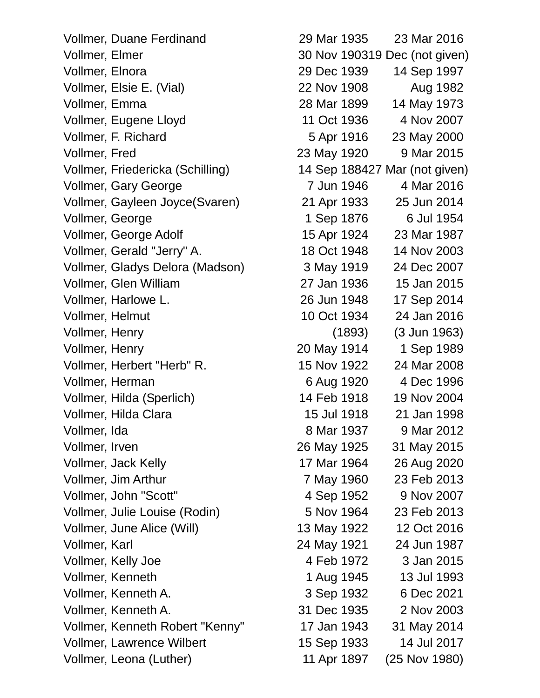Vollmer, Duane Ferdinand 29 Mar 1935 23 Mar 2016 Vollmer, Elmer 30 Nov 190319 Dec (not given) Vollmer, Elnora 29 Dec 1939 14 Sep 1997 Vollmer, Elsie E. (Vial) 22 Nov 1908 Aug 1982 Vollmer, Emma 28 Mar 1899 14 May 1973 Vollmer, Eugene Lloyd 11 Oct 1936 4 Nov 2007 Vollmer, F. Richard 5 Apr 1916 23 May 2000 Vollmer, Fred 23 May 1920 9 Mar 2015 Vollmer, Friedericka (Schilling) 14 Sep 188427 Mar (not given) Vollmer, Gary George 7 Jun 1946 4 Mar 2016 Vollmer, Gayleen Joyce(Svaren) 21 Apr 1933 25 Jun 2014 Vollmer, George 1 Sep 1876 6 Jul 1954 Vollmer, George Adolf 15 Apr 1924 23 Mar 1987 Vollmer, Gerald "Jerry" A. 18 Oct 1948 14 Nov 2003 Vollmer, Gladys Delora (Madson) 3 May 1919 24 Dec 2007 Vollmer, Glen William 27 Jan 1936 15 Jan 2015 Vollmer, Harlowe L. 26 Jun 1948 17 Sep 2014 Vollmer, Helmut 10 Oct 1934 24 Jan 2016 Vollmer, Henry (1893) (3 Jun 1963) Vollmer, Henry 20 May 1914 1 Sep 1989 Vollmer, Herbert "Herb" R. 15 Nov 1922 24 Mar 2008 Vollmer, Herman 6 Aug 1920 4 Dec 1996 Vollmer, Hilda (Sperlich) 14 Feb 1918 19 Nov 2004 Vollmer, Hilda Clara 15 Jul 1918 21 Jan 1998 Vollmer, Ida 8 Mar 1937 9 Mar 2012 Vollmer, Irven 26 May 1925 31 May 2015 Vollmer, Jack Kelly 17 Mar 1964 26 Aug 2020 Vollmer, Jim Arthur 7 May 1960 23 Feb 2013 Vollmer, John "Scott" 4 Sep 1952 9 Nov 2007 Vollmer, Julie Louise (Rodin) 5 Nov 1964 23 Feb 2013 Vollmer, June Alice (Will) 13 May 1922 12 Oct 2016 Vollmer, Karl 24 May 1921 24 Jun 1987 Vollmer, Kelly Joe 1972 and 4 Feb 1972 and 3 Jan 2015 Vollmer, Kenneth 1 Aug 1945 13 Jul 1993 Vollmer, Kenneth A. 3 Sep 1932 6 Dec 2021 Vollmer, Kenneth A. 31 Dec 1935 2 Nov 2003 Vollmer, Kenneth Robert "Kenny" 17 Jan 1943 31 May 2014 Vollmer, Lawrence Wilbert 15 Sep 1933 14 Jul 2017

Vollmer, Leona (Luther) 11 Apr 1897 (25 Nov 1980)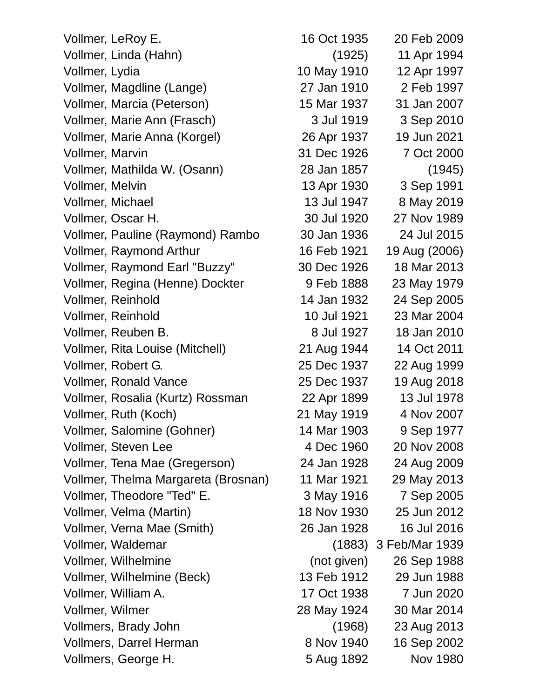| Vollmer, LeRoy E.                   | 16 Oct 1935 | 20 Feb 2009           |
|-------------------------------------|-------------|-----------------------|
| Vollmer, Linda (Hahn)               | (1925)      | 11 Apr 1994           |
| Vollmer, Lydia                      | 10 May 1910 | 12 Apr 1997           |
| Vollmer, Magdline (Lange)           | 27 Jan 1910 | 2 Feb 1997            |
| Vollmer, Marcia (Peterson)          | 15 Mar 1937 | 31 Jan 2007           |
| Vollmer, Marie Ann (Frasch)         | 3 Jul 1919  | 3 Sep 2010            |
| Vollmer, Marie Anna (Korgel)        | 26 Apr 1937 | 19 Jun 2021           |
| <b>Vollmer, Marvin</b>              | 31 Dec 1926 | 7 Oct 2000            |
| Vollmer, Mathilda W. (Osann)        | 28 Jan 1857 | (1945)                |
| Vollmer, Melvin                     | 13 Apr 1930 | 3 Sep 1991            |
| Vollmer, Michael                    | 13 Jul 1947 | 8 May 2019            |
| Vollmer, Oscar H.                   | 30 Jul 1920 | 27 Nov 1989           |
| Vollmer, Pauline (Raymond) Rambo    | 30 Jan 1936 | 24 Jul 2015           |
| Vollmer, Raymond Arthur             | 16 Feb 1921 | 19 Aug (2006)         |
| Vollmer, Raymond Earl "Buzzy"       | 30 Dec 1926 | 18 Mar 2013           |
| Vollmer, Regina (Henne) Dockter     | 9 Feb 1888  | 23 May 1979           |
| Vollmer, Reinhold                   | 14 Jan 1932 | 24 Sep 2005           |
| Vollmer, Reinhold                   | 10 Jul 1921 | 23 Mar 2004           |
| Vollmer, Reuben B.                  | 8 Jul 1927  | 18 Jan 2010           |
| Vollmer, Rita Louise (Mitchell)     | 21 Aug 1944 | 14 Oct 2011           |
| Vollmer, Robert G.                  | 25 Dec 1937 | 22 Aug 1999           |
| Vollmer, Ronald Vance               | 25 Dec 1937 | 19 Aug 2018           |
| Vollmer, Rosalia (Kurtz) Rossman    | 22 Apr 1899 | 13 Jul 1978           |
| Vollmer, Ruth (Koch)                | 21 May 1919 | 4 Nov 2007            |
| Vollmer, Salomine (Gohner)          | 14 Mar 1903 | 9 Sep 1977            |
| Vollmer, Steven Lee                 | 4 Dec 1960  | 20 Nov 2008           |
| Vollmer, Tena Mae (Gregerson)       | 24 Jan 1928 | 24 Aug 2009           |
| Vollmer, Thelma Margareta (Brosnan) | 11 Mar 1921 | 29 May 2013           |
| Vollmer, Theodore "Ted" E.          | 3 May 1916  | 7 Sep 2005            |
| Vollmer, Velma (Martin)             | 18 Nov 1930 | 25 Jun 2012           |
| Vollmer, Verna Mae (Smith)          | 26 Jan 1928 | 16 Jul 2016           |
| Vollmer, Waldemar                   |             | (1883) 3 Feb/Mar 1939 |
| Vollmer, Wilhelmine                 | (not given) | 26 Sep 1988           |
| Vollmer, Wilhelmine (Beck)          | 13 Feb 1912 | 29 Jun 1988           |
| Vollmer, William A.                 | 17 Oct 1938 | 7 Jun 2020            |
| Vollmer, Wilmer                     | 28 May 1924 | 30 Mar 2014           |
| Vollmers, Brady John                | (1968)      | 23 Aug 2013           |
| Vollmers, Darrel Herman             | 8 Nov 1940  | 16 Sep 2002           |
| Vollmers, George H.                 | 5 Aug 1892  | <b>Nov 1980</b>       |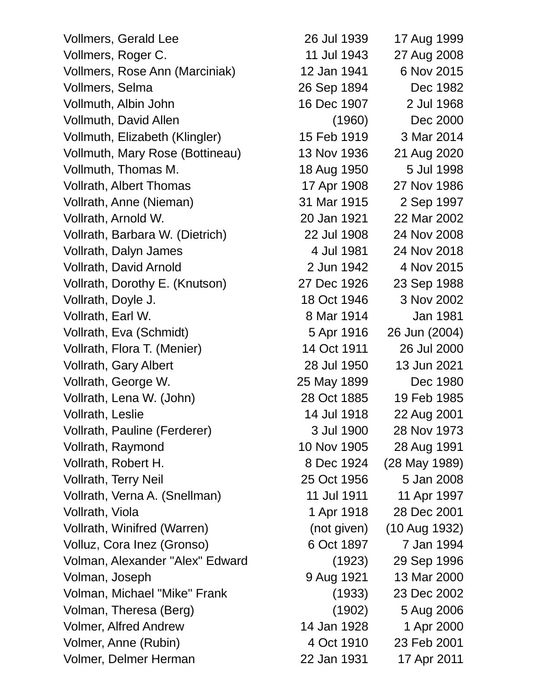Vollmers, Gerald Lee 26 Jul 1939 17 Aug 1999 Vollmers, Roger C. 11 Jul 1943 27 Aug 2008 Vollmers, Rose Ann (Marciniak) 12 Jan 1941 6 Nov 2015 Vollmers, Selma 26 Sep 1894 Dec 1982 Vollmuth, Albin John 16 Dec 1907 2 Jul 1968 Vollmuth, David Allen (1960) Dec 2000 Vollmuth, Elizabeth (Klingler) 15 Feb 1919 3 Mar 2014 Vollmuth, Mary Rose (Bottineau) 13 Nov 1936 21 Aug 2020 Vollmuth, Thomas M. 18 Aug 1950 5 Jul 1998 Vollrath, Albert Thomas 17 Apr 1908 27 Nov 1986 Vollrath, Anne (Nieman) 31 Mar 1915 2 Sep 1997 Vollrath, Arnold W. 20 Jan 1921 22 Mar 2002 Vollrath, Barbara W. (Dietrich) 22 Jul 1908 24 Nov 2008 Vollrath, Dalyn James 4 Jul 1981 24 Nov 2018 Vollrath, David Arnold 2 Jun 1942 4 Nov 2015 Vollrath, Dorothy E. (Knutson) 27 Dec 1926 23 Sep 1988 Vollrath, Doyle J. 18 Oct 1946 3 Nov 2002 Vollrath, Earl W. 6 Mar 1914 1981 Vollrath, Eva (Schmidt) 5 Apr 1916 26 Jun (2004) Vollrath, Flora T. (Menier) 14 Oct 1911 26 Jul 2000 Vollrath, Gary Albert 28 Jul 1950 13 Jun 2021 Vollrath, George W. 25 May 1899 Dec 1980 Vollrath, Lena W. (John) 28 Oct 1885 19 Feb 1985 Vollrath, Leslie 14 Jul 1918 22 Aug 2001 Vollrath, Pauline (Ferderer) 3 Jul 1900 28 Nov 1973 Vollrath, Raymond 10 Nov 1905 28 Aug 1991 Vollrath, Robert H. 8 Dec 1924 (28 May 1989) Vollrath, Terry Neil 25 Oct 1956 5 Jan 2008 Vollrath, Verna A. (Snellman) 11 Jul 1911 11 Apr 1997 Vollrath, Viola 1 Apr 1918 28 Dec 2001 Vollrath, Winifred (Warren) (not given) (10 Aug 1932) Volluz, Cora Inez (Gronso) 6 Oct 1897 7 Jan 1994 Volman, Alexander "Alex" Edward (1923) 29 Sep 1996 Volman, Joseph 9 Aug 1921 13 Mar 2000 Volman, Michael "Mike" Frank (1933) 23 Dec 2002 Volman, Theresa (Berg) (1902) 5 Aug 2006 Volmer, Alfred Andrew 14 Jan 1928 1 Apr 2000 Volmer, Anne (Rubin) 4 Oct 1910 23 Feb 2001

Volmer, Delmer Herman 22 Jan 1931 17 Apr 2011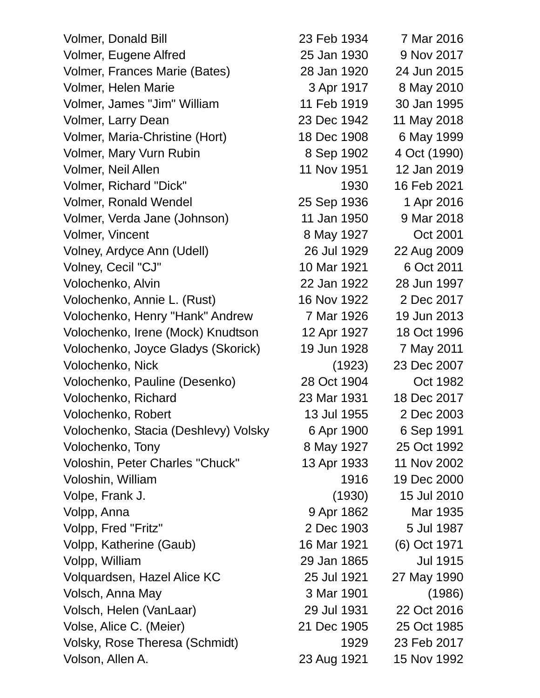Volmer, Donald Bill 23 Feb 1934 7 Mar 2016 Volmer, Eugene Alfred 25 Jan 1930 9 Nov 2017 Volmer, Frances Marie (Bates) 28 Jan 1920 24 Jun 2015 Volmer, Helen Marie 3 Apr 1917 8 May 2010 Volmer, James "Jim" William 11 Feb 1919 30 Jan 1995 Volmer, Larry Dean 23 Dec 1942 11 May 2018 Volmer, Maria-Christine (Hort) 18 Dec 1908 6 May 1999 Volmer, Mary Vurn Rubin 8 Sep 1902 4 Oct (1990) Volmer, Neil Allen 11 Nov 1951 12 Jan 2019 Volmer, Richard "Dick" 1930 16 Feb 2021 Volmer, Ronald Wendel 25 Sep 1936 1 Apr 2016 Volmer, Verda Jane (Johnson) 11 Jan 1950 9 Mar 2018 Volmer, Vincent 8 May 1927 Oct 2001 Volney, Ardyce Ann (Udell) 26 Jul 1929 22 Aug 2009 Volney, Cecil "CJ" 10 Mar 1921 6 Oct 2011 Volochenko, Alvin 22 Jan 1922 28 Jun 1997 Volochenko, Annie L. (Rust) 16 Nov 1922 2 Dec 2017 Volochenko, Henry "Hank" Andrew 7 Mar 1926 19 Jun 2013 Volochenko, Irene (Mock) Knudtson 12 Apr 1927 18 Oct 1996 Volochenko, Joyce Gladys (Skorick) 19 Jun 1928 7 May 2011 Volochenko, Nick (1923) 23 Dec 2007 Volochenko, Pauline (Desenko) 28 Oct 1904 Oct 1982 Volochenko, Richard 23 Mar 1931 18 Dec 2017 Volochenko, Robert 13 Jul 1955 2 Dec 2003 Volochenko, Stacia (Deshlevy) Volsky 6 Apr 1900 6 Sep 1991 Volochenko, Tony 8 May 1927 25 Oct 1992 Voloshin, Peter Charles "Chuck" 13 Apr 1933 11 Nov 2002 Voloshin, William 1916 19 Dec 2000 Volpe, Frank J. (1930) 15 Jul 2010 Volpp, Anna 1935 Volpp, Fred "Fritz" 2 Dec 1903 5 Jul 1987 Volpp, Katherine (Gaub) 16 Mar 1921 (6) Oct 1971 Volpp, William 29 Jan 1865 Jul 1915 Volquardsen, Hazel Alice KC 25 Jul 1921 27 May 1990 Volsch, Anna May 3 Mar 1901 (1986) Volsch, Helen (VanLaar) 29 Jul 1931 22 Oct 2016 Volse, Alice C. (Meier) 21 Dec 1905 25 Oct 1985 Volsky, Rose Theresa (Schmidt) 1929 23 Feb 2017 Volson, Allen A. 23 Aug 1921 15 Nov 1992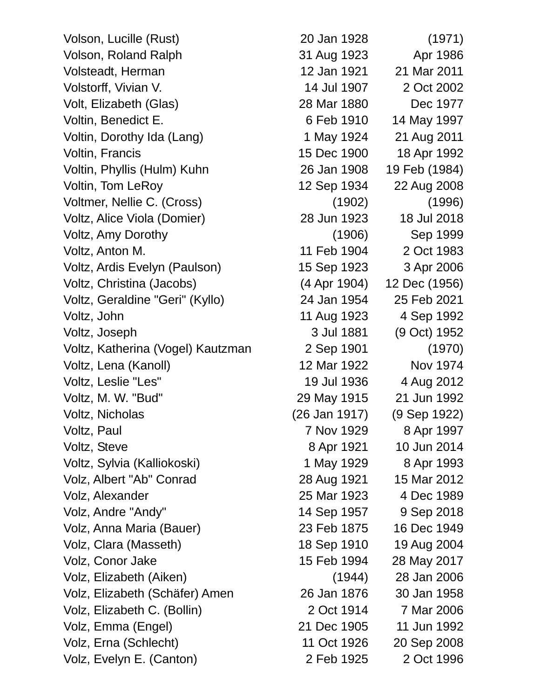Volson, Lucille (Rust) 20 Jan 1928 (1971) Volson, Roland Ralph 31 Aug 1923 Apr 1986 Volsteadt, Herman 12 Jan 1921 21 Mar 2011 Volstorff, Vivian V. 14 Jul 1907 2 Oct 2002 Volt, Elizabeth (Glas) 28 Mar 1880 Dec 1977 Voltin, Benedict E. 6 Feb 1910 14 May 1997 Voltin, Dorothy Ida (Lang) 1 May 1924 21 Aug 2011 Voltin, Francis 15 Dec 1900 18 Apr 1992 Voltin, Phyllis (Hulm) Kuhn 26 Jan 1908 19 Feb (1984) Voltin, Tom LeRoy 12 Sep 1934 22 Aug 2008 Voltmer, Nellie C. (Cross) (1902) (1996) Voltz, Alice Viola (Domier) 28 Jun 1923 18 Jul 2018 Voltz, Amy Dorothy (1906) Sep 1999 Voltz, Anton M. 11 Feb 1904 2 Oct 1983 Voltz, Ardis Evelyn (Paulson) 15 Sep 1923 3 Apr 2006 Voltz, Christina (Jacobs) (4 Apr 1904) 12 Dec (1956) Voltz, Geraldine "Geri" (Kyllo) 24 Jan 1954 25 Feb 2021 Voltz, John 11 Aug 1923 4 Sep 1992 Voltz, Joseph 3 Jul 1881 (9 Oct) 1952 Voltz, Katherina (Vogel) Kautzman 2 Sep 1901 (1970) Voltz, Lena (Kanoll) 12 Mar 1922 Nov 1974 Voltz, Leslie "Les" 19 Jul 1936 4 Aug 2012 Voltz, M. W. "Bud" 29 May 1915 21 Jun 1992 Voltz, Nicholas (26 Jan 1917) (9 Sep 1922) Voltz, Paul 7 Nov 1929 8 Apr 1997 Voltz, Steve 8 Apr 1921 10 Jun 2014 Voltz, Sylvia (Kalliokoski) 1 May 1929 8 Apr 1993 Volz, Albert "Ab" Conrad 28 Aug 1921 15 Mar 2012 Volz, Alexander 25 Mar 1923 4 Dec 1989 Volz, Andre "Andy" 14 Sep 1957 9 Sep 2018 Volz, Anna Maria (Bauer) 23 Feb 1875 16 Dec 1949 Volz, Clara (Masseth) 18 Sep 1910 19 Aug 2004 Volz, Conor Jake 15 Feb 1994 28 May 2017 Volz, Elizabeth (Aiken) (1944) 28 Jan 2006 Volz, Elizabeth (Schäfer) Amen 26 Jan 1876 30 Jan 1958 Volz, Elizabeth C. (Bollin) 2 Oct 1914 7 Mar 2006 Volz, Emma (Engel) 21 Dec 1905 11 Jun 1992 Volz, Erna (Schlecht) 11 Oct 1926 20 Sep 2008 Volz, Evelyn E. (Canton) 2 Feb 1925 2 Oct 1996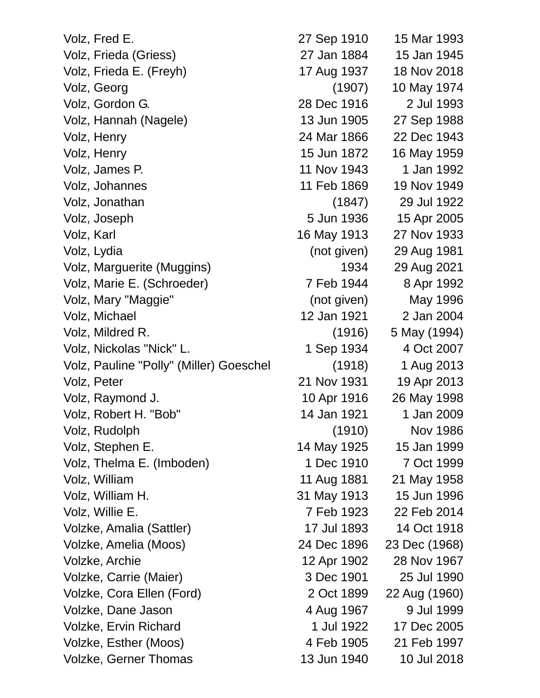| Volz, Fred E.                           | 27 Sep 1910 | 15 Mar 1993     |
|-----------------------------------------|-------------|-----------------|
| Volz, Frieda (Griess)                   | 27 Jan 1884 | 15 Jan 1945     |
| Volz, Frieda E. (Freyh)                 | 17 Aug 1937 | 18 Nov 2018     |
| Volz, Georg                             | (1907)      | 10 May 1974     |
| Volz, Gordon G.                         | 28 Dec 1916 | 2 Jul 1993      |
| Volz, Hannah (Nagele)                   | 13 Jun 1905 | 27 Sep 1988     |
| Volz, Henry                             | 24 Mar 1866 | 22 Dec 1943     |
| Volz, Henry                             | 15 Jun 1872 | 16 May 1959     |
| Volz, James P.                          | 11 Nov 1943 | 1 Jan 1992      |
| Volz, Johannes                          | 11 Feb 1869 | 19 Nov 1949     |
| Volz, Jonathan                          | (1847)      | 29 Jul 1922     |
| Volz, Joseph                            | 5 Jun 1936  | 15 Apr 2005     |
| Volz, Karl                              | 16 May 1913 | 27 Nov 1933     |
| Volz, Lydia                             | (not given) | 29 Aug 1981     |
| Volz, Marguerite (Muggins)              | 1934        | 29 Aug 2021     |
| Volz, Marie E. (Schroeder)              | 7 Feb 1944  | 8 Apr 1992      |
| Volz, Mary "Maggie"                     | (not given) | May 1996        |
| Volz, Michael                           | 12 Jan 1921 | 2 Jan 2004      |
| Volz, Mildred R.                        | (1916)      | 5 May (1994)    |
| Volz, Nickolas "Nick" L.                | 1 Sep 1934  | 4 Oct 2007      |
| Volz, Pauline "Polly" (Miller) Goeschel | (1918)      | 1 Aug 2013      |
| Volz, Peter                             | 21 Nov 1931 | 19 Apr 2013     |
| Volz, Raymond J.                        | 10 Apr 1916 | 26 May 1998     |
| Volz, Robert H. "Bob"                   | 14 Jan 1921 | 1 Jan 2009      |
| Volz, Rudolph                           | (1910)      | <b>Nov 1986</b> |
| Volz, Stephen E.                        | 14 May 1925 | 15 Jan 1999     |
| Volz, Thelma E. (Imboden)               | 1 Dec 1910  | 7 Oct 1999      |
| Volz, William                           | 11 Aug 1881 | 21 May 1958     |
| Volz, William H.                        | 31 May 1913 | 15 Jun 1996     |
| Volz, Willie E.                         | 7 Feb 1923  | 22 Feb 2014     |
| Volzke, Amalia (Sattler)                | 17 Jul 1893 | 14 Oct 1918     |
| Volzke, Amelia (Moos)                   | 24 Dec 1896 | 23 Dec (1968)   |
| Volzke, Archie                          | 12 Apr 1902 | 28 Nov 1967     |
| Volzke, Carrie (Maier)                  | 3 Dec 1901  | 25 Jul 1990     |
| Volzke, Cora Ellen (Ford)               | 2 Oct 1899  | 22 Aug (1960)   |
| Volzke, Dane Jason                      | 4 Aug 1967  | 9 Jul 1999      |
| <b>Volzke, Ervin Richard</b>            | 1 Jul 1922  | 17 Dec 2005     |
| Volzke, Esther (Moos)                   | 4 Feb 1905  | 21 Feb 1997     |
| <b>Volzke, Gerner Thomas</b>            | 13 Jun 1940 | 10 Jul 2018     |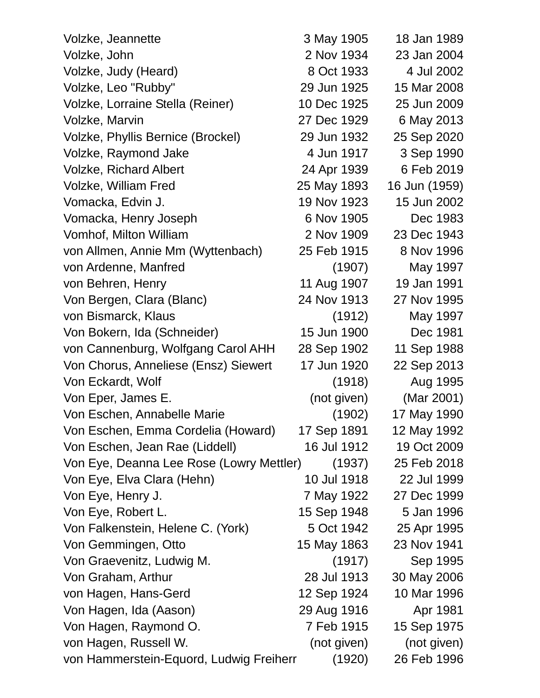| Volzke, Jeannette                        | 3 May 1905  | 18 Jan 1989   |
|------------------------------------------|-------------|---------------|
| Volzke, John                             | 2 Nov 1934  | 23 Jan 2004   |
| Volzke, Judy (Heard)                     | 8 Oct 1933  | 4 Jul 2002    |
| Volzke, Leo "Rubby"                      | 29 Jun 1925 | 15 Mar 2008   |
| Volzke, Lorraine Stella (Reiner)         | 10 Dec 1925 | 25 Jun 2009   |
| Volzke, Marvin                           | 27 Dec 1929 | 6 May 2013    |
| Volzke, Phyllis Bernice (Brockel)        | 29 Jun 1932 | 25 Sep 2020   |
| Volzke, Raymond Jake                     | 4 Jun 1917  | 3 Sep 1990    |
| <b>Volzke, Richard Albert</b>            | 24 Apr 1939 | 6 Feb 2019    |
| <b>Volzke, William Fred</b>              | 25 May 1893 | 16 Jun (1959) |
| Vomacka, Edvin J.                        | 19 Nov 1923 | 15 Jun 2002   |
| Vomacka, Henry Joseph                    | 6 Nov 1905  | Dec 1983      |
| Vomhof, Milton William                   | 2 Nov 1909  | 23 Dec 1943   |
| von Allmen, Annie Mm (Wyttenbach)        | 25 Feb 1915 | 8 Nov 1996    |
| von Ardenne, Manfred                     | (1907)      | May 1997      |
| von Behren, Henry                        | 11 Aug 1907 | 19 Jan 1991   |
| Von Bergen, Clara (Blanc)                | 24 Nov 1913 | 27 Nov 1995   |
| von Bismarck, Klaus                      | (1912)      | May 1997      |
| Von Bokern, Ida (Schneider)              | 15 Jun 1900 | Dec 1981      |
| von Cannenburg, Wolfgang Carol AHH       | 28 Sep 1902 | 11 Sep 1988   |
| Von Chorus, Anneliese (Ensz) Siewert     | 17 Jun 1920 | 22 Sep 2013   |
| Von Eckardt, Wolf                        | (1918)      | Aug 1995      |
| Von Eper, James E.                       | (not given) | (Mar 2001)    |
| Von Eschen, Annabelle Marie              | (1902)      | 17 May 1990   |
| Von Eschen, Emma Cordelia (Howard)       | 17 Sep 1891 | 12 May 1992   |
| Von Eschen, Jean Rae (Liddell)           | 16 Jul 1912 | 19 Oct 2009   |
| Von Eye, Deanna Lee Rose (Lowry Mettler) | (1937)      | 25 Feb 2018   |
| Von Eye, Elva Clara (Hehn)               | 10 Jul 1918 | 22 Jul 1999   |
| Von Eye, Henry J.                        | 7 May 1922  | 27 Dec 1999   |
| Von Eye, Robert L.                       | 15 Sep 1948 | 5 Jan 1996    |
| Von Falkenstein, Helene C. (York)        | 5 Oct 1942  | 25 Apr 1995   |
| Von Gemmingen, Otto                      | 15 May 1863 | 23 Nov 1941   |
| Von Graevenitz, Ludwig M.                | (1917)      | Sep 1995      |
| Von Graham, Arthur                       | 28 Jul 1913 | 30 May 2006   |
| von Hagen, Hans-Gerd                     | 12 Sep 1924 | 10 Mar 1996   |
| Von Hagen, Ida (Aason)                   | 29 Aug 1916 | Apr 1981      |
| Von Hagen, Raymond O.                    | 7 Feb 1915  | 15 Sep 1975   |
| von Hagen, Russell W.                    | (not given) | (not given)   |
| von Hammerstein-Equord, Ludwig Freiherr  | (1920)      | 26 Feb 1996   |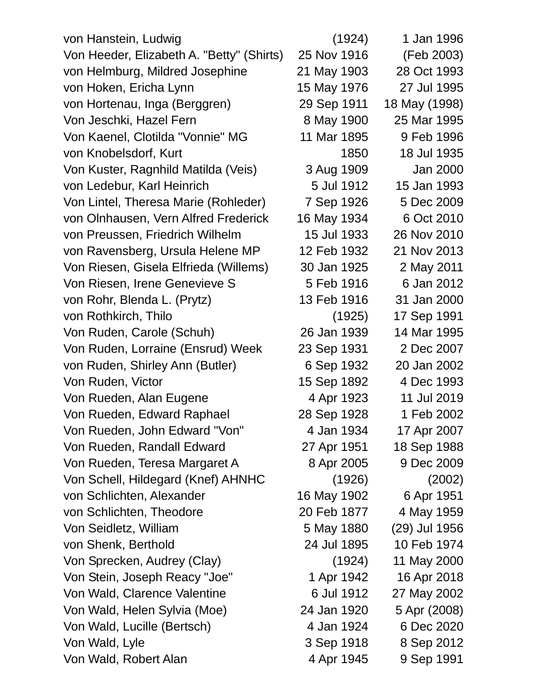| von Hanstein, Ludwig                      | (1924)      | 1 Jan 1996    |
|-------------------------------------------|-------------|---------------|
| Von Heeder, Elizabeth A. "Betty" (Shirts) | 25 Nov 1916 | (Feb 2003)    |
| von Helmburg, Mildred Josephine           | 21 May 1903 | 28 Oct 1993   |
| von Hoken, Ericha Lynn                    | 15 May 1976 | 27 Jul 1995   |
| von Hortenau, Inga (Berggren)             | 29 Sep 1911 | 18 May (1998) |
| Von Jeschki, Hazel Fern                   | 8 May 1900  | 25 Mar 1995   |
| Von Kaenel, Clotilda "Vonnie" MG          | 11 Mar 1895 | 9 Feb 1996    |
| von Knobelsdorf, Kurt                     | 1850        | 18 Jul 1935   |
| Von Kuster, Ragnhild Matilda (Veis)       | 3 Aug 1909  | Jan 2000      |
| von Ledebur, Karl Heinrich                | 5 Jul 1912  | 15 Jan 1993   |
| Von Lintel, Theresa Marie (Rohleder)      | 7 Sep 1926  | 5 Dec 2009    |
| von Olnhausen, Vern Alfred Frederick      | 16 May 1934 | 6 Oct 2010    |
| von Preussen, Friedrich Wilhelm           | 15 Jul 1933 | 26 Nov 2010   |
| von Ravensberg, Ursula Helene MP          | 12 Feb 1932 | 21 Nov 2013   |
| Von Riesen, Gisela Elfrieda (Willems)     | 30 Jan 1925 | 2 May 2011    |
| Von Riesen, Irene Genevieve S             | 5 Feb 1916  | 6 Jan 2012    |
| von Rohr, Blenda L. (Prytz)               | 13 Feb 1916 | 31 Jan 2000   |
| von Rothkirch, Thilo                      | (1925)      | 17 Sep 1991   |
| Von Ruden, Carole (Schuh)                 | 26 Jan 1939 | 14 Mar 1995   |
| Von Ruden, Lorraine (Ensrud) Week         | 23 Sep 1931 | 2 Dec 2007    |
| von Ruden, Shirley Ann (Butler)           | 6 Sep 1932  | 20 Jan 2002   |
| Von Ruden, Victor                         | 15 Sep 1892 | 4 Dec 1993    |
| Von Rueden, Alan Eugene                   | 4 Apr 1923  | 11 Jul 2019   |
| Von Rueden, Edward Raphael                | 28 Sep 1928 | 1 Feb 2002    |
| Von Rueden, John Edward "Von"             | 4 Jan 1934  | 17 Apr 2007   |
| Von Rueden, Randall Edward                | 27 Apr 1951 | 18 Sep 1988   |
| Von Rueden, Teresa Margaret A             | 8 Apr 2005  | 9 Dec 2009    |
| Von Schell, Hildegard (Knef) AHNHC        | (1926)      | (2002)        |
| von Schlichten, Alexander                 | 16 May 1902 | 6 Apr 1951    |
| von Schlichten, Theodore                  | 20 Feb 1877 | 4 May 1959    |
| Von Seidletz, William                     | 5 May 1880  | (29) Jul 1956 |
| von Shenk, Berthold                       | 24 Jul 1895 | 10 Feb 1974   |
| Von Sprecken, Audrey (Clay)               | (1924)      | 11 May 2000   |
| Von Stein, Joseph Reacy "Joe"             | 1 Apr 1942  | 16 Apr 2018   |
| Von Wald, Clarence Valentine              | 6 Jul 1912  | 27 May 2002   |
| Von Wald, Helen Sylvia (Moe)              | 24 Jan 1920 | 5 Apr (2008)  |
| Von Wald, Lucille (Bertsch)               | 4 Jan 1924  | 6 Dec 2020    |
| Von Wald, Lyle                            | 3 Sep 1918  | 8 Sep 2012    |
| Von Wald, Robert Alan                     | 4 Apr 1945  | 9 Sep 1991    |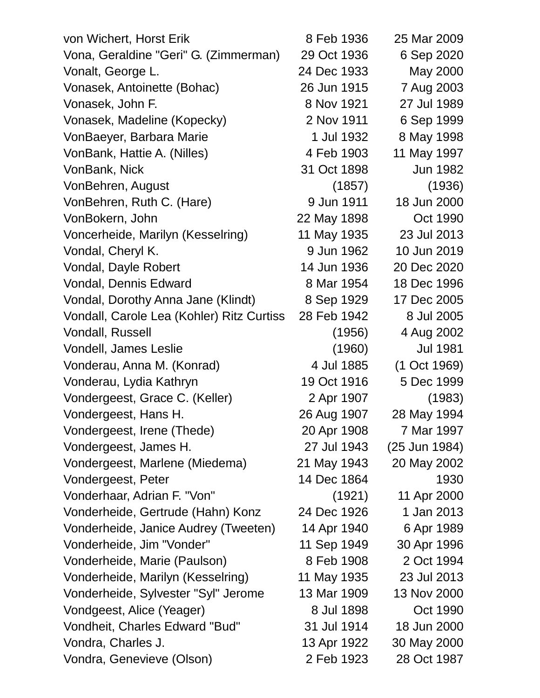| von Wichert, Horst Erik                   | 8 Feb 1936  | 25 Mar 2009     |
|-------------------------------------------|-------------|-----------------|
| Vona, Geraldine "Geri" G. (Zimmerman)     | 29 Oct 1936 | 6 Sep 2020      |
| Vonalt, George L.                         | 24 Dec 1933 | May 2000        |
| Vonasek, Antoinette (Bohac)               | 26 Jun 1915 | 7 Aug 2003      |
| Vonasek, John F.                          | 8 Nov 1921  | 27 Jul 1989     |
| Vonasek, Madeline (Kopecky)               | 2 Nov 1911  | 6 Sep 1999      |
| VonBaeyer, Barbara Marie                  | 1 Jul 1932  | 8 May 1998      |
| VonBank, Hattie A. (Nilles)               | 4 Feb 1903  | 11 May 1997     |
| VonBank, Nick                             | 31 Oct 1898 | Jun 1982        |
| VonBehren, August                         | (1857)      | (1936)          |
| VonBehren, Ruth C. (Hare)                 | 9 Jun 1911  | 18 Jun 2000     |
| VonBokern, John                           | 22 May 1898 | Oct 1990        |
| Voncerheide, Marilyn (Kesselring)         | 11 May 1935 | 23 Jul 2013     |
| Vondal, Cheryl K.                         | 9 Jun 1962  | 10 Jun 2019     |
| Vondal, Dayle Robert                      | 14 Jun 1936 | 20 Dec 2020     |
| Vondal, Dennis Edward                     | 8 Mar 1954  | 18 Dec 1996     |
| Vondal, Dorothy Anna Jane (Klindt)        | 8 Sep 1929  | 17 Dec 2005     |
| Vondall, Carole Lea (Kohler) Ritz Curtiss | 28 Feb 1942 | 8 Jul 2005      |
| Vondall, Russell                          | (1956)      | 4 Aug 2002      |
| Vondell, James Leslie                     | (1960)      | <b>Jul 1981</b> |
| Vonderau, Anna M. (Konrad)                | 4 Jul 1885  | (1 Oct 1969)    |
| Vonderau, Lydia Kathryn                   | 19 Oct 1916 | 5 Dec 1999      |
| Vondergeest, Grace C. (Keller)            | 2 Apr 1907  | (1983)          |
| Vondergeest, Hans H.                      | 26 Aug 1907 | 28 May 1994     |
| Vondergeest, Irene (Thede)                | 20 Apr 1908 | 7 Mar 1997      |
| Vondergeest, James H.                     | 27 Jul 1943 | (25 Jun 1984)   |
| Vondergeest, Marlene (Miedema)            | 21 May 1943 | 20 May 2002     |
| Vondergeest, Peter                        | 14 Dec 1864 | 1930            |
| Vonderhaar, Adrian F. "Von"               | (1921)      | 11 Apr 2000     |
| Vonderheide, Gertrude (Hahn) Konz         | 24 Dec 1926 | 1 Jan 2013      |
| Vonderheide, Janice Audrey (Tweeten)      | 14 Apr 1940 | 6 Apr 1989      |
| Vonderheide, Jim "Vonder"                 | 11 Sep 1949 | 30 Apr 1996     |
| Vonderheide, Marie (Paulson)              | 8 Feb 1908  | 2 Oct 1994      |
| Vonderheide, Marilyn (Kesselring)         | 11 May 1935 | 23 Jul 2013     |
| Vonderheide, Sylvester "Syl" Jerome       | 13 Mar 1909 | 13 Nov 2000     |
| Vondgeest, Alice (Yeager)                 | 8 Jul 1898  | Oct 1990        |
| Vondheit, Charles Edward "Bud"            | 31 Jul 1914 | 18 Jun 2000     |
| Vondra, Charles J.                        | 13 Apr 1922 | 30 May 2000     |
| Vondra, Genevieve (Olson)                 | 2 Feb 1923  | 28 Oct 1987     |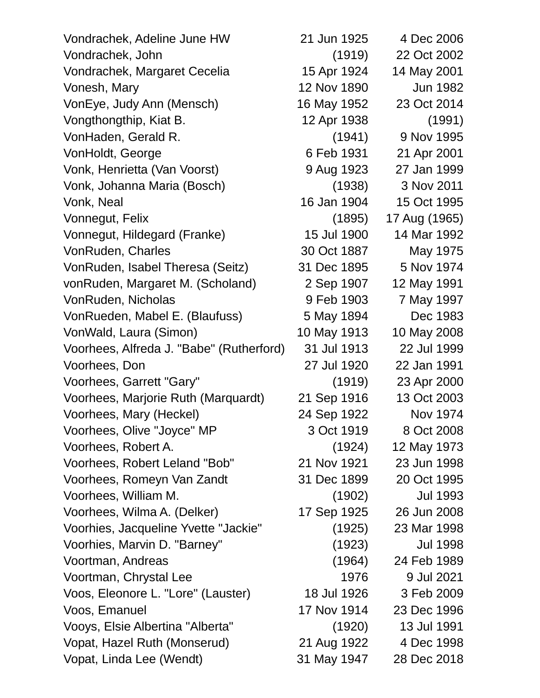| Vondrachek, Adeline June HW              | 21 Jun 1925 | 4 Dec 2006      |
|------------------------------------------|-------------|-----------------|
| Vondrachek, John                         | (1919)      | 22 Oct 2002     |
| Vondrachek, Margaret Cecelia             | 15 Apr 1924 | 14 May 2001     |
| Vonesh, Mary                             | 12 Nov 1890 | Jun 1982        |
| VonEye, Judy Ann (Mensch)                | 16 May 1952 | 23 Oct 2014     |
| Vongthongthip, Kiat B.                   | 12 Apr 1938 | (1991)          |
| VonHaden, Gerald R.                      | (1941)      | 9 Nov 1995      |
| VonHoldt, George                         | 6 Feb 1931  | 21 Apr 2001     |
| Vonk, Henrietta (Van Voorst)             | 9 Aug 1923  | 27 Jan 1999     |
| Vonk, Johanna Maria (Bosch)              | (1938)      | 3 Nov 2011      |
| Vonk, Neal                               | 16 Jan 1904 | 15 Oct 1995     |
| Vonnegut, Felix                          | (1895)      | 17 Aug (1965)   |
| Vonnegut, Hildegard (Franke)             | 15 Jul 1900 | 14 Mar 1992     |
| VonRuden, Charles                        | 30 Oct 1887 | May 1975        |
| VonRuden, Isabel Theresa (Seitz)         | 31 Dec 1895 | 5 Nov 1974      |
| vonRuden, Margaret M. (Scholand)         | 2 Sep 1907  | 12 May 1991     |
| VonRuden, Nicholas                       | 9 Feb 1903  | 7 May 1997      |
| VonRueden, Mabel E. (Blaufuss)           | 5 May 1894  | Dec 1983        |
| VonWald, Laura (Simon)                   | 10 May 1913 | 10 May 2008     |
| Voorhees, Alfreda J. "Babe" (Rutherford) | 31 Jul 1913 | 22 Jul 1999     |
| Voorhees, Don                            | 27 Jul 1920 | 22 Jan 1991     |
| Voorhees, Garrett "Gary"                 | (1919)      | 23 Apr 2000     |
| Voorhees, Marjorie Ruth (Marquardt)      | 21 Sep 1916 | 13 Oct 2003     |
| Voorhees, Mary (Heckel)                  | 24 Sep 1922 | Nov 1974        |
| Voorhees, Olive "Joyce" MP               | 3 Oct 1919  | 8 Oct 2008      |
| Voorhees, Robert A.                      | (1924)      | 12 May 1973     |
| Voorhees, Robert Leland "Bob"            | 21 Nov 1921 | 23 Jun 1998     |
| Voorhees, Romeyn Van Zandt               | 31 Dec 1899 | 20 Oct 1995     |
| Voorhees, William M.                     | (1902)      | <b>Jul 1993</b> |
| Voorhees, Wilma A. (Delker)              | 17 Sep 1925 | 26 Jun 2008     |
| Voorhies, Jacqueline Yvette "Jackie"     | (1925)      | 23 Mar 1998     |
| Voorhies, Marvin D. "Barney"             | (1923)      | <b>Jul 1998</b> |
| Voortman, Andreas                        | (1964)      | 24 Feb 1989     |
| Voortman, Chrystal Lee                   | 1976        | 9 Jul 2021      |
| Voos, Eleonore L. "Lore" (Lauster)       | 18 Jul 1926 | 3 Feb 2009      |
| Voos, Emanuel                            | 17 Nov 1914 | 23 Dec 1996     |
| Vooys, Elsie Albertina "Alberta"         | (1920)      | 13 Jul 1991     |
| Vopat, Hazel Ruth (Monserud)             | 21 Aug 1922 | 4 Dec 1998      |
| Vopat, Linda Lee (Wendt)                 | 31 May 1947 | 28 Dec 2018     |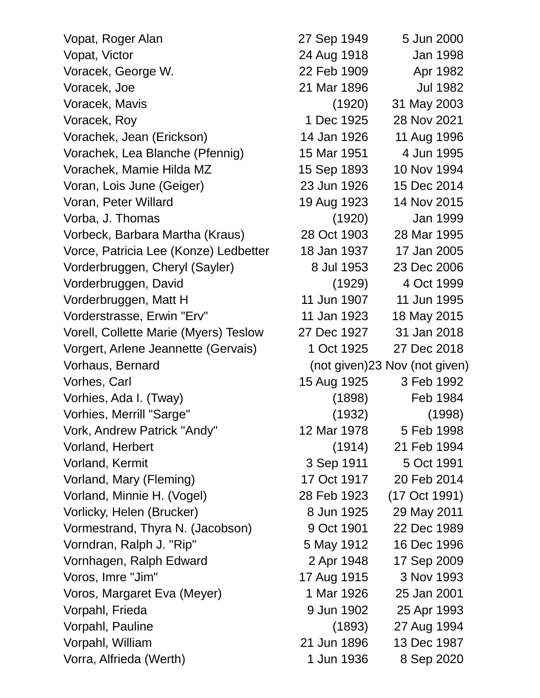Vopat, Roger Alan 27 Sep 1949 5 Jun 2000 Vopat, Victor 24 Aug 1918 Jan 1998 Voracek, George W. 22 Feb 1909 Apr 1982 Voracek, Joe 21 Mar 1896 Jul 1982 Voracek, Mavis (1920) 31 May 2003 Voracek, Roy 1 Dec 1925 28 Nov 2021 Vorachek, Jean (Erickson) 14 Jan 1926 11 Aug 1996 Vorachek, Lea Blanche (Pfennig) 15 Mar 1951 4 Jun 1995 Vorachek, Mamie Hilda MZ 15 Sep 1893 10 Nov 1994 Voran, Lois June (Geiger) 23 Jun 1926 15 Dec 2014 Voran, Peter Willard 19 Aug 1923 14 Nov 2015 Vorba, J. Thomas (1920) Jan 1999 Vorbeck, Barbara Martha (Kraus) 28 Oct 1903 28 Mar 1995 Vorce, Patricia Lee (Konze) Ledbetter 18 Jan 1937 17 Jan 2005 Vorderbruggen, Cheryl (Sayler) 8 Jul 1953 23 Dec 2006 Vorderbruggen, David (1929) 4 Oct 1999 Vorderbruggen, Matt H 11 Jun 1907 11 Jun 1995 Vorderstrasse, Erwin "Erv" 11 Jan 1923 18 May 2015 Vorell, Collette Marie (Myers) Teslow 27 Dec 1927 31 Jan 2018 Vorgert, Arlene Jeannette (Gervais) 1 Oct 1925 27 Dec 2018 Vorhaus, Bernard (not given)23 Nov (not given) Vorhes, Carl 15 Aug 1925 3 Feb 1992 Vorhies, Ada I. (Tway) (1898) Feb 1984 Vorhies, Merrill "Sarge" (1932) (1998) Vork, Andrew Patrick "Andy" 12 Mar 1978 5 Feb 1998 Vorland, Herbert (1914) 21 Feb 1994 Vorland, Kermit 3 Sep 1911 5 Oct 1991 Vorland, Mary (Fleming) 17 Oct 1917 20 Feb 2014 Vorland, Minnie H. (Vogel) 28 Feb 1923 (17 Oct 1991) Vorlicky, Helen (Brucker) 8 Jun 1925 29 May 2011 Vormestrand, Thyra N. (Jacobson) 9 Oct 1901 22 Dec 1989 Vorndran, Ralph J. "Rip" 5 May 1912 16 Dec 1996 Vornhagen, Ralph Edward 2 Apr 1948 17 Sep 2009 Voros, Imre "Jim" 17 Aug 1915 3 Nov 1993 Voros, Margaret Eva (Meyer) 1 Mar 1926 25 Jan 2001 Vorpahl, Frieda 9 Jun 1902 25 Apr 1993 Vorpahl, Pauline (1893) 27 Aug 1994 Vorpahl, William 21 Jun 1896 13 Dec 1987 Vorra, Alfrieda (Werth) 1 Jun 1936 8 Sep 2020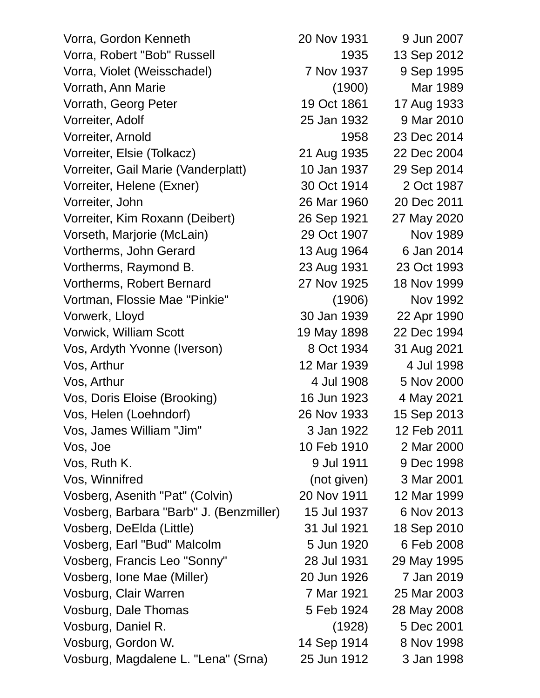Vorra, Gordon Kenneth 20 Nov 1931 9 Jun 2007 Vorra, Robert "Bob" Russell 1935 13 Sep 2012 Vorra, Violet (Weisschadel) 7 Nov 1937 9 Sep 1995 Vorrath, Ann Marie (1900) Mar 1989 Vorrath, Georg Peter 19 Oct 1861 17 Aug 1933 Vorreiter, Adolf 25 Jan 1932 9 Mar 2010 Vorreiter, Arnold 1958 23 Dec 2014 Vorreiter, Elsie (Tolkacz) 21 Aug 1935 22 Dec 2004 Vorreiter, Gail Marie (Vanderplatt) 10 Jan 1937 29 Sep 2014 Vorreiter, Helene (Exner) 30 Oct 1914 2 Oct 1987 Vorreiter, John 26 Mar 1960 20 Dec 2011 Vorreiter, Kim Roxann (Deibert) 26 Sep 1921 27 May 2020 Vorseth, Marjorie (McLain) 29 Oct 1907 Nov 1989 Vortherms, John Gerard 13 Aug 1964 6 Jan 2014 Vortherms, Raymond B. 23 Aug 1931 23 Oct 1993 Vortherms, Robert Bernard 27 Nov 1925 18 Nov 1999 Vortman, Flossie Mae "Pinkie" (1906) Nov 1992 Vorwerk, Lloyd 30 Jan 1939 22 Apr 1990 Vorwick, William Scott 19 May 1898 22 Dec 1994 Vos, Ardyth Yvonne (Iverson) 8 Oct 1934 31 Aug 2021 Vos, Arthur 12 Mar 1939 4 Jul 1998 Vos, Arthur 4 Jul 1908 5 Nov 2000 Vos, Doris Eloise (Brooking) 16 Jun 1923 4 May 2021 Vos, Helen (Loehndorf) 26 Nov 1933 15 Sep 2013 Vos, James William "Jim" 3 Jan 1922 12 Feb 2011 Vos, Joe 10 Feb 1910 2 Mar 2000 Vos, Ruth K. 9 Jul 1911 9 Dec 1998 Vos, Winnifred (not given) 3 Mar 2001 Vosberg, Asenith "Pat" (Colvin) 20 Nov 1911 12 Mar 1999 Vosberg, Barbara "Barb" J. (Benzmiller) 15 Jul 1937 6 Nov 2013 Vosberg, DeElda (Little) 31 Jul 1921 18 Sep 2010 Vosberg, Earl "Bud" Malcolm 5 Jun 1920 6 Feb 2008 Vosberg, Francis Leo "Sonny" 28 Jul 1931 29 May 1995 Vosberg, Ione Mae (Miller) 20 Jun 1926 7 Jan 2019 Vosburg, Clair Warren 7 Mar 1921 25 Mar 2003 Vosburg, Dale Thomas 5 Feb 1924 28 May 2008 Vosburg, Daniel R. (1928) 5 Dec 2001 Vosburg, Gordon W. 14 Sep 1914 8 Nov 1998 Vosburg, Magdalene L. "Lena" (Srna) 25 Jun 1912 3 Jan 1998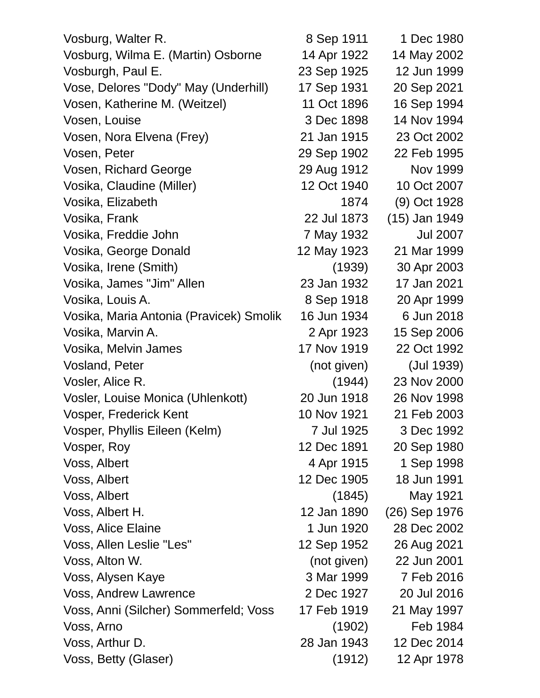| Vosburg, Walter R.                      | 8 Sep 1911  | 1 Dec 1980      |
|-----------------------------------------|-------------|-----------------|
| Vosburg, Wilma E. (Martin) Osborne      | 14 Apr 1922 | 14 May 2002     |
| Vosburgh, Paul E.                       | 23 Sep 1925 | 12 Jun 1999     |
| Vose, Delores "Dody" May (Underhill)    | 17 Sep 1931 | 20 Sep 2021     |
| Vosen, Katherine M. (Weitzel)           | 11 Oct 1896 | 16 Sep 1994     |
| Vosen, Louise                           | 3 Dec 1898  | 14 Nov 1994     |
| Vosen, Nora Elvena (Frey)               | 21 Jan 1915 | 23 Oct 2002     |
| Vosen, Peter                            | 29 Sep 1902 | 22 Feb 1995     |
| Vosen, Richard George                   | 29 Aug 1912 | Nov 1999        |
| Vosika, Claudine (Miller)               | 12 Oct 1940 | 10 Oct 2007     |
| Vosika, Elizabeth                       | 1874        | (9) Oct 1928    |
| Vosika, Frank                           | 22 Jul 1873 | (15) Jan 1949   |
| Vosika, Freddie John                    | 7 May 1932  | <b>Jul 2007</b> |
| Vosika, George Donald                   | 12 May 1923 | 21 Mar 1999     |
| Vosika, Irene (Smith)                   | (1939)      | 30 Apr 2003     |
| Vosika, James "Jim" Allen               | 23 Jan 1932 | 17 Jan 2021     |
| Vosika, Louis A.                        | 8 Sep 1918  | 20 Apr 1999     |
| Vosika, Maria Antonia (Pravicek) Smolik | 16 Jun 1934 | 6 Jun 2018      |
| Vosika, Marvin A.                       | 2 Apr 1923  | 15 Sep 2006     |
| Vosika, Melvin James                    | 17 Nov 1919 | 22 Oct 1992     |
| <b>Vosland, Peter</b>                   | (not given) | (Jul 1939)      |
| Vosler, Alice R.                        | (1944)      | 23 Nov 2000     |
| Vosler, Louise Monica (Uhlenkott)       | 20 Jun 1918 | 26 Nov 1998     |
| Vosper, Frederick Kent                  | 10 Nov 1921 | 21 Feb 2003     |
| Vosper, Phyllis Eileen (Kelm)           | 7 Jul 1925  | 3 Dec 1992      |
| Vosper, Roy                             | 12 Dec 1891 | 20 Sep 1980     |
| Voss, Albert                            | 4 Apr 1915  | 1 Sep 1998      |
| Voss, Albert                            | 12 Dec 1905 | 18 Jun 1991     |
| Voss, Albert                            | (1845)      | May 1921        |
| Voss, Albert H.                         | 12 Jan 1890 | (26) Sep 1976   |
| Voss, Alice Elaine                      | 1 Jun 1920  | 28 Dec 2002     |
| Voss, Allen Leslie "Les"                | 12 Sep 1952 | 26 Aug 2021     |
| Voss, Alton W.                          | (not given) | 22 Jun 2001     |
| Voss, Alysen Kaye                       | 3 Mar 1999  | 7 Feb 2016      |
| <b>Voss, Andrew Lawrence</b>            | 2 Dec 1927  | 20 Jul 2016     |
| Voss, Anni (Silcher) Sommerfeld; Voss   | 17 Feb 1919 | 21 May 1997     |
| Voss, Arno                              | (1902)      | Feb 1984        |
| Voss, Arthur D.                         | 28 Jan 1943 | 12 Dec 2014     |
| Voss, Betty (Glaser)                    | (1912)      | 12 Apr 1978     |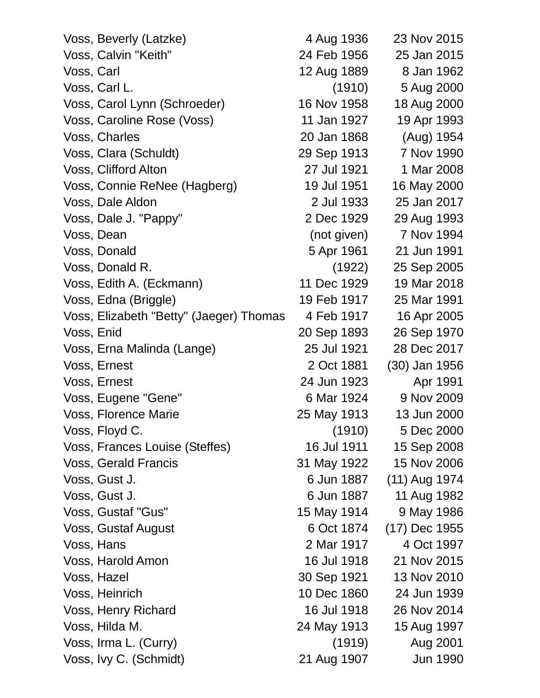| Voss, Beverly (Latzke)                  | 4 Aug 1936  | 23 Nov 2015     |
|-----------------------------------------|-------------|-----------------|
| Voss, Calvin "Keith"                    | 24 Feb 1956 | 25 Jan 2015     |
| Voss, Carl                              | 12 Aug 1889 | 8 Jan 1962      |
| Voss, Carl L.                           | (1910)      | 5 Aug 2000      |
| Voss, Carol Lynn (Schroeder)            | 16 Nov 1958 | 18 Aug 2000     |
| Voss, Caroline Rose (Voss)              | 11 Jan 1927 | 19 Apr 1993     |
| Voss, Charles                           | 20 Jan 1868 | (Aug) 1954      |
| Voss, Clara (Schuldt)                   | 29 Sep 1913 | 7 Nov 1990      |
| Voss, Clifford Alton                    | 27 Jul 1921 | 1 Mar 2008      |
| Voss, Connie ReNee (Hagberg)            | 19 Jul 1951 | 16 May 2000     |
| Voss, Dale Aldon                        | 2 Jul 1933  | 25 Jan 2017     |
| Voss, Dale J. "Pappy"                   | 2 Dec 1929  | 29 Aug 1993     |
| Voss, Dean                              | (not given) | 7 Nov 1994      |
| Voss, Donald                            | 5 Apr 1961  | 21 Jun 1991     |
| Voss, Donald R.                         | (1922)      | 25 Sep 2005     |
| Voss, Edith A. (Eckmann)                | 11 Dec 1929 | 19 Mar 2018     |
| Voss, Edna (Briggle)                    | 19 Feb 1917 | 25 Mar 1991     |
| Voss, Elizabeth "Betty" (Jaeger) Thomas | 4 Feb 1917  | 16 Apr 2005     |
| Voss, Enid                              | 20 Sep 1893 | 26 Sep 1970     |
| Voss, Erna Malinda (Lange)              | 25 Jul 1921 | 28 Dec 2017     |
| Voss, Ernest                            | 2 Oct 1881  | (30) Jan 1956   |
| Voss, Ernest                            | 24 Jun 1923 | Apr 1991        |
| Voss, Eugene "Gene"                     | 6 Mar 1924  | 9 Nov 2009      |
| Voss, Florence Marie                    | 25 May 1913 | 13 Jun 2000     |
| Voss, Floyd C.                          | (1910)      | 5 Dec 2000      |
| Voss, Frances Louise (Steffes)          | 16 Jul 1911 | 15 Sep 2008     |
| Voss, Gerald Francis                    | 31 May 1922 | 15 Nov 2006     |
| Voss, Gust J.                           | 6 Jun 1887  | $(11)$ Aug 1974 |
| Voss, Gust J.                           | 6 Jun 1887  | 11 Aug 1982     |
| Voss, Gustaf "Gus"                      | 15 May 1914 | 9 May 1986      |
| Voss, Gustaf August                     | 6 Oct 1874  | (17) Dec 1955   |
| Voss, Hans                              | 2 Mar 1917  | 4 Oct 1997      |
| Voss, Harold Amon                       | 16 Jul 1918 | 21 Nov 2015     |
| Voss, Hazel                             | 30 Sep 1921 | 13 Nov 2010     |
| Voss, Heinrich                          | 10 Dec 1860 | 24 Jun 1939     |
| Voss, Henry Richard                     | 16 Jul 1918 | 26 Nov 2014     |
| Voss, Hilda M.                          | 24 May 1913 | 15 Aug 1997     |
| Voss, Irma L. (Curry)                   | (1919)      | Aug 2001        |
| Voss, Ivy C. (Schmidt)                  | 21 Aug 1907 | Jun 1990        |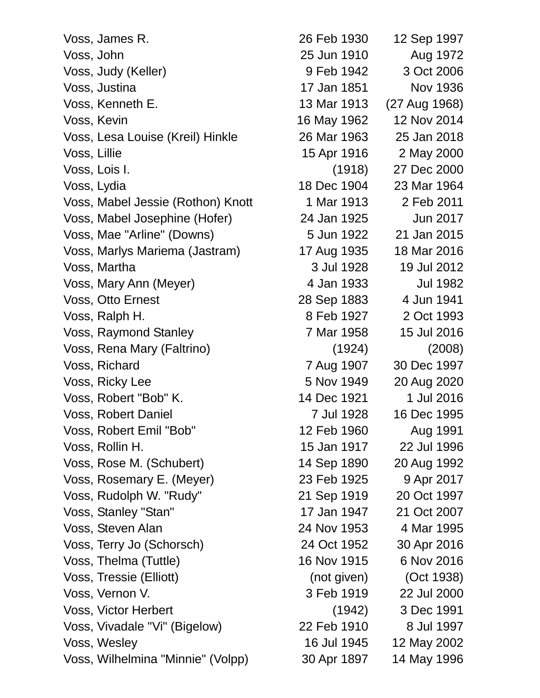Voss, James R. 26 Feb 1930 12 Sep 1997 Voss, John 25 Jun 1910 Aug 1972 Voss, Judy (Keller) 9 Feb 1942 3 Oct 2006 Voss, Justina 17 Jan 1851 Nov 1936 Voss, Kenneth E. 13 Mar 1913 (27 Aug 1968) Voss, Kevin 16 May 1962 12 Nov 2014 Voss, Lesa Louise (Kreil) Hinkle 26 Mar 1963 25 Jan 2018 Voss, Lillie 15 Apr 1916 2 May 2000 Voss, Lois I. (1918) 27 Dec 2000 Voss, Lydia 18 Dec 1904 23 Mar 1964 Voss, Mabel Jessie (Rothon) Knott 1 Mar 1913 2 Feb 2011 Voss, Mabel Josephine (Hofer) 24 Jan 1925 Jun 2017 Voss, Mae "Arline" (Downs) 5 Jun 1922 21 Jan 2015 Voss, Marlys Mariema (Jastram) 17 Aug 1935 18 Mar 2016 Voss, Martha 3 Jul 1928 19 Jul 2012 Voss, Mary Ann (Meyer) 1982 1983 - Alexander Ann Ann an Ann an Aonad Alban Ann an Aonad Alban Ann an Aonad Alban A Voss, Otto Ernest 28 Sep 1883 4 Jun 1941 Voss, Ralph H. 8 Feb 1927 2 Oct 1993 Voss, Raymond Stanley 7 Mar 1958 15 Jul 2016 Voss, Rena Mary (Faltrino) (1924) (2008) Voss, Richard 7 Aug 1907 30 Dec 1997 Voss, Ricky Lee 5 Nov 1949 20 Aug 2020 Voss, Robert "Bob" K. 14 Dec 1921 1 Jul 2016 Voss, Robert Daniel **7** Jul 1928 16 Dec 1995 Voss, Robert Emil "Bob" 12 Feb 1960 Aug 1991 Voss, Rollin H. 15 Jan 1917 22 Jul 1996 Voss, Rose M. (Schubert) 14 Sep 1890 20 Aug 1992 Voss, Rosemary E. (Meyer) 23 Feb 1925 9 Apr 2017 Voss, Rudolph W. "Rudy" 21 Sep 1919 20 Oct 1997 Voss, Stanley "Stan" 17 Jan 1947 21 Oct 2007 Voss, Steven Alan 24 Nov 1953 4 Mar 1995 Voss, Terry Jo (Schorsch) 24 Oct 1952 30 Apr 2016 Voss, Thelma (Tuttle) 16 Nov 1915 6 Nov 2016 Voss, Tressie (Elliott) (not given) (Oct 1938) Voss, Vernon V. 3 Feb 1919 22 Jul 2000 Voss, Victor Herbert (1942) 3 Dec 1991 Voss, Vivadale "Vi" (Bigelow) 22 Feb 1910 8 Jul 1997 Voss, Wesley 16 Jul 1945 12 May 2002

Voss, Wilhelmina "Minnie" (Volpp) 30 Apr 1897 14 May 1996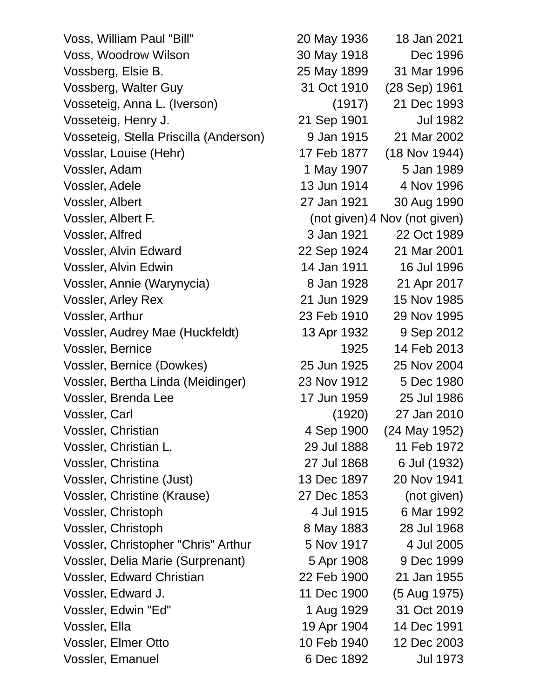Voss, William Paul "Bill" 20 May 1936 18 Jan 2021 Voss, Woodrow Wilson 30 May 1918 Dec 1996 Vossberg, Elsie B. 25 May 1899 31 Mar 1996 Vossberg, Walter Guy 31 Oct 1910 (28 Sep) 1961 Vosseteig, Anna L. (Iverson) (1917) 21 Dec 1993 Vosseteig, Henry J. 21 Sep 1901 Jul 1982 Vosseteig, Stella Priscilla (Anderson) 9 Jan 1915 21 Mar 2002 Vosslar, Louise (Hehr) 17 Feb 1877 (18 Nov 1944) Vossler, Adam 1 1 May 1907 5 Jan 1989 Vossler, Adele 13 Jun 1914 4 Nov 1996 Vossler, Albert 27 Jan 1921 30 Aug 1990 Vossler, Albert F. (not given)4 Nov (not given) Vossler, Alfred 3 Jan 1921 22 Oct 1989 Vossler, Alvin Edward 22 Sep 1924 21 Mar 2001 Vossler, Alvin Edwin 14 Jan 1911 16 Jul 1996 Vossler, Annie (Warynycia) 8 Jan 1928 21 Apr 2017 Vossler, Arley Rex 21 Jun 1929 15 Nov 1985 Vossler, Arthur 23 Feb 1910 29 Nov 1995 Vossler, Audrey Mae (Huckfeldt) 13 Apr 1932 9 Sep 2012 Vossler, Bernice 1925 14 Feb 2013 Vossler, Bernice (Dowkes) 25 Jun 1925 25 Nov 2004 Vossler, Bertha Linda (Meidinger) 23 Nov 1912 5 Dec 1980 Vossler, Brenda Lee 17 Jun 1959 25 Jul 1986 Vossler, Carl (1920) 27 Jan 2010 Vossler, Christian 4 Sep 1900 (24 May 1952) Vossler, Christian L. 29 Jul 1888 11 Feb 1972 Vossler, Christina 27 Jul 1868 6 Jul (1932) Vossler, Christine (Just) 13 Dec 1897 20 Nov 1941 Vossler, Christine (Krause) 27 Dec 1853 (not given) Vossler, Christoph 4 Jul 1915 6 Mar 1992 Vossler, Christoph 8 May 1883 28 Jul 1968 Vossler, Christopher "Chris" Arthur 5 Nov 1917 4 Jul 2005 Vossler, Delia Marie (Surprenant) 5 Apr 1908 9 Dec 1999 Vossler, Edward Christian 22 Feb 1900 21 Jan 1955 Vossler, Edward J. 11 Dec 1900 (5 Aug 1975) Vossler, Edwin "Ed" 1 Aug 1929 31 Oct 2019 Vossler, Ella 19 Apr 1904 14 Dec 1991 Vossler, Elmer Otto 10 Feb 1940 12 Dec 2003 Vossler, Emanuel 6 Dec 1892 Jul 1973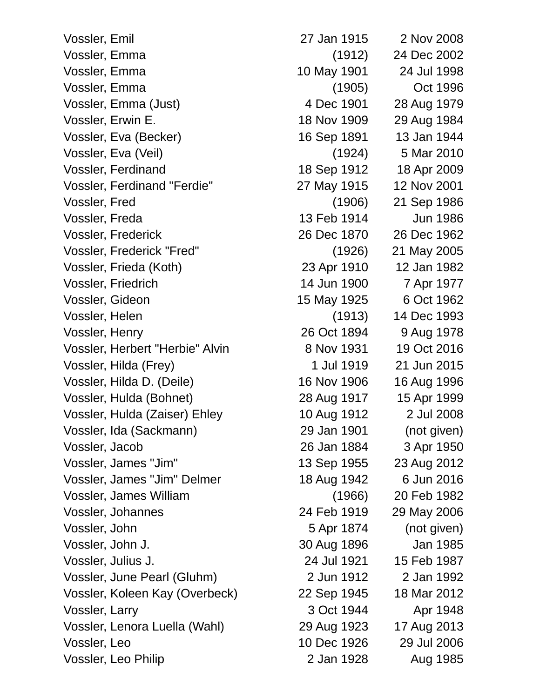Vossler, Emil 27 Jan 1915 2 Nov 2008 Vossler, Emma (1912) 24 Dec 2002 Vossler, Emma 10 May 1901 24 Jul 1998 Vossler, Emma (1905) Oct 1996 Vossler, Emma (Just) 4 Dec 1901 28 Aug 1979 Vossler, Erwin E. 18 Nov 1909 29 Aug 1984 Vossler, Eva (Becker) 16 Sep 1891 13 Jan 1944 Vossler, Eva (Veil) (1924) 5 Mar 2010 Vossler, Ferdinand 18 Sep 1912 18 Apr 2009 Vossler, Ferdinand "Ferdie" 27 May 1915 12 Nov 2001 Vossler, Fred (1906) 21 Sep 1986 Vossler, Freda 13 Feb 1914 Jun 1986 Vossler, Frederick 26 Dec 1870 26 Dec 1962 Vossler, Frederick "Fred" (1926) 21 May 2005 Vossler, Frieda (Koth) 23 Apr 1910 12 Jan 1982 Vossler, Friedrich 14 Jun 1900 7 Apr 1977 Vossler, Gideon 15 May 1925 6 Oct 1962 Vossler, Helen (1913) 14 Dec 1993 Vossler, Henry 26 Oct 1894 9 Aug 1978 Vossler, Herbert "Herbie" Alvin 8 Nov 1931 19 Oct 2016 Vossler, Hilda (Frey) 1 Jul 1919 21 Jun 2015 Vossler, Hilda D. (Deile) 16 Nov 1906 16 Aug 1996 Vossler, Hulda (Bohnet) 28 Aug 1917 15 Apr 1999 Vossler, Hulda (Zaiser) Ehley 10 Aug 1912 2 Jul 2008 Vossler, Ida (Sackmann) 29 Jan 1901 (not given) Vossler, Jacob 26 Jan 1884 3 Apr 1950 Vossler, James "Jim" 13 Sep 1955 23 Aug 2012 Vossler, James "Jim" Delmer 18 Aug 1942 6 Jun 2016 Vossler, James William (1966) 20 Feb 1982 Vossler, Johannes 24 Feb 1919 29 May 2006 Vossler, John 5 Apr 1874 (not given) Vossler, John J. 30 Aug 1896 Jan 1985 Vossler, Julius J. 24 Jul 1921 15 Feb 1987 Vossler, June Pearl (Gluhm) 2 Jun 1912 2 Jan 1992 Vossler, Koleen Kay (Overbeck) 22 Sep 1945 18 Mar 2012 Vossler, Larry 3 Oct 1944 Apr 1948 Vossler, Lenora Luella (Wahl) 29 Aug 1923 17 Aug 2013 Vossler, Leo 10 Dec 1926 29 Jul 2006 Vossler, Leo Philip 2 Jan 1928 Aug 1985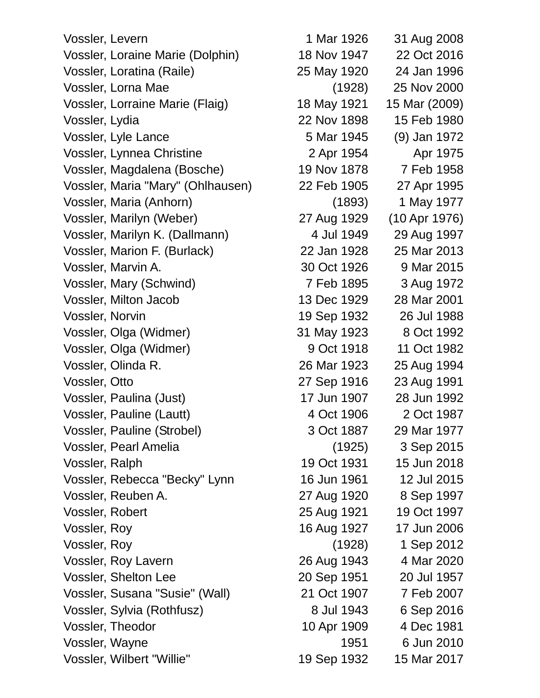Vossler, Levern 1 Mar 1926 31 Aug 2008 Vossler, Loraine Marie (Dolphin) 18 Nov 1947 22 Oct 2016 Vossler, Loratina (Raile) 25 May 1920 24 Jan 1996 Vossler, Lorna Mae (1928) 25 Nov 2000 Vossler, Lorraine Marie (Flaig) 18 May 1921 15 Mar (2009) Vossler, Lydia 22 Nov 1898 15 Feb 1980 Vossler, Lyle Lance 5 Mar 1945 (9) Jan 1972 Vossler, Lynnea Christine 2 Apr 1954 Apr 1975 Vossler, Magdalena (Bosche) 19 Nov 1878 7 Feb 1958 Vossler, Maria "Mary" (Ohlhausen) 22 Feb 1905 27 Apr 1995 Vossler, Maria (Anhorn) (1893) 1 May 1977 Vossler, Marilyn (Weber) 27 Aug 1929 (10 Apr 1976) Vossler, Marilyn K. (Dallmann) 4 Jul 1949 29 Aug 1997 Vossler, Marion F. (Burlack) 22 Jan 1928 25 Mar 2013 Vossler, Marvin A. 30 Oct 1926 9 Mar 2015 Vossler, Mary (Schwind) 7 Feb 1895 3 Aug 1972 Vossler, Milton Jacob 13 Dec 1929 28 Mar 2001 Vossler, Norvin 19 Sep 1932 26 Jul 1988 Vossler, Olga (Widmer) 31 May 1923 8 Oct 1992 Vossler, Olga (Widmer) 9 Oct 1918 11 Oct 1982 Vossler, Olinda R. 26 Mar 1923 25 Aug 1994 Vossler, Otto 27 Sep 1916 23 Aug 1991 Vossler, Paulina (Just) 17 Jun 1907 28 Jun 1992 Vossler, Pauline (Lautt) 4 Oct 1906 2 Oct 1987 Vossler, Pauline (Strobel) 3 Oct 1887 29 Mar 1977 Vossler, Pearl Amelia (1925) 3 Sep 2015 Vossler, Ralph 19 Oct 1931 15 Jun 2018 Vossler, Rebecca "Becky" Lynn 16 Jun 1961 12 Jul 2015 Vossler, Reuben A. 27 Aug 1920 8 Sep 1997 Vossler, Robert 25 Aug 1921 19 Oct 1997 Vossler, Roy 16 Aug 1927 17 Jun 2006 Vossler, Roy (1928) 1 Sep 2012 Vossler, Roy Lavern 26 Aug 1943 4 Mar 2020 Vossler, Shelton Lee 20 Sep 1951 20 Jul 1957 Vossler, Susana "Susie" (Wall) 21 Oct 1907 7 Feb 2007 Vossler, Sylvia (Rothfusz) 8 Jul 1943 6 Sep 2016 Vossler, Theodor 10 Apr 1909 4 Dec 1981 Vossler, Wayne 1951 6 Jun 2010 Vossler, Wilbert "Willie" 19 Sep 1932 15 Mar 2017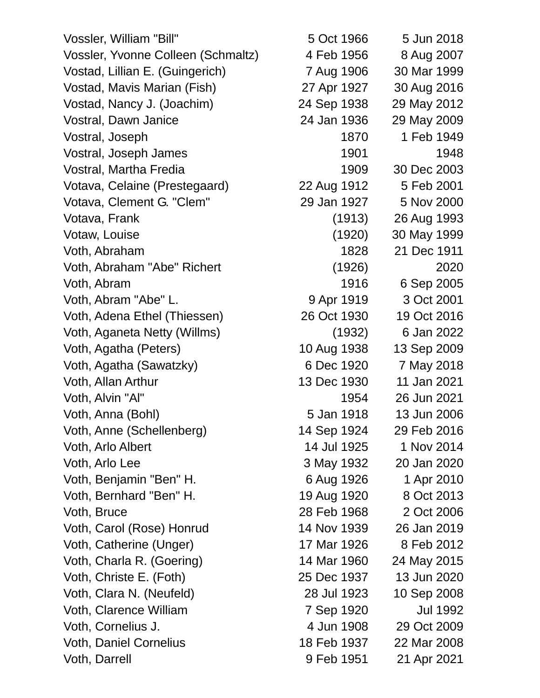Vossler, William "Bill" 5 Oct 1966 5 Jun 2018 Vossler, Yvonne Colleen (Schmaltz) 4 Feb 1956 8 Aug 2007 Vostad, Lillian E. (Guingerich) 7 Aug 1906 30 Mar 1999 Vostad, Mavis Marian (Fish) 27 Apr 1927 30 Aug 2016 Vostad, Nancy J. (Joachim) 24 Sep 1938 29 May 2012 Vostral, Dawn Janice 24 Jan 1936 29 May 2009 Vostral, Joseph 1870 1949 Vostral, Joseph James 1901 1948 Vostral, Martha Fredia 1909 30 Dec 2003 Votava, Celaine (Prestegaard) 22 Aug 1912 5 Feb 2001 Votava, Clement G. "Clem" 29 Jan 1927 5 Nov 2000 Votava, Frank (1913) 26 Aug 1993 Votaw, Louise (1920) 30 May 1999 Voth, Abraham 1828 21 Dec 1911 Voth, Abraham "Abe" Richert (1926) 2020 Voth, Abram 1916 6 Sep 2005 Voth, Abram "Abe" L. 9 Apr 1919 3 Oct 2001 Voth, Adena Ethel (Thiessen) 26 Oct 1930 19 Oct 2016 Voth, Aganeta Netty (Willms) (1932) 6 Jan 2022 Voth, Agatha (Peters) 10 Aug 1938 13 Sep 2009 Voth, Agatha (Sawatzky) 6 Dec 1920 7 May 2018 Voth, Allan Arthur 13 Dec 1930 11 Jan 2021 Voth, Alvin "Al" 1954 26 Jun 2021 Voth, Anna (Bohl) 5 Jan 1918 13 Jun 2006 Voth, Anne (Schellenberg) 14 Sep 1924 29 Feb 2016 Voth, Arlo Albert 14 Jul 1925 1 Nov 2014 Voth, Arlo Lee 3 May 1932 20 Jan 2020 Voth, Benjamin "Ben" H. 6 Aug 1926 1 Apr 2010 Voth, Bernhard "Ben" H. 19 Aug 1920 8 Oct 2013 Voth, Bruce 28 Feb 1968 2 Oct 2006 Voth, Carol (Rose) Honrud 14 Nov 1939 26 Jan 2019 Voth, Catherine (Unger) 17 Mar 1926 8 Feb 2012 Voth, Charla R. (Goering) 14 Mar 1960 24 May 2015 Voth, Christe E. (Foth) 25 Dec 1937 13 Jun 2020 Voth, Clara N. (Neufeld) 28 Jul 1923 10 Sep 2008 Voth, Clarence William 7 Sep 1920 Jul 1992 Voth, Cornelius J. 4 Jun 1908 29 Oct 2009 Voth, Daniel Cornelius 18 Feb 1937 22 Mar 2008 Voth, Darrell 9 Feb 1951 21 Apr 2021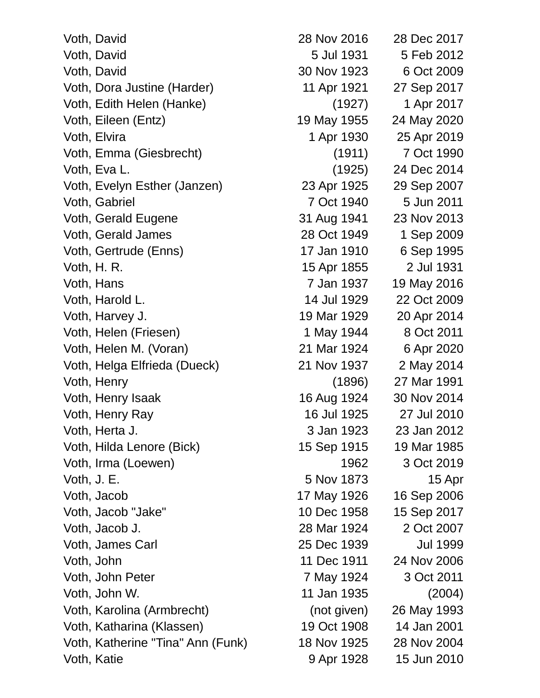| Voth, David                       | 28 Nov 2016 | 28 Dec 2017     |
|-----------------------------------|-------------|-----------------|
| Voth, David                       | 5 Jul 1931  | 5 Feb 2012      |
| Voth, David                       | 30 Nov 1923 | 6 Oct 2009      |
| Voth, Dora Justine (Harder)       | 11 Apr 1921 | 27 Sep 2017     |
| Voth, Edith Helen (Hanke)         | (1927)      | 1 Apr 2017      |
| Voth, Eileen (Entz)               | 19 May 1955 | 24 May 2020     |
| Voth, Elvira                      | 1 Apr 1930  | 25 Apr 2019     |
| Voth, Emma (Giesbrecht)           | (1911)      | 7 Oct 1990      |
| Voth, Eva L.                      | (1925)      | 24 Dec 2014     |
| Voth, Evelyn Esther (Janzen)      | 23 Apr 1925 | 29 Sep 2007     |
| Voth, Gabriel                     | 7 Oct 1940  | 5 Jun 2011      |
| Voth, Gerald Eugene               | 31 Aug 1941 | 23 Nov 2013     |
| Voth, Gerald James                | 28 Oct 1949 | 1 Sep 2009      |
| Voth, Gertrude (Enns)             | 17 Jan 1910 | 6 Sep 1995      |
| Voth, H. R.                       | 15 Apr 1855 | 2 Jul 1931      |
| Voth, Hans                        | 7 Jan 1937  | 19 May 2016     |
| Voth, Harold L.                   | 14 Jul 1929 | 22 Oct 2009     |
| Voth, Harvey J.                   | 19 Mar 1929 | 20 Apr 2014     |
| Voth, Helen (Friesen)             | 1 May 1944  | 8 Oct 2011      |
| Voth, Helen M. (Voran)            | 21 Mar 1924 | 6 Apr 2020      |
| Voth, Helga Elfrieda (Dueck)      | 21 Nov 1937 | 2 May 2014      |
| Voth, Henry                       | (1896)      | 27 Mar 1991     |
| Voth, Henry Isaak                 | 16 Aug 1924 | 30 Nov 2014     |
| Voth, Henry Ray                   | 16 Jul 1925 | 27 Jul 2010     |
| Voth, Herta J.                    | 3 Jan 1923  | 23 Jan 2012     |
| Voth, Hilda Lenore (Bick)         | 15 Sep 1915 | 19 Mar 1985     |
| Voth, Irma (Loewen)               | 1962        | 3 Oct 2019      |
| Voth, J. E.                       | 5 Nov 1873  | 15 Apr          |
| Voth, Jacob                       | 17 May 1926 | 16 Sep 2006     |
| Voth, Jacob "Jake"                | 10 Dec 1958 | 15 Sep 2017     |
| Voth, Jacob J.                    | 28 Mar 1924 | 2 Oct 2007      |
| Voth, James Carl                  | 25 Dec 1939 | <b>Jul 1999</b> |
| Voth, John                        | 11 Dec 1911 | 24 Nov 2006     |
| Voth, John Peter                  | 7 May 1924  | 3 Oct 2011      |
| Voth, John W.                     | 11 Jan 1935 | (2004)          |
| Voth, Karolina (Armbrecht)        | (not given) | 26 May 1993     |
| Voth, Katharina (Klassen)         | 19 Oct 1908 | 14 Jan 2001     |
| Voth, Katherine "Tina" Ann (Funk) | 18 Nov 1925 | 28 Nov 2004     |
| Voth, Katie                       | 9 Apr 1928  | 15 Jun 2010     |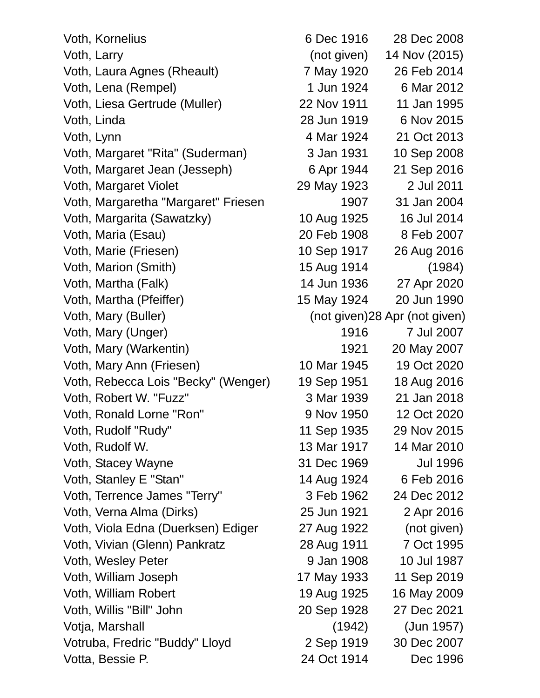Voth, Kornelius 6 Dec 1916 28 Dec 2008 Voth, Larry (not given) 14 Nov (2015) Voth, Laura Agnes (Rheault) 7 May 1920 26 Feb 2014 Voth, Lena (Rempel) 1 Jun 1924 6 Mar 2012 Voth, Liesa Gertrude (Muller) 22 Nov 1911 11 Jan 1995 Voth, Linda 28 Jun 1919 6 Nov 2015 Voth, Lynn 4 Mar 1924 21 Oct 2013 Voth, Margaret "Rita" (Suderman) 3 Jan 1931 10 Sep 2008 Voth, Margaret Jean (Jesseph) 6 Apr 1944 21 Sep 2016 Voth, Margaret Violet 29 May 1923 2 Jul 2011 Voth, Margaretha "Margaret" Friesen 1907 31 Jan 2004 Voth, Margarita (Sawatzky) 10 Aug 1925 16 Jul 2014 Voth, Maria (Esau) 20 Feb 1908 8 Feb 2007 Voth, Marie (Friesen) 10 Sep 1917 26 Aug 2016 Voth, Marion (Smith) 15 Aug 1914 (1984) Voth, Martha (Falk) 14 Jun 1936 27 Apr 2020 Voth, Martha (Pfeiffer) 15 May 1924 20 Jun 1990 Voth, Mary (Buller) (Not given) (not given) (not given) Voth, Mary (Unger) 1916 7 Jul 2007 Voth, Mary (Warkentin) 1921 20 May 2007 Voth, Mary Ann (Friesen) 10 Mar 1945 19 Oct 2020 Voth, Rebecca Lois "Becky" (Wenger) 19 Sep 1951 18 Aug 2016 Voth, Robert W. "Fuzz" 3 Mar 1939 21 Jan 2018 Voth, Ronald Lorne "Ron" 9 Nov 1950 12 Oct 2020 Voth, Rudolf "Rudy" 11 Sep 1935 29 Nov 2015 Voth, Rudolf W. 13 Mar 1917 14 Mar 2010 Voth, Stacey Wayne **31 Dec 1969** Jul 1996 Voth, Stanley E "Stan" 14 Aug 1924 6 Feb 2016 Voth, Terrence James "Terry" 3 Feb 1962 24 Dec 2012 Voth, Verna Alma (Dirks) 25 Jun 1921 2 Apr 2016 Voth, Viola Edna (Duerksen) Ediger 27 Aug 1922 (not given) Voth, Vivian (Glenn) Pankratz 28 Aug 1911 7 Oct 1995 Voth, Wesley Peter 1988 10 Jul 1987 Voth, William Joseph 17 May 1933 11 Sep 2019 Voth, William Robert 19 Aug 1925 16 May 2009 Voth, Willis "Bill" John 20 Sep 1928 27 Dec 2021 Votja, Marshall (1942) (Jun 1957) Votruba, Fredric "Buddy" Lloyd 2 Sep 1919 30 Dec 2007 Votta, Bessie P. 24 Oct 1914 Dec 1996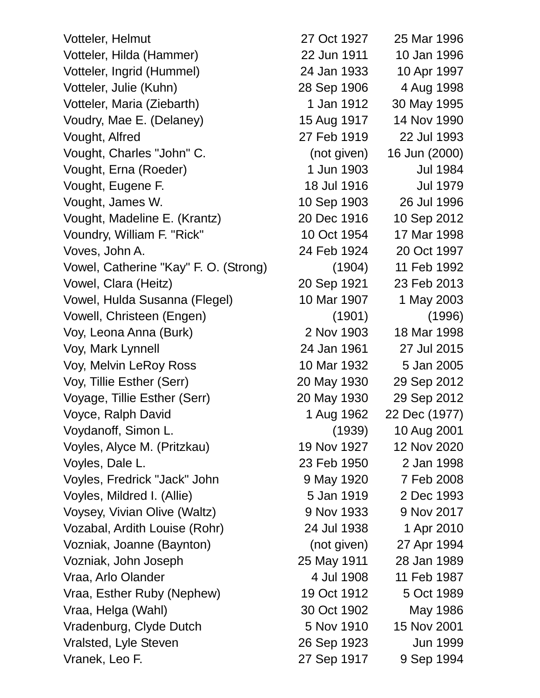Votteler, Helmut 27 Oct 1927 25 Mar 1996 Votteler, Hilda (Hammer) 22 Jun 1911 10 Jan 1996 Votteler, Ingrid (Hummel) 24 Jan 1933 10 Apr 1997 Votteler, Julie (Kuhn) 28 Sep 1906 4 Aug 1998 Votteler, Maria (Ziebarth) 1 Jan 1912 30 May 1995 Voudry, Mae E. (Delaney) 15 Aug 1917 14 Nov 1990 Vought, Alfred 27 Feb 1919 22 Jul 1993 Vought, Charles "John" C. (not given) 16 Jun (2000) Vought, Erna (Roeder) 1 Jun 1903 Jul 1984 Vought, Eugene F. 18 Jul 1916 Jul 1979 Vought, James W. 10 Sep 1903 26 Jul 1996 Vought, Madeline E. (Krantz) 20 Dec 1916 10 Sep 2012 Voundry, William F. "Rick" 10 Oct 1954 17 Mar 1998 Voves, John A. 24 Feb 1924 20 Oct 1997 Vowel, Catherine "Kay" F. O. (Strong) (1904) 11 Feb 1992 Vowel, Clara (Heitz) 20 Sep 1921 23 Feb 2013 Vowel, Hulda Susanna (Flegel) 10 Mar 1907 1 May 2003 Vowell, Christeen (Engen) (1901) (1996) Voy, Leona Anna (Burk) 2 Nov 1903 18 Mar 1998 Voy, Mark Lynnell 24 Jan 1961 27 Jul 2015 Voy, Melvin LeRoy Ross 10 Mar 1932 5 Jan 2005 Voy, Tillie Esther (Serr) 20 May 1930 29 Sep 2012 Voyage, Tillie Esther (Serr) 20 May 1930 29 Sep 2012 Voyce, Ralph David 1 Aug 1962 22 Dec (1977) Voydanoff, Simon L. (1939) 10 Aug 2001 Voyles, Alyce M. (Pritzkau) 19 Nov 1927 12 Nov 2020 Voyles, Dale L. 23 Feb 1950 2 Jan 1998 Voyles, Fredrick "Jack" John 9 May 1920 7 Feb 2008 Voyles, Mildred I. (Allie) 5 Jan 1919 2 Dec 1993 Voysey, Vivian Olive (Waltz) 9 Nov 1933 9 Nov 2017 Vozabal, Ardith Louise (Rohr) 24 Jul 1938 1 Apr 2010 Vozniak, Joanne (Baynton) (not given) 27 Apr 1994 Vozniak, John Joseph 25 May 1911 28 Jan 1989 Vraa, Arlo Olander 1987 11 Feb 1987 Vraa, Esther Ruby (Nephew) 19 Oct 1912 5 Oct 1989 Vraa, Helga (Wahl) 30 Oct 1902 May 1986 Vradenburg, Clyde Dutch 5 Nov 1910 15 Nov 2001 Vralsted, Lyle Steven 26 Sep 1923 Jun 1999 Vranek, Leo F. 27 Sep 1917 9 Sep 1994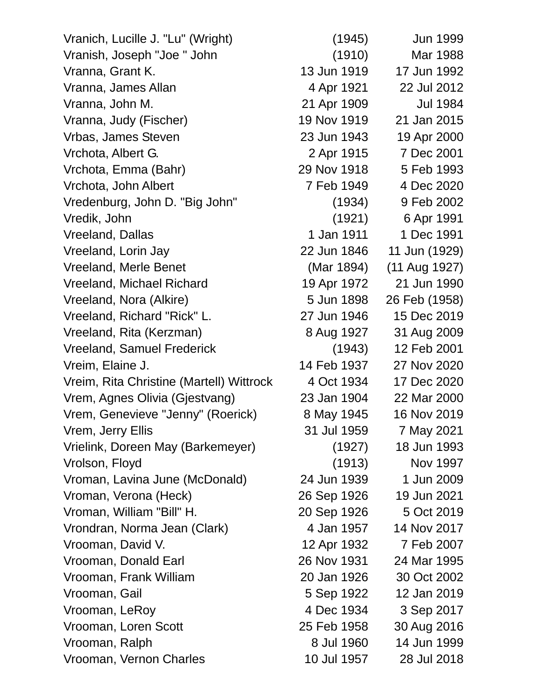Vranich, Lucille J. "Lu" (Wright) (1945) Jun 1999 Vranish, Joseph "Joe " John (1910) Mar 1988 Vranna, Grant K. 13 Jun 1919 17 Jun 1992 Vranna, James Allan 4 Apr 1921 22 Jul 2012 Vranna, John M. 21 Apr 1909 Jul 1984 Vranna, Judy (Fischer) 19 Nov 1919 21 Jan 2015 Vrbas, James Steven 23 Jun 1943 19 Apr 2000 Vrchota, Albert G. 2 Apr 1915 7 Dec 2001 Vrchota, Emma (Bahr) 29 Nov 1918 5 Feb 1993 Vrchota, John Albert 7 Feb 1949 4 Dec 2020 Vredenburg, John D. "Big John" (1934) 9 Feb 2002 Vredik, John (1921) 6 Apr 1991 Vreeland, Dallas 1 Jan 1911 1 Dec 1991 Vreeland, Lorin Jay 22 Jun 1846 11 Jun (1929) Vreeland, Merle Benet (Mar 1894) (11 Aug 1927) Vreeland, Michael Richard 19 Apr 1972 21 Jun 1990 Vreeland, Nora (Alkire) 5 Jun 1898 26 Feb (1958) Vreeland, Richard "Rick" L. 27 Jun 1946 15 Dec 2019 Vreeland, Rita (Kerzman) 8 Aug 1927 31 Aug 2009 Vreeland, Samuel Frederick (1943) 12 Feb 2001 Vreim, Elaine J. 14 Feb 1937 27 Nov 2020 Vreim, Rita Christine (Martell) Wittrock 4 Oct 1934 17 Dec 2020 Vrem, Agnes Olivia (Gjestvang) 23 Jan 1904 22 Mar 2000 Vrem, Genevieve "Jenny" (Roerick) 8 May 1945 16 Nov 2019 Vrem, Jerry Ellis 31 Jul 1959 7 May 2021 Vrielink, Doreen May (Barkemeyer) (1927) 18 Jun 1993 Vrolson, Floyd (1913) Nov 1997 Vroman, Lavina June (McDonald) 24 Jun 1939 1 Jun 2009 Vroman, Verona (Heck) 26 Sep 1926 19 Jun 2021 Vroman, William "Bill" H. 20 Sep 1926 5 Oct 2019 Vrondran, Norma Jean (Clark) 4 Jan 1957 14 Nov 2017 Vrooman, David V. 12 Apr 1932 7 Feb 2007 Vrooman, Donald Earl 26 Nov 1931 24 Mar 1995 Vrooman, Frank William 20 Jan 1926 30 Oct 2002 Vrooman, Gail 5 Sep 1922 12 Jan 2019 Vrooman, LeRoy 1934 3 Sep 2017 Vrooman, Loren Scott 25 Feb 1958 30 Aug 2016 Vrooman, Ralph 8 Jul 1960 14 Jun 1999 Vrooman, Vernon Charles 10 Jul 1957 28 Jul 2018